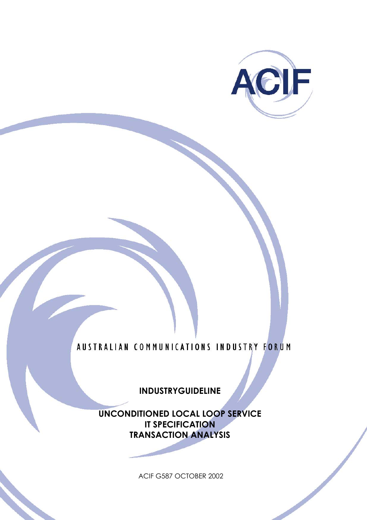

# AUSTRALIAN COMMUNICATIONS INDUSTRY FORUM

**INDUSTRYGUIDELINE**

**UNCONDITIONED LOCAL LOOP SERVICE IT SPECIFICATION TRANSACTION ANALYSIS**

ACIF G587 OCTOBER 2002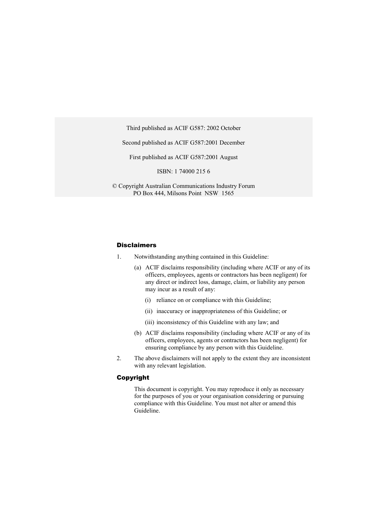Third published as ACIF G587: 2002 October

Second published as ACIF G587:2001 December

First published as ACIF G587:2001 August

ISBN: 1 74000 215 6

© Copyright Australian Communications Industry Forum PO Box 444, Milsons Point NSW 1565

#### **Disclaimers**

- 1. Notwithstanding anything contained in this Guideline:
	- (a) ACIF disclaims responsibility (including where ACIF or any of its officers, employees, agents or contractors has been negligent) for any direct or indirect loss, damage, claim, or liability any person may incur as a result of any:
		- (i) reliance on or compliance with this Guideline;
		- (ii) inaccuracy or inappropriateness of this Guideline; or
		- (iii) inconsistency of this Guideline with any law; and
	- (b) ACIF disclaims responsibility (including where ACIF or any of its officers, employees, agents or contractors has been negligent) for ensuring compliance by any person with this Guideline.
- 2. The above disclaimers will not apply to the extent they are inconsistent with any relevant legislation.

#### Copyright

This document is copyright. You may reproduce it only as necessary for the purposes of you or your organisation considering or pursuing compliance with this Guideline. You must not alter or amend this Guideline.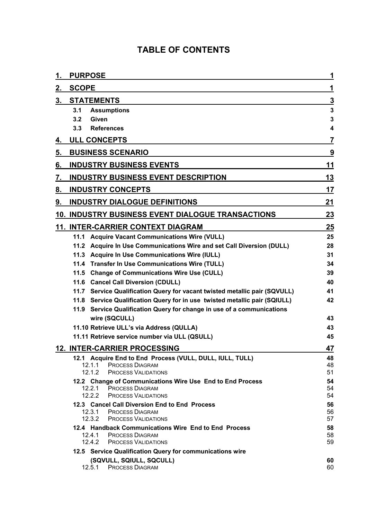# **TABLE OF CONTENTS**

| 1. | <b>PURPOSE</b>                                                                       |               |  |
|----|--------------------------------------------------------------------------------------|---------------|--|
| 2. | <b>SCOPE</b>                                                                         | 1             |  |
| 3. | <b>STATEMENTS</b>                                                                    |               |  |
|    | <b>Assumptions</b><br>3.1                                                            | <u>3</u><br>3 |  |
|    | <b>Given</b><br>3.2                                                                  | 3             |  |
|    | 3.3<br><b>References</b>                                                             | 4             |  |
| 4. | <b>ULL CONCEPTS</b>                                                                  | 7             |  |
| 5. | <b>BUSINESS SCENARIO</b>                                                             | 9             |  |
| 6. | <b>INDUSTRY BUSINESS EVENTS</b>                                                      | 11            |  |
| 7. | <b>INDUSTRY BUSINESS EVENT DESCRIPTION</b>                                           | 13            |  |
| 8. | <b>INDUSTRY CONCEPTS</b>                                                             | 17            |  |
| 9. | <b>INDUSTRY DIALOGUE DEFINITIONS</b>                                                 | 21            |  |
|    | <b>10. INDUSTRY BUSINESS EVENT DIALOGUE TRANSACTIONS</b>                             | 23            |  |
|    | <b>11. INTER-CARRIER CONTEXT DIAGRAM</b>                                             | 25            |  |
|    | 11.1 Acquire Vacant Communications Wire (VULL)                                       | 25            |  |
|    | 11.2 Acquire In Use Communications Wire and set Call Diversion (DULL)                | 28            |  |
|    | 11.3 Acquire In Use Communications Wire (IULL)                                       | 31            |  |
|    | 11.4 Transfer In Use Communications Wire (TULL)                                      | 34            |  |
|    | 11.5 Change of Communications Wire Use (CULL)                                        | 39            |  |
|    | 11.6 Cancel Call Diversion (CDULL)                                                   | 40            |  |
|    | 11.7 Service Qualification Query for vacant twisted metallic pair (SQVULL)           | 41            |  |
|    | 11.8 Service Qualification Query for in use twisted metallic pair (SQIULL)           | 42            |  |
|    | 11.9 Service Qualification Query for change in use of a communications               |               |  |
|    | wire (SQCULL)                                                                        | 43            |  |
|    | 11.10 Retrieve ULL's via Address (QULLA)                                             | 43            |  |
|    | 11.11 Retrieve service number via ULL (QSULL)                                        | 45            |  |
|    | <u>12. INTER-CARRIER PROCESSING</u>                                                  | <u>47</u>     |  |
|    | 12.1 Acquire End to End Process (VULL, DULL, IULL, TULL)                             | 48            |  |
|    | 12.1.1<br><b>PROCESS DIAGRAM</b>                                                     | 48            |  |
|    | <b>PROCESS VALIDATIONS</b><br>12.1.2                                                 | 51            |  |
|    | 12.2 Change of Communications Wire Use End to End Process<br>12.2.1 PROCESS DIAGRAM  | 54            |  |
|    | 12.2.2<br><b>PROCESS VALIDATIONS</b>                                                 | 54<br>54      |  |
|    | 12.3 Cancel Call Diversion End to End Process                                        | 56            |  |
|    | 12.3.1<br><b>PROCESS DIAGRAM</b>                                                     | 56            |  |
|    | 12.3.2<br>PROCESS VALIDATIONS                                                        | 57            |  |
|    | 12.4 Handback Communications Wire End to End Process                                 | 58            |  |
|    | <b>PROCESS DIAGRAM</b><br>12.4.1<br>12.4.2<br><b>PROCESS VALIDATIONS</b>             | 58<br>59      |  |
|    |                                                                                      |               |  |
|    | 12.5 Service Qualification Query for communications wire<br>(SQVULL, SQIULL, SQCULL) | 60            |  |
|    | 12.5.1<br><b>PROCESS DIAGRAM</b>                                                     | 60            |  |
|    |                                                                                      |               |  |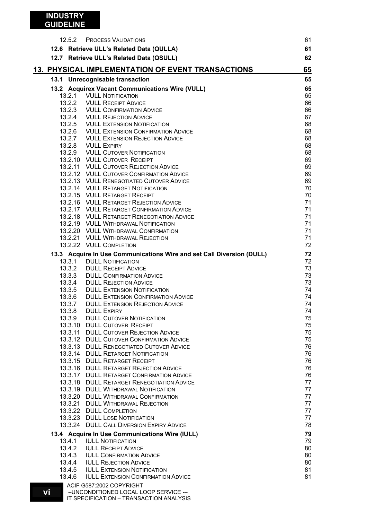| 12.5.2           | <b>PROCESS VALIDATIONS</b>                                                           | 61       |
|------------------|--------------------------------------------------------------------------------------|----------|
|                  | 12.6 Retrieve ULL's Related Data (QULLA)                                             | 61       |
| 12.7             | <b>Retrieve ULL's Related Data (QSULL)</b>                                           | 62       |
|                  | 13. PHYSICAL IMPLEMENTATION OF EVENT TRANSACTIONS                                    | 65       |
|                  | 13.1 Unrecognisable transaction                                                      | 65       |
|                  | 13.2 Acquirex Vacant Communications Wire (VULL)                                      | 65       |
| 13.2.1           | <b>VULL NOTIFICATION</b>                                                             | 65       |
| 13.2.2           | <b>VULL RECEIPT ADVICE</b>                                                           | 66       |
| 13.2.3           | <b>VULL CONFIRMATION ADVICE</b>                                                      | 66       |
| 13.2.4<br>13.2.5 | <b>VULL REJECTION ADVICE</b><br><b>VULL EXTENSION NOTIFICATION</b>                   | 67<br>68 |
| 13.2.6           | <b>VULL EXTENSION CONFIRMATION ADVICE</b>                                            | 68       |
| 13.2.7           | <b>VULL EXTENSION REJECTION ADVICE</b>                                               | 68       |
| 13.2.8           | <b>VULL EXPIRY</b>                                                                   | 68       |
| 13.2.9           | <b>VULL CUTOVER NOTIFICATION</b>                                                     | 68       |
|                  | 13.2.10 VULL CUTOVER RECEIPT                                                         | 69       |
|                  | 13.2.11 VULL CUTOVER REJECTION ADVICE<br>13.2.12 VULL CUTOVER CONFIRMATION ADVICE    | 69<br>69 |
|                  | 13.2.13 VULL RENEGOTIATED CUTOVER ADVICE                                             | 69       |
|                  | 13.2.14 VULL RETARGET NOTIFICATION                                                   | 70       |
|                  | 13.2.15 VULL RETARGET RECEIPT                                                        | 70       |
|                  | 13.2.16 VULL RETARGET REJECTION ADVICE                                               | 71       |
|                  | 13.2.17 VULL RETARGET CONFIRMATION ADVICE                                            | 71       |
|                  | 13.2.18 VULL RETARGET RENEGOTIATION ADVICE                                           | 71<br>71 |
|                  | 13.2.19 VULL WITHDRAWAL NOTIFICATION<br>13.2.20 VULL WITHDRAWAL CONFIRMATION         | 71       |
|                  | 13.2.21 VULL WITHDRAWAL REJECTION                                                    | 71       |
|                  | 13.2.22 VULL COMPLETION                                                              | 72       |
|                  | 13.3 Acquire In Use Communications Wire and set Call Diversion (DULL)                | 72       |
| 13.3.1           | <b>DULL NOTIFICATION</b>                                                             | 72       |
| 13.3.2           | <b>DULL RECEIPT ADVICE</b>                                                           | 73       |
| 13.3.3           | <b>DULL CONFIRMATION ADVICE</b>                                                      | 73       |
| 13.3.4<br>13.3.5 | <b>DULL REJECTION ADVICE</b><br><b>DULL EXTENSION NOTIFICATION</b>                   | 73<br>74 |
| 13.3.6           | <b>DULL EXTENSION CONFIRMATION ADVICE</b>                                            | 74       |
| 13.3.7           | <b>DULL EXTENSION REJECTION ADVICE</b>                                               | 74       |
| 13.3.8           | <b>DULL EXPIRY</b>                                                                   | 74       |
| 13.3.9           | <b>DULL CUTOVER NOTIFICATION</b>                                                     | 75       |
|                  | 13.3.10 DULL CUTOVER RECEIPT                                                         | 75       |
| 13.3.11          | <b>DULL CUTOVER REJECTION ADVICE</b>                                                 | 75       |
|                  | 13.3.12 DULL CUTOVER CONFIRMATION ADVICE<br>13.3.13 DULL RENEGOTIATED CUTOVER ADVICE | 75<br>76 |
|                  | 13.3.14 DULL RETARGET NOTIFICATION                                                   | 76       |
|                  | 13.3.15 DULL RETARGET RECEIPT                                                        | 76       |
|                  | 13.3.16 DULL RETARGET REJECTION ADVICE                                               | 76       |
|                  | 13.3.17 DULL RETARGET CONFIRMATION ADVICE                                            | 76       |
|                  | 13.3.18 DULL RETARGET RENEGOTIATION ADVICE                                           | 77       |
|                  | 13.3.19 DULL WITHDRAWAL NOTIFICATION<br>13.3.20 DULL WITHDRAWAL CONFIRMATION         | 77<br>77 |
|                  | 13.3.21 DULL WITHDRAWAL REJECTION                                                    | 77       |
|                  | 13.3.22 DULL COMPLETION                                                              | 77       |
|                  | 13.3.23 DULL LOSE NOTIFICATION                                                       | 77       |
|                  | 13.3.24 DULL CALL DIVERSION EXPIRY ADVICE                                            | 78       |
|                  | 13.4 Acquire In Use Communications Wire (IULL)                                       | 79       |
| 13.4.1           | <b>IULL NOTIFICATION</b>                                                             | 79       |
| 13.4.2           | <b>IULL RECEIPT ADVICE</b>                                                           | 80       |
| 13.4.3<br>13.4.4 | <b>IULL CONFIRMATION ADVICE</b><br><b>IULL REJECTION ADVICE</b>                      | 80<br>80 |
| 13.4.5           | <b>IULL EXTENSION NOTIFICATION</b>                                                   | 81       |
| 13.4.6           | <b>IULL EXTENSION CONFIRMATION ADVICE</b>                                            | 81       |
|                  | ACIF G587:2002 COPYRIGHT                                                             |          |
| vi               | -UNCONDITIONED LOCAL LOOP SERVICE -                                                  |          |
|                  | IT SPECIFICATION - TRANSACTION ANALYSIS                                              |          |

| ACIF G587:2002 COPYRIGHT                |
|-----------------------------------------|
| -UNCONDITIONED LOCAL LOOP SERVICE -     |
| IT SPECIFICATION – TRANSACTION ANALYSIS |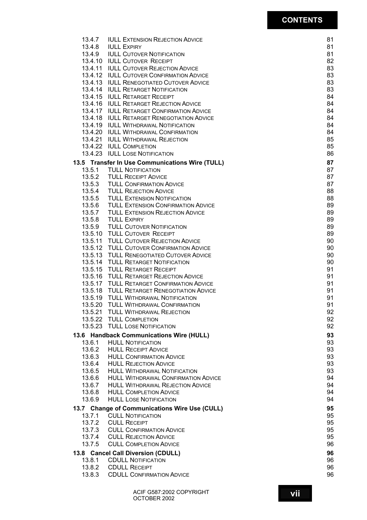| 13.4.7  | <b>IULL EXTENSION REJECTION ADVICE</b>            | 81 |
|---------|---------------------------------------------------|----|
| 13.4.8  | <b>IULL EXPIRY</b>                                | 81 |
| 13.4.9  | <b>IULL CUTOVER NOTIFICATION</b>                  | 81 |
|         | 13.4.10 IULL CUTOVER RECEIPT                      | 82 |
|         | 13.4.11 <b>IULL CUTOVER REJECTION ADVICE</b>      | 83 |
|         | 13.4.12 <b>IULL CUTOVER CONFIRMATION ADVICE</b>   | 83 |
|         | 13.4.13 <b>IULL RENEGOTIATED CUTOVER ADVICE</b>   | 83 |
|         | 13.4.14 <b>IULL RETARGET NOTIFICATION</b>         | 83 |
|         | 13.4.15 <b>IULL RETARGET RECEIPT</b>              | 84 |
|         | 13.4.16 <b>IULL RETARGET REJECTION ADVICE</b>     | 84 |
|         | 13.4.17 <b>IULL RETARGET CONFIRMATION ADVICE</b>  | 84 |
|         | 13.4.18 <b>IULL RETARGET RENEGOTIATION ADVICE</b> | 84 |
|         | 13.4.19 IULL WITHDRAWAL NOTIFICATION              | 84 |
|         | 13.4.20 IULL WITHDRAWAL CONFIRMATION              | 84 |
|         | 13.4.21 <b>IULL WITHDRAWAL REJECTION</b>          | 85 |
|         | 13.4.22 IULL COMPLETION                           | 85 |
|         | 13.4.23 IULL LOSE NOTIFICATION                    | 86 |
|         | 13.5 Transfer In Use Communications Wire (TULL)   | 87 |
| 13.5.1  | <b>TULL NOTIFICATION</b>                          | 87 |
| 13.5.2  | <b>TULL RECEIPT ADVICE</b>                        | 87 |
| 13.5.3  | <b>TULL CONFIRMATION ADVICE</b>                   | 87 |
| 13.5.4  | <b>TULL REJECTION ADVICE</b>                      | 88 |
| 13.5.5  | <b>TULL EXTENSION NOTIFICATION</b>                | 88 |
| 13.5.6  | <b>TULL EXTENSION CONFIRMATION ADVICE</b>         | 89 |
| 13.5.7  | <b>TULL EXTENSION REJECTION ADVICE</b>            | 89 |
| 13.5.8  | <b>TULL EXPIRY</b>                                | 89 |
| 13.5.9  | <b>TULL CUTOVER NOTIFICATION</b>                  | 89 |
|         | 13.5.10 TULL CUTOVER RECEIPT                      | 89 |
|         | 13.5.11 TULL CUTOVER REJECTION ADVICE             | 90 |
|         | 13.5.12 TULL CUTOVER CONFIRMATION ADVICE          | 90 |
|         | 13.5.13 TULL RENEGOTIATED CUTOVER ADVICE          | 90 |
|         | 13.5.14 TULL RETARGET NOTIFICATION                | 90 |
|         | 13.5.15 TULL RETARGET RECEIPT                     | 91 |
|         | 13.5.16 TULL RETARGET REJECTION ADVICE            | 91 |
|         | 13.5.17 TULL RETARGET CONFIRMATION ADVICE         | 91 |
|         |                                                   | 91 |
|         | 13.5.18 TULL RETARGET RENEGOTIATION ADVICE        | 91 |
|         | 13.5.19 TULL WITHDRAWAL NOTIFICATION              |    |
|         | 13.5.20 TULL WITHDRAWAL CONFIRMATION              | 91 |
|         | 13.5.21 TULL WITHDRAWAL REJECTION                 | 92 |
| 13.5.22 | <b>TULL COMPLETION</b>                            | 92 |
|         | 13.5.23 TULL LOSE NOTIFICATION                    | 92 |
|         | 13.6 Handback Communications Wire (HULL)          | 93 |
| 13.6.1  | <b>HULL NOTIFICATION</b>                          | 93 |
| 13.6.2  | <b>HULL RECEIPT ADVICE</b>                        | 93 |
| 13.6.3  | <b>HULL CONFIRMATION ADVICE</b>                   | 93 |
| 13.6.4  | <b>HULL REJECTION ADVICE</b>                      | 93 |
| 13.6.5  | <b>HULL WITHDRAWAL NOTIFICATION</b>               | 93 |
| 13.6.6  | <b>HULL WITHDRAWAL CONFIRMATION ADVICE</b>        | 94 |
| 13.6.7  | <b>HULL WITHDRAWAL REJECTION ADVICE</b>           | 94 |
| 13.6.8  | <b>HULL COMPLETION ADVICE</b>                     | 94 |
| 13.6.9  | <b>HULL LOSE NOTIFICATION</b>                     | 94 |
|         | 13.7 Change of Communications Wire Use (CULL)     | 95 |
| 13.7.1  | <b>CULL NOTIFICATION</b>                          | 95 |
| 13.7.2  | <b>CULL RECEIPT</b>                               | 95 |
|         | 13.7.3 CULL CONFIRMATION ADVICE                   | 95 |
|         | 13.7.4 CULL REJECTION ADVICE                      | 95 |
| 13.7.5  | <b>CULL COMPLETION ADVICE</b>                     | 96 |
|         | 13.8 Cancel Call Diversion (CDULL)                | 96 |
| 13.8.1  | <b>CDULL NOTIFICATION</b>                         | 96 |
|         | 13.8.2 CDULL RECEIPT                              | 96 |
|         | 13.8.3 CDULL CONFIRMATION ADVICE                  | 96 |
|         |                                                   |    |
|         |                                                   |    |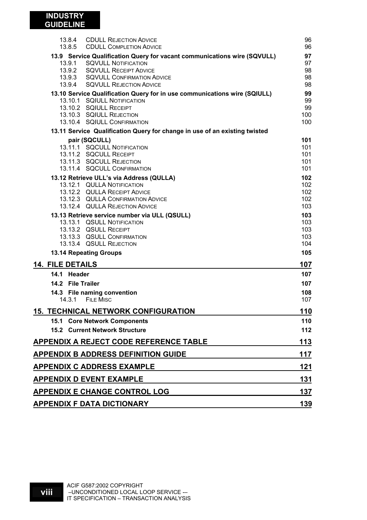| 13.8.4<br>13.8.5                           | <b>CDULL REJECTION ADVICE</b><br><b>CDULL COMPLETION ADVICE</b>                                                                                                                                                                                                         | 96<br>96                        |
|--------------------------------------------|-------------------------------------------------------------------------------------------------------------------------------------------------------------------------------------------------------------------------------------------------------------------------|---------------------------------|
| 13.9.1<br>13.9.2<br>13.9.4                 | 13.9 Service Qualification Query for vacant communications wire (SQVULL)<br><b>SQVULL NOTIFICATION</b><br><b>SQVULL RECEIPT ADVICE</b><br>13.9.3 SQVULL CONFIRMATION ADVICE<br><b>SQVULL REJECTION ADVICE</b>                                                           | 97<br>97<br>98<br>98<br>98      |
|                                            | 13.10 Service Qualification Query for in use communications wire (SQIULL)<br>13.10.1 SQIULL NOTIFICATION<br>13.10.2 SQIULL RECEIPT<br>13.10.3 SQIULL REJECTION<br>13.10.4 SQIULL CONFIRMATION                                                                           | 99<br>99<br>99<br>100<br>100    |
|                                            | 13.11 Service Qualification Query for change in use of an existing twisted                                                                                                                                                                                              |                                 |
|                                            | pair (SQCULL)<br>13.11.1 SQCULL NOTIFICATION<br>13.11.2 SQCULL RECEIPT<br>13.11.3 SQCULL REJECTION<br>13.11.4 SQCULL CONFIRMATION                                                                                                                                       | 101<br>101<br>101<br>101<br>101 |
|                                            | 13.12 Retrieve ULL's via Address (QULLA)<br>13.12.1 QULLA NOTIFICATION<br>13.12.2 QULLA RECEIPT ADVICE<br>13.12.3 QULLA CONFIRMATION ADVICE<br>13.12.4 QULLA REJECTION ADVICE                                                                                           | 102<br>102<br>102<br>102<br>103 |
|                                            | 13.13 Retrieve service number via ULL (QSULL)<br>13.13.1 QSULL NOTIFICATION<br>13.13.2 QSULL RECEIPT<br>13.13.3 QSULL CONFIRMATION<br>13.13.4 QSULL REJECTION                                                                                                           | 103<br>103<br>103<br>103<br>104 |
|                                            | <b>13.14 Repeating Groups</b>                                                                                                                                                                                                                                           | 105                             |
| <b>14. FILE DETAILS</b>                    |                                                                                                                                                                                                                                                                         | 107                             |
| 14.1 Header<br>14.2 File Trailer<br>14.3.1 | 14.3 File naming convention<br><b>FILE MISC</b>                                                                                                                                                                                                                         | 107<br>107<br>108<br>107        |
|                                            | <u>15. TECHNICAL NETWORK CONFIGURATION</u>                                                                                                                                                                                                                              | <b>110</b>                      |
|                                            | 15.1 Core Network Components                                                                                                                                                                                                                                            | 110                             |
|                                            | <b>15.2 Current Network Structure</b>                                                                                                                                                                                                                                   | 112                             |
|                                            | <b>APPENDIX A REJECT CODE REFERENCE TABLE</b>                                                                                                                                                                                                                           | <u> 113</u>                     |
|                                            | <u>APPENDIX B ADDRESS DEFINITION GUIDE</u>                                                                                                                                                                                                                              | 117                             |
|                                            | <b>APPENDIX C ADDRESS EXAMPLE</b>                                                                                                                                                                                                                                       | 121                             |
|                                            | <b>APPENDIX D EVENT EXAMPLE</b><br><u>and the company of the company of the company of the company of the company of the company of the company of the company of the company of the company of the company of the company of the company of the company of the com</u> | 131                             |
|                                            | <b>APPENDIX E CHANGE CONTROL LOG</b>                                                                                                                                                                                                                                    | 137                             |
|                                            | <b>APPENDIX F DATA DICTIONARY</b>                                                                                                                                                                                                                                       | 139                             |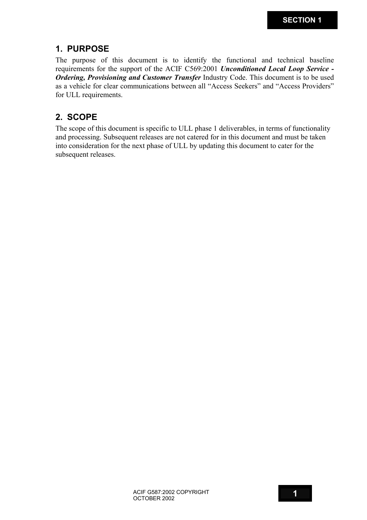### <span id="page-8-0"></span>**1. PURPOSE**

The purpose of this document is to identify the functional and technical baseline requirements for the support of the ACIF C569:2001 *Unconditioned Local Loop Service - Ordering, Provisioning and Customer Transfer* Industry Code. This document is to be used as a vehicle for clear communications between all "Access Seekers" and "Access Providers" for ULL requirements.

### <span id="page-8-1"></span>**2. SCOPE**

The scope of this document is specific to ULL phase 1 deliverables, in terms of functionality and processing. Subsequent releases are not catered for in this document and must be taken into consideration for the next phase of ULL by updating this document to cater for the subsequent releases.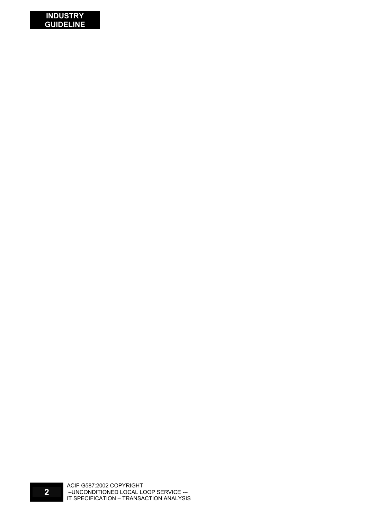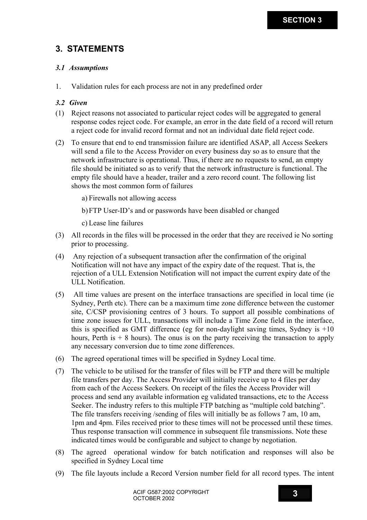## <span id="page-10-0"></span>**3. STATEMENTS**

#### <span id="page-10-1"></span>*3.1 Assumptions*

1. Validation rules for each process are not in any predefined order

#### <span id="page-10-2"></span>*3.2 Given*

- (1) Reject reasons not associated to particular reject codes will be aggregated to general response codes reject code. For example, an error in the date field of a record will return a reject code for invalid record format and not an individual date field reject code.
- (2) To ensure that end to end transmission failure are identified ASAP, all Access Seekers will send a file to the Access Provider on every business day so as to ensure that the network infrastructure is operational. Thus, if there are no requests to send, an empty file should be initiated so as to verify that the network infrastructure is functional. The empty file should have a header, trailer and a zero record count. The following list shows the most common form of failures
	- a) Firewalls not allowing access
	- b)FTP User-ID's and or passwords have been disabled or changed

c) Lease line failures

- (3) All records in the files will be processed in the order that they are received ie No sorting prior to processing.
- (4) Any rejection of a subsequent transaction after the confirmation of the original Notification will not have any impact of the expiry date of the request. That is, the rejection of a ULL Extension Notification will not impact the current expiry date of the ULL Notification.
- (5) All time values are present on the interface transactions are specified in local time (ie Sydney, Perth etc). There can be a maximum time zone difference between the customer site, C/CSP provisioning centres of 3 hours. To support all possible combinations of time zone issues for ULL, transactions will include a Time Zone field in the interface, this is specified as GMT difference (eg for non-daylight saving times, Sydney is  $+10$ ) hours, Perth is  $+ 8$  hours). The onus is on the party receiving the transaction to apply any necessary conversion due to time zone differences.
- (6) The agreed operational times will be specified in Sydney Local time.
- (7) The vehicle to be utilised for the transfer of files will be FTP and there will be multiple file transfers per day. The Access Provider will initially receive up to 4 files per day from each of the Access Seekers. On receipt of the files the Access Provider will process and send any available information eg validated transactions, etc to the Access Seeker. The industry refers to this multiple FTP batching as "multiple cold batching". The file transfers receiving /sending of files will initially be as follows 7 am, 10 am, 1pm and 4pm. Files received prior to these times will not be processed until these times. Thus response transaction will commence in subsequent file transmissions. Note these indicated times would be configurable and subject to change by negotiation.
- (8) The agreed operational window for batch notification and responses will also be specified in Sydney Local time
- (9) The file layouts include a Record Version number field for all record types. The intent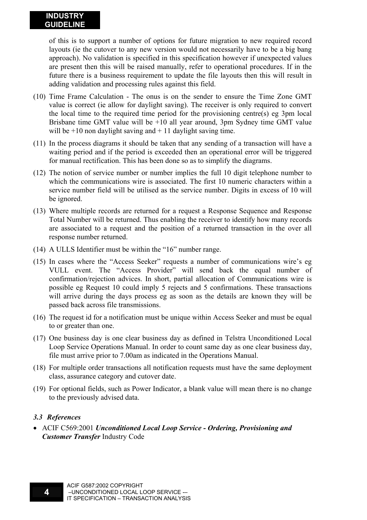of this is to support a number of options for future migration to new required record layouts (ie the cutover to any new version would not necessarily have to be a big bang approach). No validation is specified in this specification however if unexpected values are present then this will be raised manually, refer to operational procedures. If in the future there is a business requirement to update the file layouts then this will result in adding validation and processing rules against this field.

- (10) Time Frame Calculation The onus is on the sender to ensure the Time Zone GMT value is correct (ie allow for daylight saving). The receiver is only required to convert the local time to the required time period for the provisioning centre(s) eg 3pm local Brisbane time GMT value will be +10 all year around, 3pm Sydney time GMT value will be  $+10$  non daylight saving and  $+11$  daylight saving time.
- (11) In the process diagrams it should be taken that any sending of a transaction will have a waiting period and if the period is exceeded then an operational error will be triggered for manual rectification. This has been done so as to simplify the diagrams.
- (12) The notion of service number or number implies the full 10 digit telephone number to which the communications wire is associated. The first 10 numeric characters within a service number field will be utilised as the service number. Digits in excess of 10 will be ignored.
- (13) Where multiple records are returned for a request a Response Sequence and Response Total Number will be returned. Thus enabling the receiver to identify how many records are associated to a request and the position of a returned transaction in the over all response number returned.
- (14) A ULLS Identifier must be within the "16" number range.
- (15) In cases where the "Access Seeker" requests a number of communications wire's eg VULL event. The "Access Provider" will send back the equal number of confirmation/rejection advices. In short, partial allocation of Communications wire is possible eg Request 10 could imply 5 rejects and 5 confirmations. These transactions will arrive during the days process eg as soon as the details are known they will be passed back across file transmissions.
- (16) The request id for a notification must be unique within Access Seeker and must be equal to or greater than one.
- (17) One business day is one clear business day as defined in Telstra Unconditioned Local Loop Service Operations Manual. In order to count same day as one clear business day, file must arrive prior to 7.00am as indicated in the Operations Manual.
- (18) For multiple order transactions all notification requests must have the same deployment class, assurance category and cutover date.
- (19) For optional fields, such as Power Indicator, a blank value will mean there is no change to the previously advised data.

#### <span id="page-11-0"></span>*3.3 References*

• ACIF C569:2001 *Unconditioned Local Loop Service - Ordering, Provisioning and Customer Transfer* Industry Code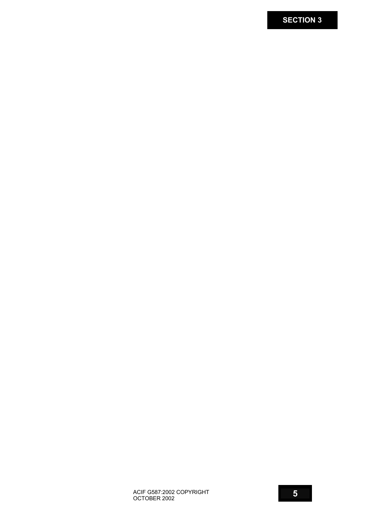### **SECTION 3**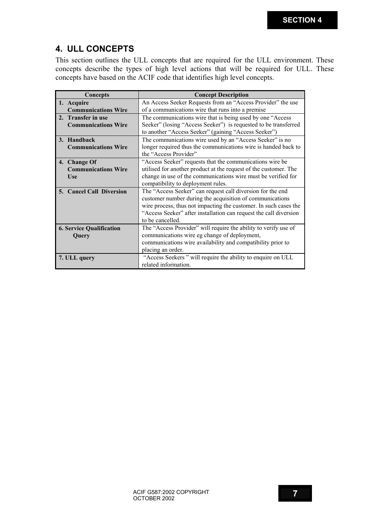# <span id="page-14-0"></span>**4. ULL CONCEPTS**

This section outlines the ULL concepts that are required for the ULL environment. These concepts describe the types of high level actions that will be required for ULL. These concepts have based on the ACIF code that identifies high level concepts.

| Concepts                        | <b>Concept Description</b>                                        |
|---------------------------------|-------------------------------------------------------------------|
| 1. Acquire                      | An Access Seeker Requests from an "Access Provider" the use       |
| <b>Communications Wire</b>      | of a communications wire that runs into a premise                 |
| 2. Transfer in use              | The communications wire that is being used by one "Access"        |
| <b>Communications Wire</b>      | Seeker" (losing "Access Seeker") is requested to be transferred   |
|                                 | to another "Access Seeker" (gaining "Access Seeker")              |
| 3. Handback                     | The communications wire used by an "Access Seeker" is no          |
| <b>Communications Wire</b>      | longer required thus the communications wire is handed back to    |
|                                 | the "Access Provider"                                             |
| 4. Change Of                    | "Access Seeker" requests that the communications wire be          |
| <b>Communications Wire</b>      | utilised for another product at the request of the customer. The  |
| <b>Use</b>                      | change in use of the communications wire must be verified for     |
|                                 | compatibility to deployment rules.                                |
| <b>5. Cancel Call Diversion</b> | The "Access Seeker" can request call diversion for the end        |
|                                 | customer number during the acquisition of communications          |
|                                 | wire process, thus not impacting the customer. In such cases the  |
|                                 | "Access Seeker" after installation can request the call diversion |
|                                 | to be cancelled.                                                  |
| <b>6. Service Qualification</b> | The "Access Provider" will require the ability to verify use of   |
| Query                           | communications wire eg change of deployment,                      |
|                                 | communications wire availability and compatibility prior to       |
|                                 | placing an order.                                                 |
| 7. ULL query                    | "Access Seekers" will require the ability to enquire on ULL       |
|                                 | related information.                                              |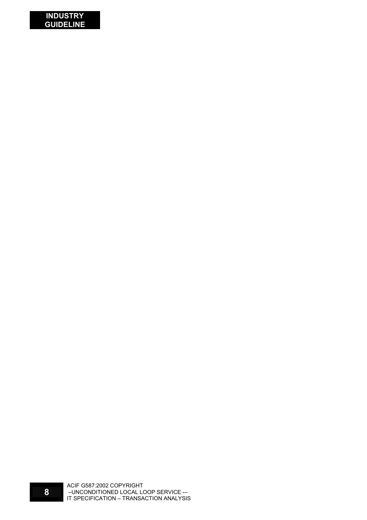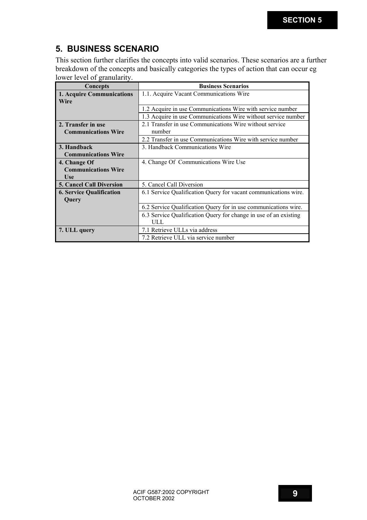# <span id="page-16-0"></span>**5. BUSINESS SCENARIO**

This section further clarifies the concepts into valid scenarios. These scenarios are a further breakdown of the concepts and basically categories the types of action that can occur eg lower level of granularity.

| <b>Concepts</b>                  | <b>Business Scenarios</b>                                        |
|----------------------------------|------------------------------------------------------------------|
| <b>1. Acquire Communications</b> | 1.1. Acquire Vacant Communications Wire                          |
| <b>Wire</b>                      |                                                                  |
|                                  | 1.2 Acquire in use Communications Wire with service number       |
|                                  | 1.3 Acquire in use Communications Wire without service number    |
| 2. Transfer in use               | 2.1 Transfer in use Communications Wire without service          |
| <b>Communications Wire</b>       | number                                                           |
|                                  | 2.2 Transfer in use Communications Wire with service number      |
| 3. Handback                      | 3. Handback Communications Wire                                  |
| <b>Communications Wire</b>       |                                                                  |
| 4. Change Of                     | 4. Change Of Communications Wire Use                             |
| <b>Communications Wire</b>       |                                                                  |
| <b>Use</b>                       |                                                                  |
| <b>5. Cancel Call Diversion</b>  | 5. Cancel Call Diversion                                         |
| <b>6. Service Qualification</b>  | 6.1 Service Qualification Query for vacant communications wire.  |
| Query                            |                                                                  |
|                                  | 6.2 Service Qualification Query for in use communications wire.  |
|                                  | 6.3 Service Qualification Query for change in use of an existing |
|                                  | ULL                                                              |
| 7. ULL query                     | 7.1 Retrieve ULLs via address                                    |
|                                  | 7.2 Retrieve ULL via service number                              |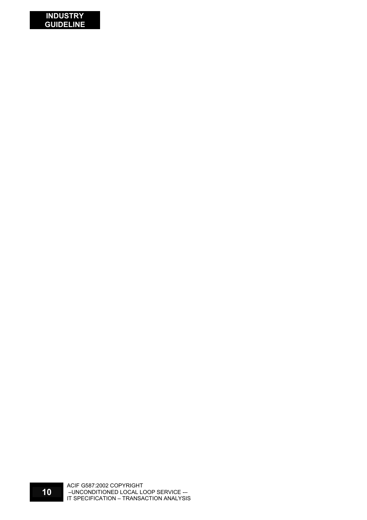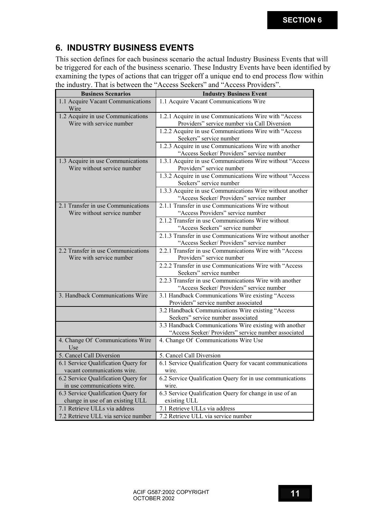## <span id="page-18-0"></span>**6. INDUSTRY BUSINESS EVENTS**

This section defines for each business scenario the actual Industry Business Events that will be triggered for each of the business scenario. These Industry Events have been identified by examining the types of actions that can trigger off a unique end to end process flow within the industry. That is between the "Access Seekers" and "Access Providers".

| <b>Business Scenarios</b>                                               | <b>Industry Business Event</b>                                                                                 |
|-------------------------------------------------------------------------|----------------------------------------------------------------------------------------------------------------|
| 1.1 Acquire Vacant Communications<br>Wire                               | 1.1 Acquire Vacant Communications Wire                                                                         |
| 1.2 Acquire in use Communications<br>Wire with service number           | 1.2.1 Acquire in use Communications Wire with "Access<br>Providers" service number via Call Diversion          |
|                                                                         | 1.2.2 Acquire in use Communications Wire with "Access<br>Seekers" service number                               |
|                                                                         | 1.2.3 Acquire in use Communications Wire with another<br>"Access Seeker/ Providers" service number             |
| 1.3 Acquire in use Communications<br>Wire without service number        | 1.3.1 Acquire in use Communications Wire without "Access<br>Providers" service number                          |
|                                                                         | 1.3.2 Acquire in use Communications Wire without "Access<br>Seekers" service number                            |
|                                                                         | 1.3.3 Acquire in use Communications Wire without another<br>"Access Seeker/ Providers" service number          |
| 2.1 Transfer in use Communications<br>Wire without service number       | 2.1.1 Transfer in use Communications Wire without<br>"Access Providers" service number                         |
|                                                                         | 2.1.2 Transfer in use Communications Wire without<br>"Access Seekers" service number                           |
|                                                                         | 2.1.3 Transfer in use Communications Wire without another<br>"Access Seeker/ Providers" service number         |
| 2.2 Transfer in use Communications<br>Wire with service number          | 2.2.1 Transfer in use Communications Wire with "Access"<br>Providers" service number                           |
|                                                                         | 2.2.2 Transfer in use Communications Wire with "Access"<br>Seekers" service number                             |
|                                                                         | 2.2.3 Transfer in use Communications Wire with another<br>"Access Seeker/ Providers" service number            |
| 3. Handback Communications Wire                                         | 3.1 Handback Communications Wire existing "Access<br>Providers" service number associated                      |
|                                                                         | 3.2 Handback Communications Wire existing "Access<br>Seekers" service number associated                        |
|                                                                         | 3.3 Handback Communications Wire existing with another<br>"Access Seeker/ Providers" service number associated |
| 4. Change Of Communications Wire<br>Use                                 | 4. Change Of Communications Wire Use                                                                           |
| 5. Cancel Call Diversion                                                | 5. Cancel Call Diversion                                                                                       |
| 6.1 Service Qualification Query for<br>vacant communications wire.      | 6.1 Service Qualification Query for vacant communications<br>wire.                                             |
| 6.2 Service Qualification Query for<br>in use communications wire.      | 6.2 Service Qualification Query for in use communications<br>wire.                                             |
| 6.3 Service Qualification Query for<br>change in use of an existing ULL | 6.3 Service Qualification Query for change in use of an<br>existing ULL                                        |
| 7.1 Retrieve ULLs via address                                           | 7.1 Retrieve ULLs via address                                                                                  |
| 7.2 Retrieve ULL via service number                                     | 7.2 Retrieve ULL via service number                                                                            |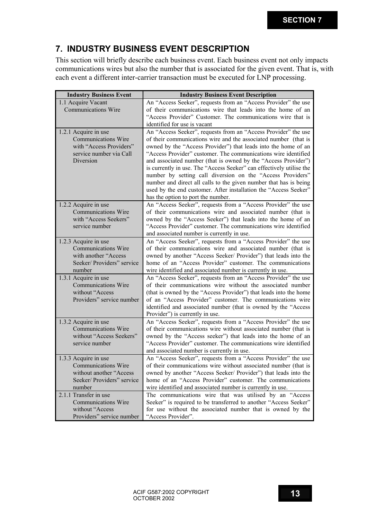# <span id="page-20-0"></span>**7. INDUSTRY BUSINESS EVENT DESCRIPTION**

This section will briefly describe each business event. Each business event not only impacts communications wires but also the number that is associated for the given event. That is, with each event a different inter-carrier transaction must be executed for LNP processing.

| <b>Industry Business Event</b>                     | <b>Industry Business Event Description</b>                                                                                            |
|----------------------------------------------------|---------------------------------------------------------------------------------------------------------------------------------------|
| 1.1 Acquire Vacant                                 | An "Access Seeker", requests from an "Access Provider" the use                                                                        |
| <b>Communications Wire</b>                         | of their communications wire that leads into the home of an                                                                           |
|                                                    | "Access Provider" Customer. The communications wire that is<br>identified for use is vacant                                           |
| 1.2.1 Acquire in use                               | An "Access Seeker", requests from an "Access Provider" the use                                                                        |
| <b>Communications Wire</b>                         | of their communications wire and the associated number (that is                                                                       |
| with "Access Providers"                            | owned by the "Access Provider") that leads into the home of an                                                                        |
| service number via Call                            | "Access Provider" customer. The communications wire identified                                                                        |
| Diversion                                          | and associated number (that is owned by the "Access Provider")                                                                        |
|                                                    | is currently in use. The "Access Seeker" can effectively utilise the                                                                  |
|                                                    | number by setting call diversion on the "Access Providers"                                                                            |
|                                                    | number and direct all calls to the given number that has is being<br>used by the end customer. After installation the "Access Seeker" |
|                                                    | has the option to port the number.                                                                                                    |
| 1.2.2 Acquire in use                               | An "Access Seeker", requests from a "Access Provider" the use                                                                         |
| <b>Communications Wire</b>                         | of their communications wire and associated number (that is                                                                           |
| with "Access Seekers"                              | owned by the "Access Seeker") that leads into the home of an                                                                          |
| service number                                     | "Access Provider" customer. The communications wire identified                                                                        |
|                                                    | and associated number is currently in use.                                                                                            |
| 1.2.3 Acquire in use<br><b>Communications Wire</b> | An "Access Seeker", requests from a "Access Provider" the use<br>of their communications wire and associated number (that is          |
| with another "Access                               | owned by another "Access Seeker/ Provider") that leads into the                                                                       |
| Seeker/ Providers" service                         | home of an "Access Provider" customer. The communications                                                                             |
| number                                             | wire identified and associated number is currently in use.                                                                            |
| 1.3.1 Acquire in use                               | An "Access Seeker", requests from an "Access Provider" the use                                                                        |
| <b>Communications Wire</b>                         | of their communications wire without the associated number                                                                            |
| without "Access                                    | (that is owned by the "Access Provider") that leads into the home                                                                     |
| Providers" service number                          | of an "Access Provider" customer. The communications wire<br>identified and associated number (that is owned by the "Access           |
|                                                    | Provider") is currently in use.                                                                                                       |
| 1.3.2 Acquire in use                               | An "Access Seeker", requests from a "Access Provider" the use                                                                         |
| <b>Communications Wire</b>                         | of their communications wire without associated number (that is                                                                       |
| without "Access Seekers"                           | owned by the "Access seeker") that leads into the home of an                                                                          |
| service number                                     | "Access Provider" customer. The communications wire identified                                                                        |
| 1.3.3 Acquire in use                               | and associated number is currently in use.<br>An "Access Seeker", requests from a "Access Provider" the use                           |
| Communications Wire                                | of their communications wire without associated number (that is                                                                       |
| without another "Access                            | owned by another "Access Seeker/ Provider") that leads into the                                                                       |
| Seeker/Providers" service                          | home of an "Access Provider" customer. The communications                                                                             |
| number                                             | wire identified and associated number is currently in use.                                                                            |
| 2.1.1 Transfer in use                              | The communications wire that was utilised by an "Access                                                                               |
| <b>Communications Wire</b>                         | Seeker" is required to be transferred to another "Access Seeker"                                                                      |
| without "Access                                    | for use without the associated number that is owned by the                                                                            |
| Providers" service number                          | "Access Provider".                                                                                                                    |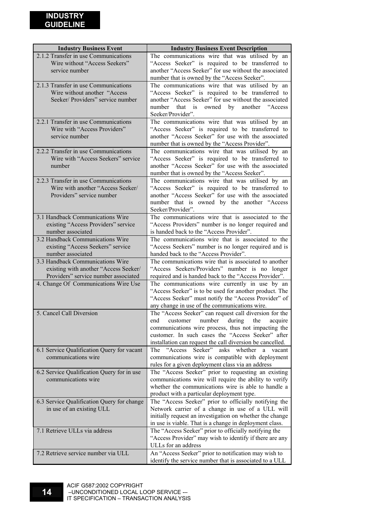| <b>Industry Business Event</b>                                                                                    | <b>Industry Business Event Description</b>                                                                                                                                                                                                                                               |
|-------------------------------------------------------------------------------------------------------------------|------------------------------------------------------------------------------------------------------------------------------------------------------------------------------------------------------------------------------------------------------------------------------------------|
| 2.1.2 Transfer in use Communications<br>Wire without "Access Seekers"<br>service number                           | The communications wire that was utilised by an<br>"Access Seeker" is required to be transferred to<br>another "Access Seeker" for use without the associated<br>number that is owned by the "Access Seeker".                                                                            |
| 2.1.3 Transfer in use Communications<br>Wire without another "Access<br>Seeker/Providers" service number          | The communications wire that was utilised by an<br>"Access Seeker" is required to be transferred to<br>another "Access Seeker" for use without the associated<br>number that is<br>by<br>another "Access<br>owned<br>Seeker/Provider".                                                   |
| 2.2.1 Transfer in use Communications<br>Wire with "Access Providers"<br>service number                            | The communications wire that was utilised by an<br>"Access Seeker" is required to be transferred to<br>another "Access Seeker" for use with the associated<br>number that is owned by the "Access Provider".                                                                             |
| 2.2.2 Transfer in use Communications<br>Wire with "Access Seekers" service<br>number                              | The communications wire that was utilised by an<br>"Access Seeker" is required to be transferred to<br>another "Access Seeker" for use with the associated<br>number that is owned by the "Access Seeker".                                                                               |
| 2.2.3 Transfer in use Communications<br>Wire with another "Access Seeker/<br>Providers" service number            | The communications wire that was utilised by an<br>"Access Seeker" is required to be transferred to<br>another "Access Seeker" for use with the associated<br>number that is owned by the another "Access<br>Seeker/Provider".                                                           |
| 3.1 Handback Communications Wire<br>existing "Access Providers" service<br>number associated                      | The communications wire that is associated to the<br>"Access Providers" number is no longer required and<br>is handed back to the "Access Provider".                                                                                                                                     |
| 3.2 Handback Communications Wire<br>existing "Access Seekers" service<br>number associated                        | The communications wire that is associated to the<br>"Access Seekers" number is no longer required and is<br>handed back to the "Access Provider".                                                                                                                                       |
| 3.3 Handback Communications Wire<br>existing with another "Access Seeker/<br>Providers" service number associated | The communications wire that is associated to another<br>"Access Seekers/Providers" number is no longer<br>required and is handed back to the "Access Provider".                                                                                                                         |
| 4. Change Of Communications Wire Use                                                                              | The communications wire currently in use by an<br>"Access Seeker" is to be used for another product. The<br>"Access Seeker" must notify the "Access Provider" of<br>any change in use of the communications wire.                                                                        |
| 5. Cancel Call Diversion                                                                                          | The "Access Seeker" can request call diversion for the<br>end<br>customer<br>number<br>during<br>the<br>acquire<br>communications wire process, thus not impacting the<br>customer. In such cases the "Access Seeker" after<br>installation can request the call diversion be cancelled. |
| 6.1 Service Qualification Query for vacant<br>communications wire                                                 | Seeker"<br>"Access<br>The<br>asks<br>whether<br>a<br>vacant<br>communications wire is compatible with deployment<br>rules for a given deployment class via an address                                                                                                                    |
| 6.2 Service Qualification Query for in use<br>communications wire                                                 | The "Access Seeker" prior to requesting an existing<br>communications wire will require the ability to verify<br>whether the communications wire is able to handle a<br>product with a particular deployment type.                                                                       |
| 6.3 Service Qualification Query for change<br>in use of an existing ULL                                           | The "Access Seeker" prior to officially notifying the<br>Network carrier of a change in use of a ULL will<br>initially request an investigation on whether the change<br>in use is viable. That is a change in deployment class.                                                         |
| 7.1 Retrieve ULLs via address                                                                                     | The "Access Seeker" prior to officially notifying the<br>"Access Provider" may wish to identify if there are any<br>ULLs for an address                                                                                                                                                  |
| 7.2 Retrieve service number via ULL                                                                               | An "Access Seeker" prior to notification may wish to<br>identify the service number that is associated to a ULL                                                                                                                                                                          |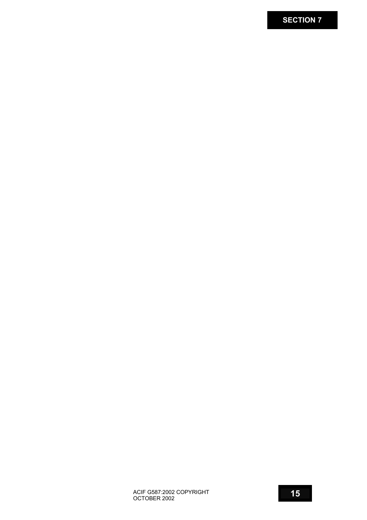**SECTION 7**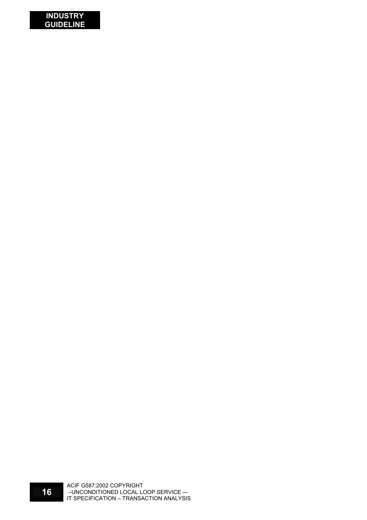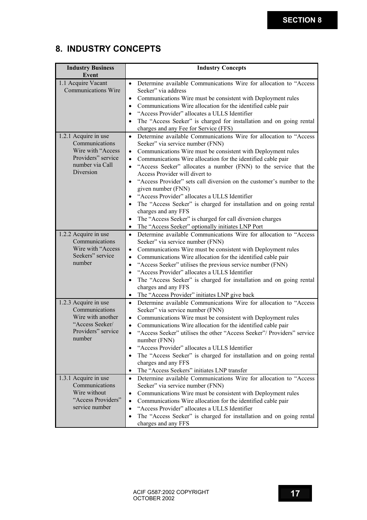# <span id="page-24-0"></span>**8. INDUSTRY CONCEPTS**

| <b>Industry Business</b><br><b>Event</b>                                                                          | <b>Industry Concepts</b>                                                                                                                                                                                                                                                                                                                                                                                                                                                                                                                                                                                                                                                                                                                                        |
|-------------------------------------------------------------------------------------------------------------------|-----------------------------------------------------------------------------------------------------------------------------------------------------------------------------------------------------------------------------------------------------------------------------------------------------------------------------------------------------------------------------------------------------------------------------------------------------------------------------------------------------------------------------------------------------------------------------------------------------------------------------------------------------------------------------------------------------------------------------------------------------------------|
| 1.1 Acquire Vacant<br>Communications Wire                                                                         | Determine available Communications Wire for allocation to "Access"<br>$\bullet$<br>Seeker" via address<br>Communications Wire must be consistent with Deployment rules<br>$\bullet$<br>Communications Wire allocation for the identified cable pair<br>$\bullet$<br>"Access Provider" allocates a ULLS Identifier<br>$\bullet$<br>The "Access Seeker" is charged for installation and on going rental<br>$\bullet$<br>charges and any Fee for Service (FFS)                                                                                                                                                                                                                                                                                                     |
| 1.2.1 Acquire in use<br>Communications<br>Wire with "Access<br>Providers" service<br>number via Call<br>Diversion | Determine available Communications Wire for allocation to "Access<br>$\bullet$<br>Seeker" via service number (FNN)<br>Communications Wire must be consistent with Deployment rules<br>$\bullet$<br>Communications Wire allocation for the identified cable pair<br>$\bullet$<br>"Access Seeker" allocates a number (FNN) to the service that the<br>Access Provider will divert to<br>"Access Provider" sets call diversion on the customer's number to the<br>given number (FNN)<br>"Access Provider" allocates a ULLS Identifier<br>The "Access Seeker" is charged for installation and on going rental<br>charges and any FFS<br>The "Access Seeker" is charged for call diversion charges<br>The "Access Seeker" optionally initiates LNP Port<br>$\bullet$ |
| 1.2.2 Acquire in use<br>Communications<br>Wire with "Access<br>Seekers" service<br>number                         | Determine available Communications Wire for allocation to "Access<br>$\bullet$<br>Seeker" via service number (FNN)<br>Communications Wire must be consistent with Deployment rules<br>$\bullet$<br>Communications Wire allocation for the identified cable pair<br>$\bullet$<br>"Access Seeker" utilises the previous service number (FNN)<br>$\bullet$<br>"Access Provider" allocates a ULLS Identifier<br>$\bullet$<br>The "Access Seeker" is charged for installation and on going rental<br>$\bullet$<br>charges and any FFS<br>The "Access Provider" initiates LNP give back<br>$\bullet$                                                                                                                                                                  |
| 1.2.3 Acquire in use<br>Communications<br>Wire with another<br>"Access Seeker/<br>Providers" service<br>number    | Determine available Communications Wire for allocation to "Access<br>$\bullet$<br>Seeker" via service number (FNN)<br>Communications Wire must be consistent with Deployment rules<br>$\bullet$<br>Communications Wire allocation for the identified cable pair<br>$\bullet$<br>"Access Seeker" utilises the other "Access Seeker"/ Providers" service<br>number(FNN)<br>"Access Provider" allocates a ULLS Identifier<br>The "Access Seeker" is charged for installation and on going rental<br>charges and any FFS<br>The "Access Seekers" initiates LNP transfer<br>$\bullet$                                                                                                                                                                                |
| 1.3.1 Acquire in use<br>Communications<br>Wire without<br>"Access Providers"<br>service number                    | Determine available Communications Wire for allocation to "Access<br>$\bullet$<br>Seeker" via service number (FNN)<br>Communications Wire must be consistent with Deployment rules<br>$\bullet$<br>Communications Wire allocation for the identified cable pair<br>$\bullet$<br>"Access Provider" allocates a ULLS Identifier<br>$\bullet$<br>The "Access Seeker" is charged for installation and on going rental<br>$\bullet$<br>charges and any FFS                                                                                                                                                                                                                                                                                                           |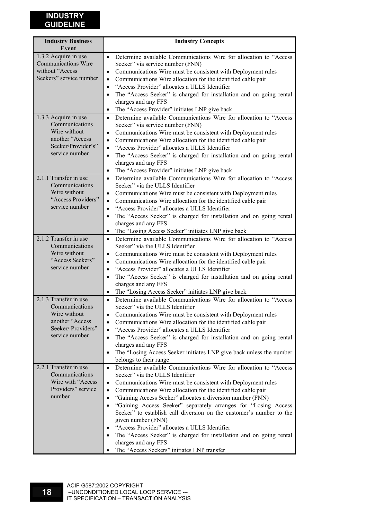| <b>Industry Business</b><br>Event                                                                                 | <b>Industry Concepts</b>                                                                                                                                                                                                                                                                                                                                                                                                                                                                                                                                                                                                                                                                    |
|-------------------------------------------------------------------------------------------------------------------|---------------------------------------------------------------------------------------------------------------------------------------------------------------------------------------------------------------------------------------------------------------------------------------------------------------------------------------------------------------------------------------------------------------------------------------------------------------------------------------------------------------------------------------------------------------------------------------------------------------------------------------------------------------------------------------------|
| 1.3.2 Acquire in use<br><b>Communications Wire</b><br>without "Access<br>Seekers" service number                  | Determine available Communications Wire for allocation to "Access"<br>Seeker" via service number (FNN)<br>Communications Wire must be consistent with Deployment rules<br>$\bullet$<br>Communications Wire allocation for the identified cable pair<br>$\bullet$<br>"Access Provider" allocates a ULLS Identifier<br>$\bullet$<br>The "Access Seeker" is charged for installation and on going rental<br>charges and any FFS<br>The "Access Provider" initiates LNP give back                                                                                                                                                                                                               |
| 1.3.3 Acquire in use<br>Communications<br>Wire without<br>another "Access<br>Seeker/Provider's"<br>service number | Determine available Communications Wire for allocation to "Access"<br>$\bullet$<br>Seeker" via service number (FNN)<br>Communications Wire must be consistent with Deployment rules<br>$\bullet$<br>Communications Wire allocation for the identified cable pair<br>$\bullet$<br>"Access Provider" allocates a ULLS Identifier<br>$\bullet$<br>The "Access Seeker" is charged for installation and on going rental<br>$\bullet$<br>charges and any FFS<br>The "Access Provider" initiates LNP give back<br>$\bullet$                                                                                                                                                                        |
| 2.1.1 Transfer in use<br>Communications<br>Wire without<br>"Access Providers"<br>service number                   | Determine available Communications Wire for allocation to "Access<br>$\bullet$<br>Seeker" via the ULLS Identifier<br>Communications Wire must be consistent with Deployment rules<br>$\bullet$<br>Communications Wire allocation for the identified cable pair<br>$\bullet$<br>"Access Provider" allocates a ULLS Identifier<br>The "Access Seeker" is charged for installation and on going rental<br>charges and any FFS<br>The "Losing Access Seeker" initiates LNP give back<br>$\bullet$                                                                                                                                                                                               |
| 2.1.2 Transfer in use<br>Communications<br>Wire without<br>"Access Seekers"<br>service number                     | Determine available Communications Wire for allocation to "Access"<br>$\bullet$<br>Seeker" via the ULLS Identifier<br>Communications Wire must be consistent with Deployment rules<br>Communications Wire allocation for the identified cable pair<br>$\bullet$<br>"Access Provider" allocates a ULLS Identifier<br>The "Access Seeker" is charged for installation and on going rental<br>$\bullet$<br>charges and any FFS<br>The "Losing Access Seeker" initiates LNP give back<br>$\bullet$                                                                                                                                                                                              |
| 2.1.3 Transfer in use<br>Communications<br>Wire without<br>another "Access<br>Seeker/Providers"<br>service number | Determine available Communications Wire for allocation to "Access<br>$\bullet$<br>Seeker" via the ULLS Identifier<br>Communications Wire must be consistent with Deployment rules<br>Communications Wire allocation for the identified cable pair<br>"Access Provider" allocates a ULLS Identifier<br>$\bullet$<br>The "Access Seeker" is charged for installation and on going rental<br>$\bullet$<br>charges and any FFS<br>The "Losing Access Seeker initiates LNP give back unless the number<br>$\bullet$<br>belongs to their range                                                                                                                                                    |
| 2.2.1 Transfer in use<br>Communications<br>Wire with "Access<br>Providers" service<br>number                      | Determine available Communications Wire for allocation to "Access"<br>$\bullet$<br>Seeker" via the ULLS Identifier<br>Communications Wire must be consistent with Deployment rules<br>Communications Wire allocation for the identified cable pair<br>"Gaining Access Seeker" allocates a diversion number (FNN)<br>$\bullet$<br>"Gaining Access Seeker" separately arranges for "Losing Access"<br>Seeker" to establish call diversion on the customer's number to the<br>given number (FNN)<br>"Access Provider" allocates a ULLS Identifier<br>The "Access Seeker" is charged for installation and on going rental<br>charges and any FFS<br>The "Access Seekers" initiates LNP transfer |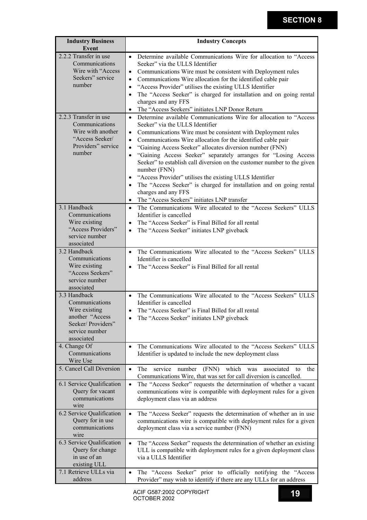| <b>Industry Business</b><br>Event                                                                                       | <b>Industry Concepts</b>                                                                                                                                                                                                                                                                                                                                                                                                                                                                                                                                                                                                                                                             |  |
|-------------------------------------------------------------------------------------------------------------------------|--------------------------------------------------------------------------------------------------------------------------------------------------------------------------------------------------------------------------------------------------------------------------------------------------------------------------------------------------------------------------------------------------------------------------------------------------------------------------------------------------------------------------------------------------------------------------------------------------------------------------------------------------------------------------------------|--|
| 2.2.2 Transfer in use<br>Communications<br>Wire with "Access<br>Seekers" service<br>number<br>2.2.3 Transfer in use     | Determine available Communications Wire for allocation to "Access<br>$\bullet$<br>Seeker" via the ULLS Identifier<br>Communications Wire must be consistent with Deployment rules<br>$\bullet$<br>Communications Wire allocation for the identified cable pair<br>$\bullet$<br>"Access Provider" utilises the existing ULLS Identifier<br>$\bullet$<br>The "Access Seeker" is charged for installation and on going rental<br>$\bullet$<br>charges and any FFS<br>The "Access Seekers" initiates LNP Donor Return<br>$\bullet$<br>Determine available Communications Wire for allocation to "Access<br>$\bullet$                                                                     |  |
| Communications<br>Wire with another<br>"Access Seeker/<br>Providers" service<br>number                                  | Seeker" via the ULLS Identifier<br>Communications Wire must be consistent with Deployment rules<br>$\bullet$<br>Communications Wire allocation for the identified cable pair<br>$\bullet$<br>"Gaining Access Seeker" allocates diversion number (FNN)<br>$\bullet$<br>"Gaining Access Seeker" separately arranges for "Losing Access"<br>$\bullet$<br>Seeker" to establish call diversion on the customer number to the given<br>number (FNN)<br>"Access Provider" utilises the existing ULLS Identifier<br>٠<br>The "Access Seeker" is charged for installation and on going rental<br>$\bullet$<br>charges and any FFS<br>The "Access Seekers" initiates LNP transfer<br>$\bullet$ |  |
| 3.1 Handback<br>Communications<br>Wire existing<br>"Access Providers"<br>service number<br>associated                   | The Communications Wire allocated to the "Access Seekers" ULLS<br>$\bullet$<br>Identifier is cancelled<br>The "Access Seeker" is Final Billed for all rental<br>$\bullet$<br>The "Access Seeker" initiates LNP giveback<br>$\bullet$                                                                                                                                                                                                                                                                                                                                                                                                                                                 |  |
| 3.2 Handback<br>Communications<br>Wire existing<br>"Access Seekers"<br>service number<br>associated                     | The Communications Wire allocated to the "Access Seekers" ULLS<br>$\bullet$<br>Identifier is cancelled<br>The "Access Seeker" is Final Billed for all rental                                                                                                                                                                                                                                                                                                                                                                                                                                                                                                                         |  |
| 3.3 Handback<br>Communications<br>Wire existing<br>another "Access<br>Seeker/Providers"<br>service number<br>associated | The Communications Wire allocated to the "Access Seekers" ULLS<br>$\bullet$<br>Identifier is cancelled<br>The "Access Seeker" is Final Billed for all rental<br>$\bullet$<br>The "Access Seeker" initiates LNP giveback                                                                                                                                                                                                                                                                                                                                                                                                                                                              |  |
| 4. Change Of<br>Communications<br>Wire Use                                                                              | The Communications Wire allocated to the "Access Seekers" ULLS<br>Identifier is updated to include the new deployment class                                                                                                                                                                                                                                                                                                                                                                                                                                                                                                                                                          |  |
| 5. Cancel Call Diversion<br>6.1 Service Qualification                                                                   | which<br>The<br>service<br>number<br>(FNN)<br>was<br>associated<br>to<br>the<br>$\bullet$<br>Communications Wire, that was set for call diversion is cancelled.<br>The "Access Seeker" requests the determination of whether a vacant<br>$\bullet$                                                                                                                                                                                                                                                                                                                                                                                                                                   |  |
| Query for vacant<br>communications<br>wire                                                                              | communications wire is compatible with deployment rules for a given<br>deployment class via an address                                                                                                                                                                                                                                                                                                                                                                                                                                                                                                                                                                               |  |
| 6.2 Service Qualification<br>Query for in use<br>communications<br>wire                                                 | The "Access Seeker" requests the determination of whether an in use<br>$\bullet$<br>communications wire is compatible with deployment rules for a given<br>deployment class via a service number (FNN)                                                                                                                                                                                                                                                                                                                                                                                                                                                                               |  |
| 6.3 Service Qualification<br>Query for change<br>in use of an<br>existing ULL                                           | The "Access Seeker" requests the determination of whether an existing<br>$\bullet$<br>ULL is compatible with deployment rules for a given deployment class<br>via a ULLS Identifier                                                                                                                                                                                                                                                                                                                                                                                                                                                                                                  |  |
| 7.1 Retrieve ULLs via<br>address                                                                                        | The "Access Seeker" prior to officially notifying the "Access<br>$\bullet$<br>Provider" may wish to identify if there are any ULLs for an address                                                                                                                                                                                                                                                                                                                                                                                                                                                                                                                                    |  |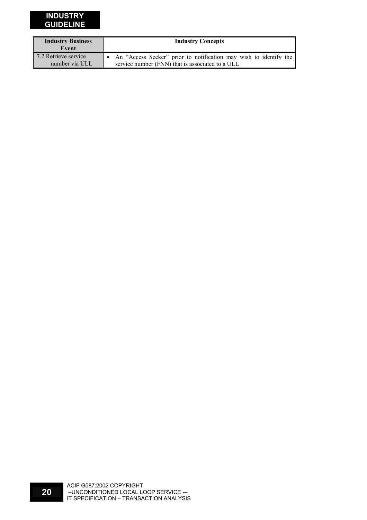| <b>Industry Business</b><br>Event | <b>Industry Concepts</b>                                          |  |
|-----------------------------------|-------------------------------------------------------------------|--|
| 7.2 Retrieve service              | An "Access Seeker" prior to notification may wish to identify the |  |
| number via ULL                    | service number (FNN) that is associated to a ULL                  |  |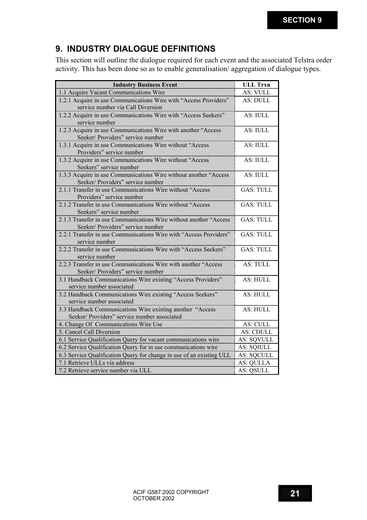# <span id="page-28-0"></span>**9. INDUSTRY DIALOGUE DEFINITIONS**

This section will outline the dialogue required for each event and the associated Telstra order activity. This has been done so as to enable generalisation/ aggregation of dialogue types.

| <b>Industry Business Event</b>                                                                            | <b>ULL Trxn</b>      |
|-----------------------------------------------------------------------------------------------------------|----------------------|
| 1.1 Acquire Vacant Communications Wire                                                                    | AS: VULL             |
| 1.2.1 Acquire in use Communications Wire with "Access Providers"<br>service number via Call Diversion     | <b>AS: DULL</b><br>  |
| 1.2.2 Acquire in use Communications Wire with "Access Seekers"<br>service number                          | AS: IULL<br>         |
| 1.2.3 Acquire in use Communications Wire with another "Access<br>Seeker/Providers" service number         | AS: IULL             |
| 1.3.1 Acquire in use Communications Wire without "Access<br>Providers" service number                     | AS: IULL             |
| 1.3.2 Acquire in use Communications Wire without "Access<br>Seekers" service number                       | AS: IULL             |
| 1.3.3 Acquire in use Communications Wire without another "Access<br>Seeker/Providers" service number      | AS: IULL             |
| 2.1.1 Transfer in use Communications Wire without "Access<br>Providers" service number                    | GAS: TULL            |
| 2.1.2 Transfer in use Communications Wire without "Access<br>Seekers" service number                      | <b>GAS: TULL</b>     |
| 2.1.3 Transfer in use Communications Wire without another "Access<br>Seeker/Providers" service number     | <b>GAS: TULL</b>     |
| 2.2.1 Transfer in use Communications Wire with "Access Providers"<br>service number                       | <b>GAS: TULL</b>     |
| 2.2.2 Transfer in use Communications Wire with "Access Seekers"<br>service number                         | <b>GAS: TULL</b><br> |
| 2.2.3 Transfer in use Communications Wire with another "Access<br>Seeker/Providers" service number        | <b>AS: TULL</b>      |
| 3.1 Handback Communications Wire existing "Access Providers"<br>service number associated                 | AS: HULL             |
| 3.2 Handback Communications Wire existing "Access Seekers"<br>service number associated                   | <b>AS: HULL</b>      |
| 3.3 Handback Communications Wire existing another "Access<br>Seeker/ Providers" service number associated | AS: HULL             |
| 4. Change Of Communications Wire Use                                                                      | AS: CULL             |
| 5. Cancel Call Diversion                                                                                  | AS: CDULL            |
| 6.1 Service Qualification Query for vacant communications wire                                            | AS: SQVULL           |
| 6.2 Service Qualification Query for in use communications wire                                            | <b>AS: SQIULL</b>    |
| 6.3 Service Qualification Query for change in use of an existing ULL                                      | AS: SQCULL           |
| 7.1 Retrieve ULLs via address                                                                             | AS: QULLA            |
| 7.2 Retrieve service number via ULL                                                                       | <b>AS: QSULL</b>     |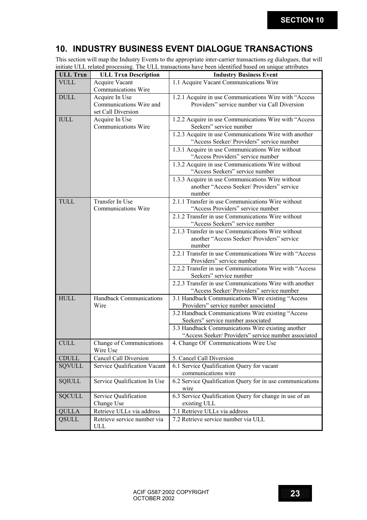# <span id="page-30-0"></span>**10. INDUSTRY BUSINESS EVENT DIALOGUE TRANSACTIONS**

This section will map the Industry Events to the appropriate inter-carrier transactions eg dialogues, that will initiate ULL related processing. The ULL transactions have been identified based on unique attributes

| <b>ULL Trxn</b> | <b>ULL Trxn Description</b>           | <b>Industry Business Event</b>                                                               |
|-----------------|---------------------------------------|----------------------------------------------------------------------------------------------|
| VULL            | Acquire Vacant                        | 1.1 Acquire Vacant Communications Wire                                                       |
|                 | Communications Wire                   |                                                                                              |
| <b>DULL</b>     | Acquire In Use                        | 1.2.1 Acquire in use Communications Wire with "Access                                        |
|                 | Communications Wire and               | Providers" service number via Call Diversion                                                 |
| <b>IULL</b>     | set Call Diversion                    |                                                                                              |
|                 | Acquire In Use<br>Communications Wire | 1.2.2 Acquire in use Communications Wire with "Access<br>Seekers" service number             |
|                 |                                       | 1.2.3 Acquire in use Communications Wire with another                                        |
|                 |                                       | "Access Seeker/ Providers" service number                                                    |
|                 |                                       | 1.3.1 Acquire in use Communications Wire without                                             |
|                 |                                       | "Access Providers" service number                                                            |
|                 |                                       | 1.3.2 Acquire in use Communications Wire without                                             |
|                 |                                       | "Access Seekers" service number                                                              |
|                 |                                       | 1.3.3 Acquire in use Communications Wire without                                             |
|                 |                                       | another "Access Seeker/ Providers" service                                                   |
|                 |                                       | number                                                                                       |
| <b>TULL</b>     | Transfer In Use                       | 2.1.1 Transfer in use Communications Wire without                                            |
|                 | Communications Wire                   | "Access Providers" service number                                                            |
|                 |                                       | 2.1.2 Transfer in use Communications Wire without                                            |
|                 |                                       | "Access Seekers" service number<br>2.1.3 Transfer in use Communications Wire without         |
|                 |                                       | another "Access Seeker/ Providers" service                                                   |
|                 |                                       | number                                                                                       |
|                 |                                       | 2.2.1 Transfer in use Communications Wire with "Access"                                      |
|                 |                                       | Providers" service number                                                                    |
|                 |                                       | 2.2.2 Transfer in use Communications Wire with "Access                                       |
|                 |                                       | Seekers" service number                                                                      |
|                 |                                       | 2.2.3 Transfer in use Communications Wire with another                                       |
|                 |                                       | "Access Seeker/ Providers" service number                                                    |
| <b>HULL</b>     | Handback Communications               | 3.1 Handback Communications Wire existing "Access                                            |
|                 | Wire                                  | Providers" service number associated                                                         |
|                 |                                       | 3.2 Handback Communications Wire existing "Access                                            |
|                 |                                       | Seekers" service number associated                                                           |
|                 |                                       | 3.3 Handback Communications Wire existing another                                            |
| <b>CULL</b>     | Change of Communications              | "Access Seeker/ Providers" service number associated<br>4. Change Of Communications Wire Use |
|                 | Wire Use                              |                                                                                              |
| <b>CDULL</b>    | <b>Cancel Call Diversion</b>          | 5. Cancel Call Diversion                                                                     |
| <b>SQVULL</b>   | Service Qualification Vacant          | 6.1 Service Qualification Query for vacant                                                   |
|                 |                                       | communications wire                                                                          |
| <b>SQIULL</b>   | Service Qualification In Use          | 6.2 Service Qualification Query for in use communications                                    |
|                 |                                       | wire                                                                                         |
| <b>SQCULL</b>   | Service Qualification                 | 6.3 Service Qualification Query for change in use of an                                      |
|                 | Change Use                            | existing ULL                                                                                 |
| <b>QULLA</b>    | Retrieve ULLs via address             | 7.1 Retrieve ULLs via address                                                                |
| <b>QSULL</b>    | Retrieve service number via           | 7.2 Retrieve service number via ULL                                                          |
|                 | ULL                                   |                                                                                              |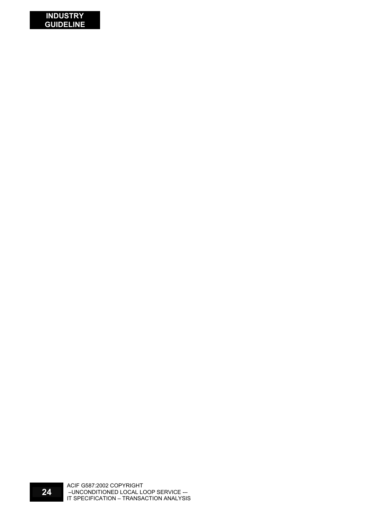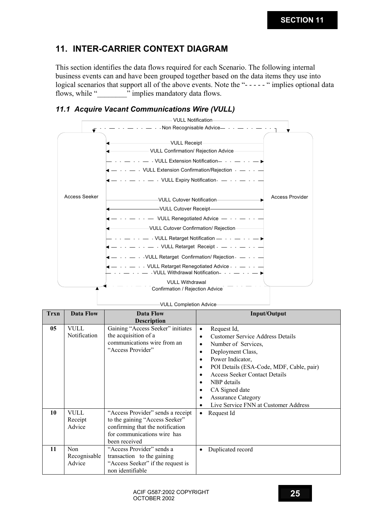# <span id="page-32-0"></span>**11. INTER-CARRIER CONTEXT DIAGRAM**

This section identifies the data flows required for each Scenario. The following internal business events can and have been grouped together based on the data items they use into logical scenarios that support all of the above events. Note the "-----" implies optional data flows, while "\_\_\_\_\_\_\_\_\_\_" implies mandatory data flows.



#### <span id="page-32-1"></span>*11.1 Acquire Vacant Communications Wire (VULL)*

-VULL Completion Advice-

| Trxn           | <b>Data Flow</b>            | <b>Data Flow</b>                                          | Input/Output                                                              |
|----------------|-----------------------------|-----------------------------------------------------------|---------------------------------------------------------------------------|
|                |                             | <b>Description</b>                                        |                                                                           |
| 0 <sub>5</sub> | <b>VULL</b><br>Notification | Gaining "Access Seeker" initiates<br>the acquisition of a | Request Id,<br>$\bullet$<br>Customer Service Address Details<br>$\bullet$ |
|                |                             | communications wire from an<br>"Access Provider"          | Number of Services,<br>٠<br>Deployment Class,                             |
|                |                             |                                                           | Power Indicator,<br>٠<br>POI Details (ESA-Code, MDF, Cable, pair)<br>٠    |
|                |                             |                                                           | <b>Access Seeker Contact Details</b><br>٠                                 |
|                |                             |                                                           | NBP details<br>CA Signed date                                             |
|                |                             |                                                           | <b>Assurance Category</b><br>٠                                            |
|                |                             |                                                           | Live Service FNN at Customer Address                                      |
| 10             | <b>VULL</b>                 | "Access Provider" sends a receipt                         | Request Id                                                                |
|                | Receipt<br>Advice           | to the gaining "Access Seeker"                            |                                                                           |
|                |                             | confirming that the notification                          |                                                                           |
|                |                             | for communications wire has                               |                                                                           |
| 11             | <b>Non</b>                  | been received<br>"Access Provider" sends a                |                                                                           |
|                |                             |                                                           | Duplicated record                                                         |
|                | Recognisable                | transaction to the gaining                                |                                                                           |
|                | Advice                      | "Access Seeker" if the request is                         |                                                                           |
|                |                             | non identifiable                                          |                                                                           |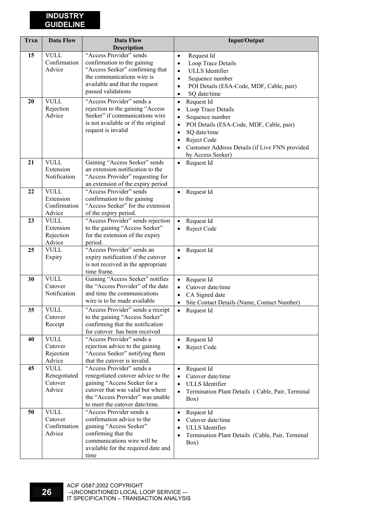| <b>Trxn</b> | <b>Data Flow</b>                                   | <b>Data Flow</b><br><b>Description</b>                                                                                                                                                                    | Input/Output                                                                                                                                                                                                                                              |
|-------------|----------------------------------------------------|-----------------------------------------------------------------------------------------------------------------------------------------------------------------------------------------------------------|-----------------------------------------------------------------------------------------------------------------------------------------------------------------------------------------------------------------------------------------------------------|
| 15          | <b>VULL</b><br>Confirmation<br>Advice              | "Access Provider" sends<br>confirmation to the gaining<br>"Access Seeker" confirming that<br>the communications wire is<br>available and that the request<br>passed validations                           | Request Id<br>$\bullet$<br>Loop Trace Details<br>$\bullet$<br><b>ULLS</b> Identifier<br>$\bullet$<br>Sequence number<br>$\bullet$<br>POI Details (ESA-Code, MDF, Cable, pair)<br>$\bullet$<br>SQ date/time<br>$\bullet$                                   |
| 20          | <b>VULL</b><br>Rejection<br>Advice                 | "Access Provider" sends a<br>rejection to the gaining "Access<br>Seeker" if communications wire<br>is not available or if the original<br>request is invalid                                              | Request Id<br>$\bullet$<br>Loop Trace Details<br>Sequence number<br>$\bullet$<br>POI Details (ESA-Code, MDF, Cable, pair)<br>SQ date/time<br>$\bullet$<br>Reject Code<br>$\bullet$<br>Customer Address Details (if Live FNN provided<br>by Access Seeker) |
| 21          | <b>VULL</b><br>Extension<br>Notification           | Gaining "Access Seeker" sends<br>an extension notification to the<br>"Access Provider" requesting for<br>an extension of the expiry period                                                                | Request Id<br>$\bullet$                                                                                                                                                                                                                                   |
| 22          | <b>VULL</b><br>Extension<br>Confirmation<br>Advice | "Access Provider" sends<br>confirmation to the gaining<br>"Access Seeker" for the extension<br>of the expiry period.                                                                                      | Request Id<br>$\bullet$                                                                                                                                                                                                                                   |
| 23          | <b>VULL</b><br>Extension<br>Rejection<br>Advice    | "Access Provider" sends rejection<br>to the gaining "Access Seeker"<br>for the extension of the expiry<br>period.                                                                                         | Request Id<br>Reject Code                                                                                                                                                                                                                                 |
| 25          | <b>VULL</b><br>Expiry                              | "Access Provider" sends an<br>expiry notification if the cutover<br>is not received in the appropriate<br>time frame.                                                                                     | Request Id                                                                                                                                                                                                                                                |
| 30          | <b>VULL</b><br>Cutover<br>Notification             | Gaining "Access Seeker" notifies<br>the "Access Provider" of the date<br>and time the communications<br>wire is to be made available                                                                      | Request Id<br>Cutover date/time<br>CA Signed date<br>Site Contact Details (Name, Contact Number)                                                                                                                                                          |
| 35          | <b>VULL</b><br>Cutover<br>Receipt                  | "Access Provider" sends a receipt<br>to the gaining "Access Seeker"<br>confirming that the notification<br>for cutover has been received                                                                  | Request Id<br>$\bullet$                                                                                                                                                                                                                                   |
| 40          | <b>VULL</b><br>Cutover<br>Rejection<br>Advice      | "Access Provider" sends a<br>rejection advice to the gaining<br>"Access Seeker" notifying them<br>that the cutover is invalid.                                                                            | Request Id<br>Reject Code                                                                                                                                                                                                                                 |
| 45          | <b>VULL</b><br>Renegotiated<br>Cutover<br>Advice   | "Access Provider" sends a<br>renegotiated cutover advice to the<br>gaining "Access Seeker for a<br>cutover that was valid but where<br>the "Access Provider" was unable<br>to meet the cutover date/time. | Request Id<br>Cutover date/time<br><b>ULLS</b> Identifier<br>Termination Plant Details (Cable, Pair, Terminal<br>Box)                                                                                                                                     |
| 50          | <b>VULL</b><br>Cutover<br>Confirmation<br>Advice   | "Access Provider sends a<br>confirmation advice to the<br>gaining "Access Seeker"<br>confirming that the<br>communications wire will be<br>available for the required date and<br>time                    | Request Id<br>Cutover date/time<br><b>ULLS</b> Identifier<br>Termination Plant Details (Cable, Pair, Terminal<br>Box)                                                                                                                                     |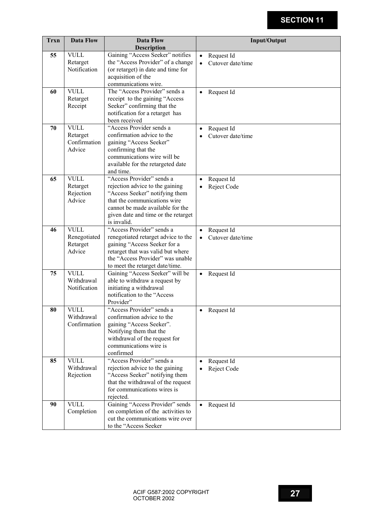# **SECTION 11**

| <b>Trxn</b> | <b>Data Flow</b>          | <b>Data Flow</b>                                                      | Input/Output                                 |
|-------------|---------------------------|-----------------------------------------------------------------------|----------------------------------------------|
|             |                           | <b>Description</b>                                                    |                                              |
| 55          | <b>VULL</b><br>Retarget   | Gaining "Access Seeker" notifies<br>the "Access Provider" of a change | Request Id<br>$\bullet$<br>Cutover date/time |
|             | Notification              | (or retarget) in date and time for                                    |                                              |
|             |                           | acquisition of the                                                    |                                              |
|             |                           | communications wire.                                                  |                                              |
| 60          | <b>VULL</b>               | The "Access Provider" sends a                                         | Request Id                                   |
|             | Retarget                  | receipt to the gaining "Access                                        |                                              |
|             | Receipt                   | Seeker" confirming that the                                           |                                              |
|             |                           | notification for a retarget has<br>been received                      |                                              |
| 70          | <b>VULL</b>               | "Access Provider sends a                                              | Request Id<br>$\bullet$                      |
|             | Retarget                  | confirmation advice to the                                            | Cutover date/time                            |
|             | Confirmation              | gaining "Access Seeker"                                               |                                              |
|             | Advice                    | confirming that the                                                   |                                              |
|             |                           | communications wire will be                                           |                                              |
|             |                           | available for the retargeted date                                     |                                              |
|             |                           | and time.                                                             |                                              |
| 65          | <b>VULL</b>               | "Access Provider" sends a                                             | Request Id                                   |
|             | Retarget<br>Rejection     | rejection advice to the gaining<br>"Access Seeker" notifying them     | Reject Code<br>$\bullet$                     |
|             | Advice                    | that the communications wire                                          |                                              |
|             |                           | cannot be made available for the                                      |                                              |
|             |                           | given date and time or the retarget                                   |                                              |
|             |                           | is invalid.                                                           |                                              |
| 46          | <b>VULL</b>               | "Access Provider" sends a                                             | Request Id                                   |
|             | Renegotiated              | renegotiated retarget advice to the                                   | Cutover date/time                            |
|             | Retarget<br>Advice        | gaining "Access Seeker for a                                          |                                              |
|             |                           | retarget that was valid but where<br>the "Access Provider" was unable |                                              |
|             |                           | to meet the retarget date/time.                                       |                                              |
| 75          | <b>VULL</b>               | Gaining "Access Seeker" will be                                       | Request Id                                   |
|             | Withdrawal                | able to withdraw a request by                                         |                                              |
|             | Notification              | initiating a withdrawal                                               |                                              |
|             |                           | notification to the "Access                                           |                                              |
|             |                           | Provider"                                                             |                                              |
| 80          | <b>VULL</b><br>Withdrawal | "Access Provider" sends a                                             | Request Id                                   |
|             | Confirmation              | confirmation advice to the<br>gaining "Access Seeker".                |                                              |
|             |                           | Notifying them that the                                               |                                              |
|             |                           | withdrawal of the request for                                         |                                              |
|             |                           | communications wire is                                                |                                              |
|             |                           | confirmed                                                             |                                              |
| 85          | <b>VULL</b>               | "Access Provider" sends a                                             | Request Id                                   |
|             | Withdrawal                | rejection advice to the gaining                                       | Reject Code                                  |
|             | Rejection                 | "Access Seeker" notifying them                                        |                                              |
|             |                           | that the withdrawal of the request<br>for communications wires is     |                                              |
|             |                           | rejected.                                                             |                                              |
| 90          | <b>VULL</b>               | Gaining "Access Provider" sends                                       | Request Id                                   |
|             | Completion                | on completion of the activities to                                    |                                              |
|             |                           | cut the communications wire over                                      |                                              |
|             |                           | to the "Access Seeker                                                 |                                              |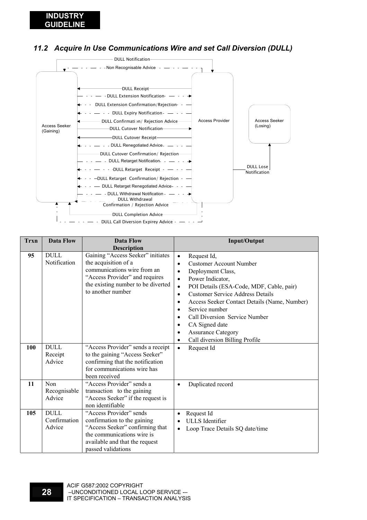

#### **Trxn Data Flow Data Flow Description Input/Output 95** DULL Notification Gaining "Access Seeker" initiates the acquisition of a communications wire from an "Access Provider" and requires the existing number to be diverted to another number • Request Id, • Customer Account Number • Deployment Class, • Power Indicator, • POI Details (ESA-Code, MDF, Cable, pair) • Customer Service Address Details • Access Seeker Contact Details (Name, Number) • Service number • Call Diversion Service Number • CA Signed date • Assurance Category • Call diversion Billing Profile **100** DULL Receipt Advice "Access Provider" sends a receipt to the gaining "Access Seeker" confirming that the notification for communications wire has been received • Request Id **11** Non Recognisable Advice "Access Provider" sends a transaction to the gaining "Access Seeker" if the request is non identifiable • Duplicated record **105** DULL Confirmation Advice "Access Provider" sends confirmation to the gaining "Access Seeker" confirming that the communications wire is available and that the request passed validations • Request Id ULLS Identifier • Loop Trace Details SQ date/time

#### <span id="page-35-0"></span>*11.2 Acquire In Use Communications Wire and set Call Diversion (DULL)*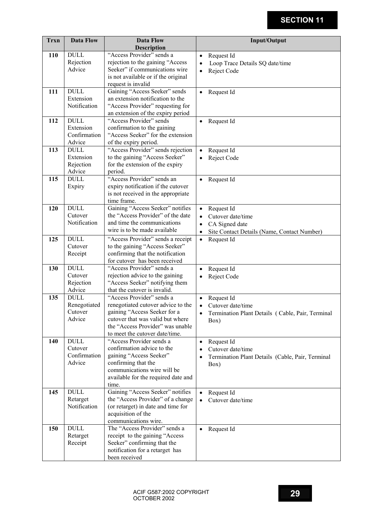| <b>Trxn</b> | <b>Data Flow</b>                                   | <b>Data Flow</b><br><b>Description</b>                                                                                                                                                                    | Input/Output                                                                                                                            |
|-------------|----------------------------------------------------|-----------------------------------------------------------------------------------------------------------------------------------------------------------------------------------------------------------|-----------------------------------------------------------------------------------------------------------------------------------------|
| <b>110</b>  | <b>DULL</b><br>Rejection<br>Advice                 | "Access Provider" sends a<br>rejection to the gaining "Access<br>Seeker" if communications wire<br>is not available or if the original<br>request is invalid                                              | Request Id<br>Loop Trace Details SQ date/time<br>Reject Code<br>$\bullet$                                                               |
| 111         | <b>DULL</b><br>Extension<br>Notification           | Gaining "Access Seeker" sends<br>an extension notification to the<br>"Access Provider" requesting for<br>an extension of the expiry period                                                                | Request Id<br>$\bullet$                                                                                                                 |
| 112         | <b>DULL</b><br>Extension<br>Confirmation<br>Advice | "Access Provider" sends<br>confirmation to the gaining<br>"Access Seeker" for the extension<br>of the expiry period.                                                                                      | Request Id<br>$\bullet$                                                                                                                 |
| 113         | <b>DULL</b><br>Extension<br>Rejection<br>Advice    | "Access Provider" sends rejection<br>to the gaining "Access Seeker"<br>for the extension of the expiry<br>period.                                                                                         | Request Id<br>Reject Code                                                                                                               |
| 115         | <b>DULL</b><br>Expiry                              | "Access Provider" sends an<br>expiry notification if the cutover<br>is not received in the appropriate<br>time frame.                                                                                     | Request Id<br>$\bullet$                                                                                                                 |
| 120         | <b>DULL</b><br>Cutover<br>Notification             | Gaining "Access Seeker" notifies<br>the "Access Provider" of the date<br>and time the communications<br>wire is to be made available                                                                      | Request Id<br>$\bullet$<br>Cutover date/time<br>CA Signed date<br>$\bullet$<br>Site Contact Details (Name, Contact Number)<br>$\bullet$ |
| 125         | <b>DULL</b><br>Cutover<br>Receipt                  | "Access Provider" sends a receipt<br>to the gaining "Access Seeker"<br>confirming that the notification<br>for cutover has been received                                                                  | Request Id<br>$\bullet$                                                                                                                 |
| 130         | <b>DULL</b><br>Cutover<br>Rejection<br>Advice      | "Access Provider" sends a<br>rejection advice to the gaining<br>"Access Seeker" notifying them<br>that the cutover is invalid.                                                                            | Request Id<br>Reject Code                                                                                                               |
| 135         | <b>DULL</b><br>Renegotiated<br>Cutover<br>Advice   | "Access Provider" sends a<br>renegotiated cutover advice to the<br>gaining "Access Seeker for a<br>cutover that was valid but where<br>the "Access Provider" was unable<br>to meet the cutover date/time. | Request Id<br>Cutover date/time<br>$\bullet$<br>Termination Plant Details (Cable, Pair, Terminal<br>$\bullet$<br>Box)                   |
| 140         | <b>DULL</b><br>Cutover<br>Confirmation<br>Advice   | "Access Provider sends a<br>confirmation advice to the<br>gaining "Access Seeker"<br>confirming that the<br>communications wire will be<br>available for the required date and<br>time.                   | Request Id<br>Cutover date/time<br>$\bullet$<br>Termination Plant Details (Cable, Pair, Terminal<br>$\bullet$<br>Box)                   |
| 145         | <b>DULL</b><br>Retarget<br>Notification            | Gaining "Access Seeker" notifies<br>the "Access Provider" of a change<br>(or retarget) in date and time for<br>acquisition of the<br>communications wire.                                                 | Request Id<br>Cutover date/time<br>$\bullet$                                                                                            |
| 150         | <b>DULL</b><br>Retarget<br>Receipt                 | The "Access Provider" sends a<br>receipt to the gaining "Access<br>Seeker" confirming that the<br>notification for a retarget has<br>been received                                                        | Request Id<br>$\bullet$                                                                                                                 |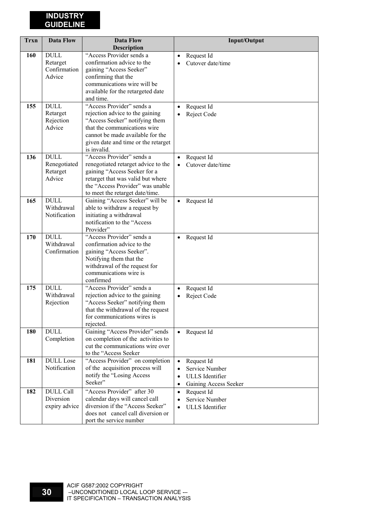| <b>Trxn</b> | <b>Data Flow</b>                                  | <b>Data Flow</b><br><b>Description</b>                                                                                                                                                                                   | Input/Output                                                                     |
|-------------|---------------------------------------------------|--------------------------------------------------------------------------------------------------------------------------------------------------------------------------------------------------------------------------|----------------------------------------------------------------------------------|
| 160         | <b>DULL</b><br>Retarget<br>Confirmation<br>Advice | "Access Provider sends a<br>confirmation advice to the<br>gaining "Access Seeker"<br>confirming that the<br>communications wire will be<br>available for the retargeted date<br>and time.                                | Request Id<br>$\bullet$<br>Cutover date/time<br>$\bullet$                        |
| 155         | <b>DULL</b><br>Retarget<br>Rejection<br>Advice    | "Access Provider" sends a<br>rejection advice to the gaining<br>"Access Seeker" notifying them<br>that the communications wire<br>cannot be made available for the<br>given date and time or the retarget<br>is invalid. | Request Id<br>Reject Code                                                        |
| 136         | <b>DULL</b><br>Renegotiated<br>Retarget<br>Advice | "Access Provider" sends a<br>renegotiated retarget advice to the<br>gaining "Access Seeker for a<br>retarget that was valid but where<br>the "Access Provider" was unable<br>to meet the retarget date/time.             | Request Id<br>Cutover date/time                                                  |
| 165         | <b>DULL</b><br>Withdrawal<br>Notification         | Gaining "Access Seeker" will be<br>able to withdraw a request by<br>initiating a withdrawal<br>notification to the "Access<br>Provider"                                                                                  | Request Id                                                                       |
| 170         | <b>DULL</b><br>Withdrawal<br>Confirmation         | "Access Provider" sends a<br>confirmation advice to the<br>gaining "Access Seeker".<br>Notifying them that the<br>withdrawal of the request for<br>communications wire is<br>confirmed                                   | Request Id                                                                       |
| 175         | <b>DULL</b><br>Withdrawal<br>Rejection            | "Access Provider" sends a<br>rejection advice to the gaining<br>"Access Seeker" notifying them<br>that the withdrawal of the request<br>for communications wires is<br>rejected.                                         | Request Id<br>Reject Code<br>$\bullet$                                           |
| 180         | <b>DULL</b><br>Completion                         | Gaining "Access Provider" sends<br>on completion of the activities to<br>cut the communications wire over<br>to the "Access Seeker                                                                                       | Request Id                                                                       |
| 181         | <b>DULL</b> Lose<br>Notification                  | "Access Provider" on completion<br>of the acquisition process will<br>notify the "Losing Access<br>Seeker"                                                                                                               | Request Id<br>Service Number<br><b>ULLS</b> Identifier<br>Gaining Access Seeker  |
| 182         | <b>DULL Call</b><br>Diversion<br>expiry advice    | "Access Provider" after 30<br>calendar days will cancel call<br>diversion if the "Access Seeker"<br>does not cancel call diversion or<br>port the service number                                                         | Request Id<br>$\bullet$<br>Service Number<br>$\bullet$<br><b>ULLS</b> Identifier |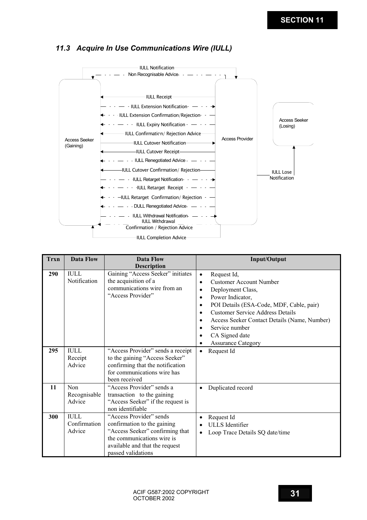

## *11.3 Acquire In Use Communications Wire (IULL)*

| Trxn | <b>Data Flow</b>                     | <b>Data Flow</b>                                                                                                                                                                | Input/Output                                                                                                                                                                                                                                                                                                                   |
|------|--------------------------------------|---------------------------------------------------------------------------------------------------------------------------------------------------------------------------------|--------------------------------------------------------------------------------------------------------------------------------------------------------------------------------------------------------------------------------------------------------------------------------------------------------------------------------|
|      |                                      | <b>Description</b>                                                                                                                                                              |                                                                                                                                                                                                                                                                                                                                |
| 290  | <b>ПЛ</b><br>Notification            | Gaining "Access Seeker" initiates<br>the acquisition of a<br>communications wire from an<br>"Access Provider"                                                                   | Request Id,<br>$\bullet$<br><b>Customer Account Number</b><br>Deployment Class,<br>Power Indicator,<br>$\bullet$<br>POI Details (ESA-Code, MDF, Cable, pair)<br>$\bullet$<br>Customer Service Address Details<br>Access Seeker Contact Details (Name, Number)<br>Service number<br>CA Signed date<br><b>Assurance Category</b> |
| 295  | <b>IULL</b><br>Receipt<br>Advice     | "Access Provider" sends a receipt<br>to the gaining "Access Seeker"<br>confirming that the notification<br>for communications wire has<br>been received                         | Request Id                                                                                                                                                                                                                                                                                                                     |
| 11   | <b>Non</b><br>Recognisable<br>Advice | "Access Provider" sends a<br>transaction to the gaining<br>"Access Seeker" if the request is<br>non identifiable                                                                | Duplicated record                                                                                                                                                                                                                                                                                                              |
| 300  | $\Pi\Pi$ .<br>Confirmation<br>Advice | "Access Provider" sends<br>confirmation to the gaining<br>"Access Seeker" confirming that<br>the communications wire is<br>available and that the request<br>passed validations | Request Id<br><b>ULLS</b> Identifier<br>Loop Trace Details SQ date/time                                                                                                                                                                                                                                                        |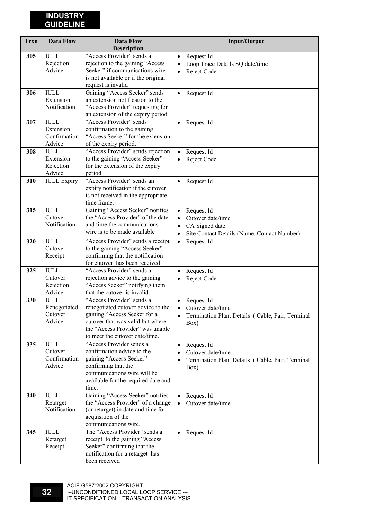| <b>Trxn</b> | <b>Data Flow</b>                                   | <b>Data Flow</b><br>Description                                                                                                                                                                           | Input/Output                                                                                                  |
|-------------|----------------------------------------------------|-----------------------------------------------------------------------------------------------------------------------------------------------------------------------------------------------------------|---------------------------------------------------------------------------------------------------------------|
| 305         | <b>IULL</b><br>Rejection<br>Advice                 | "Access Provider" sends a<br>rejection to the gaining "Access<br>Seeker" if communications wire<br>is not available or if the original<br>request is invalid                                              | Request Id<br>$\bullet$<br>Loop Trace Details SQ date/time<br>Reject Code<br>$\bullet$                        |
| 306         | <b>IULL</b><br>Extension<br>Notification           | Gaining "Access Seeker" sends<br>an extension notification to the<br>"Access Provider" requesting for<br>an extension of the expiry period                                                                | Request Id<br>$\bullet$                                                                                       |
| 307         | <b>IULL</b><br>Extension<br>Confirmation<br>Advice | "Access Provider" sends<br>confirmation to the gaining<br>"Access Seeker" for the extension<br>of the expiry period.                                                                                      | Request Id<br>$\bullet$                                                                                       |
| 308         | <b>IULL</b><br>Extension<br>Rejection<br>Advice    | "Access Provider" sends rejection<br>to the gaining "Access Seeker"<br>for the extension of the expiry<br>period.                                                                                         | Request Id<br>$\bullet$<br>Reject Code                                                                        |
| 310         | <b>IULL Expiry</b>                                 | "Access Provider" sends an<br>expiry notification if the cutover<br>is not received in the appropriate<br>time frame.                                                                                     | Request Id                                                                                                    |
| 315         | <b>IULL</b><br>Cutover<br>Notification             | Gaining "Access Seeker" notifies<br>the "Access Provider" of the date<br>and time the communications<br>wire is to be made available                                                                      | Request Id<br>Cutover date/time<br>CA Signed date<br>Site Contact Details (Name, Contact Number)<br>$\bullet$ |
| 320         | <b>IULL</b><br>Cutover<br>Receipt                  | "Access Provider" sends a receipt<br>to the gaining "Access Seeker"<br>confirming that the notification<br>for cutover has been received                                                                  | Request Id<br>$\bullet$                                                                                       |
| 325         | <b>IULL</b><br>Cutover<br>Rejection<br>Advice      | "Access Provider" sends a<br>rejection advice to the gaining<br>"Access Seeker" notifying them<br>that the cutover is invalid.                                                                            | Request Id<br>Reject Code                                                                                     |
| 330         | <b>IULL</b><br>Renegotiated<br>Cutover<br>Advice   | "Access Provider" sends a<br>renegotiated cutover advice to the<br>gaining "Access Seeker for a<br>cutover that was valid but where<br>the "Access Provider" was unable<br>to meet the cutover date/time. | Request Id<br>Cutover date/time<br>$\bullet$<br>Termination Plant Details (Cable, Pair, Terminal<br>Box)      |
| 335         | <b>IULL</b><br>Cutover<br>Confirmation<br>Advice   | "Access Provider sends a<br>confirmation advice to the<br>gaining "Access Seeker"<br>confirming that the<br>communications wire will be<br>available for the required date and<br>time.                   | Request Id<br>Cutover date/time<br>$\bullet$<br>Termination Plant Details (Cable, Pair, Terminal<br>Box)      |
| 340         | <b>IULL</b><br>Retarget<br>Notification            | Gaining "Access Seeker" notifies<br>the "Access Provider" of a change<br>(or retarget) in date and time for<br>acquisition of the<br>communications wire.                                                 | Request Id<br>Cutover date/time                                                                               |
| 345         | <b>IULL</b><br>Retarget<br>Receipt                 | The "Access Provider" sends a<br>receipt to the gaining "Access<br>Seeker" confirming that the<br>notification for a retarget has<br>been received                                                        | Request Id                                                                                                    |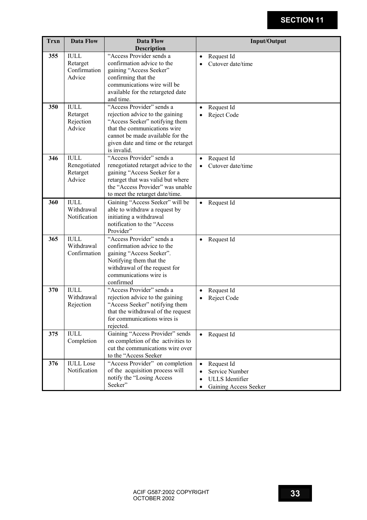| <b>Trxn</b> | <b>Data Flow</b>                                  | <b>Data Flow</b><br>Description                                                                                                                                                                                          | Input/Output                                                                    |
|-------------|---------------------------------------------------|--------------------------------------------------------------------------------------------------------------------------------------------------------------------------------------------------------------------------|---------------------------------------------------------------------------------|
| 355         | <b>IULL</b><br>Retarget<br>Confirmation<br>Advice | "Access Provider sends a<br>confirmation advice to the<br>gaining "Access Seeker"<br>confirming that the<br>communications wire will be<br>available for the retargeted date<br>and time.                                | Request Id<br>Cutover date/time                                                 |
| 350         | <b>IULL</b><br>Retarget<br>Rejection<br>Advice    | "Access Provider" sends a<br>rejection advice to the gaining<br>"Access Seeker" notifying them<br>that the communications wire<br>cannot be made available for the<br>given date and time or the retarget<br>is invalid. | Request Id<br>Reject Code                                                       |
| 346         | <b>IULL</b><br>Renegotiated<br>Retarget<br>Advice | "Access Provider" sends a<br>renegotiated retarget advice to the<br>gaining "Access Seeker for a<br>retarget that was valid but where<br>the "Access Provider" was unable<br>to meet the retarget date/time.             | Request Id<br>$\bullet$<br>Cutover date/time                                    |
| 360         | <b>IULL</b><br>Withdrawal<br>Notification         | Gaining "Access Seeker" will be<br>able to withdraw a request by<br>initiating a withdrawal<br>notification to the "Access<br>Provider"                                                                                  | Request Id<br>$\bullet$                                                         |
| 365         | <b>IULL</b><br>Withdrawal<br>Confirmation         | "Access Provider" sends a<br>confirmation advice to the<br>gaining "Access Seeker".<br>Notifying them that the<br>withdrawal of the request for<br>communications wire is<br>confirmed                                   | Request Id<br>$\bullet$                                                         |
| 370         | <b>IULL</b><br>Withdrawal<br>Rejection            | "Access Provider" sends a<br>rejection advice to the gaining<br>"Access Seeker" notifying them<br>that the withdrawal of the request<br>for communications wires is<br>rejected.                                         | Request Id<br>Reject Code                                                       |
| 375         | <b>IULL</b><br>Completion                         | Gaining "Access Provider" sends<br>on completion of the activities to<br>cut the communications wire over<br>to the "Access Seeker                                                                                       | Request Id                                                                      |
| 376         | <b>IULL</b> Lose<br>Notification                  | "Access Provider" on completion<br>of the acquisition process will<br>notify the "Losing Access<br>Seeker"                                                                                                               | Request Id<br>Service Number<br><b>ULLS</b> Identifier<br>Gaining Access Seeker |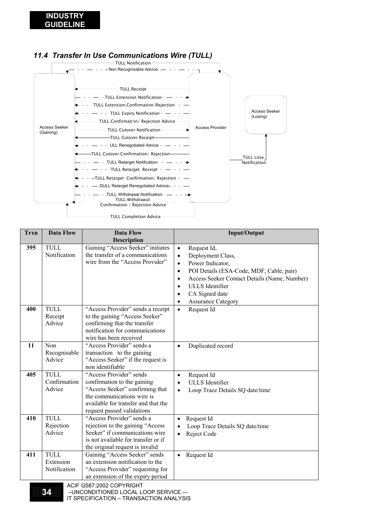

| <b>Trxn</b> | <b>Data Flow</b>                         | <b>Data Flow</b><br>Description                                                                                                                                                              | <b>Input/Output</b>                                                                                                                                                                                                                                                                                                               |
|-------------|------------------------------------------|----------------------------------------------------------------------------------------------------------------------------------------------------------------------------------------------|-----------------------------------------------------------------------------------------------------------------------------------------------------------------------------------------------------------------------------------------------------------------------------------------------------------------------------------|
| 395         | <b>TULL</b><br>Notification              | Gaining "Access Seeker" initiates<br>the transfer of a communications<br>wire from the "Access Provider"                                                                                     | Request Id,<br>$\bullet$<br>Deployment Class,<br>$\bullet$<br>Power Indicator,<br>$\bullet$<br>POI Details (ESA-Code, MDF, Cable, pair)<br>$\bullet$<br>Access Seeker Contact Details (Name, Number)<br>$\bullet$<br><b>ULLS</b> Identifier<br>$\bullet$<br>CA Signed date<br>$\bullet$<br><b>Assurance Category</b><br>$\bullet$ |
| 400         | <b>TULL</b><br>Receipt<br>Advice         | "Access Provider" sends a receipt<br>to the gaining "Access Seeker"<br>confirming that the transfer<br>notification for communications<br>wire has been received                             | Request Id<br>$\bullet$                                                                                                                                                                                                                                                                                                           |
| 11          | Non<br>Recognisable<br>Advice            | "Access Provider" sends a<br>transaction to the gaining<br>"Access Seeker" if the request is<br>non identifiable                                                                             | Duplicated record                                                                                                                                                                                                                                                                                                                 |
| 405         | <b>TULL</b><br>Confirmation<br>Advice    | "Access Provider" sends<br>confirmation to the gaining<br>"Access Seeker" confirming that<br>the communications wire is<br>available for transfer and that the<br>request passed validations | Request Id<br>$\bullet$<br><b>ULLS</b> Identifier<br>$\bullet$<br>Loop Trace Details SQ date/time<br>$\bullet$                                                                                                                                                                                                                    |
| 410         | <b>TULL</b><br>Rejection<br>Advice       | "Access Provider" sends a<br>rejection to the gaining "Access<br>Seeker" if communications wire<br>is not available for transfer or if<br>the original request is invalid                    | Request Id<br>Loop Trace Details SQ date/time<br>Reject Code<br>$\bullet$                                                                                                                                                                                                                                                         |
| 411         | <b>TULL</b><br>Extension<br>Notification | Gaining "Access Seeker" sends<br>an extension notification to the<br>"Access Provider" requesting for<br>an extension of the expiry period                                                   | Request Id<br>$\bullet$                                                                                                                                                                                                                                                                                                           |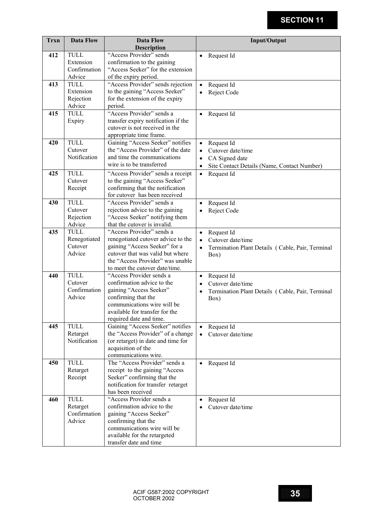| <b>Trxn</b> | <b>Data Flow</b>                    | <b>Data Flow</b>                                                  | Input/Output                                                  |
|-------------|-------------------------------------|-------------------------------------------------------------------|---------------------------------------------------------------|
|             |                                     | <b>Description</b>                                                |                                                               |
| 412         | <b>TULL</b>                         | "Access Provider" sends                                           | Request Id<br>$\bullet$                                       |
|             | Extension                           | confirmation to the gaining                                       |                                                               |
|             | Confirmation                        | "Access Seeker" for the extension                                 |                                                               |
|             | Advice                              | of the expiry period.                                             |                                                               |
| 413         | <b>TULL</b>                         | "Access Provider" sends rejection                                 | Request Id<br>$\bullet$                                       |
|             | Extension                           | to the gaining "Access Seeker"                                    | Reject Code                                                   |
|             | Rejection                           | for the extension of the expiry                                   |                                                               |
|             | Advice                              | period.                                                           |                                                               |
| 415         | <b>TULL</b>                         | "Access Provider" sends a                                         | Request Id<br>$\bullet$                                       |
|             | Expiry                              | transfer expiry notification if the                               |                                                               |
|             |                                     | cutover is not received in the                                    |                                                               |
|             |                                     | appropriate time frame.                                           |                                                               |
| 420         | <b>TULL</b>                         | Gaining "Access Seeker" notifies                                  | Request Id<br>$\bullet$                                       |
|             | Cutover                             | the "Access Provider" of the date                                 | Cutover date/time<br>$\bullet$                                |
|             | Notification                        | and time the communications                                       | CA Signed date<br>$\bullet$                                   |
|             |                                     | wire is to be transferred                                         | Site Contact Details (Name, Contact Number)<br>$\bullet$      |
| 425         | <b>TULL</b>                         | "Access Provider" sends a receipt                                 | Request Id<br>$\bullet$                                       |
|             | Cutover                             | to the gaining "Access Seeker"                                    |                                                               |
|             | Receipt                             | confirming that the notification                                  |                                                               |
|             |                                     | for cutover has been received                                     |                                                               |
| 430         | <b>TULL</b>                         | "Access Provider" sends a                                         | Request Id                                                    |
|             | Cutover                             | rejection advice to the gaining<br>"Access Seeker" notifying them | Reject Code                                                   |
|             | Rejection<br>Advice                 | that the cutover is invalid.                                      |                                                               |
| 435         | <b>TULL</b>                         | "Access Provider" sends a                                         | Request Id<br>$\bullet$                                       |
|             | Renegotiated                        | renegotiated cutover advice to the                                | Cutover date/time<br>$\bullet$                                |
|             | Cutover                             | gaining "Access Seeker" for a                                     | Termination Plant Details (Cable, Pair, Terminal<br>$\bullet$ |
|             | Advice                              | cutover that was valid but where                                  | Box)                                                          |
|             |                                     | the "Access Provider" was unable                                  |                                                               |
|             |                                     | to meet the cutover date/time.                                    |                                                               |
| 440         | <b>TULL</b>                         | "Access Provider sends a                                          | Request Id<br>$\bullet$                                       |
|             | Cutover                             | confirmation advice to the                                        | Cutover date/time<br>$\bullet$                                |
|             | Confirmation                        | gaining "Access Seeker"                                           | Termination Plant Details (Cable, Pair, Terminal<br>$\bullet$ |
|             | Advice                              | confirming that the                                               | Box)                                                          |
|             |                                     | communications wire will be                                       |                                                               |
|             |                                     | available for transfer for the                                    |                                                               |
|             |                                     | required date and time.                                           |                                                               |
| 445         | <b>TULL</b>                         | Gaining "Access Seeker" notifies                                  | Request Id                                                    |
|             | Retarget                            | the "Access Provider" of a change                                 | Cutover date/time<br>$\bullet$                                |
|             | Notification                        | (or retarget) in date and time for                                |                                                               |
|             |                                     | acquisition of the<br>communications wire.                        |                                                               |
| 450         | $\ensuremath{\mathsf{TULL}}\xspace$ | The "Access Provider" sends a                                     | Request Id                                                    |
|             | Retarget                            | receipt to the gaining "Access                                    |                                                               |
|             | Receipt                             | Seeker" confirming that the                                       |                                                               |
|             |                                     | notification for transfer retarget                                |                                                               |
|             |                                     | has been received                                                 |                                                               |
| 460         | <b>TULL</b>                         | "Access Provider sends a                                          | Request Id<br>$\bullet$                                       |
|             | Retarget                            | confirmation advice to the                                        | Cutover date/time                                             |
|             | Confirmation                        | gaining "Access Seeker"                                           |                                                               |
|             | Advice                              | confirming that the                                               |                                                               |
|             |                                     | communications wire will be                                       |                                                               |
|             |                                     | available for the retargeted                                      |                                                               |
|             |                                     | transfer date and time                                            |                                                               |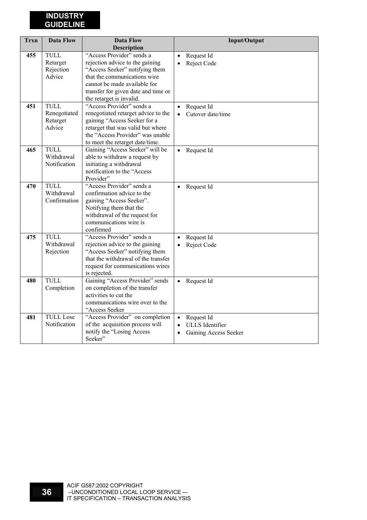| <b>Trxn</b> | <b>Data Flow</b> | <b>Data Flow</b><br><b>Description</b> | Input/Output                        |
|-------------|------------------|----------------------------------------|-------------------------------------|
| 455         | <b>TULL</b>      | "Access Provider" sends a              | Request Id                          |
|             | Retarget         | rejection advice to the gaining        | Reject Code                         |
|             | Rejection        | "Access Seeker" notifying them         |                                     |
|             | Advice           | that the communications wire           |                                     |
|             |                  | cannot be made available for           |                                     |
|             |                  | transfer for given date and time or    |                                     |
|             |                  | the retarget is invalid.               |                                     |
| 451         | <b>TULL</b>      | "Access Provider" sends a              | Request Id                          |
|             | Renegotiated     | renegotiated retarget advice to the    | Cutover date/time                   |
|             | Retarget         | gaining "Access Seeker for a           |                                     |
|             | Advice           | retarget that was valid but where      |                                     |
|             |                  | the "Access Provider" was unable       |                                     |
|             |                  | to meet the retarget date/time.        |                                     |
| 465         | <b>TULL</b>      | Gaining "Access Seeker" will be        | Request Id                          |
|             | Withdrawal       | able to withdraw a request by          |                                     |
|             | Notification     | initiating a withdrawal                |                                     |
|             |                  | notification to the "Access            |                                     |
|             |                  | Provider"                              |                                     |
| 470         | <b>TULL</b>      | "Access Provider" sends a              | Request Id                          |
|             | Withdrawal       | confirmation advice to the             |                                     |
|             | Confirmation     | gaining "Access Seeker".               |                                     |
|             |                  | Notifying them that the                |                                     |
|             |                  | withdrawal of the request for          |                                     |
|             |                  | communications wire is<br>confirmed    |                                     |
| 475         | <b>TULL</b>      | "Access Provider" sends a              |                                     |
|             | Withdrawal       | rejection advice to the gaining        | Request Id<br>Reject Code           |
|             | Rejection        | "Access Seeker" notifying them         |                                     |
|             |                  | that the withdrawal of the transfer    |                                     |
|             |                  | request for communications wires       |                                     |
|             |                  | is rejected.                           |                                     |
| 480         | <b>TULL</b>      | Gaining "Access Provider" sends        | Request Id<br>$\bullet$             |
|             | Completion       | on completion of the transfer          |                                     |
|             |                  | activities to cut the                  |                                     |
|             |                  | communications wire over to the        |                                     |
|             |                  | "Access Seeker                         |                                     |
| 481         | <b>TULL Lose</b> | "Access Provider" on completion        | Request Id<br>$\bullet$             |
|             | Notification     | of the acquisition process will        | <b>ULLS</b> Identifier<br>$\bullet$ |
|             |                  | notify the "Losing Access              | Gaining Access Seeker               |
|             |                  | Seeker"                                |                                     |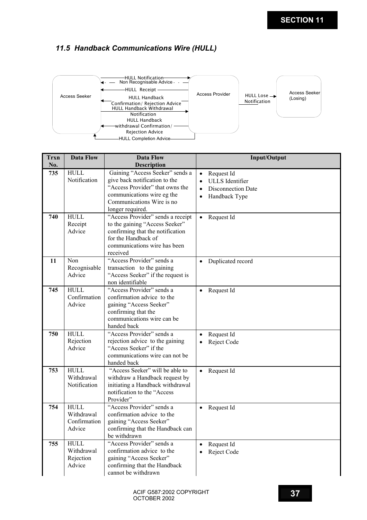## *11.5 Handback Communications Wire (HULL)*



| <b>Trxn</b><br>No. | <b>Data Flow</b>                                    | <b>Data Flow</b><br><b>Description</b>                                                                                                                                             | Input/Output                                                                                                 |
|--------------------|-----------------------------------------------------|------------------------------------------------------------------------------------------------------------------------------------------------------------------------------------|--------------------------------------------------------------------------------------------------------------|
| 735                | <b>HULL</b><br>Notification                         | Gaining "Access Seeker" sends a<br>give back notification to the<br>"Access Provider" that owns the<br>communications wire eg the<br>Communications Wire is no<br>longer required. | Request Id<br><b>ULLS</b> Identifier<br><b>Disconnection Date</b><br>$\bullet$<br>Handback Type<br>$\bullet$ |
| 740                | ${\rm HULL}$<br>Receipt<br>Advice                   | "Access Provider" sends a receipt<br>to the gaining "Access Seeker"<br>confirming that the notification<br>for the Handback of<br>communications wire has been<br>received         | Request Id                                                                                                   |
| 11                 | Non<br>Recognisable<br>Advice                       | "Access Provider" sends a<br>transaction to the gaining<br>"Access Seeker" if the request is<br>non identifiable                                                                   | Duplicated record                                                                                            |
| 745                | <b>HULL</b><br>Confirmation<br>Advice               | "Access Provider" sends a<br>confirmation advice to the<br>gaining "Access Seeker"<br>confirming that the<br>communications wire can be<br>handed back                             | Request Id                                                                                                   |
| 750                | <b>HULL</b><br>Rejection<br>Advice                  | "Access Provider" sends a<br>rejection advice to the gaining<br>"Access Seeker" if the<br>communications wire can not be<br>handed back                                            | Request Id<br>Reject Code                                                                                    |
| 753                | <b>HULL</b><br>Withdrawal<br>Notification           | "Access Seeker" will be able to<br>withdraw a Handback request by<br>initiating a Handback withdrawal<br>notification to the "Access<br>Provider"                                  | • Request Id                                                                                                 |
| 754                | <b>HULL</b><br>Withdrawal<br>Confirmation<br>Advice | "Access Provider" sends a<br>confirmation advice to the<br>gaining "Access Seeker"<br>confirming that the Handback can<br>be withdrawn                                             | Request Id                                                                                                   |
| 755                | <b>HULL</b><br>Withdrawal<br>Rejection<br>Advice    | "Access Provider" sends a<br>confirmation advice to the<br>gaining "Access Seeker"<br>confirming that the Handback<br>cannot be withdrawn                                          | Request Id<br>Reject Code<br>$\bullet$                                                                       |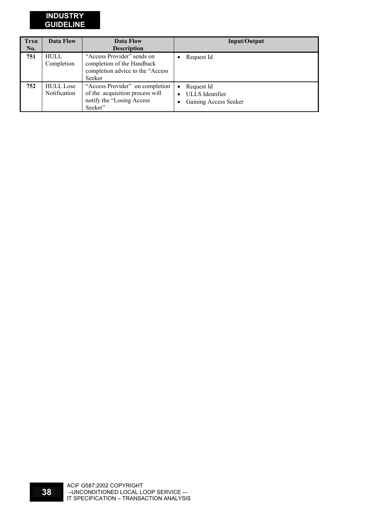| <b>Trxn</b><br>No. | Data Flow                        | <b>Data Flow</b><br><b>Description</b>                                                                      | Input/Output                                                                            |
|--------------------|----------------------------------|-------------------------------------------------------------------------------------------------------------|-----------------------------------------------------------------------------------------|
| 751                | <b>HULL</b><br>Completion        | "Access Provider" sends on<br>completion of the Handback<br>completion advice to the "Access"<br>Seeker     | Request Id                                                                              |
| 752                | <b>HULL Lose</b><br>Notification | "Access Provider" on completion<br>of the acquisition process will<br>notify the "Losing Access"<br>Seeker" | Request Id<br>$\bullet$<br><b>ULLS</b> Identifier<br>$\bullet$<br>Gaining Access Seeker |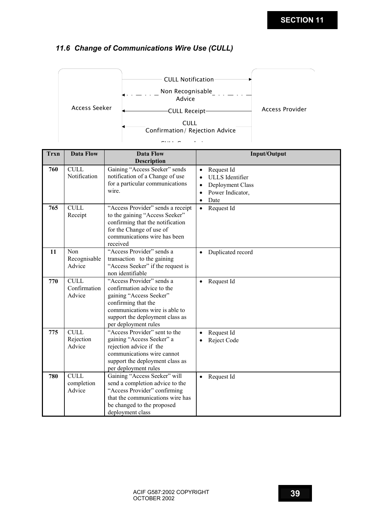

## *11.6 Change of Communications Wire Use (CULL)*



| <b>Trxn</b> | <b>Data Flow</b>                      | <b>Data Flow</b><br><b>Description</b>                                                                                                                                                                 | Input/Output                                                                                                                                          |
|-------------|---------------------------------------|--------------------------------------------------------------------------------------------------------------------------------------------------------------------------------------------------------|-------------------------------------------------------------------------------------------------------------------------------------------------------|
| 760         | <b>CULL</b><br>Notification           | Gaining "Access Seeker" sends<br>notification of a Change of use<br>for a particular communications<br>wire.                                                                                           | Request Id<br>$\bullet$<br><b>ULLS</b> Identifier<br>$\bullet$<br>Deployment Class<br>$\bullet$<br>Power Indicator,<br>$\bullet$<br>Date<br>$\bullet$ |
| 765         | <b>CULL</b><br>Receipt                | "Access Provider" sends a receipt<br>to the gaining "Access Seeker"<br>confirming that the notification<br>for the Change of use of<br>communications wire has been<br>received                        | Request Id<br>$\bullet$                                                                                                                               |
| 11          | Non<br>Recognisable<br>Advice         | "Access Provider" sends a<br>transaction to the gaining<br>"Access Seeker" if the request is<br>non identifiable                                                                                       | Duplicated record<br>$\bullet$                                                                                                                        |
| 770         | <b>CULL</b><br>Confirmation<br>Advice | "Access Provider" sends a<br>confirmation advice to the<br>gaining "Access Seeker"<br>confirming that the<br>communications wire is able to<br>support the deployment class as<br>per deployment rules | Request Id<br>$\bullet$                                                                                                                               |
| 775         | <b>CULL</b><br>Rejection<br>Advice    | "Access Provider" sent to the<br>gaining "Access Seeker" a<br>rejection advice if the<br>communications wire cannot<br>support the deployment class as<br>per deployment rules                         | Request Id<br>Reject Code                                                                                                                             |
| 780         | <b>CULL</b><br>completion<br>Advice   | Gaining "Access Seeker" will<br>send a completion advice to the<br>"Access Provider" confirming<br>that the communications wire has<br>be changed to the proposed<br>deployment class                  | Request Id<br>$\bullet$                                                                                                                               |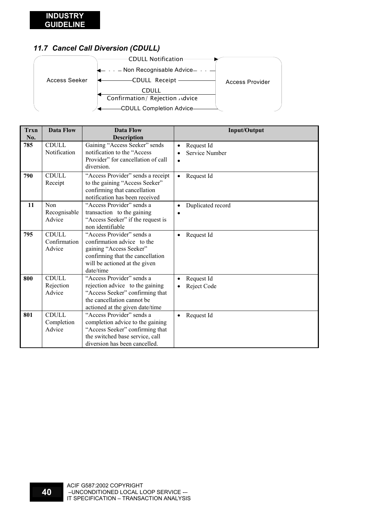## *11.7 Cancel Call Diversion (CDULL)*



| <b>Trxn</b><br>No. | <b>Data Flow</b>                       | <b>Data Flow</b>                                                                                                                                                     | <b>Input/Output</b>          |
|--------------------|----------------------------------------|----------------------------------------------------------------------------------------------------------------------------------------------------------------------|------------------------------|
| 785                | <b>CDULL</b><br>Notification           | <b>Description</b><br>Gaining "Access Seeker" sends<br>notification to the "Access"<br>Provider" for cancellation of call<br>diversion.                              | Request Id<br>Service Number |
| 790                | <b>CDULL</b><br>Receipt                | "Access Provider" sends a receipt<br>to the gaining "Access Seeker"<br>confirming that cancellation<br>notification has been received                                | Request Id                   |
| 11                 | Non<br>Recognisable<br>Advice          | "Access Provider" sends a<br>transaction to the gaining<br>"Access Seeker" if the request is<br>non identifiable                                                     | Duplicated record            |
| 795                | <b>CDULL</b><br>Confirmation<br>Advice | "Access Provider" sends a<br>confirmation advice to the<br>gaining "Access Seeker"<br>confirming that the cancellation<br>will be actioned at the given<br>date/time | Request Id<br>$\bullet$      |
| 800                | <b>CDULL</b><br>Rejection<br>Advice    | "Access Provider" sends a<br>rejection advice to the gaining<br>"Access Seeker" confirming that<br>the cancellation cannot be<br>actioned at the given date/time     | Request Id<br>Reject Code    |
| 801                | CDULL.<br>Completion<br>Advice         | "Access Provider" sends a<br>completion advice to the gaining<br>"Access Seeker" confirming that<br>the switched base service, call<br>diversion has been cancelled. | Request Id                   |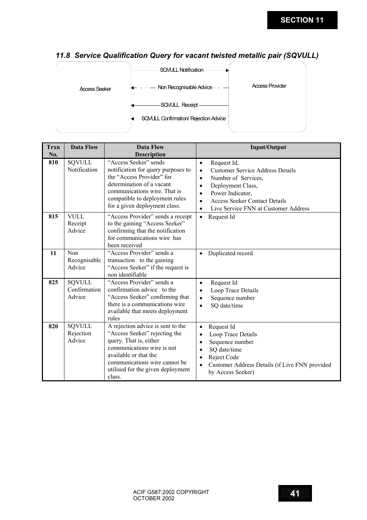

## *11.8 Service Qualification Query for vacant twisted metallic pair (SQVULL)*

| <b>Trxn</b><br>No. | <b>Data Flow</b>                        | <b>Data Flow</b><br><b>Description</b>                                                                                                                                                                                              | Input/Output                                                                                                                                                                                                                                                                                      |
|--------------------|-----------------------------------------|-------------------------------------------------------------------------------------------------------------------------------------------------------------------------------------------------------------------------------------|---------------------------------------------------------------------------------------------------------------------------------------------------------------------------------------------------------------------------------------------------------------------------------------------------|
| 810                | <b>SQVULL</b><br>Notification           | "Access Seeker" sends<br>notification for query purposes to<br>the "Access Provider" for<br>determination of a vacant<br>communications wire. That is<br>compatible to deployment rules<br>for a given deployment class.            | Request Id,<br>$\bullet$<br><b>Customer Service Address Details</b><br>$\bullet$<br>Number of Services,<br>$\bullet$<br>Deployment Class,<br>$\bullet$<br>Power Indicator,<br>$\bullet$<br><b>Access Seeker Contact Details</b><br>$\bullet$<br>Live Service FNN at Customer Address<br>$\bullet$ |
| 815                | <b>VULL</b><br>Receipt<br>Advice        | "Access Provider" sends a receipt<br>to the gaining "Access Seeker"<br>confirming that the notification<br>for communications wire has<br>been received                                                                             | Request Id<br>$\bullet$                                                                                                                                                                                                                                                                           |
| 11                 | Non<br>Recognisable<br>Advice           | "Access Provider" sends a<br>transaction to the gaining<br>"Access Seeker" if the request is<br>non identifiable                                                                                                                    | Duplicated record                                                                                                                                                                                                                                                                                 |
| 825                | <b>SQVULL</b><br>Confirmation<br>Advice | "Access Provider" sends a<br>confirmation advice to the<br>"Access Seeker" confirming that<br>there is a communications wire<br>available that meets deployment<br>rules                                                            | Request Id<br>$\bullet$<br>Loop Trace Details<br>$\bullet$<br>Sequence number<br>$\bullet$<br>SQ date/time<br>$\bullet$                                                                                                                                                                           |
| 820                | <b>SQVULL</b><br>Rejection<br>Advice    | A rejection advice is sent to the<br>"Access Seeker" rejecting the<br>query. That is, either<br>communications wire is not<br>available or that the<br>communications wire cannot be<br>utilised for the given deployment<br>class. | Request Id<br>$\bullet$<br>Loop Trace Details<br>$\bullet$<br>Sequence number<br>$\bullet$<br>SQ date/time<br>$\bullet$<br>Reject Code<br>Customer Address Details (if Live FNN provided<br>$\bullet$<br>by Access Seeker)                                                                        |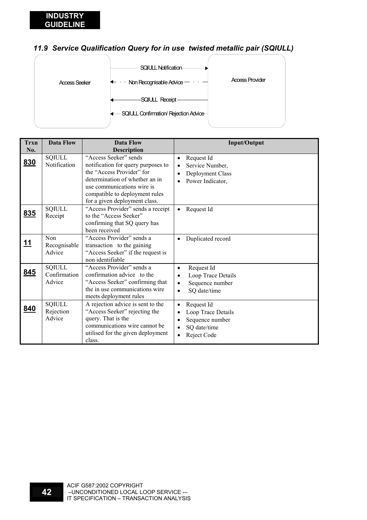## *11.9 Service Qualification Query for in use twisted metallic pair (SQIULL)*

| <b>Access Seeker</b> | <b>SQIULL Notification-</b><br>$\leftarrow -$ Non Recognisable Advice - | Access Provider |
|----------------------|-------------------------------------------------------------------------|-----------------|
|                      | -SQIULL Receipt -                                                       |                 |
|                      | Gettion Advice                                                          |                 |
|                      |                                                                         |                 |

| <b>Trxn</b><br>No. | <b>Data Flow</b>                        | <b>Data Flow</b><br>Description                                                                                                                                                                                             | Input/Output                                                                                               |
|--------------------|-----------------------------------------|-----------------------------------------------------------------------------------------------------------------------------------------------------------------------------------------------------------------------------|------------------------------------------------------------------------------------------------------------|
| 830                | <b>SQIULL</b><br>Notification           | "Access Seeker" sends<br>notification for query purposes to<br>the "Access Provider" for<br>determination of whether an in<br>use communications wire is<br>compatible to deployment rules<br>for a given deployment class. | Request Id<br>Service Number,<br>Deployment Class<br>Power Indicator,                                      |
| <u>835</u>         | <b>SQIULL</b><br>Receipt                | "Access Provider" sends a receipt<br>to the "Access Seeker"<br>confirming that SQ query has<br>been received                                                                                                                | Request Id                                                                                                 |
| 11                 | Non<br>Recognisable<br>Advice           | "Access Provider" sends a<br>transaction to the gaining<br>"Access Seeker" if the request is<br>non identifiable                                                                                                            | Duplicated record                                                                                          |
| 845                | <b>SQIULL</b><br>Confirmation<br>Advice | "Access Provider" sends a<br>confirmation advice to the<br>"Access Seeker" confirming that<br>the in use communications wire<br>meets deployment rules                                                                      | Request Id<br>Loop Trace Details<br>$\bullet$<br>Sequence number<br>$\bullet$<br>SQ date/time<br>$\bullet$ |
| 840                | <b>SQIULL</b><br>Rejection<br>Advice    | A rejection advice is sent to the<br>"Access Seeker" rejecting the<br>query. That is the<br>communications wire cannot be<br>utilised for the given deployment<br>class.                                                    | Request Id<br>Loop Trace Details<br>Sequence number<br>٠<br>SQ date/time<br>Reject Code                    |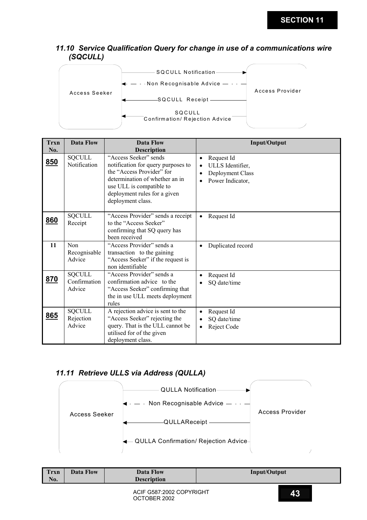#### *11.10 Service Qualification Query for change in use of a communications wire (SQCULL)*



| <b>Trxn</b><br>No. | <b>Data Flow</b>                        | <b>Data Flow</b><br><b>Description</b>                                                                                                                                                                      | Input/Output                                                           |
|--------------------|-----------------------------------------|-------------------------------------------------------------------------------------------------------------------------------------------------------------------------------------------------------------|------------------------------------------------------------------------|
| 850                | <b>SQCULL</b><br>Notification           | "Access Seeker" sends<br>notification for query purposes to<br>the "Access Provider" for<br>determination of whether an in<br>use ULL is compatible to<br>deployment rules for a given<br>deployment class. | Request Id<br>ULLS Identifier,<br>Deployment Class<br>Power Indicator, |
| 860                | <b>SQCULL</b><br>Receipt                | "Access Provider" sends a receipt<br>to the "Access Seeker"<br>confirming that SQ query has<br>been received                                                                                                | Request Id                                                             |
| 11                 | Non<br>Recognisable<br>Advice           | "Access Provider" sends a<br>transaction to the gaining<br>"Access Seeker" if the request is<br>non identifiable                                                                                            | Duplicated record                                                      |
| 870                | <b>SQCULL</b><br>Confirmation<br>Advice | "Access Provider" sends a<br>confirmation advice to the<br>"Access Seeker" confirming that<br>the in use ULL meets deployment<br>rules                                                                      | Request Id<br>SQ date/time                                             |
| 865                | <b>SQCULL</b><br>Rejection<br>Advice    | A rejection advice is sent to the<br>"Access Seeker" rejecting the<br>query. That is the ULL cannot be<br>utilised for of the given<br>deployment class.                                                    | Request Id<br>SQ date/time<br>Reject Code<br>$\bullet$                 |

## *11.11 Retrieve ULLS via Address (QULLA)*



| <b>Trxn</b> | <b>Data Flow</b> | Data Flow          | Input/Output |
|-------------|------------------|--------------------|--------------|
| No.         |                  | <b>Description</b> |              |
|             |                  |                    |              |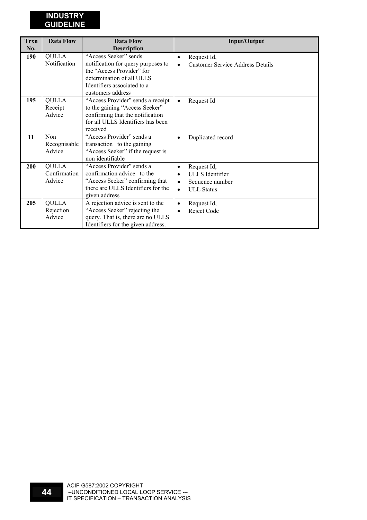| Trxn<br>No. | <b>Data Flow</b>                       | Data Flow<br><b>Description</b>                                                                                                                                           | Input/Output                                                                                                                      |
|-------------|----------------------------------------|---------------------------------------------------------------------------------------------------------------------------------------------------------------------------|-----------------------------------------------------------------------------------------------------------------------------------|
| 190         | <b>QULLA</b><br>Notification           | "Access Seeker" sends<br>notification for query purposes to<br>the "Access Provider" for<br>determination of all ULLS<br>Identifiers associated to a<br>customers address | Request Id,<br>$\bullet$<br><b>Customer Service Address Details</b>                                                               |
| 195         | <b>QULLA</b><br>Receipt<br>Advice      | "Access Provider" sends a receipt<br>to the gaining "Access Seeker"<br>confirming that the notification<br>for all ULLS Identifiers has been<br>received                  | Request Id                                                                                                                        |
| 11          | Non<br>Recognisable<br>Advice          | "Access Provider" sends a<br>transaction to the gaining<br>"Access Seeker" if the request is<br>non identifiable                                                          | Duplicated record<br>$\bullet$                                                                                                    |
| <b>200</b>  | <b>QULLA</b><br>Confirmation<br>Advice | "Access Provider" sends a<br>confirmation advice to the<br>"Access Seeker" confirming that<br>there are ULLS Identifiers for the<br>given address                         | Request Id,<br>$\bullet$<br><b>ULLS</b> Identifier<br>$\bullet$<br>Sequence number<br>$\bullet$<br><b>ULL Status</b><br>$\bullet$ |
| 205         | <b>QULLA</b><br>Rejection<br>Advice    | A rejection advice is sent to the<br>"Access Seeker" rejecting the<br>query. That is, there are no ULLS<br>Identifiers for the given address.                             | Request Id,<br>$\bullet$<br>Reject Code<br>$\bullet$                                                                              |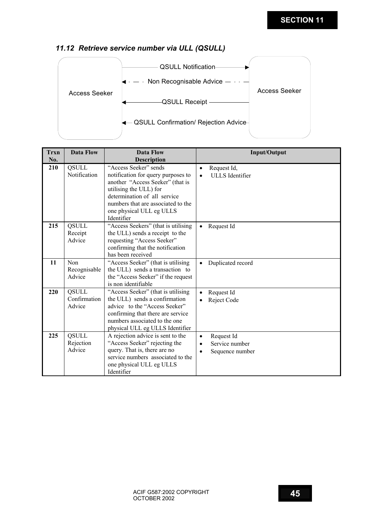## *11.12 Retrieve service number via ULL (QSULL)*



| <b>Trxn</b><br>No. | <b>Data Flow</b>                       | <b>Data Flow</b><br><b>Description</b>                                                                                                                                                                                                    | Input/Output                                                 |
|--------------------|----------------------------------------|-------------------------------------------------------------------------------------------------------------------------------------------------------------------------------------------------------------------------------------------|--------------------------------------------------------------|
| 210                | <b>QSULL</b><br>Notification           | "Access Seeker" sends<br>notification for query purposes to<br>another "Access Seeker" (that is<br>utilising the ULL) for<br>determination of all service<br>numbers that are associated to the<br>one physical ULL eg ULLS<br>Identifier | Request Id,<br><b>ULLS</b> Identifier                        |
| 215                | <b>QSULL</b><br>Receipt<br>Advice      | "Access Seekers" (that is utilising<br>the ULL) sends a receipt to the<br>requesting "Access Seeker"<br>confirming that the notification<br>has been received                                                                             | • Request Id                                                 |
| 11                 | <b>Non</b><br>Recognisable<br>Advice   | "Access Seeker" (that is utilising<br>the ULL) sends a transaction to<br>the "Access Seeker" if the request<br>is non identifiable                                                                                                        | Duplicated record                                            |
| 220                | <b>OSULL</b><br>Confirmation<br>Advice | "Access Seeker" (that is utilising<br>the ULL) sends a confirmation<br>advice to the "Access Seeker"<br>confirming that there are service<br>numbers associated to the one<br>physical ULL eg ULLS Identifier                             | Request Id<br>Reject Code                                    |
| 225                | <b>QSULL</b><br>Rejection<br>Advice    | A rejection advice is sent to the<br>"Access Seeker" rejecting the<br>query. That is, there are no<br>service numbers associated to the<br>one physical ULL eg ULLS<br>Identifier                                                         | Request Id<br>$\bullet$<br>Service number<br>Sequence number |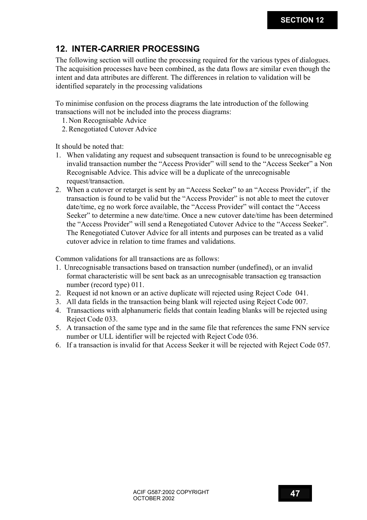## **12. INTER-CARRIER PROCESSING**

The following section will outline the processing required for the various types of dialogues. The acquisition processes have been combined, as the data flows are similar even though the intent and data attributes are different. The differences in relation to validation will be identified separately in the processing validations

To minimise confusion on the process diagrams the late introduction of the following transactions will not be included into the process diagrams:

- 1. Non Recognisable Advice
- 2.Renegotiated Cutover Advice

It should be noted that:

- 1. When validating any request and subsequent transaction is found to be unrecognisable eg invalid transaction number the "Access Provider" will send to the "Access Seeker" a Non Recognisable Advice. This advice will be a duplicate of the unrecognisable request/transaction.
- 2. When a cutover or retarget is sent by an "Access Seeker" to an "Access Provider", if the transaction is found to be valid but the "Access Provider" is not able to meet the cutover date/time, eg no work force available, the "Access Provider" will contact the "Access Seeker" to determine a new date/time. Once a new cutover date/time has been determined the "Access Provider" will send a Renegotiated Cutover Advice to the "Access Seeker". The Renegotiated Cutover Advice for all intents and purposes can be treated as a valid cutover advice in relation to time frames and validations.

Common validations for all transactions are as follows:

- 1. Unrecognisable transactions based on transaction number (undefined), or an invalid format characteristic will be sent back as an unrecognisable transaction eg transaction number (record type) 011.
- 2. Request id not known or an active duplicate will rejected using Reject Code 041.
- 3. All data fields in the transaction being blank will rejected using Reject Code 007.
- 4. Transactions with alphanumeric fields that contain leading blanks will be rejected using Reject Code 033.
- 5. A transaction of the same type and in the same file that references the same FNN service number or ULL identifier will be rejected with Reject Code 036.
- 6. If a transaction is invalid for that Access Seeker it will be rejected with Reject Code 057.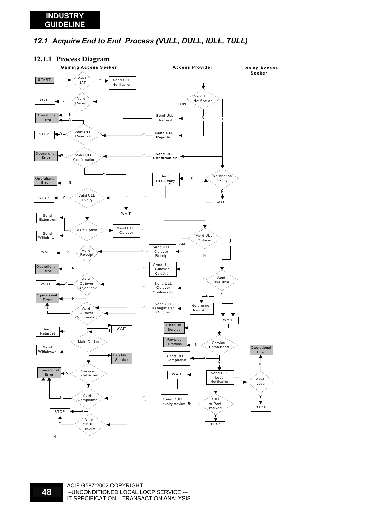## *12.1 Acquire End to End Process (VULL, DULL, IULL, TULL)*



N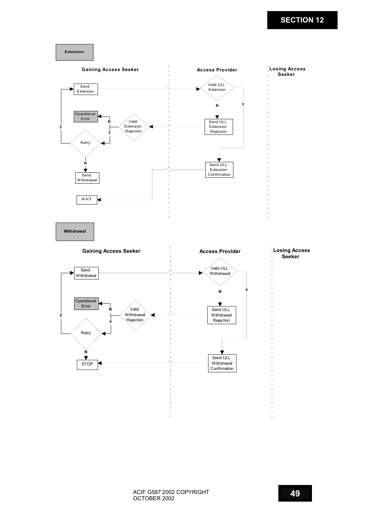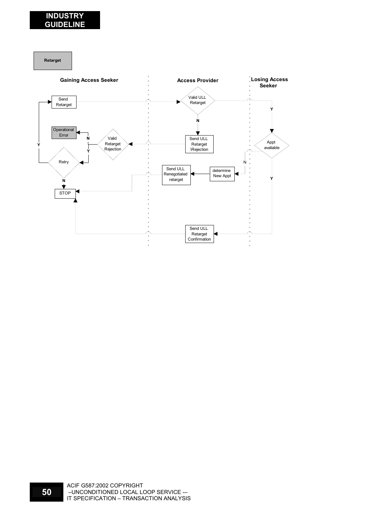**Retarget**

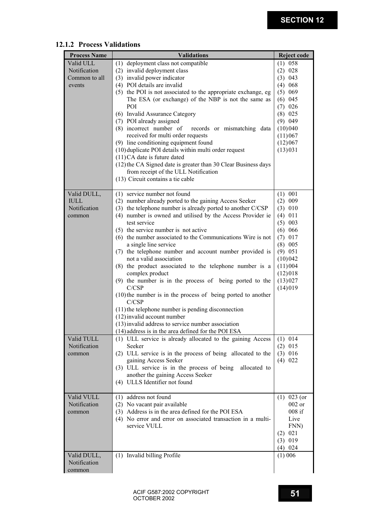**12.1.2 Process Validations**

| <b>Process Name</b> | <b>Validations</b>                                                                               | <b>Reject code</b>     |
|---------------------|--------------------------------------------------------------------------------------------------|------------------------|
| Valid ULL           | (1) deployment class not compatible                                                              | $(1)$ 058              |
| Notification        | (2) invalid deployment class                                                                     | $(2)$ 028              |
| Common to all       | (3) invalid power indicator                                                                      | $(3)$ 043              |
| events              | (4) POI details are invalid<br>(5) the POI is not associated to the appropriate exchange, eg     | $(4)$ 068<br>$(5)$ 069 |
|                     | The ESA (or exchange) of the NBP is not the same as                                              | $(6)$ 045              |
|                     | POI                                                                                              | $(7)$ 026              |
|                     | (6) Invalid Assurance Category                                                                   | $(8)$ 025              |
|                     | (7) POI already assigned                                                                         | $(9)$ 049              |
|                     | (8) incorrect number of<br>records or mismatching data                                           | (10)040                |
|                     | received for multi order requests                                                                | (11)067                |
|                     | (9) line conditioning equipment found                                                            | (12)067                |
|                     | (10) duplicate POI details within multi order request                                            | (13)031                |
|                     | $(11)$ CA date is future dated<br>(12) the CA Signed date is greater than 30 Clear Business days |                        |
|                     | from receipt of the ULL Notification                                                             |                        |
|                     | (13) Circuit contains a tie cable                                                                |                        |
|                     |                                                                                                  |                        |
| Valid DULL,         | (1) service number not found                                                                     | $(1)$ 001              |
| <b>IULL</b>         | (2) number already ported to the gaining Access Seeker                                           | $(2)$ 009              |
| Notification        | (3) the telephone number is already ported to another C/CSP                                      | $(3)$ 010              |
| common              | (4) number is owned and utilised by the Access Provider ie                                       | $(4)$ 011              |
|                     | test service<br>(5) the service number is not active                                             | $(5)$ 003              |
|                     | (6) the number associated to the Communications Wire is not                                      | $(6)$ 066<br>$(7)$ 017 |
|                     | a single line service                                                                            | $(8)$ 005              |
|                     | (7) the telephone number and account number provided is                                          | $(9)$ 051              |
|                     | not a valid association                                                                          | (10)042                |
|                     | (8) the product associated to the telephone number is a                                          | (11)004                |
|                     | complex product                                                                                  | (12)018                |
|                     | (9) the number is in the process of being ported to the<br>C/CSP                                 | (13)027<br>(14)019     |
|                     | $(10)$ the number is in the process of being ported to another<br>C/CSP                          |                        |
|                     | $(11)$ the telephone number is pending disconnection                                             |                        |
|                     | (12) invalid account number                                                                      |                        |
|                     | (13) invalid address to service number association                                               |                        |
|                     | (14) address is in the area defined for the POI ESA                                              |                        |
| Valid TULL          | (1) ULL service is already allocated to the gaining Access                                       | $(1)$ 014              |
| Notification        | Seeker                                                                                           | $(2)$ 015              |
| common              | (2) ULL service is in the process of being allocated to the                                      | $(3)$ 016              |
|                     | gaining Access Seeker<br>(3) ULL service is in the process of being<br>allocated to              | $(4)$ 022              |
|                     | another the gaining Access Seeker                                                                |                        |
|                     | (4) ULLS Identifier not found                                                                    |                        |
| Valid VULL          | (1) address not found                                                                            | $(1)$ 023 (or          |
| Notification        | (2) No vacant pair available                                                                     | $002$ or               |
| common              | (3) Address is in the area defined for the POI ESA                                               | 008 if                 |
|                     | (4) No error and error on associated transaction in a multi-                                     | Live                   |
|                     | service VULL                                                                                     | FNN)                   |
|                     |                                                                                                  | $(2)$ 021              |
|                     |                                                                                                  | $(3)$ 019              |
| Valid DULL,         | (1) Invalid billing Profile                                                                      | $(4)$ 024<br>$(1)$ 006 |
| Notification        |                                                                                                  |                        |
| common              |                                                                                                  |                        |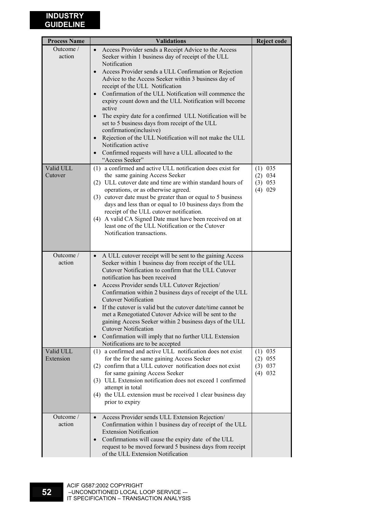| <b>Process Name</b>    | <b>Validations</b>                                                                                                                                                                                                                                                                                                                                                                                                                                                                                                                                                                                                                                                                                                | Reject code                                      |
|------------------------|-------------------------------------------------------------------------------------------------------------------------------------------------------------------------------------------------------------------------------------------------------------------------------------------------------------------------------------------------------------------------------------------------------------------------------------------------------------------------------------------------------------------------------------------------------------------------------------------------------------------------------------------------------------------------------------------------------------------|--------------------------------------------------|
| Outcome /<br>action    | Access Provider sends a Receipt Advice to the Access<br>Seeker within 1 business day of receipt of the ULL<br>Notification<br>Access Provider sends a ULL Confirmation or Rejection<br>Advice to the Access Seeker within 3 business day of<br>receipt of the ULL Notification<br>Confirmation of the ULL Notification will commence the<br>expiry count down and the ULL Notification will become<br>active<br>The expiry date for a confirmed ULL Notification will be<br>set to 5 business days from receipt of the ULL<br>confirmation(inclusive)<br>Rejection of the ULL Notification will not make the ULL<br>Notification active<br>Confirmed requests will have a ULL allocated to the<br>"Access Seeker" |                                                  |
| Valid ULL<br>Cutover   | (1) a confirmed and active ULL notification does exist for<br>the same gaining Access Seeker<br>(2) ULL cutover date and time are within standard hours of<br>operations, or as otherwise agreed.<br>(3) cutover date must be greater than or equal to 5 business<br>days and less than or equal to 10 business days from the<br>receipt of the ULL cutover notification.<br>(4) A valid CA Signed Date must have been received on at<br>least one of the ULL Notification or the Cutover<br>Notification transactions.                                                                                                                                                                                           | $(1)$ 035<br>$(2)$ 034<br>$(3)$ 053<br>$(4)$ 029 |
| Outcome /<br>action    | A ULL cutover receipt will be sent to the gaining Access<br>Seeker within 1 business day from receipt of the ULL<br>Cutover Notification to confirm that the ULL Cutover<br>notification has been received<br>Access Provider sends ULL Cutover Rejection/<br>Confirmation within 2 business days of receipt of the ULL<br><b>Cutover Notification</b><br>If the cutover is valid but the cutover date/time cannot be<br>met a Renegotiated Cutover Advice will be sent to the<br>gaining Access Seeker within 2 business days of the ULL<br><b>Cutover Notification</b><br>Confirmation will imply that no further ULL Extension<br>Notifications are to be accepted                                             |                                                  |
| Valid ULL<br>Extension | (1) a confirmed and active ULL notification does not exist<br>for the for the same gaining Access Seeker<br>(2) confirm that a ULL cutover notification does not exist<br>for same gaining Access Seeker<br>(3) ULL Extension notification does not exceed 1 confirmed<br>attempt in total<br>(4) the ULL extension must be received 1 clear business day<br>prior to expiry                                                                                                                                                                                                                                                                                                                                      | $(1)$ 035<br>$(2)$ 055<br>$(3)$ 037<br>$(4)$ 032 |
| Outcome /<br>action    | Access Provider sends ULL Extension Rejection/<br>$\bullet$<br>Confirmation within 1 business day of receipt of the ULL<br><b>Extension Notification</b><br>Confirmations will cause the expiry date of the ULL<br>request to be moved forward 5 business days from receipt<br>of the ULL Extension Notification                                                                                                                                                                                                                                                                                                                                                                                                  |                                                  |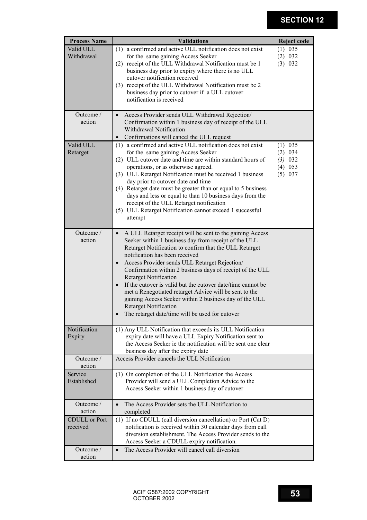| <b>Process Name</b>                 | <b>Validations</b>                                                                                                                                                                                                                                                                                                                                                                                                                                                                                                                                                                                                                                                       | <b>Reject code</b>                                            |
|-------------------------------------|--------------------------------------------------------------------------------------------------------------------------------------------------------------------------------------------------------------------------------------------------------------------------------------------------------------------------------------------------------------------------------------------------------------------------------------------------------------------------------------------------------------------------------------------------------------------------------------------------------------------------------------------------------------------------|---------------------------------------------------------------|
| Valid ULL<br>Withdrawal             | (1) a confirmed and active ULL notification does not exist<br>for the same gaining Access Seeker<br>(2) receipt of the ULL Withdrawal Notification must be 1<br>business day prior to expiry where there is no ULL<br>cutover notification received<br>receipt of the ULL Withdrawal Notification must be 2<br>(3)<br>business day prior to cutover if a ULL cutover<br>notification is received                                                                                                                                                                                                                                                                         | $(1)$ 035<br>$(2)$ 032<br>$(3)$ 032                           |
| Outcome /<br>action                 | Access Provider sends ULL Withdrawal Rejection/<br>Confirmation within 1 business day of receipt of the ULL<br>Withdrawal Notification<br>Confirmations will cancel the ULL request<br>$\bullet$                                                                                                                                                                                                                                                                                                                                                                                                                                                                         |                                                               |
| Valid ULL<br>Retarget               | (1) a confirmed and active ULL notification does not exist<br>for the same gaining Access Seeker<br>(2) ULL cutover date and time are within standard hours of<br>operations, or as otherwise agreed.<br>(3) ULL Retarget Notification must be received 1 business<br>day prior to cutover date and time<br>(4) Retarget date must be greater than or equal to 5 business<br>days and less or equal to than 10 business days from the<br>receipt of the ULL Retarget notification<br>(5) ULL Retarget Notification cannot exceed 1 successful<br>attempt                                                                                                                 | $(1)$ 035<br>$(2)$ 034<br>$(3)$ 032<br>$(4)$ 053<br>$(5)$ 037 |
| Outcome /<br>action                 | A ULL Retarget receipt will be sent to the gaining Access<br>$\bullet$<br>Seeker within 1 business day from receipt of the ULL<br>Retarget Notification to confirm that the ULL Retarget<br>notification has been received<br>Access Provider sends ULL Retarget Rejection/<br>$\bullet$<br>Confirmation within 2 business days of receipt of the ULL<br><b>Retarget Notification</b><br>If the cutover is valid but the cutover date/time cannot be<br>$\bullet$<br>met a Renegotiated retarget Advice will be sent to the<br>gaining Access Seeker within 2 business day of the ULL<br><b>Retarget Notification</b><br>The retarget date/time will be used for cutover |                                                               |
| Notification<br>Expiry<br>Outcome / | (1) Any ULL Notification that exceeds its ULL Notification<br>expiry date will have a ULL Expiry Notification sent to<br>the Access Seeker ie the notification will be sent one clear<br>business day after the expiry date<br>Access Provider cancels the ULL Notification                                                                                                                                                                                                                                                                                                                                                                                              |                                                               |
| action<br>Service<br>Established    | (1) On completion of the ULL Notification the Access<br>Provider will send a ULL Completion Advice to the<br>Access Seeker within 1 business day of cutover                                                                                                                                                                                                                                                                                                                                                                                                                                                                                                              |                                                               |
| Outcome /<br>action                 | The Access Provider sets the ULL Notification to<br>$\bullet$<br>completed                                                                                                                                                                                                                                                                                                                                                                                                                                                                                                                                                                                               |                                                               |
| <b>CDULL</b> or Port<br>received    | (1) If no CDULL (call diversion cancellation) or Port (Cat D)<br>notification is received within 30 calendar days from call<br>diversion establishment. The Access Provider sends to the<br>Access Seeker a CDULL expiry notification.                                                                                                                                                                                                                                                                                                                                                                                                                                   |                                                               |
| Outcome /<br>action                 | The Access Provider will cancel call diversion                                                                                                                                                                                                                                                                                                                                                                                                                                                                                                                                                                                                                           |                                                               |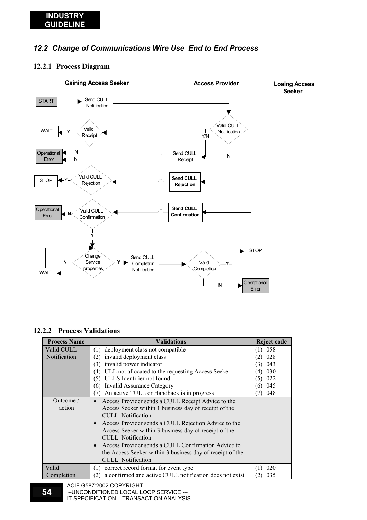## *12.2 Change of Communications Wire Use End to End Process*

#### **12.2.1 Process Diagram**



|  |  | <b>12.2.2 Process Validations</b> |
|--|--|-----------------------------------|
|--|--|-----------------------------------|

| <b>Process Name</b> | Validations                                                       | Reject code |
|---------------------|-------------------------------------------------------------------|-------------|
| Valid CULL          | deployment class not compatible<br>(1)                            | 058<br>(1)  |
| Notification        | invalid deployment class                                          | 028         |
|                     | invalid power indicator<br>(3)                                    | 043<br>(3)  |
|                     | ULL not allocated to the requesting Access Seeker<br>(4)          | 030<br>(4)  |
|                     | ULLS Identifier not found<br>(5)                                  | 022<br>(5)  |
|                     | <b>Invalid Assurance Category</b><br>(6)                          | 045<br>(6)  |
|                     | An active TULL or Handback is in progress                         | 048         |
| Outcome $\sqrt{ }$  | Access Provider sends a CULL Receipt Advice to the<br>$\bullet$   |             |
| action              | Access Seeker within 1 business day of receipt of the             |             |
|                     | CULL Notification                                                 |             |
|                     | Access Provider sends a CULL Rejection Advice to the<br>$\bullet$ |             |
|                     | Access Seeker within 3 business day of receipt of the             |             |
|                     | CULL Notification                                                 |             |
|                     | Access Provider sends a CULL Confirmation Advice to<br>$\bullet$  |             |
|                     | the Access Seeker within 3 business day of receipt of the         |             |
|                     | <b>CULL Notification</b>                                          |             |
| Valid               | correct record format for event type<br>(1)                       | 020         |
| Completion          | a confirmed and active CULL notification does not exist           | 035         |

ACIF G587:2002 COPYRIGHT –UNCONDITIONED LOCAL LOOP SERVICE -– IT SPECIFICATION – TRANSACTION ANALYSIS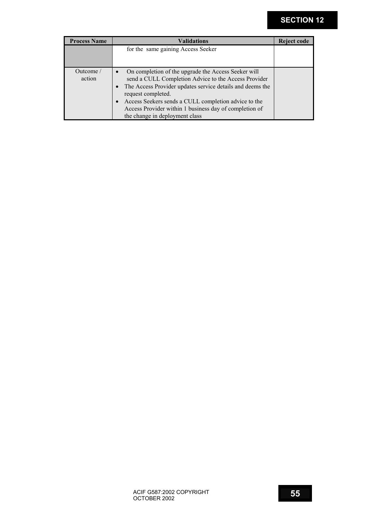| <b>Process Name</b> | <b>Validations</b>                                                                                                                                                                                                                                                                                                                                 | Reject code |
|---------------------|----------------------------------------------------------------------------------------------------------------------------------------------------------------------------------------------------------------------------------------------------------------------------------------------------------------------------------------------------|-------------|
|                     | for the same gaining Access Seeker                                                                                                                                                                                                                                                                                                                 |             |
| Outcome /<br>action | On completion of the upgrade the Access Seeker will<br>send a CULL Completion Advice to the Access Provider<br>The Access Provider updates service details and deems the<br>request completed.<br>Access Seekers sends a CULL completion advice to the<br>Access Provider within 1 business day of completion of<br>the change in deployment class |             |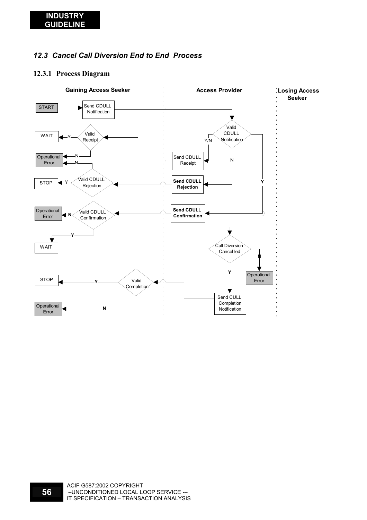## *12.3 Cancel Call Diversion End to End Process*

#### **12.3.1 Process Diagram**

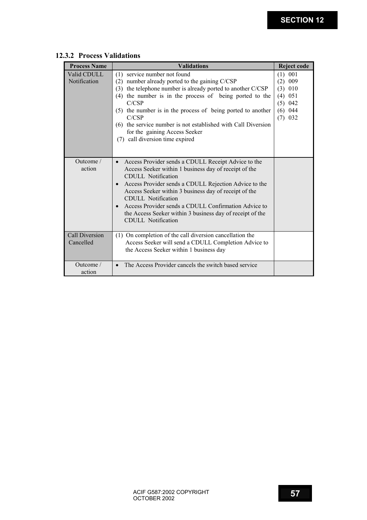| <b>Process Name</b>                | <b>Validations</b>                                                                                                                                                                                                                                                                                                                                                                                                                         | <b>Reject code</b>                                                                        |
|------------------------------------|--------------------------------------------------------------------------------------------------------------------------------------------------------------------------------------------------------------------------------------------------------------------------------------------------------------------------------------------------------------------------------------------------------------------------------------------|-------------------------------------------------------------------------------------------|
| Valid CDULL<br>Notification        | service number not found<br>(1)<br>number already ported to the gaining C/CSP<br>(2)<br>the telephone number is already ported to another C/CSP<br>(3)<br>the number is in the process of being ported to the<br>(4)<br>C/CSP<br>(5) the number is in the process of being ported to another<br>C/CSP<br>(6) the service number is not established with Call Diversion<br>for the gaining Access Seeker<br>(7) call diversion time expired | $(1)$ 001<br>(2)<br>009<br>$(3)$ 010<br>(4)<br>051<br>$(5)$ 042<br>$(6)$ 044<br>$(7)$ 032 |
| Outcome /<br>action                | Access Provider sends a CDULL Receipt Advice to the<br>Access Seeker within 1 business day of receipt of the<br><b>CDULL Notification</b><br>Access Provider sends a CDULL Rejection Advice to the<br>$\bullet$<br>Access Seeker within 3 business day of receipt of the<br>CDULL Notification<br>Access Provider sends a CDULL Confirmation Advice to<br>the Access Seeker within 3 business day of receipt of the<br>CDULL Notification  |                                                                                           |
| <b>Call Diversion</b><br>Cancelled | (1) On completion of the call diversion cancellation the<br>Access Seeker will send a CDULL Completion Advice to<br>the Access Seeker within 1 business day                                                                                                                                                                                                                                                                                |                                                                                           |
| Outcome /<br>action                | The Access Provider cancels the switch based service                                                                                                                                                                                                                                                                                                                                                                                       |                                                                                           |

#### **12.3.2 Process Validations**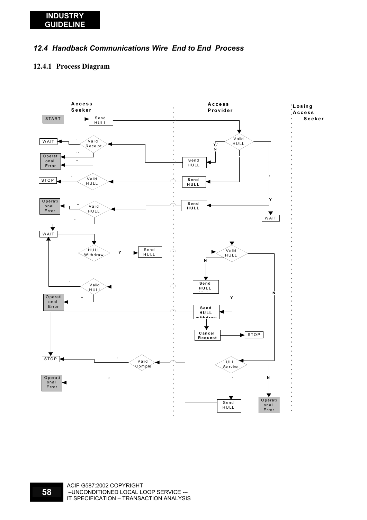#### *12.4 Handback Communications Wire End to End Process*

#### **12.4.1 Process Diagram**



ACIF G587:2002 COPYRIGHT –UNCONDITIONED LOCAL LOOP SERVICE -– IT SPECIFICATION – TRANSACTION ANALYSIS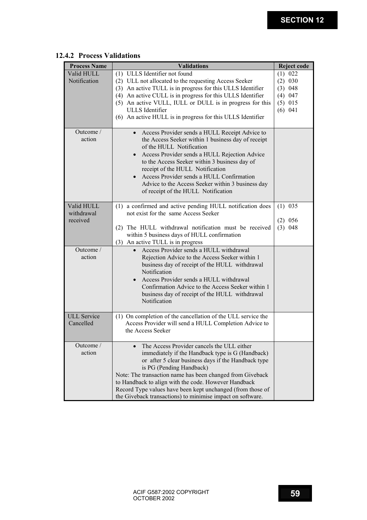| <b>Process Name</b>                  | <b>Validations</b>                                                                                                                                                                                                                                                                                                                                                                                                                 | <b>Reject code</b>                                                         |
|--------------------------------------|------------------------------------------------------------------------------------------------------------------------------------------------------------------------------------------------------------------------------------------------------------------------------------------------------------------------------------------------------------------------------------------------------------------------------------|----------------------------------------------------------------------------|
| Valid HULL<br>Notification           | (1) ULLS Identifier not found<br>(2) ULL not allocated to the requesting Access Seeker<br>(3) An active TULL is in progress for this ULLS Identifier<br>(4) An active CULL is in progress for this ULLS Identifier<br>(5) An active VULL, IULL or DULL is in progress for this<br><b>ULLS</b> Identifier<br>(6) An active HULL is in progress for this ULLS Identifier                                                             | $(1)$ 022<br>$(2)$ 030<br>$(3)$ 048<br>$(4)$ 047<br>$(5)$ 015<br>$(6)$ 041 |
| Outcome /<br>action                  | • Access Provider sends a HULL Receipt Advice to<br>the Access Seeker within 1 business day of receipt<br>of the HULL Notification<br>Access Provider sends a HULL Rejection Advice<br>to the Access Seeker within 3 business day of<br>receipt of the HULL Notification<br>Access Provider sends a HULL Confirmation<br>Advice to the Access Seeker within 3 business day<br>of receipt of the HULL Notification                  |                                                                            |
| Valid HULL<br>withdrawal<br>received | (1) a confirmed and active pending HULL notification does<br>not exist for the same Access Seeker<br>(2) The HULL withdrawal notification must be received<br>within 5 business days of HULL confirmation<br>(3) An active TULL is in progress                                                                                                                                                                                     | $(1)$ 035<br>$(2)$ 056<br>$(3)$ 048                                        |
| Outcome /<br>action                  | Access Provider sends a HULL withdrawal<br>Rejection Advice to the Access Seeker within 1<br>business day of receipt of the HULL withdrawal<br>Notification<br>Access Provider sends a HULL withdrawal<br>$\bullet$<br>Confirmation Advice to the Access Seeker within 1<br>business day of receipt of the HULL withdrawal<br>Notification                                                                                         |                                                                            |
| <b>ULL Service</b><br>Cancelled      | (1) On completion of the cancellation of the ULL service the<br>Access Provider will send a HULL Completion Advice to<br>the Access Seeker                                                                                                                                                                                                                                                                                         |                                                                            |
| Outcome /<br>action                  | The Access Provider cancels the ULL either<br>immediately if the Handback type is G (Handback)<br>or after 5 clear business days if the Handback type<br>is PG (Pending Handback)<br>Note: The transaction name has been changed from Giveback<br>to Handback to align with the code. However Handback<br>Record Type values have been kept unchanged (from those of<br>the Giveback transactions) to minimise impact on software. |                                                                            |

## **12.4.2 Process Validations**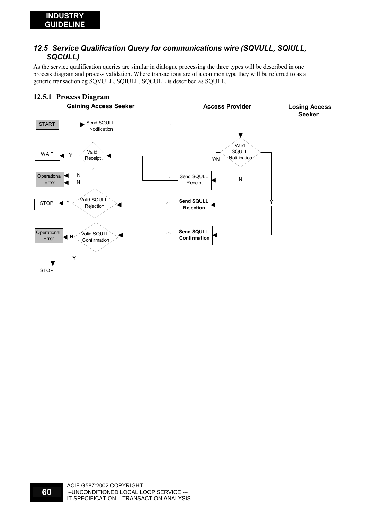#### *12.5 Service Qualification Query for communications wire (SQVULL, SQIULL, SQCULL)*

As the service qualification queries are similar in dialogue processing the three types will be described in one process diagram and process validation. Where transactions are of a common type they will be referred to as a generic transaction eg SQVULL, SQIULL, SQCULL is described as SQULL.



# **12.5.1 Process Diagram**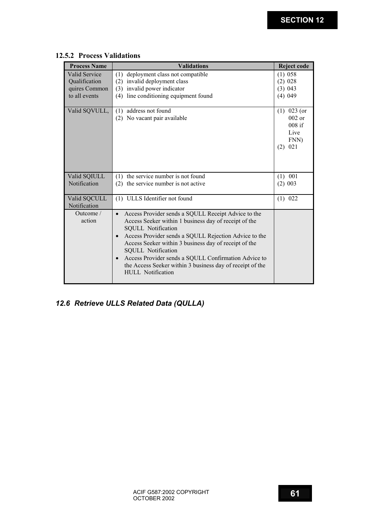| <b>Process Name</b>                                                     | <b>Validations</b>                                                                                                                                                                                                                                                                                                                                                                                                                                                        | <b>Reject code</b>                                               |
|-------------------------------------------------------------------------|---------------------------------------------------------------------------------------------------------------------------------------------------------------------------------------------------------------------------------------------------------------------------------------------------------------------------------------------------------------------------------------------------------------------------------------------------------------------------|------------------------------------------------------------------|
| <b>Valid Service</b><br>Qualification<br>quires Common<br>to all events | deployment class not compatible<br>(1)<br>invalid deployment class<br>(2)<br>invalid power indicator<br>(3)<br>line conditioning equipment found<br>(4)                                                                                                                                                                                                                                                                                                                   | $(1)$ 058<br>$(2)$ 028<br>$(3)$ 043<br>$(4)$ 049                 |
| Valid SQVULL,                                                           | address not found<br>(1)<br>No vacant pair available<br>(2)                                                                                                                                                                                                                                                                                                                                                                                                               | $(1)$ 023 (or<br>$002$ or<br>008 if<br>Live<br>FNN)<br>$(2)$ 021 |
| Valid SQIULL<br>Notification                                            | (1) the service number is not found<br>the service number is not active<br>(2)                                                                                                                                                                                                                                                                                                                                                                                            | $(1)$ 001<br>$(2)$ 003                                           |
| Valid SQCULL<br>Notification                                            | (1) ULLS Identifier not found                                                                                                                                                                                                                                                                                                                                                                                                                                             | $(1)$ 022                                                        |
| Outcome $\sqrt{ }$<br>action                                            | Access Provider sends a SQULL Receipt Advice to the<br>$\bullet$<br>Access Seeker within 1 business day of receipt of the<br><b>SQULL Notification</b><br>Access Provider sends a SQULL Rejection Advice to the<br>$\bullet$<br>Access Seeker within 3 business day of receipt of the<br><b>SQULL Notification</b><br>Access Provider sends a SQULL Confirmation Advice to<br>$\bullet$<br>the Access Seeker within 3 business day of receipt of the<br>HULL Notification |                                                                  |

#### **12.5.2 Process Validations**

# *12.6 Retrieve ULLS Related Data (QULLA)*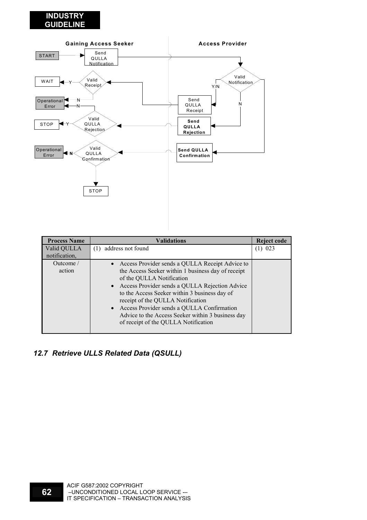

| <b>Process Name</b>          | <b>Validations</b>                                                                                                                                                                                                                                                                                                                                                                                                          | Reject code |
|------------------------------|-----------------------------------------------------------------------------------------------------------------------------------------------------------------------------------------------------------------------------------------------------------------------------------------------------------------------------------------------------------------------------------------------------------------------------|-------------|
| Valid QULLA<br>notification, | address not found<br>(1)                                                                                                                                                                                                                                                                                                                                                                                                    | (1) 023     |
| Outcome /<br>action          | • Access Provider sends a QULLA Receipt Advice to<br>the Access Seeker within 1 business day of receipt<br>of the QULLA Notification<br>• Access Provider sends a QULLA Rejection Advice<br>to the Access Seeker within 3 business day of<br>receipt of the QULLA Notification<br>• Access Provider sends a QULLA Confirmation<br>Advice to the Access Seeker within 3 business day<br>of receipt of the QULLA Notification |             |

## *12.7 Retrieve ULLS Related Data (QSULL)*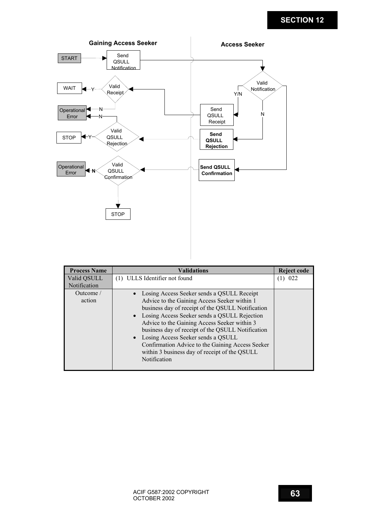

| <b>Process Name</b>         | <b>Validations</b>                                                                                                                                                                                                                                                                                                                                                                                                                                                    | <b>Reject code</b> |
|-----------------------------|-----------------------------------------------------------------------------------------------------------------------------------------------------------------------------------------------------------------------------------------------------------------------------------------------------------------------------------------------------------------------------------------------------------------------------------------------------------------------|--------------------|
| Valid QSULL<br>Notification | (1) ULLS Identifier not found                                                                                                                                                                                                                                                                                                                                                                                                                                         | 022                |
| Outcome /<br>action         | • Losing Access Seeker sends a QSULL Receipt<br>Advice to the Gaining Access Seeker within 1<br>business day of receipt of the QSULL Notification<br>• Losing Access Seeker sends a QSULL Rejection<br>Advice to the Gaining Access Seeker within 3<br>business day of receipt of the QSULL Notification<br>• Losing Access Seeker sends a QSULL<br>Confirmation Advice to the Gaining Access Seeker<br>within 3 business day of receipt of the QSULL<br>Notification |                    |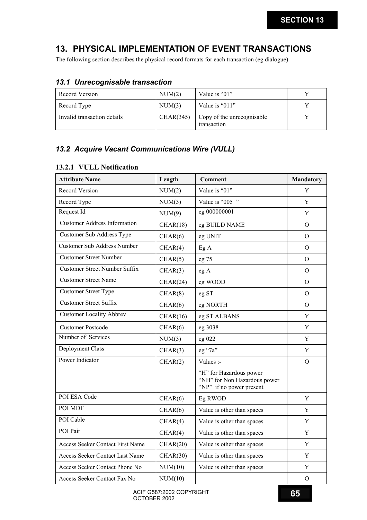## **13. PHYSICAL IMPLEMENTATION OF EVENT TRANSACTIONS**

The following section describes the physical record formats for each transaction (eg dialogue)

## *13.1 Unrecognisable transaction*

| Record Version              | NUM(2)    | Value is " $01$ "                         |  |
|-----------------------------|-----------|-------------------------------------------|--|
| Record Type                 | NUM(3)    | Value is "011"                            |  |
| Invalid transaction details | CHAR(345) | Copy of the unrecognisable<br>transaction |  |

## *13.2 Acquire Vacant Communications Wire (VULL)*

## **13.2.1 VULL Notification**

| <b>Attribute Name</b>                   | Length   | <b>Comment</b>                                                                      | Mandatory      |
|-----------------------------------------|----------|-------------------------------------------------------------------------------------|----------------|
| <b>Record Version</b>                   | NUM(2)   | Value is "01"                                                                       | Y              |
| Record Type                             | NUM(3)   | Value is "005"                                                                      | Y              |
| Request Id                              | NUM(9)   | eg 000000001                                                                        | Y              |
| <b>Customer Address Information</b>     | CHAR(18) | eg BUILD NAME                                                                       | $\overline{O}$ |
| <b>Customer Sub Address Type</b>        | CHAR(6)  | eg UNIT                                                                             | $\mathbf{O}$   |
| <b>Customer Sub Address Number</b>      | CHAR(4)  | Eg A                                                                                | $\overline{O}$ |
| <b>Customer Street Number</b>           | CHAR(5)  | eg 75                                                                               | $\overline{O}$ |
| <b>Customer Street Number Suffix</b>    | CHAR(3)  | eg A                                                                                | $\overline{O}$ |
| <b>Customer Street Name</b>             | CHAR(24) | eg WOOD                                                                             | $\overline{O}$ |
| <b>Customer Street Type</b>             | CHAR(8)  | eg ST                                                                               | $\overline{O}$ |
| <b>Customer Street Suffix</b>           | CHAR(6)  | eg NORTH                                                                            | $\overline{O}$ |
| <b>Customer Locality Abbrev</b>         | CHAR(16) | eg ST ALBANS                                                                        | $\mathbf Y$    |
| <b>Customer Postcode</b>                | CHAR(6)  | eg 3038                                                                             | Y              |
| Number of Services                      | NUM(3)   | eg 022                                                                              | Y              |
| Deployment Class                        | CHAR(3)  | eg "7a"                                                                             | $\mathbf Y$    |
| Power Indicator                         | CHAR(2)  | Values :-                                                                           | $\Omega$       |
|                                         |          | "H" for Hazardous power<br>"NH" for Non Hazardous power<br>"NP" if no power present |                |
| POI ESA Code                            | CHAR(6)  | Eg RWOD                                                                             | Y              |
| POI MDF                                 | CHAR(6)  | Value is other than spaces                                                          | Y              |
| POI Cable                               | CHAR(4)  | Value is other than spaces                                                          | $\mathbf Y$    |
| POI Pair                                | CHAR(4)  | Value is other than spaces                                                          | $\mathbf Y$    |
| <b>Access Seeker Contact First Name</b> | CHAR(20) | Value is other than spaces                                                          | $\mathbf Y$    |
| Access Seeker Contact Last Name         | CHAR(30) | Value is other than spaces                                                          | Y              |
| Access Seeker Contact Phone No          | NUM(10)  | Value is other than spaces                                                          | $\mathbf Y$    |
| Access Seeker Contact Fax No            | NUM(10)  |                                                                                     | $\mathbf{O}$   |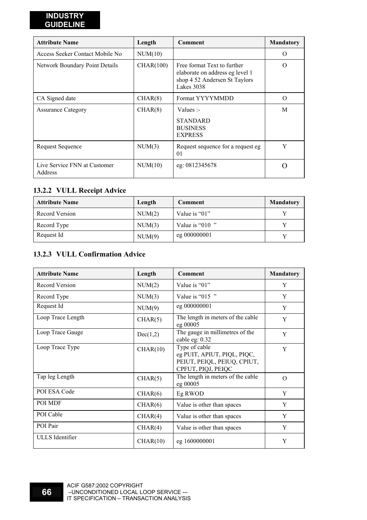### **INDUSTRY GUIDELINE**

| <b>Attribute Name</b>                   | Length    | Comment                                                                                                       | <b>Mandatory</b> |
|-----------------------------------------|-----------|---------------------------------------------------------------------------------------------------------------|------------------|
| Access Seeker Contact Mobile No         | NUM(10)   |                                                                                                               | O                |
| Network Boundary Point Details          | CHAR(100) | Free format Text to further<br>elaborate on address eg level 1<br>shop 4 52 Andersen St Taylors<br>Lakes 3038 | O                |
| CA Signed date                          | CHAR(8)   | Format YYYYMMDD                                                                                               | O                |
| <b>Assurance Category</b>               | CHAR(8)   | Values :-<br><b>STANDARD</b><br><b>BUSINESS</b><br><b>EXPRESS</b>                                             | M                |
| <b>Request Sequence</b>                 | NUM(3)    | Request sequence for a request eg<br>01                                                                       | Y                |
| Live Service FNN at Customer<br>Address | NUM(10)   | eg: 0812345678                                                                                                |                  |

## **13.2.2 VULL Receipt Advice**

| <b>Attribute Name</b> | Length | Comment           | <b>Mandatory</b> |
|-----------------------|--------|-------------------|------------------|
| Record Version        | NUM(2) | Value is " $01$ " |                  |
| Record Type           | NUM(3) | Value is "010"    |                  |
| Request Id            | NUM(9) | eg 000000001      |                  |

## **13.2.3 VULL Confirmation Advice**

| <b>Attribute Name</b>  | Length   | Comment                                                                                           | <b>Mandatory</b> |
|------------------------|----------|---------------------------------------------------------------------------------------------------|------------------|
| Record Version         | NUM(2)   | Value is "01"                                                                                     | Y                |
| Record Type            | NUM(3)   | Value is "015"                                                                                    | Y                |
| Request Id             | NUM(9)   | eg 000000001                                                                                      | Y                |
| Loop Trace Length      | CHAR(5)  | The length in meters of the cable<br>eg 00005                                                     | Y                |
| Loop Trace Gauge       | Dec(1,2) | The gauge in millimetres of the<br>cable eg: 0.32                                                 | Y                |
| Loop Trace Type        | CHAR(10) | Type of cable<br>eg PUIT, APIUT, PIQL, PIQC,<br>PEIUT, PEIQL, PEIUQ, CPIUT,<br>CPFUT, PIQJ, PEIQC | Y                |
| Tap leg Length         | CHAR(5)  | The length in meters of the cable<br>eg 00005                                                     | $\Omega$         |
| POI ESA Code           | CHAR(6)  | Eg RWOD                                                                                           | Y                |
| POI MDF                | CHAR(6)  | Value is other than spaces                                                                        | Y                |
| POI Cable              | CHAR(4)  | Value is other than spaces                                                                        | Y                |
| POI Pair               | CHAR(4)  | Value is other than spaces                                                                        | Y                |
| <b>ULLS</b> Identifier | CHAR(10) | eg 1600000001                                                                                     | Y                |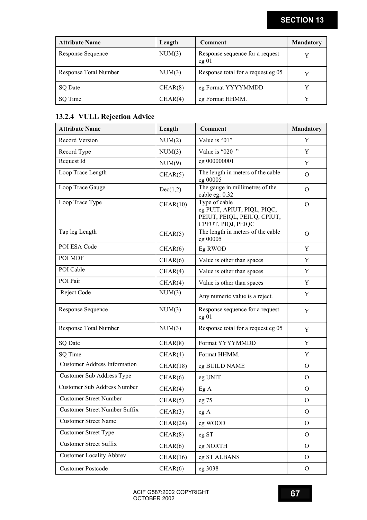## **SECTION 13**

| <b>Attribute Name</b> | Length  | Comment                                     | <b>Mandatory</b> |
|-----------------------|---------|---------------------------------------------|------------------|
| Response Sequence     | NUM(3)  | Response sequence for a request<br>$eg\ 01$ | v                |
| Response Total Number | NUM(3)  | Response total for a request eg 05          | v                |
| SQ Date               | CHAR(8) | eg Format YYYYMMDD                          |                  |
| SQ Time               | CHAR(4) | eg Format HHMM.                             |                  |

## **13.2.4 VULL Rejection Advice**

| <b>Attribute Name</b>                | Length   | <b>Comment</b>                                                                                    | <b>Mandatory</b> |
|--------------------------------------|----------|---------------------------------------------------------------------------------------------------|------------------|
| Record Version                       | NUM(2)   | Value is "01"                                                                                     | Y                |
| Record Type                          | NUM(3)   | Value is "020"                                                                                    | Y                |
| Request Id                           | NUM(9)   | eg 000000001                                                                                      | Y                |
| Loop Trace Length                    | CHAR(5)  | The length in meters of the cable<br>eg 00005                                                     | $\overline{O}$   |
| Loop Trace Gauge                     | Dec(1,2) | The gauge in millimetres of the<br>cable eg: 0.32                                                 | $\overline{O}$   |
| Loop Trace Type                      | CHAR(10) | Type of cable<br>eg PUIT, APIUT, PIQL, PIQC,<br>PEIUT, PEIQL, PEIUQ, CPIUT,<br>CPFUT, PIQJ, PEIQC | $\overline{O}$   |
| Tap leg Length                       | CHAR(5)  | The length in meters of the cable<br>eg 00005                                                     | $\overline{O}$   |
| POI ESA Code                         | CHAR(6)  | Eg RWOD                                                                                           | Y                |
| POI MDF                              | CHAR(6)  | Value is other than spaces                                                                        | Y                |
| POI Cable                            | CHAR(4)  | Value is other than spaces                                                                        | Y                |
| POI Pair                             | CHAR(4)  | Value is other than spaces                                                                        | Y                |
| Reject Code                          | NUM(3)   | Any numeric value is a reject.                                                                    | Y                |
| Response Sequence                    | NUM(3)   | Response sequence for a request<br>eg 01                                                          | Y                |
| Response Total Number                | NUM(3)   | Response total for a request eg 05                                                                | Y                |
| SQ Date                              | CHAR(8)  | Format YYYYMMDD                                                                                   | Y                |
| SQ Time                              | CHAR(4)  | Format HHMM.                                                                                      | Y                |
| <b>Customer Address Information</b>  | CHAR(18) | eg BUILD NAME                                                                                     | $\overline{O}$   |
| Customer Sub Address Type            | CHAR(6)  | eg UNIT                                                                                           | $\Omega$         |
| <b>Customer Sub Address Number</b>   | CHAR(4)  | Eg A                                                                                              | $\mathbf{O}$     |
| <b>Customer Street Number</b>        | CHAR(5)  | eg 75                                                                                             | $\mathcal{O}$    |
| <b>Customer Street Number Suffix</b> | CHAR(3)  | eg A                                                                                              | $\overline{O}$   |
| <b>Customer Street Name</b>          | CHAR(24) | eg WOOD                                                                                           | $\mathbf{O}$     |
| <b>Customer Street Type</b>          | CHAR(8)  | eg ST                                                                                             | $\mathbf{O}$     |
| <b>Customer Street Suffix</b>        | CHAR(6)  | eg NORTH                                                                                          | $\Omega$         |
| <b>Customer Locality Abbrev</b>      | CHAR(16) | eg ST ALBANS                                                                                      | $\Omega$         |
| <b>Customer Postcode</b>             | CHAR(6)  | eg 3038                                                                                           | $\mathbf{O}$     |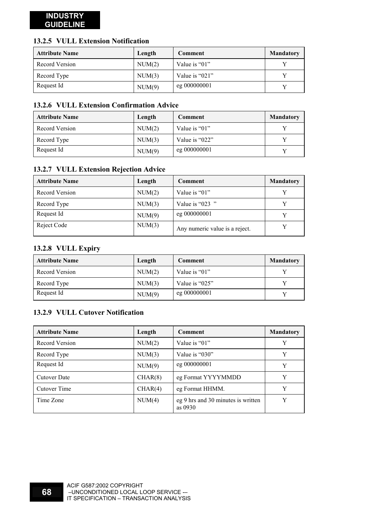#### **13.2.5 VULL Extension Notification**

| <b>Attribute Name</b> | Length | Comment            | <b>Mandatory</b> |
|-----------------------|--------|--------------------|------------------|
| Record Version        | NUM(2) | Value is " $01$ "  |                  |
| Record Type           | NUM(3) | Value is " $021$ " |                  |
| Request Id            | NUM(9) | eg 000000001       |                  |

### **13.2.6 VULL Extension Confirmation Advice**

| <b>Attribute Name</b> | Length | Comment            | <b>Mandatory</b> |
|-----------------------|--------|--------------------|------------------|
| Record Version        | NUM(2) | Value is " $01$ "  |                  |
| Record Type           | NUM(3) | Value is " $022$ " |                  |
| Request Id            | NUM(9) | eg 000000001       |                  |

## **13.2.7 VULL Extension Rejection Advice**

| <b>Attribute Name</b> | Length | <b>Comment</b>                 | <b>Mandatory</b> |
|-----------------------|--------|--------------------------------|------------------|
| Record Version        | NUM(2) | Value is " $01$ "              |                  |
| Record Type           | NUM(3) | Value is "023"                 |                  |
| Request Id            | NUM(9) | eg 000000001                   |                  |
| Reject Code           | NUM(3) | Any numeric value is a reject. |                  |

#### **13.2.8 VULL Expiry**

| <b>Attribute Name</b> | Length | Comment        | <b>Mandatory</b> |
|-----------------------|--------|----------------|------------------|
| Record Version        | NUM(2) | Value is "01"  |                  |
| Record Type           | NUM(3) | Value is "025" |                  |
| Request Id            | NUM(9) | eg 000000001   |                  |

## **13.2.9 VULL Cutover Notification**

| <b>Attribute Name</b> | Length  | <b>Comment</b>                                | <b>Mandatory</b> |
|-----------------------|---------|-----------------------------------------------|------------------|
| Record Version        | NUM(2)  | Value is "01"                                 | Y                |
| Record Type           | NUM(3)  | Value is "030"                                | Y                |
| Request Id            | NUM(9)  | eg 000000001                                  |                  |
| Cutover Date          | CHAR(8) | eg Format YYYYMMDD                            |                  |
| Cutover Time          | CHAR(4) | eg Format HHMM.                               | Y                |
| Time Zone             | NUM(4)  | eg 9 hrs and 30 minutes is written<br>as 0930 | v                |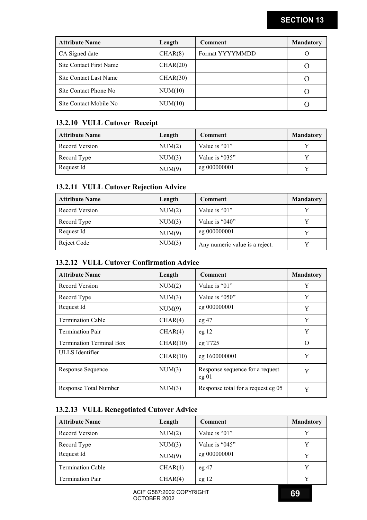## **SECTION 13**

| <b>Attribute Name</b>          | Length   | <b>Comment</b>  | <b>Mandatory</b> |
|--------------------------------|----------|-----------------|------------------|
| CA Signed date                 | CHAR(8)  | Format YYYYMMDD |                  |
| <b>Site Contact First Name</b> | CHAR(20) |                 |                  |
| Site Contact Last Name         | CHAR(30) |                 |                  |
| Site Contact Phone No          | NUM(10)  |                 |                  |
| Site Contact Mobile No         | NUM(10)  |                 |                  |

## **13.2.10 VULL Cutover Receipt**

| <b>Attribute Name</b> | Length | Comment           | <b>Mandatory</b> |
|-----------------------|--------|-------------------|------------------|
| Record Version        | NUM(2) | Value is " $01$ " |                  |
| Record Type           | NUM(3) | Value is "035"    |                  |
| Request Id            | NUM(9) | eg 000000001      |                  |

## **13.2.11 VULL Cutover Rejection Advice**

| <b>Attribute Name</b> | Length | Comment                        | <b>Mandatory</b> |
|-----------------------|--------|--------------------------------|------------------|
| Record Version        | NUM(2) | Value is " $01$ "              |                  |
| Record Type           | NUM(3) | Value is "040"                 |                  |
| Request Id            | NUM(9) | eg 000000001                   |                  |
| Reject Code           | NUM(3) | Any numeric value is a reject. |                  |

#### **13.2.12 VULL Cutover Confirmation Advice**

| <b>Attribute Name</b>           | Length   | Comment                                     | <b>Mandatory</b> |
|---------------------------------|----------|---------------------------------------------|------------------|
| Record Version                  | NUM(2)   | Value is "01"                               | Y                |
| Record Type                     | NUM(3)   | Value is "050"                              | Y                |
| Request Id                      | NUM(9)   | eg 000000001                                | Y                |
| <b>Termination Cable</b>        | CHAR(4)  | eg47                                        | Y                |
| <b>Termination Pair</b>         | CHAR(4)  | eg 12                                       | Y                |
| <b>Termination Terminal Box</b> | CHAR(10) | eg T725                                     | $\Omega$         |
| <b>ULLS</b> Identifier          | CHAR(10) | eg 1600000001                               | Y                |
| Response Sequence               | NUM(3)   | Response sequence for a request<br>$eg\ 01$ | Y                |
| <b>Response Total Number</b>    | NUM(3)   | Response total for a request eg 05          | Y                |

# **13.2.13 VULL Renegotiated Cutover Advice**

| <b>Attribute Name</b>    | Length  | Comment        | <b>Mandatory</b> |  |
|--------------------------|---------|----------------|------------------|--|
| Record Version           | NUM(2)  | Value is "01"  | v                |  |
| Record Type              | NUM(3)  | Value is "045" |                  |  |
| Request Id               | NUM(9)  | eg 000000001   |                  |  |
| <b>Termination Cable</b> | CHAR(4) | eg47           |                  |  |
| <b>Termination Pair</b>  | CHAR(4) | eg 12          |                  |  |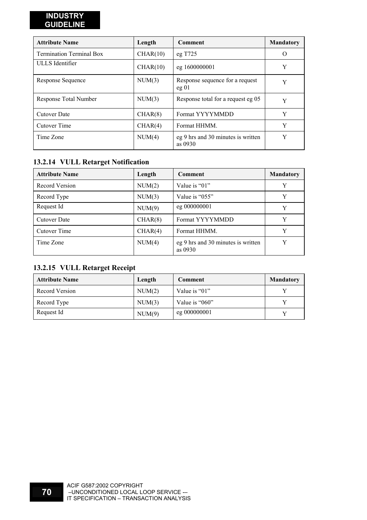### **INDUSTRY GUIDELINE**

| <b>Attribute Name</b>           | Length   | Comment                                       | <b>Mandatory</b> |
|---------------------------------|----------|-----------------------------------------------|------------------|
| <b>Termination Terminal Box</b> | CHAR(10) | eg T725                                       |                  |
| ULLS Identifier                 | CHAR(10) | eg 1600000001                                 | Y                |
| Response Sequence               | NUM(3)   | Response sequence for a request<br>$eg\ 01$   | Y                |
| Response Total Number           | NUM(3)   | Response total for a request eg 05            | Y                |
| <b>Cutover Date</b>             | CHAR(8)  | Format YYYYMMDD                               | Y                |
| Cutover Time                    | CHAR(4)  | Format HHMM.                                  | Y                |
| Time Zone                       | NUM(4)   | eg 9 hrs and 30 minutes is written<br>as 0930 | Y                |

## **13.2.14 VULL Retarget Notification**

| <b>Attribute Name</b> | Length  | Comment                                       | <b>Mandatory</b> |
|-----------------------|---------|-----------------------------------------------|------------------|
| Record Version        | NUM(2)  | Value is "01"                                 | Y                |
| Record Type           | NUM(3)  | Value is "055"                                | Y                |
| Request Id            | NUM(9)  | eg 000000001                                  | Y                |
| <b>Cutover Date</b>   | CHAR(8) | Format YYYYMMDD                               | Y                |
| Cutover Time          | CHAR(4) | Format HHMM.                                  | Y                |
| Time Zone             | NUM(4)  | eg 9 hrs and 30 minutes is written<br>as 0930 | Y                |

## **13.2.15 VULL Retarget Receipt**

| <b>Attribute Name</b> | Length | Comment           | <b>Mandatory</b> |
|-----------------------|--------|-------------------|------------------|
| Record Version        | NUM(2) | Value is " $01$ " |                  |
| Record Type           | NUM(3) | Value is "060"    |                  |
| Request Id            | NUM(9) | eg 000000001      |                  |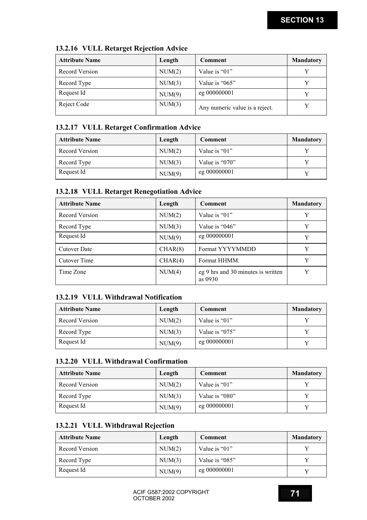| <b>Attribute Name</b> | Length | <b>Comment</b>                 | <b>Mandatory</b> |
|-----------------------|--------|--------------------------------|------------------|
| Record Version        | NUM(2) | Value is " $01$ "              | v                |
| Record Type           | NUM(3) | Value is "065"                 |                  |
| Request Id            | NUM(9) | eg 000000001                   |                  |
| Reject Code           | NUM(3) | Any numeric value is a reject. |                  |

## **13.2.16 VULL Retarget Rejection Advice**

## **13.2.17 VULL Retarget Confirmation Advice**

| <b>Attribute Name</b> | Length | Comment           | <b>Mandatory</b> |
|-----------------------|--------|-------------------|------------------|
| Record Version        | NUM(2) | Value is " $01$ " |                  |
| Record Type           | NUM(3) | Value is "070"    |                  |
| Request Id            | NUM(9) | eg 000000001      |                  |

## **13.2.18 VULL Retarget Renegotiation Advice**

| <b>Attribute Name</b> | Length  | <b>Comment</b>                                | <b>Mandatory</b> |
|-----------------------|---------|-----------------------------------------------|------------------|
| Record Version        | NUM(2)  | Value is "01"                                 | Y                |
| Record Type           | NUM(3)  | Value is "046"                                | Y                |
| Request Id            | NUM(9)  | eg 000000001                                  | Y                |
| Cutover Date          | CHAR(8) | Format YYYYMMDD                               | Y                |
| Cutover Time          | CHAR(4) | Format HHMM.                                  | Y                |
| Time Zone             | NUM(4)  | eg 9 hrs and 30 minutes is written<br>as 0930 | Y                |

### **13.2.19 VULL Withdrawal Notification**

| <b>Attribute Name</b> | Length | Comment           | <b>Mandatory</b> |
|-----------------------|--------|-------------------|------------------|
| Record Version        | NUM(2) | Value is " $01$ " |                  |
| Record Type           | NUM(3) | Value is "075"    |                  |
| Request Id            | NUM(9) | eg 000000001      |                  |

## **13.2.20 VULL Withdrawal Confirmation**

| <b>Attribute Name</b> | Length | Comment        | <b>Mandatory</b> |
|-----------------------|--------|----------------|------------------|
| Record Version        | NUM(2) | Value is "01"  |                  |
| Record Type           | NUM(3) | Value is "080" |                  |
| Request Id            | NUM(9) | eg 000000001   |                  |

#### **13.2.21 VULL Withdrawal Rejection**

| <b>Attribute Name</b> | Length | Comment        | <b>Mandatory</b> |
|-----------------------|--------|----------------|------------------|
| Record Version        | NUM(2) | Value is "01"  |                  |
| Record Type           | NUM(3) | Value is "085" |                  |
| Request Id            | NUM(9) | eg 000000001   |                  |

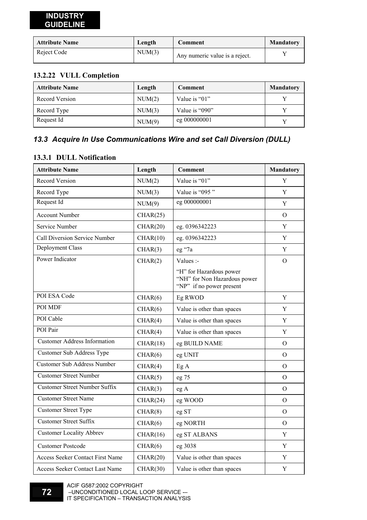| <b>Attribute Name</b> | Length | Comment                        | <b>Mandatory</b> |
|-----------------------|--------|--------------------------------|------------------|
| Reject Code           | NUM(3) | Any numeric value is a reject. |                  |

## **13.2.22 VULL Completion**

| <b>Attribute Name</b> | Length | Comment           | <b>Mandatory</b> |
|-----------------------|--------|-------------------|------------------|
| Record Version        | NUM(2) | Value is " $01$ " |                  |
| Record Type           | NUM(3) | Value is "090"    |                  |
| Request Id            | NUM(9) | eg 000000001      |                  |

## *13.3 Acquire In Use Communications Wire and set Call Diversion (DULL)*

## **13.3.1 DULL Notification**

| <b>Attribute Name</b>                   | Length   | <b>Comment</b>                                                                      | Mandatory      |
|-----------------------------------------|----------|-------------------------------------------------------------------------------------|----------------|
| <b>Record Version</b>                   | NUM(2)   | Value is "01"                                                                       | $\mathbf Y$    |
| Record Type                             | NUM(3)   | Value is "095"                                                                      | Y              |
| Request Id                              | NUM(9)   | eg 000000001                                                                        | Y              |
| <b>Account Number</b>                   | CHAR(25) |                                                                                     | $\Omega$       |
| Service Number                          | CHAR(20) | eg. 0396342223                                                                      | Y              |
| <b>Call Diversion Service Number</b>    | CHAR(10) | eg. 0396342223                                                                      | $\mathbf Y$    |
| Deployment Class                        | CHAR(3)  | eg "7a                                                                              | $\mathbf Y$    |
| Power Indicator                         | CHAR(2)  | Values :-                                                                           | $\Omega$       |
|                                         |          | "H" for Hazardous power<br>"NH" for Non Hazardous power<br>"NP" if no power present |                |
| POI ESA Code                            | CHAR(6)  | Eg RWOD                                                                             | Y              |
| POI MDF                                 | CHAR(6)  | Value is other than spaces                                                          | $\mathbf Y$    |
| POI Cable                               | CHAR(4)  | Value is other than spaces                                                          | Y              |
| POI Pair                                | CHAR(4)  | Value is other than spaces                                                          | Y              |
| <b>Customer Address Information</b>     | CHAR(18) | eg BUILD NAME                                                                       | $\overline{O}$ |
| <b>Customer Sub Address Type</b>        | CHAR(6)  | eg UNIT                                                                             | $\mathbf{O}$   |
| <b>Customer Sub Address Number</b>      | CHAR(4)  | Eg A                                                                                | $\Omega$       |
| <b>Customer Street Number</b>           | CHAR(5)  | $eg\ 75$                                                                            | $\overline{O}$ |
| <b>Customer Street Number Suffix</b>    | CHAR(3)  | eg A                                                                                | $\mathbf{O}$   |
| <b>Customer Street Name</b>             | CHAR(24) | eg WOOD                                                                             | $\Omega$       |
| <b>Customer Street Type</b>             | CHAR(8)  | eg ST                                                                               | $\Omega$       |
| <b>Customer Street Suffix</b>           | CHAR(6)  | eg NORTH                                                                            | $\overline{O}$ |
| <b>Customer Locality Abbrev</b>         | CHAR(16) | eg ST ALBANS                                                                        | $\mathbf Y$    |
| <b>Customer Postcode</b>                | CHAR(6)  | eg 3038                                                                             | $\mathbf Y$    |
| <b>Access Seeker Contact First Name</b> | CHAR(20) | Value is other than spaces                                                          | Y              |
| Access Seeker Contact Last Name         | CHAR(30) | Value is other than spaces                                                          | $\mathbf Y$    |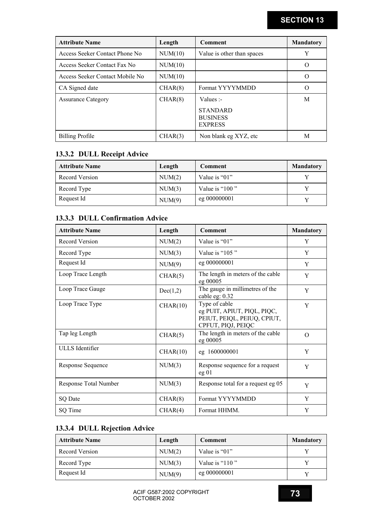| <b>Attribute Name</b>           | Length  | <b>Comment</b>                                                    | <b>Mandatory</b> |
|---------------------------------|---------|-------------------------------------------------------------------|------------------|
| Access Seeker Contact Phone No  | NUM(10) | Value is other than spaces                                        | Y                |
| Access Seeker Contact Fax No    | NUM(10) |                                                                   | $\Omega$         |
| Access Seeker Contact Mobile No | NUM(10) |                                                                   | $\Omega$         |
| CA Signed date                  | CHAR(8) | Format YYYYMMDD                                                   | $\Omega$         |
| <b>Assurance Category</b>       | CHAR(8) | Values :-<br><b>STANDARD</b><br><b>BUSINESS</b><br><b>EXPRESS</b> | M                |
| Billing Profile                 | CHAR(3) | Non blank eg XYZ, etc                                             | М                |

## **13.3.2 DULL Receipt Advice**

| <b>Attribute Name</b> | Length | <b>Comment</b>     | <b>Mandatory</b> |
|-----------------------|--------|--------------------|------------------|
| Record Version        | NUM(2) | Value is " $01$ "  |                  |
| Record Type           | NUM(3) | Value is " $100$ " |                  |
| Request Id            | NUM(9) | eg 000000001       |                  |

### **13.3.3 DULL Confirmation Advice**

| <b>Attribute Name</b>  | Length   | Comment                                                                                           | <b>Mandatory</b> |
|------------------------|----------|---------------------------------------------------------------------------------------------------|------------------|
| Record Version         | NUM(2)   | Value is "01"                                                                                     | Y                |
| Record Type            | NUM(3)   | Value is "105"                                                                                    | Y                |
| Request Id             | NUM(9)   | eg 000000001                                                                                      | Y                |
| Loop Trace Length      | CHAR(5)  | The length in meters of the cable<br>eg 00005                                                     | Y                |
| Loop Trace Gauge       | Dec(1,2) | The gauge in millimetres of the<br>cable eg: 0.32                                                 | Y                |
| Loop Trace Type        | CHAR(10) | Type of cable<br>eg PUIT, APIUT, PIQL, PIQC,<br>PEIUT, PEIQL, PEIUQ, CPIUT,<br>CPFUT, PIQJ, PEIQC | Y                |
| Tap leg Length         | CHAR(5)  | The length in meters of the cable<br>eg 00005                                                     | $\Omega$         |
| <b>ULLS</b> Identifier | CHAR(10) | eg 1600000001                                                                                     | Y                |
| Response Sequence      | NUM(3)   | Response sequence for a request<br>$eg\ 01$                                                       | Y                |
| Response Total Number  | NUM(3)   | Response total for a request eg 05                                                                | Y                |
| SQ Date                | CHAR(8)  | Format YYYYMMDD                                                                                   | Y                |
| SQ Time                | CHAR(4)  | Format HHMM.                                                                                      | Y                |

## **13.3.4 DULL Rejection Advice**

| <b>Attribute Name</b> | Length | Comment            | <b>Mandatory</b> |
|-----------------------|--------|--------------------|------------------|
| Record Version        | NUM(2) | Value is " $01$ "  |                  |
| Record Type           | NUM(3) | Value is " $110$ " |                  |
| Request Id            | NUM(9) | eg 000000001       |                  |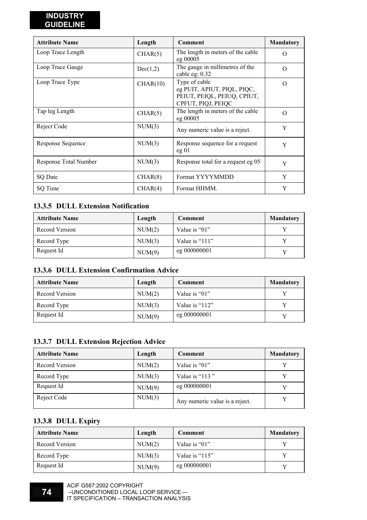#### **INDUSTRY GUIDELINE**

| <b>Attribute Name</b> | Length   | Comment                                                                                           | <b>Mandatory</b> |
|-----------------------|----------|---------------------------------------------------------------------------------------------------|------------------|
| Loop Trace Length     | CHAR(5)  | The length in meters of the cable<br>eg 00005                                                     | Ω                |
| Loop Trace Gauge      | Dec(1,2) | The gauge in millimetres of the<br>cable eg: 0.32                                                 | O                |
| Loop Trace Type       | CHAR(10) | Type of cable<br>eg PUIT, APIUT, PIQL, PIQC,<br>PEIUT, PEIQL, PEIUQ, CPIUT,<br>CPFUT, PIQJ, PEIQC | O                |
| Tap leg Length        | CHAR(5)  | The length in meters of the cable<br>eg 00005                                                     | ∩                |
| Reject Code           | NUM(3)   | Any numeric value is a reject.                                                                    | Y                |
| Response Sequence     | NUM(3)   | Response sequence for a request<br>$eg\ 01$                                                       | Y                |
| Response Total Number | NUM(3)   | Response total for a request eg 05                                                                | Y                |
| SQ Date               | CHAR(8)  | Format YYYYMMDD                                                                                   | Y                |
| SQ Time               | CHAR(4)  | Format HHMM.                                                                                      | Y                |

## **13.3.5 DULL Extension Notification**

| <b>Attribute Name</b> | Length | Comment           | <b>Mandatory</b> |
|-----------------------|--------|-------------------|------------------|
| <b>Record Version</b> | NUM(2) | Value is " $01$ " |                  |
| Record Type           | NUM(3) | Value is "111"    |                  |
| Request Id            | NUM(9) | eg 000000001      |                  |

## **13.3.6 DULL Extension Confirmation Advice**

| <b>Attribute Name</b> | Length | Comment            | <b>Mandatory</b> |
|-----------------------|--------|--------------------|------------------|
| Record Version        | NUM(2) | Value is " $01$ "  |                  |
| Record Type           | NUM(3) | Value is " $112$ " |                  |
| Request Id            | NUM(9) | eg 000000001       |                  |

### **13.3.7 DULL Extension Rejection Advice**

| <b>Attribute Name</b> | Length | Comment                        | <b>Mandatory</b> |
|-----------------------|--------|--------------------------------|------------------|
| Record Version        | NUM(2) | Value is "01"                  |                  |
| Record Type           | NUM(3) | Value is "113"                 |                  |
| Request Id            | NUM(9) | eg 000000001                   |                  |
| Reject Code           | NUM(3) | Any numeric value is a reject. |                  |

## **13.3.8 DULL Expiry**

| <b>Attribute Name</b> | Length | Comment           | <b>Mandatory</b> |
|-----------------------|--------|-------------------|------------------|
| <b>Record Version</b> | NUM(2) | Value is " $01$ " |                  |
| Record Type           | NUM(3) | Value is "115"    |                  |
| Request Id            | NUM(9) | eg 000000001      |                  |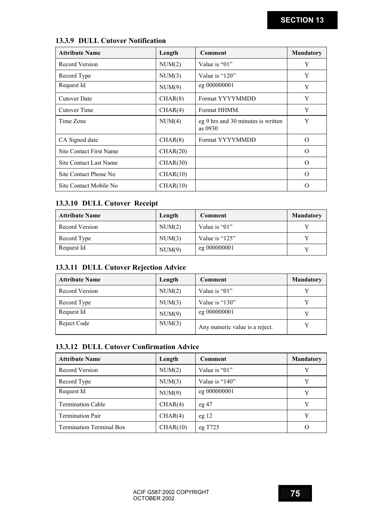| <b>Attribute Name</b>          | Length   | Comment                                       | <b>Mandatory</b> |
|--------------------------------|----------|-----------------------------------------------|------------------|
| Record Version                 | NUM(2)   | Value is " $01$ "                             | Y                |
| Record Type                    | NUM(3)   | Value is "120"                                | Y                |
| Request Id                     | NUM(9)   | eg 000000001                                  | Y                |
| Cutover Date                   | CHAR(8)  | Format YYYYMMDD                               | Y                |
| Cutover Time                   | CHAR(4)  | Format HHMM.                                  | Y                |
| Time Zone                      | NUM(4)   | eg 9 hrs and 30 minutes is written<br>as 0930 | Y                |
| CA Signed date                 | CHAR(8)  | Format YYYYMMDD                               | O                |
| <b>Site Contact First Name</b> | CHAR(20) |                                               | $\Omega$         |
| <b>Site Contact Last Name</b>  | CHAR(30) |                                               | O                |
| Site Contact Phone No          | CHAR(10) |                                               | $\Omega$         |
| Site Contact Mobile No         | CHAR(10) |                                               | $\left( \right)$ |

#### **13.3.9 DULL Cutover Notification**

## **13.3.10 DULL Cutover Receipt**

| <b>Attribute Name</b> | Length | <b>Comment</b>    | <b>Mandatory</b> |
|-----------------------|--------|-------------------|------------------|
| Record Version        | NUM(2) | Value is " $01$ " |                  |
| Record Type           | NUM(3) | Value is "125"    |                  |
| Request Id            | NUM(9) | eg 000000001      |                  |

## **13.3.11 DULL Cutover Rejection Advice**

| <b>Attribute Name</b> | Length | Comment                        | <b>Mandatory</b> |
|-----------------------|--------|--------------------------------|------------------|
| Record Version        | NUM(2) | Value is "01"                  |                  |
| Record Type           | NUM(3) | Value is "130"                 |                  |
| Request Id            | NUM(9) | eg 000000001                   |                  |
| Reject Code           | NUM(3) | Any numeric value is a reject. |                  |

#### **13.3.12 DULL Cutover Confirmation Advice**

| <b>Attribute Name</b>           | Length   | Comment        | <b>Mandatory</b> |
|---------------------------------|----------|----------------|------------------|
| Record Version                  | NUM(2)   | Value is "01"  | Y                |
| Record Type                     | NUM(3)   | Value is "140" | Y                |
| Request Id                      | NUM(9)   | eg 000000001   |                  |
| <b>Termination Cable</b>        | CHAR(4)  | eg47           |                  |
| <b>Termination Pair</b>         | CHAR(4)  | eg 12          | Y                |
| <b>Termination Terminal Box</b> | CHAR(10) | eg T725        | $\Omega$         |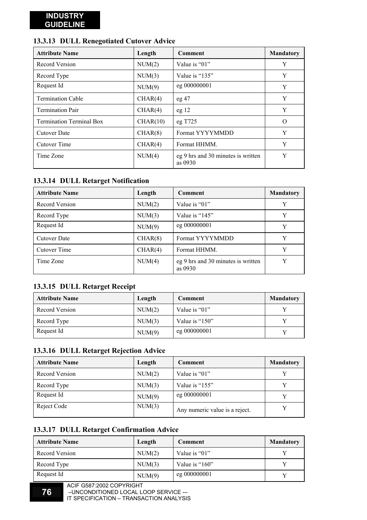## **13.3.13 DULL Renegotiated Cutover Advice**

| <b>Attribute Name</b>           | Length   | Comment                                       | <b>Mandatory</b> |
|---------------------------------|----------|-----------------------------------------------|------------------|
| Record Version                  | NUM(2)   | Value is "01"                                 | Y                |
| Record Type                     | NUM(3)   | Value is "135"                                | Y                |
| Request Id                      | NUM(9)   | eg 000000001                                  | Y                |
| <b>Termination Cable</b>        | CHAR(4)  | eg47                                          | Y                |
| <b>Termination Pair</b>         | CHAR(4)  | eg 12                                         | Y                |
| <b>Termination Terminal Box</b> | CHAR(10) | eg T725                                       | $\Omega$         |
| <b>Cutover Date</b>             | CHAR(8)  | Format YYYYMMDD                               | Y                |
| Cutover Time                    | CHAR(4)  | Format HHMM.                                  | Y                |
| Time Zone                       | NUM(4)   | eg 9 hrs and 30 minutes is written<br>as 0930 | Y                |

## **13.3.14 DULL Retarget Notification**

| <b>Attribute Name</b> | Length  | <b>Comment</b>                                | <b>Mandatory</b> |
|-----------------------|---------|-----------------------------------------------|------------------|
| Record Version        | NUM(2)  | Value is "01"                                 | Y                |
| Record Type           | NUM(3)  | Value is "145"                                | Y                |
| Request Id            | NUM(9)  | eg 000000001                                  | Y                |
| Cutover Date          | CHAR(8) | Format YYYYMMDD                               | Y                |
| Cutover Time          | CHAR(4) | Format HHMM.                                  | Y                |
| Time Zone             | NUM(4)  | eg 9 hrs and 30 minutes is written<br>as 0930 | Y                |

## **13.3.15 DULL Retarget Receipt**

| <b>Attribute Name</b> | Length | <b>Comment</b>    | <b>Mandatory</b> |
|-----------------------|--------|-------------------|------------------|
| Record Version        | NUM(2) | Value is " $01$ " |                  |
| Record Type           | NUM(3) | Value is "150"    |                  |
| Request Id            | NUM(9) | eg 000000001      |                  |

#### **13.3.16 DULL Retarget Rejection Advice**

| <b>Attribute Name</b> | Length | Comment                        | <b>Mandatory</b> |
|-----------------------|--------|--------------------------------|------------------|
| Record Version        | NUM(2) | Value is " $01$ "              |                  |
| Record Type           | NUM(3) | Value is "155"                 |                  |
| Request Id            | NUM(9) | eg 000000001                   |                  |
| Reject Code           | NUM(3) | Any numeric value is a reject. |                  |

## **13.3.17 DULL Retarget Confirmation Advice**

| <b>Attribute Name</b> | Length | Comment            | <b>Mandatory</b> |
|-----------------------|--------|--------------------|------------------|
| Record Version        | NUM(2) | Value is " $01$ "  |                  |
| Record Type           | NUM(3) | Value is " $160$ " |                  |
| Request Id            | NUM(9) | eg 000000001       |                  |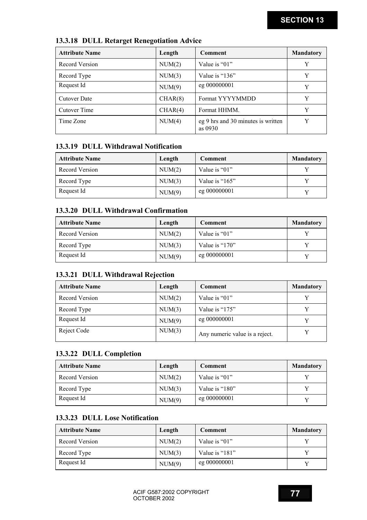$\overline{a}$ 

| -<br>-                |         |                                               |                  |
|-----------------------|---------|-----------------------------------------------|------------------|
| <b>Attribute Name</b> | Length  | Comment                                       | <b>Mandatory</b> |
| Record Version        | NUM(2)  | Value is "01"                                 | Y                |
| Record Type           | NUM(3)  | Value is "136"                                | Y                |
| Request Id            | NUM(9)  | eg 000000001                                  | Y                |
| <b>Cutover Date</b>   | CHAR(8) | Format YYYYMMDD                               | Y                |
| Cutover Time          | CHAR(4) | Format HHMM.                                  | Y                |
| Time Zone             | NUM(4)  | eg 9 hrs and 30 minutes is written<br>as 0930 | Y                |

## **13.3.18 DULL Retarget Renegotiation Advice**

## **13.3.19 DULL Withdrawal Notification**

| <b>Attribute Name</b> | Length | Comment            | <b>Mandatory</b> |
|-----------------------|--------|--------------------|------------------|
| Record Version        | NUM(2) | Value is " $01$ "  |                  |
| Record Type           | NUM(3) | Value is " $165$ " |                  |
| Request Id            | NUM(9) | eg 000000001       |                  |

#### **13.3.20 DULL Withdrawal Confirmation**

| <b>Attribute Name</b> | Length | Comment           | <b>Mandatory</b> |
|-----------------------|--------|-------------------|------------------|
| <b>Record Version</b> | NUM(2) | Value is " $01$ " |                  |
| Record Type           | NUM(3) | Value is "170"    |                  |
| Request Id            | NUM(9) | eg 000000001      |                  |

## **13.3.21 DULL Withdrawal Rejection**

| <b>Attribute Name</b> | Length | <b>Comment</b>                 | <b>Mandatory</b> |
|-----------------------|--------|--------------------------------|------------------|
| Record Version        | NUM(2) | Value is " $01$ "              |                  |
| Record Type           | NUM(3) | Value is "175"                 |                  |
| Request Id            | NUM(9) | eg 000000001                   |                  |
| Reject Code           | NUM(3) | Any numeric value is a reject. |                  |

#### **13.3.22 DULL Completion**

| <b>Attribute Name</b> | Length | Comment           | <b>Mandatory</b> |
|-----------------------|--------|-------------------|------------------|
| Record Version        | NUM(2) | Value is " $01$ " |                  |
| Record Type           | NUM(3) | Value is "180"    |                  |
| Request Id            | NUM(9) | eg 000000001      |                  |

#### **13.3.23 DULL Lose Notification**

| <b>Attribute Name</b> | Length | Comment           | <b>Mandatory</b> |
|-----------------------|--------|-------------------|------------------|
| Record Version        | NUM(2) | Value is " $01$ " |                  |
| Record Type           | NUM(3) | Value is "181"    |                  |
| Request Id            | NUM(9) | eg 000000001      |                  |

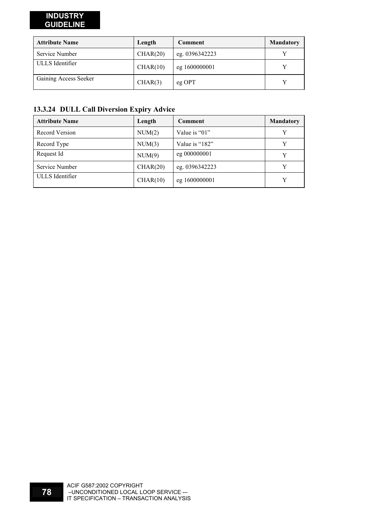### **INDUSTRY GUIDELINE**

| <b>Attribute Name</b> | Length   | Comment        | <b>Mandatory</b> |
|-----------------------|----------|----------------|------------------|
| Service Number        | CHAR(20) | eg. 0396342223 |                  |
| ULLS Identifier       | CHAR(10) | eg 1600000001  |                  |
| Gaining Access Seeker | CHAR(3)  | eg OPT         |                  |

## **13.3.24 DULL Call Diversion Expiry Advice**

| <b>Attribute Name</b> | Length   | Comment           | <b>Mandatory</b> |
|-----------------------|----------|-------------------|------------------|
| Record Version        | NUM(2)   | Value is " $01$ " | Y                |
| Record Type           | NUM(3)   | Value is "182"    | Y                |
| Request Id            | NUM(9)   | eg 000000001      | Y                |
| Service Number        | CHAR(20) | eg. 0396342223    | Y                |
| ULLS Identifier       | CHAR(10) | eg 1600000001     | Y                |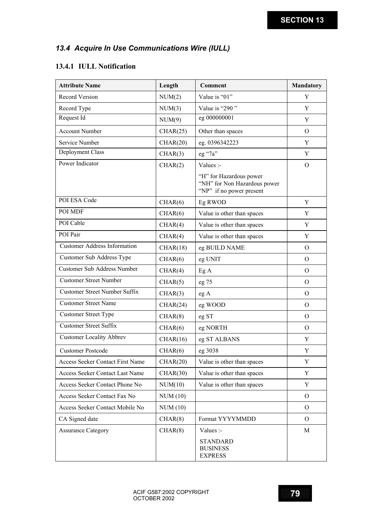## *13.4 Acquire In Use Communications Wire (IULL)*

## **13.4.1 IULL Notification**

| <b>Attribute Name</b>                   | Length   | <b>Comment</b>                                                                      | <b>Mandatory</b> |
|-----------------------------------------|----------|-------------------------------------------------------------------------------------|------------------|
| Record Version                          | NUM(2)   | Value is "01"                                                                       | Y                |
| Record Type                             | NUM(3)   | Value is "290"                                                                      | Y                |
| Request Id                              | NUM(9)   | eg 000000001                                                                        | Y                |
| <b>Account Number</b>                   | CHAR(25) | Other than spaces                                                                   | $\Omega$         |
| Service Number                          | CHAR(20) | eg. 0396342223                                                                      | Y                |
| Deployment Class                        | CHAR(3)  | eg "7a"                                                                             | Y                |
| Power Indicator                         | CHAR(2)  | Values :-                                                                           | $\Omega$         |
|                                         |          | "H" for Hazardous power<br>"NH" for Non Hazardous power<br>"NP" if no power present |                  |
| POI ESA Code                            | CHAR(6)  | Eg RWOD                                                                             | Y                |
| POI MDF                                 | CHAR(6)  | Value is other than spaces                                                          | Y                |
| POI Cable                               | CHAR(4)  | Value is other than spaces                                                          | Y                |
| POI Pair                                | CHAR(4)  | Value is other than spaces                                                          | Y                |
| <b>Customer Address Information</b>     | CHAR(18) | eg BUILD NAME                                                                       | $\Omega$         |
| <b>Customer Sub Address Type</b>        | CHAR(6)  | eg UNIT                                                                             | $\overline{O}$   |
| <b>Customer Sub Address Number</b>      | CHAR(4)  | EgA                                                                                 | $\overline{O}$   |
| <b>Customer Street Number</b>           | CHAR(5)  | eg 75                                                                               | $\overline{O}$   |
| <b>Customer Street Number Suffix</b>    | CHAR(3)  | eg A                                                                                | $\overline{O}$   |
| <b>Customer Street Name</b>             | CHAR(24) | eg WOOD                                                                             | $\Omega$         |
| <b>Customer Street Type</b>             | CHAR(8)  | eg ST                                                                               | $\overline{O}$   |
| <b>Customer Street Suffix</b>           | CHAR(6)  | eg NORTH                                                                            | $\Omega$         |
| <b>Customer Locality Abbrev</b>         | CHAR(16) | eg ST ALBANS                                                                        | Y                |
| <b>Customer Postcode</b>                | CHAR(6)  | eg 3038                                                                             | Y                |
| <b>Access Seeker Contact First Name</b> | CHAR(20) | Value is other than spaces                                                          | Y                |
| Access Seeker Contact Last Name         | CHAR(30) | Value is other than spaces                                                          | Y                |
| Access Seeker Contact Phone No          | NUM(10)  | Value is other than spaces                                                          | Y                |
| Access Seeker Contact Fax No            | NUM(10)  |                                                                                     | $\mathcal{O}$    |
| Access Seeker Contact Mobile No         | NUM(10)  |                                                                                     | $\mathcal{O}$    |
| CA Signed date                          | CHAR(8)  | Format YYYYMMDD                                                                     | $\overline{O}$   |
| <b>Assurance Category</b>               | CHAR(8)  | Values :-                                                                           | M                |
|                                         |          | <b>STANDARD</b><br><b>BUSINESS</b><br><b>EXPRESS</b>                                |                  |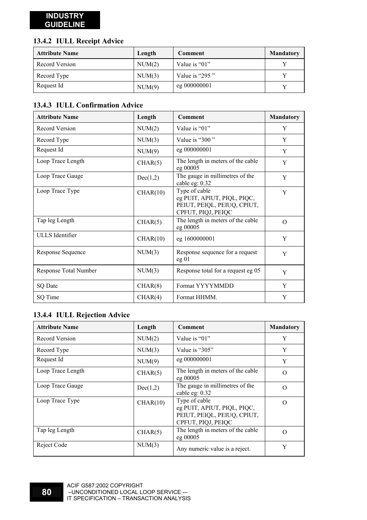#### **13.4.2 IULL Receipt Advice**

| <b>Attribute Name</b> | Length | Comment           | <b>Mandatory</b> |
|-----------------------|--------|-------------------|------------------|
| Record Version        | NUM(2) | Value is " $01$ " |                  |
| Record Type           | NUM(3) | Value is "295"    |                  |
| Request Id            | NUM(9) | eg 000000001      |                  |

#### **13.4.3 IULL Confirmation Advice**

| <b>Attribute Name</b>  | Length   | Comment                                                                                           | <b>Mandatory</b> |
|------------------------|----------|---------------------------------------------------------------------------------------------------|------------------|
| Record Version         | NUM(2)   | Value is "01"                                                                                     | Y                |
| Record Type            | NUM(3)   | Value is "300"                                                                                    | Y                |
| Request Id             | NUM(9)   | eg 000000001                                                                                      | Y                |
| Loop Trace Length      | CHAR(5)  | The length in meters of the cable<br>eg 00005                                                     | Y                |
| Loop Trace Gauge       | Dec(1,2) | The gauge in millimetres of the<br>cable eg: 0.32                                                 | Y                |
| Loop Trace Type        | CHAR(10) | Type of cable<br>eg PUIT, APIUT, PIQL, PIQC,<br>PEIUT, PEIQL, PEIUQ, CPIUT,<br>CPFUT, PIQJ, PEIQC | Y                |
| Tap leg Length         | CHAR(5)  | The length in meters of the cable<br>eg 00005                                                     | $\Omega$         |
| <b>ULLS</b> Identifier | CHAR(10) | eg 1600000001                                                                                     | Y                |
| Response Sequence      | NUM(3)   | Response sequence for a request<br>$eg\ 01$                                                       | Y                |
| Response Total Number  | NUM(3)   | Response total for a request eg 05                                                                | Y                |
| <b>SQ Date</b>         | CHAR(8)  | Format YYYYMMDD                                                                                   | Y                |
| SQ Time                | CHAR(4)  | Format HHMM.                                                                                      | Y                |

## **13.4.4 IULL Rejection Advice**

| <b>Attribute Name</b> | Length   | Comment                                                                                           | <b>Mandatory</b> |
|-----------------------|----------|---------------------------------------------------------------------------------------------------|------------------|
| Record Version        | NUM(2)   | Value is " $01$ "                                                                                 | Y                |
| Record Type           | NUM(3)   | Value is "305"                                                                                    | Y                |
| Request Id            | NUM(9)   | eg 000000001                                                                                      | Y                |
| Loop Trace Length     | CHAR(5)  | The length in meters of the cable<br>eg 00005                                                     | Ω                |
| Loop Trace Gauge      | Dec(1,2) | The gauge in millimetres of the<br>cable eg: 0.32                                                 | O                |
| Loop Trace Type       | CHAR(10) | Type of cable<br>eg PUIT, APIUT, PIQL, PIQC,<br>PEIUT, PEIQL, PEIUQ, CPIUT,<br>CPFUT, PIQJ, PEIQC | ∩                |
| Tap leg Length        | CHAR(5)  | The length in meters of the cable<br>eg 00005                                                     | ∩                |
| Reject Code           | NUM(3)   | Any numeric value is a reject.                                                                    | Y                |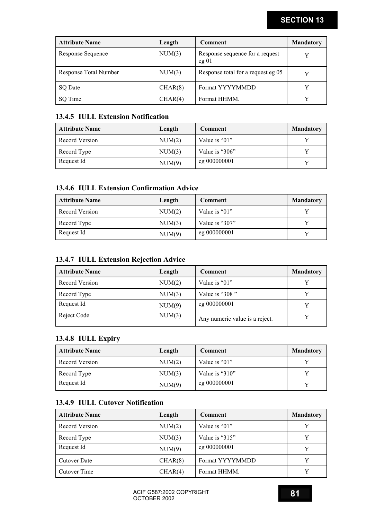| <b>Attribute Name</b> | Length  | Comment                                     | <b>Mandatory</b> |
|-----------------------|---------|---------------------------------------------|------------------|
| Response Sequence     | NUM(3)  | Response sequence for a request<br>$eg\ 01$ |                  |
| Response Total Number | NUM(3)  | Response total for a request eg 05          |                  |
| SQ Date               | CHAR(8) | Format YYYYMMDD                             |                  |
| SQ Time               | CHAR(4) | Format HHMM.                                |                  |

#### **13.4.5 IULL Extension Notification**

| <b>Attribute Name</b> | Length | Comment        | <b>Mandatory</b> |
|-----------------------|--------|----------------|------------------|
| <b>Record Version</b> | NUM(2) | Value is "01"  |                  |
| Record Type           | NUM(3) | Value is "306" |                  |
| Request Id            | NUM(9) | eg 000000001   |                  |

## **13.4.6 IULL Extension Confirmation Advice**

| <b>Attribute Name</b> | Length | Comment           | <b>Mandatory</b> |
|-----------------------|--------|-------------------|------------------|
| <b>Record Version</b> | NUM(2) | Value is " $01$ " |                  |
| Record Type           | NUM(3) | Value is "307"    |                  |
| Request Id            | NUM(9) | eg 000000001      |                  |

## **13.4.7 IULL Extension Rejection Advice**

| <b>Attribute Name</b> | Length | Comment                        | <b>Mandatory</b> |
|-----------------------|--------|--------------------------------|------------------|
| Record Version        | NUM(2) | Value is "01"                  |                  |
| Record Type           | NUM(3) | Value is "308"                 |                  |
| Request Id            | NUM(9) | eg 000000001                   |                  |
| Reject Code           | NUM(3) | Any numeric value is a reject. |                  |

## **13.4.8 IULL Expiry**

| <b>Attribute Name</b> | Length | Comment        | <b>Mandatory</b> |
|-----------------------|--------|----------------|------------------|
| <b>Record Version</b> | NUM(2) | Value is "01"  |                  |
| Record Type           | NUM(3) | Value is "310" |                  |
| Request Id            | NUM(9) | eg 000000001   |                  |

## **13.4.9 IULL Cutover Notification**

| <b>Attribute Name</b> | Length  | Comment         | <b>Mandatory</b> |
|-----------------------|---------|-----------------|------------------|
| Record Version        | NUM(2)  | Value is "01"   | v                |
| Record Type           | NUM(3)  | Value is "315"  |                  |
| Request Id            | NUM(9)  | eg 000000001    | V                |
| <b>Cutover Date</b>   | CHAR(8) | Format YYYYMMDD | v                |
| Cutover Time          | CHAR(4) | Format HHMM.    |                  |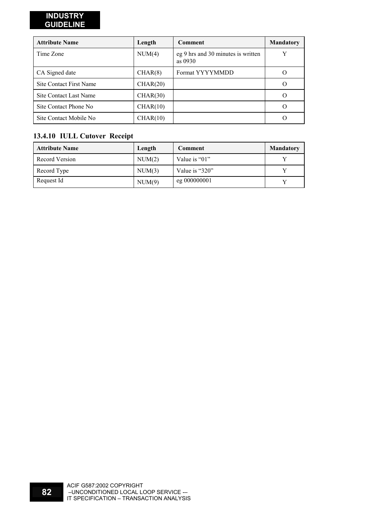### **INDUSTRY GUIDELINE**

| <b>Attribute Name</b>          | Length   | <b>Comment</b>                                | <b>Mandatory</b> |
|--------------------------------|----------|-----------------------------------------------|------------------|
| Time Zone                      | NUM(4)   | eg 9 hrs and 30 minutes is written<br>as 0930 |                  |
| CA Signed date                 | CHAR(8)  | Format YYYYMMDD                               |                  |
| <b>Site Contact First Name</b> | CHAR(20) |                                               |                  |
| Site Contact Last Name         | CHAR(30) |                                               |                  |
| Site Contact Phone No          | CHAR(10) |                                               |                  |
| Site Contact Mobile No         | CHAR(10) |                                               |                  |

## **13.4.10 IULL Cutover Receipt**

| <b>Attribute Name</b> | Length | Comment           | <b>Mandatory</b> |
|-----------------------|--------|-------------------|------------------|
| <b>Record Version</b> | NUM(2) | Value is " $01$ " |                  |
| Record Type           | NUM(3) | Value is "320"    |                  |
| Request Id            | NUM(9) | eg 000000001      |                  |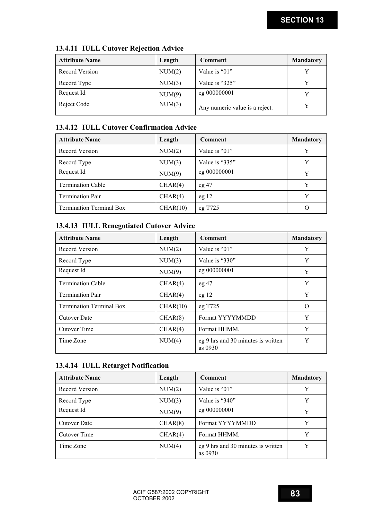| <b>Attribute Name</b> | Length | Comment                        | <b>Mandatory</b> |
|-----------------------|--------|--------------------------------|------------------|
| Record Version        | NUM(2) | Value is "01"                  | v                |
| Record Type           | NUM(3) | Value is "325"                 | v                |
| Request Id            | NUM(9) | eg 000000001                   |                  |
| Reject Code           | NUM(3) | Any numeric value is a reject. |                  |

## **13.4.11 IULL Cutover Rejection Advice**

#### **13.4.12 IULL Cutover Confirmation Advice**

| <b>Attribute Name</b>           | Length   | <b>Comment</b> | <b>Mandatory</b> |
|---------------------------------|----------|----------------|------------------|
| Record Version                  | NUM(2)   | Value is "01"  |                  |
| Record Type                     | NUM(3)   | Value is "335" | Y                |
| Request Id                      | NUM(9)   | eg 000000001   | Y                |
| <b>Termination Cable</b>        | CHAR(4)  | eg47           |                  |
| <b>Termination Pair</b>         | CHAR(4)  | eg 12          | Y                |
| <b>Termination Terminal Box</b> | CHAR(10) | eg T725        | $\left( \right)$ |

#### **13.4.13 IULL Renegotiated Cutover Advice**

| <b>Attribute Name</b>           | Length   | <b>Comment</b>                                | <b>Mandatory</b> |
|---------------------------------|----------|-----------------------------------------------|------------------|
| Record Version                  | NUM(2)   | Value is "01"                                 | Y                |
| Record Type                     | NUM(3)   | Value is "330"                                | Y                |
| Request Id                      | NUM(9)   | eg 000000001                                  | Y                |
| <b>Termination Cable</b>        | CHAR(4)  | eg47                                          | Y                |
| <b>Termination Pair</b>         | CHAR(4)  | eg 12                                         | Y                |
| <b>Termination Terminal Box</b> | CHAR(10) | eg T725                                       | $\Omega$         |
| <b>Cutover Date</b>             | CHAR(8)  | Format YYYYMMDD                               | Y                |
| Cutover Time                    | CHAR(4)  | Format HHMM.                                  | Y                |
| Time Zone                       | NUM(4)   | eg 9 hrs and 30 minutes is written<br>as 0930 | Y                |

### **13.4.14 IULL Retarget Notification**

| <b>Attribute Name</b> | Length  | Comment                                       | <b>Mandatory</b> |
|-----------------------|---------|-----------------------------------------------|------------------|
| Record Version        | NUM(2)  | Value is " $01$ "                             | Y                |
| Record Type           | NUM(3)  | Value is "340"                                | Y                |
| Request Id            | NUM(9)  | eg 000000001                                  | Y                |
| Cutover Date          | CHAR(8) | Format YYYYMMDD                               | Y                |
| Cutover Time          | CHAR(4) | Format HHMM.                                  | Y                |
| Time Zone             | NUM(4)  | eg 9 hrs and 30 minutes is written<br>as 0930 | Y                |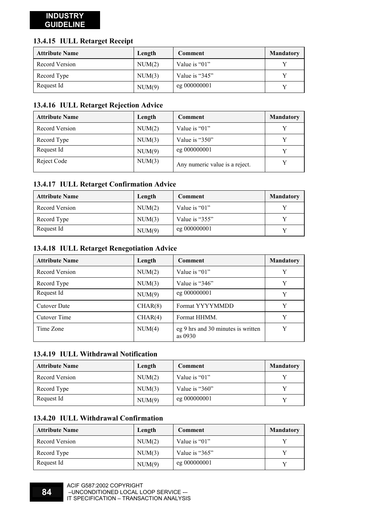#### **13.4.15 IULL Retarget Receipt**

| <b>Attribute Name</b> | Length | Comment           | <b>Mandatory</b> |
|-----------------------|--------|-------------------|------------------|
| Record Version        | NUM(2) | Value is " $01$ " |                  |
| Record Type           | NUM(3) | Value is "345"    |                  |
| Request Id            | NUM(9) | eg 000000001      |                  |

#### **13.4.16 IULL Retarget Rejection Advice**

| <b>Attribute Name</b> | Length | Comment                        | <b>Mandatory</b> |
|-----------------------|--------|--------------------------------|------------------|
| Record Version        | NUM(2) | Value is "01"                  |                  |
| Record Type           | NUM(3) | Value is "350"                 |                  |
| Request Id            | NUM(9) | eg 000000001                   |                  |
| Reject Code           | NUM(3) | Any numeric value is a reject. |                  |

#### **13.4.17 IULL Retarget Confirmation Advice**

| <b>Attribute Name</b> | Length | Comment           | <b>Mandatory</b> |
|-----------------------|--------|-------------------|------------------|
| Record Version        | NUM(2) | Value is " $01$ " |                  |
| Record Type           | NUM(3) | Value is "355"    |                  |
| Request Id            | NUM(9) | eg 000000001      |                  |

#### **13.4.18 IULL Retarget Renegotiation Advice**

| <b>Attribute Name</b> | Length  | <b>Comment</b>                                | <b>Mandatory</b> |
|-----------------------|---------|-----------------------------------------------|------------------|
| Record Version        | NUM(2)  | Value is " $01$ "                             | Y                |
| Record Type           | NUM(3)  | Value is "346"                                | Y                |
| Request Id            | NUM(9)  | eg 000000001                                  | Y                |
| Cutover Date          | CHAR(8) | Format YYYYMMDD                               | Y                |
| Cutover Time          | CHAR(4) | Format HHMM.                                  | Y                |
| Time Zone             | NUM(4)  | eg 9 hrs and 30 minutes is written<br>as 0930 | Y                |

## **13.4.19 IULL Withdrawal Notification**

| <b>Attribute Name</b> | Length | Comment           | <b>Mandatory</b> |
|-----------------------|--------|-------------------|------------------|
| <b>Record Version</b> | NUM(2) | Value is " $01$ " |                  |
| Record Type           | NUM(3) | Value is "360"    |                  |
| Request Id            | NUM(9) | eg 000000001      |                  |

### **13.4.20 IULL Withdrawal Confirmation**

| <b>Attribute Name</b> | Length | Comment           | <b>Mandatory</b> |
|-----------------------|--------|-------------------|------------------|
| <b>Record Version</b> | NUM(2) | Value is " $01$ " |                  |
| Record Type           | NUM(3) | Value is "365"    |                  |
| Request Id            | NUM(9) | eg 000000001      |                  |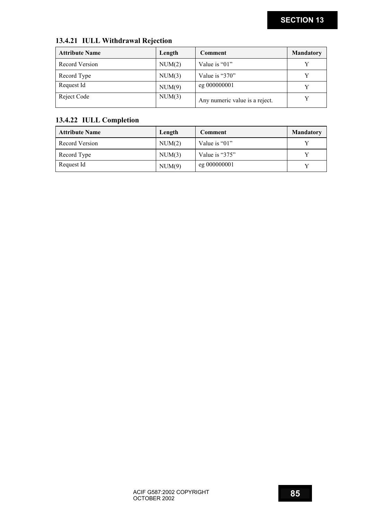## **13.4.21 IULL Withdrawal Rejection**

| <b>Attribute Name</b> | Length | Comment                        | <b>Mandatory</b> |
|-----------------------|--------|--------------------------------|------------------|
| Record Version        | NUM(2) | Value is "01"                  | v                |
| Record Type           | NUM(3) | Value is "370"                 | v                |
| Request Id            | NUM(9) | eg 000000001                   | v                |
| Reject Code           | NUM(3) | Any numeric value is a reject. |                  |

## **13.4.22 IULL Completion**

| <b>Attribute Name</b> | Length | Comment           | <b>Mandatory</b> |
|-----------------------|--------|-------------------|------------------|
| <b>Record Version</b> | NUM(2) | Value is " $01$ " |                  |
| Record Type           | NUM(3) | Value is "375"    |                  |
| Request Id            | NUM(9) | eg 000000001      |                  |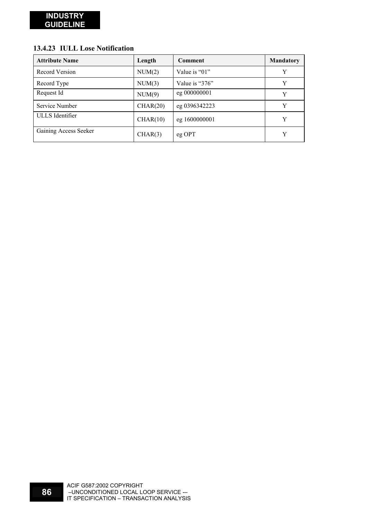### **INDUSTRY GUIDELINE**

### **13.4.23 IULL Lose Notification**

| <b>Attribute Name</b> | Length   | Comment        | <b>Mandatory</b> |
|-----------------------|----------|----------------|------------------|
| Record Version        | NUM(2)   | Value is "01"  | Y                |
| Record Type           | NUM(3)   | Value is "376" | Y                |
| Request Id            | NUM(9)   | eg 000000001   | Y                |
| Service Number        | CHAR(20) | eg 0396342223  | Y                |
| ULLS Identifier       | CHAR(10) | eg 1600000001  | Y                |
| Gaining Access Seeker | CHAR(3)  | eg OPT         | Y                |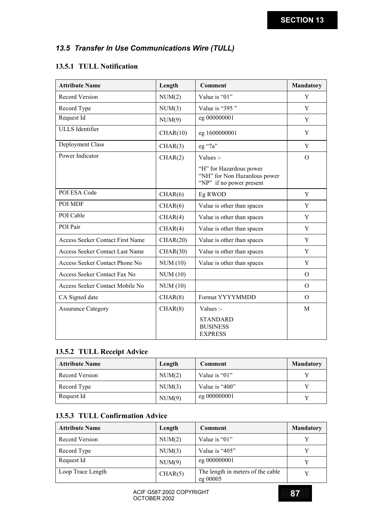## *13.5 Transfer In Use Communications Wire (TULL)*

## **13.5.1 TULL Notification**

| <b>Attribute Name</b>                   | Length   | <b>Comment</b>                                                                      | <b>Mandatory</b> |
|-----------------------------------------|----------|-------------------------------------------------------------------------------------|------------------|
| Record Version                          | NUM(2)   | Value is "01"                                                                       | Y                |
| Record Type                             | NUM(3)   | Value is "395"                                                                      | Y                |
| Request Id                              | NUM(9)   | eg 000000001                                                                        | Y                |
| <b>ULLS</b> Identifier                  | CHAR(10) | eg 1600000001                                                                       | Y                |
| Deployment Class                        | CHAR(3)  | eg "7a"                                                                             | Y                |
| Power Indicator                         | CHAR(2)  | Values :-                                                                           | $\Omega$         |
|                                         |          | "H" for Hazardous power<br>"NH" for Non Hazardous power<br>"NP" if no power present |                  |
| POI ESA Code                            | CHAR(6)  | Eg RWOD                                                                             | Y                |
| POI MDF                                 | CHAR(6)  | Value is other than spaces                                                          | Y                |
| POI Cable                               | CHAR(4)  | Value is other than spaces                                                          | Y                |
| POI Pair                                | CHAR(4)  | Value is other than spaces                                                          | Y                |
| <b>Access Seeker Contact First Name</b> | CHAR(20) | Value is other than spaces                                                          | Y                |
| Access Seeker Contact Last Name         | CHAR(30) | Value is other than spaces                                                          | Y                |
| Access Seeker Contact Phone No          | NUM(10)  | Value is other than spaces                                                          | Y                |
| Access Seeker Contact Fax No            | NUM(10)  |                                                                                     | $\Omega$         |
| Access Seeker Contact Mobile No         | NUM(10)  |                                                                                     | $\Omega$         |
| CA Signed date                          | CHAR(8)  | Format YYYYMMDD                                                                     | $\Omega$         |
| <b>Assurance Category</b>               | CHAR(8)  | Values :-                                                                           | M                |
|                                         |          | <b>STANDARD</b><br><b>BUSINESS</b><br><b>EXPRESS</b>                                |                  |

## **13.5.2 TULL Receipt Advice**

| <b>Attribute Name</b> | Length | Comment        | <b>Mandatory</b> |
|-----------------------|--------|----------------|------------------|
| Record Version        | NUM(2) | Value is "01"  |                  |
| Record Type           | NUM(3) | Value is "400" |                  |
| Request Id            | NUM(9) | eg 000000001   |                  |

#### **13.5.3 TULL Confirmation Advice**

| <b>Attribute Name</b> | Length  | Comment                                       | <b>Mandatory</b> |
|-----------------------|---------|-----------------------------------------------|------------------|
| Record Version        | NUM(2)  | Value is "01"                                 |                  |
| Record Type           | NUM(3)  | Value is "405"                                |                  |
| Request Id            | NUM(9)  | eg 000000001                                  |                  |
| Loop Trace Length     | CHAR(5) | The length in meters of the cable<br>eg 00005 |                  |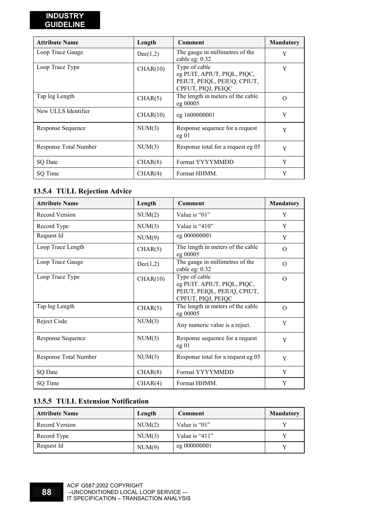### **INDUSTRY GUIDELINE**

| <b>Attribute Name</b> | Length   | Comment                                                                                           | <b>Mandatory</b> |
|-----------------------|----------|---------------------------------------------------------------------------------------------------|------------------|
| Loop Trace Gauge      | Dec(1,2) | The gauge in millimetres of the<br>cable eg: 0.32                                                 | Y                |
| Loop Trace Type       | CHAR(10) | Type of cable<br>eg PUIT, APIUT, PIQL, PIQC,<br>PEIUT, PEIQL, PEIUQ, CPIUT,<br>CPFUT, PIQJ, PEIQC | Y                |
| Tap leg Length        | CHAR(5)  | The length in meters of the cable<br>eg 00005                                                     | O                |
| New ULLS Identifier   | CHAR(10) | eg 1600000001                                                                                     | Y                |
| Response Sequence     | NUM(3)   | Response sequence for a request<br>$eg\ 01$                                                       | Y                |
| Response Total Number | NUM(3)   | Response total for a request eg 05                                                                | Y                |
| SQ Date               | CHAR(8)  | Format YYYYMMDD                                                                                   | Y                |
| SQ Time               | CHAR(4)  | Format HHMM.                                                                                      | Y                |

## **13.5.4 TULL Rejection Advice**

| <b>Attribute Name</b> | Length   | <b>Comment</b>                                                                                    | <b>Mandatory</b> |
|-----------------------|----------|---------------------------------------------------------------------------------------------------|------------------|
| Record Version        | NUM(2)   | Value is "01"                                                                                     | Y                |
| Record Type           | NUM(3)   | Value is "410"                                                                                    | Y                |
| Request Id            | NUM(9)   | eg 000000001                                                                                      | Y                |
| Loop Trace Length     | CHAR(5)  | The length in meters of the cable<br>eg 00005                                                     | $\Omega$         |
| Loop Trace Gauge      | Dec(1,2) | The gauge in millimetres of the<br>cable eg: 0.32                                                 | $\Omega$         |
| Loop Trace Type       | CHAR(10) | Type of cable<br>eg PUIT, APIUT, PIQL, PIQC,<br>PEIUT, PEIQL, PEIUQ, CPIUT,<br>CPFUT, PIQJ, PEIQC | $\Omega$         |
| Tap leg Length        | CHAR(5)  | The length in meters of the cable<br>eg 00005                                                     | $\Omega$         |
| Reject Code           | NUM(3)   | Any numeric value is a reject.                                                                    | Y                |
| Response Sequence     | NUM(3)   | Response sequence for a request<br>$eg\ 01$                                                       | Y                |
| Response Total Number | NUM(3)   | Response total for a request eg 05                                                                | Y                |
| <b>SQ</b> Date        | CHAR(8)  | Format YYYYMMDD                                                                                   | Y                |
| SQ Time               | CHAR(4)  | Format HHMM.                                                                                      | Y                |

## **13.5.5 TULL Extension Notification**

| <b>Attribute Name</b> | Length | Comment            | <b>Mandatory</b> |
|-----------------------|--------|--------------------|------------------|
| Record Version        | NUM(2) | Value is " $01$ "  |                  |
| Record Type           | NUM(3) | Value is " $411$ " |                  |
| Request Id            | NUM(9) | eg 000000001       |                  |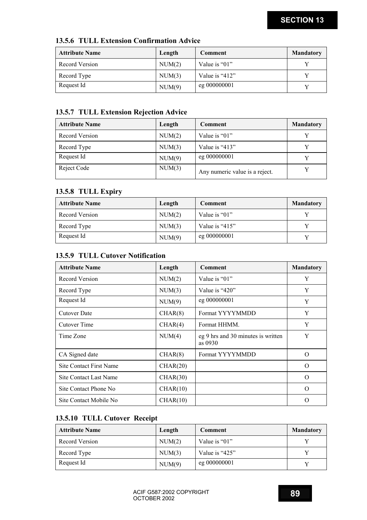| <b>Attribute Name</b> | Length | Comment           | <b>Mandatory</b> |
|-----------------------|--------|-------------------|------------------|
| Record Version        | NUM(2) | Value is " $01$ " |                  |
| Record Type           | NUM(3) | Value is "412"    |                  |
| Request Id            | NUM(9) | eg 000000001      |                  |

#### **13.5.6 TULL Extension Confirmation Advice**

## **13.5.7 TULL Extension Rejection Advice**

| <b>Attribute Name</b> | Length | Comment                        | <b>Mandatory</b> |
|-----------------------|--------|--------------------------------|------------------|
| Record Version        | NUM(2) | Value is " $01$ "              |                  |
| Record Type           | NUM(3) | Value is "413"                 |                  |
| Request Id            | NUM(9) | eg 000000001                   |                  |
| Reject Code           | NUM(3) | Any numeric value is a reject. |                  |

## **13.5.8 TULL Expiry**

| <b>Attribute Name</b> | Length | Comment           | <b>Mandatory</b> |
|-----------------------|--------|-------------------|------------------|
| Record Version        | NUM(2) | Value is " $01$ " |                  |
| Record Type           | NUM(3) | Value is "415"    |                  |
| Request Id            | NUM(9) | eg 000000001      |                  |

#### **13.5.9 TULL Cutover Notification**

| <b>Attribute Name</b>          | Length   | Comment                                       | <b>Mandatory</b> |
|--------------------------------|----------|-----------------------------------------------|------------------|
| Record Version                 | NUM(2)   | Value is "01"                                 | Y                |
| Record Type                    | NUM(3)   | Value is " $420$ "                            | Y                |
| Request Id                     | NUM(9)   | eg 000000001                                  | Y                |
| <b>Cutover Date</b>            | CHAR(8)  | Format YYYYMMDD                               | Y                |
| <b>Cutover Time</b>            | CHAR(4)  | Format HHMM.                                  | Y                |
| Time Zone                      | NUM(4)   | eg 9 hrs and 30 minutes is written<br>as 0930 | Y                |
| CA Signed date                 | CHAR(8)  | Format YYYYMMDD                               | $\Omega$         |
| <b>Site Contact First Name</b> | CHAR(20) |                                               | O                |
| <b>Site Contact Last Name</b>  | CHAR(30) |                                               | O                |
| Site Contact Phone No          | CHAR(10) |                                               | O                |
| Site Contact Mobile No         | CHAR(10) |                                               | 0                |

## **13.5.10 TULL Cutover Receipt**

| <b>Attribute Name</b> | Length | <b>Comment</b>    | <b>Mandatory</b> |
|-----------------------|--------|-------------------|------------------|
| Record Version        | NUM(2) | Value is " $01$ " |                  |
| Record Type           | NUM(3) | Value is "425"    |                  |
| Request Id            | NUM(9) | eg 000000001      |                  |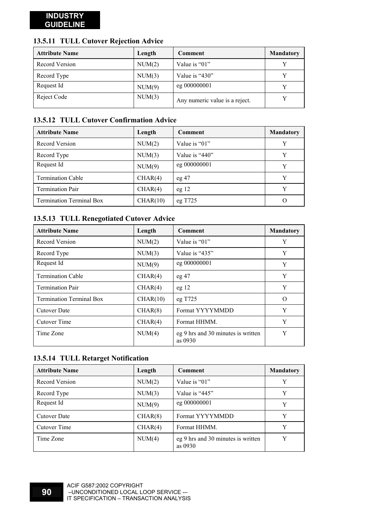#### **13.5.11 TULL Cutover Rejection Advice**

| <b>Attribute Name</b> | Length | Comment                        | <b>Mandatory</b> |
|-----------------------|--------|--------------------------------|------------------|
| Record Version        | NUM(2) | Value is " $01$ "              | v                |
| Record Type           | NUM(3) | Value is "430"                 | v                |
| Request Id            | NUM(9) | eg 000000001                   | v                |
| Reject Code           | NUM(3) | Any numeric value is a reject. |                  |

#### **13.5.12 TULL Cutover Confirmation Advice**

| <b>Attribute Name</b>           | Length   | Comment           | <b>Mandatory</b> |
|---------------------------------|----------|-------------------|------------------|
| Record Version                  | NUM(2)   | Value is " $01$ " | Y                |
| Record Type                     | NUM(3)   | Value is "440"    | Y                |
| Request Id                      | NUM(9)   | eg 000000001      | Y                |
| <b>Termination Cable</b>        | CHAR(4)  | eg47              |                  |
| <b>Termination Pair</b>         | CHAR(4)  | eg 12             | Y                |
| <b>Termination Terminal Box</b> | CHAR(10) | eg T725           | $\left( \right)$ |

## **13.5.13 TULL Renegotiated Cutover Advice**

| <b>Attribute Name</b>           | Length   | Comment                                       | <b>Mandatory</b> |
|---------------------------------|----------|-----------------------------------------------|------------------|
| Record Version                  | NUM(2)   | Value is "01"                                 | Y                |
| Record Type                     | NUM(3)   | Value is "435"                                | Y                |
| Request Id                      | NUM(9)   | eg 000000001                                  | Y                |
| <b>Termination Cable</b>        | CHAR(4)  | eg47                                          | Y                |
| <b>Termination Pair</b>         | CHAR(4)  | eg 12                                         | Y                |
| <b>Termination Terminal Box</b> | CHAR(10) | eg T725                                       | $\Omega$         |
| <b>Cutover Date</b>             | CHAR(8)  | Format YYYYMMDD                               | Y                |
| <b>Cutover Time</b>             | CHAR(4)  | Format HHMM.                                  | Y                |
| Time Zone                       | NUM(4)   | eg 9 hrs and 30 minutes is written<br>as 0930 | Y                |

## **13.5.14 TULL Retarget Notification**

| <b>Attribute Name</b> | Length  | Comment                                       | <b>Mandatory</b> |
|-----------------------|---------|-----------------------------------------------|------------------|
| Record Version        | NUM(2)  | Value is " $01$ "                             | Y                |
| Record Type           | NUM(3)  | Value is "445"                                | Y                |
| Request Id            | NUM(9)  | eg 000000001                                  | Y                |
| Cutover Date          | CHAR(8) | Format YYYYMMDD                               | Y                |
| Cutover Time          | CHAR(4) | Format HHMM.                                  | Y                |
| Time Zone             | NUM(4)  | eg 9 hrs and 30 minutes is written<br>as 0930 | Y                |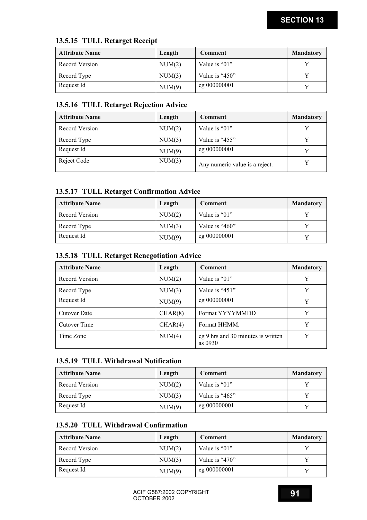#### **13.5.15 TULL Retarget Receipt**

| <b>Attribute Name</b> | Length | <b>Comment</b> | <b>Mandatory</b> |
|-----------------------|--------|----------------|------------------|
| <b>Record Version</b> | NUM(2) | Value is "01"  |                  |
| Record Type           | NUM(3) | Value is "450" |                  |
| Request Id            | NUM(9) | eg 000000001   |                  |

#### **13.5.16 TULL Retarget Rejection Advice**

| <b>Attribute Name</b> | Length | <b>Comment</b>                 | <b>Mandatory</b> |
|-----------------------|--------|--------------------------------|------------------|
| Record Version        | NUM(2) | Value is "01"                  | v                |
| Record Type           | NUM(3) | Value is "455"                 |                  |
| Request Id            | NUM(9) | eg 000000001                   | v                |
| Reject Code           | NUM(3) | Any numeric value is a reject. |                  |

### **13.5.17 TULL Retarget Confirmation Advice**

| <b>Attribute Name</b> | Length | <b>Comment</b>    | <b>Mandatory</b> |
|-----------------------|--------|-------------------|------------------|
| Record Version        | NUM(2) | Value is " $01$ " |                  |
| Record Type           | NUM(3) | Value is "460"    |                  |
| Request Id            | NUM(9) | eg 000000001      |                  |

## **13.5.18 TULL Retarget Renegotiation Advice**

| <b>Attribute Name</b> | Length  | Comment                                       | <b>Mandatory</b> |
|-----------------------|---------|-----------------------------------------------|------------------|
| Record Version        | NUM(2)  | Value is "01"                                 | Y                |
| Record Type           | NUM(3)  | Value is "451"                                | Y                |
| Request Id            | NUM(9)  | eg 000000001                                  | Y                |
| <b>Cutover Date</b>   | CHAR(8) | Format YYYYMMDD                               | Y                |
| Cutover Time          | CHAR(4) | Format HHMM.                                  | Y                |
| Time Zone             | NUM(4)  | eg 9 hrs and 30 minutes is written<br>as 0930 | Y                |

#### **13.5.19 TULL Withdrawal Notification**

| <b>Attribute Name</b> | Length | Comment           | <b>Mandatory</b> |
|-----------------------|--------|-------------------|------------------|
| Record Version        | NUM(2) | Value is " $01$ " |                  |
| Record Type           | NUM(3) | Value is "465"    |                  |
| Request Id            | NUM(9) | eg 000000001      |                  |

#### **13.5.20 TULL Withdrawal Confirmation**

| <b>Attribute Name</b> | Length | Comment        | <b>Mandatory</b> |
|-----------------------|--------|----------------|------------------|
| Record Version        | NUM(2) | Value is "01"  |                  |
| Record Type           | NUM(3) | Value is "470" |                  |
| Request Id            | NUM(9) | eg 000000001   |                  |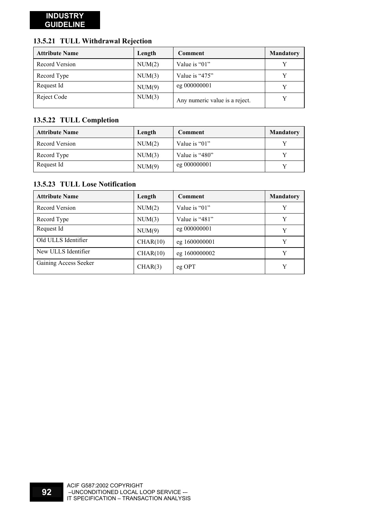## **13.5.21 TULL Withdrawal Rejection**

| <b>Attribute Name</b> | Length | <b>Comment</b>                 | <b>Mandatory</b> |
|-----------------------|--------|--------------------------------|------------------|
| Record Version        | NUM(2) | Value is "01"                  |                  |
| Record Type           | NUM(3) | Value is "475"                 | v                |
| Request Id            | NUM(9) | eg 000000001                   |                  |
| Reject Code           | NUM(3) | Any numeric value is a reject. |                  |

#### **13.5.22 TULL Completion**

| <b>Attribute Name</b> | Length | Comment           | <b>Mandatory</b> |
|-----------------------|--------|-------------------|------------------|
| Record Version        | NUM(2) | Value is " $01$ " |                  |
| Record Type           | NUM(3) | Value is "480"    |                  |
| Request Id            | NUM(9) | eg 000000001      |                  |

## **13.5.23 TULL Lose Notification**

| <b>Attribute Name</b> | Length   | Comment           | <b>Mandatory</b> |
|-----------------------|----------|-------------------|------------------|
| Record Version        | NUM(2)   | Value is " $01$ " | Y                |
| Record Type           | NUM(3)   | Value is "481"    | Y                |
| Request Id            | NUM(9)   | eg 000000001      | Y                |
| Old ULLS Identifier   | CHAR(10) | eg 1600000001     | Y                |
| New ULLS Identifier   | CHAR(10) | eg 1600000002     | Y                |
| Gaining Access Seeker | CHAR(3)  | eg OPT            | Y                |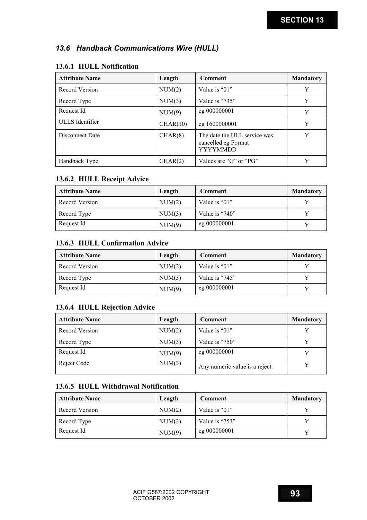## *13.6 Handback Communications Wire (HULL)*

| <b>Attribute Name</b> | Length   | <b>Comment</b>                                                         | <b>Mandatory</b> |
|-----------------------|----------|------------------------------------------------------------------------|------------------|
| Record Version        | NUM(2)   | Value is "01"                                                          | Y                |
| Record Type           | NUM(3)   | Value is "735"                                                         | Y                |
| Request Id            | NUM(9)   | eg 000000001                                                           | Y                |
| ULLS Identifier       | CHAR(10) | eg 1600000001                                                          | Y                |
| Disconnect Date       | CHAR(8)  | The date the ULL service was<br>cancelled eg Format<br><b>YYYYMMDD</b> | Y                |
| Handback Type         | CHAR(2)  | Values are "G" or "PG"                                                 | Y                |

#### **13.6.1 HULL Notification**

#### **13.6.2 HULL Receipt Advice**

| <b>Attribute Name</b> | Length | <b>Comment</b>    | <b>Mandatory</b> |
|-----------------------|--------|-------------------|------------------|
| Record Version        | NUM(2) | Value is " $01$ " |                  |
| Record Type           | NUM(3) | Value is "740"    |                  |
| Request Id            | NUM(9) | eg 000000001      |                  |

#### **13.6.3 HULL Confirmation Advice**

| <b>Attribute Name</b> | Length | Comment           | <b>Mandatory</b> |
|-----------------------|--------|-------------------|------------------|
| Record Version        | NUM(2) | Value is " $01$ " |                  |
| Record Type           | NUM(3) | Value is "745"    |                  |
| Request Id            | NUM(9) | eg 000000001      |                  |

#### **13.6.4 HULL Rejection Advice**

| <b>Attribute Name</b> | Length | Comment                        | <b>Mandatory</b> |
|-----------------------|--------|--------------------------------|------------------|
| Record Version        | NUM(2) | Value is "01"                  |                  |
| Record Type           | NUM(3) | Value is "750"                 |                  |
| Request Id            | NUM(9) | eg 000000001                   |                  |
| Reject Code           | NUM(3) | Any numeric value is a reject. |                  |

#### **13.6.5 HULL Withdrawal Notification**

| <b>Attribute Name</b> | Length | Comment           | <b>Mandatory</b> |
|-----------------------|--------|-------------------|------------------|
| Record Version        | NUM(2) | Value is " $01$ " |                  |
| Record Type           | NUM(3) | Value is "753"    |                  |
| Request Id            | NUM(9) | eg 000000001      |                  |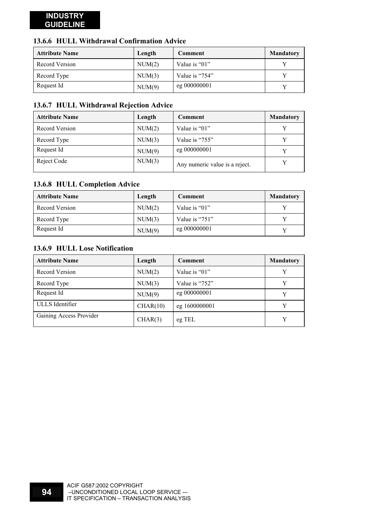#### **13.6.6 HULL Withdrawal Confirmation Advice**

| <b>Attribute Name</b> | Length | Comment           | <b>Mandatory</b> |
|-----------------------|--------|-------------------|------------------|
| Record Version        | NUM(2) | Value is " $01$ " |                  |
| Record Type           | NUM(3) | Value is "754"    |                  |
| Request Id            | NUM(9) | eg 000000001      |                  |

#### **13.6.7 HULL Withdrawal Rejection Advice**

| <b>Attribute Name</b> | Length | Comment                        | <b>Mandatory</b> |
|-----------------------|--------|--------------------------------|------------------|
| Record Version        | NUM(2) | Value is " $01$ "              |                  |
| Record Type           | NUM(3) | Value is "755"                 |                  |
| Request Id            | NUM(9) | eg 000000001                   |                  |
| Reject Code           | NUM(3) | Any numeric value is a reject. |                  |

#### **13.6.8 HULL Completion Advice**

| <b>Attribute Name</b> | Length | Comment           | <b>Mandatory</b> |
|-----------------------|--------|-------------------|------------------|
| Record Version        | NUM(2) | Value is " $01$ " |                  |
| Record Type           | NUM(3) | Value is "751"    |                  |
| Request Id            | NUM(9) | eg 000000001      |                  |

#### **13.6.9 HULL Lose Notification**

| <b>Attribute Name</b>   | Length   | Comment        | <b>Mandatory</b> |
|-------------------------|----------|----------------|------------------|
| Record Version          | NUM(2)   | Value is "01"  | Y                |
| Record Type             | NUM(3)   | Value is "752" | v                |
| Request Id              | NUM(9)   | eg 000000001   | Y                |
| ULLS Identifier         | CHAR(10) | eg 1600000001  | v                |
| Gaining Access Provider | CHAR(3)  | eg TEL         | V                |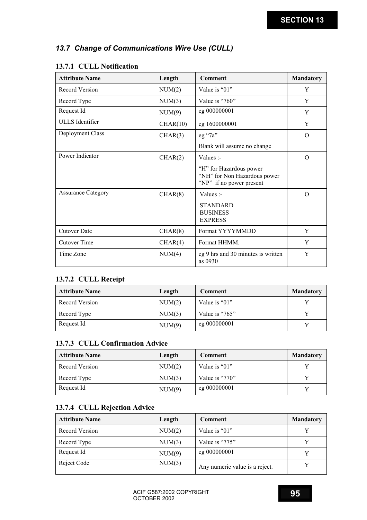## *13.7 Change of Communications Wire Use (CULL)*

| <b>Attribute Name</b>     | Length   | Comment                                                                             | Mandatory |
|---------------------------|----------|-------------------------------------------------------------------------------------|-----------|
| Record Version            | NUM(2)   | Value is "01"                                                                       | Y         |
| Record Type               | NUM(3)   | Value is "760"                                                                      | Y         |
| Request Id                | NUM(9)   | eg 000000001                                                                        | Y         |
| <b>ULLS</b> Identifier    | CHAR(10) | eg 1600000001                                                                       | Y         |
| Deployment Class          | CHAR(3)  | eg "7a"                                                                             | $\Omega$  |
|                           |          | Blank will assume no change                                                         |           |
| Power Indicator           | CHAR(2)  | Values :-                                                                           | $\Omega$  |
|                           |          | "H" for Hazardous power<br>"NH" for Non Hazardous power<br>"NP" if no power present |           |
| <b>Assurance Category</b> | CHAR(8)  | Values :-                                                                           | $\Omega$  |
|                           |          | <b>STANDARD</b><br><b>BUSINESS</b><br><b>EXPRESS</b>                                |           |
| Cutover Date              | CHAR(8)  | Format YYYYMMDD                                                                     | Y         |
| <b>Cutover Time</b>       | CHAR(4)  | Format HHMM.                                                                        | Y         |
| Time Zone                 | NUM(4)   | eg 9 hrs and 30 minutes is written<br>as 0930                                       | Y         |

## **13.7.1 CULL Notification**

#### **13.7.2 CULL Receipt**

| <b>Attribute Name</b> | Length | Comment           | <b>Mandatory</b> |
|-----------------------|--------|-------------------|------------------|
| Record Version        | NUM(2) | Value is " $01$ " |                  |
| Record Type           | NUM(3) | Value is "765"    |                  |
| Request Id            | NUM(9) | eg 000000001      |                  |

## **13.7.3 CULL Confirmation Advice**

| <b>Attribute Name</b> | Length | Comment           | <b>Mandatory</b> |
|-----------------------|--------|-------------------|------------------|
| Record Version        | NUM(2) | Value is " $01$ " |                  |
| Record Type           | NUM(3) | Value is "770"    |                  |
| Request Id            | NUM(9) | eg 000000001      |                  |

### **13.7.4 CULL Rejection Advice**

| <b>Attribute Name</b> | Length | Comment                        | <b>Mandatory</b> |
|-----------------------|--------|--------------------------------|------------------|
| Record Version        | NUM(2) | Value is " $01$ "              |                  |
| Record Type           | NUM(3) | Value is "775"                 |                  |
| Request Id            | NUM(9) | eg 000000001                   |                  |
| Reject Code           | NUM(3) | Any numeric value is a reject. |                  |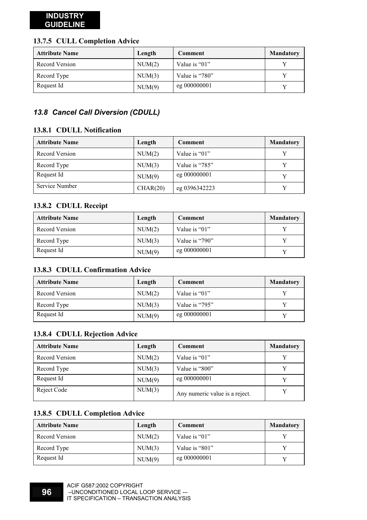#### **13.7.5 CULL Completion Advice**

| <b>Attribute Name</b> | Length | Comment           | <b>Mandatory</b> |
|-----------------------|--------|-------------------|------------------|
| Record Version        | NUM(2) | Value is " $01$ " |                  |
| Record Type           | NUM(3) | Value is "780"    |                  |
| Request Id            | NUM(9) | eg 000000001      |                  |

## *13.8 Cancel Call Diversion (CDULL)*

#### **13.8.1 CDULL Notification**

| <b>Attribute Name</b> | Length   | Comment           | <b>Mandatory</b> |
|-----------------------|----------|-------------------|------------------|
| Record Version        | NUM(2)   | Value is " $01$ " | v                |
| Record Type           | NUM(3)   | Value is "785"    |                  |
| Request Id            | NUM(9)   | eg 000000001      |                  |
| Service Number        | CHAR(20) | eg 0396342223     |                  |

#### **13.8.2 CDULL Receipt**

| <b>Attribute Name</b> | Length | Comment           | <b>Mandatory</b> |
|-----------------------|--------|-------------------|------------------|
| Record Version        | NUM(2) | Value is " $01$ " |                  |
| Record Type           | NUM(3) | Value is "790"    |                  |
| Request Id            | NUM(9) | eg 000000001      |                  |

#### **13.8.3 CDULL Confirmation Advice**

| <b>Attribute Name</b> | Length | Comment           | <b>Mandatory</b> |
|-----------------------|--------|-------------------|------------------|
| Record Version        | NUM(2) | Value is " $01$ " |                  |
| Record Type           | NUM(3) | Value is "795"    |                  |
| Request Id            | NUM(9) | eg 000000001      |                  |

#### **13.8.4 CDULL Rejection Advice**

| <b>Attribute Name</b> | Length | <b>Comment</b>                 | <b>Mandatory</b> |
|-----------------------|--------|--------------------------------|------------------|
| Record Version        | NUM(2) | Value is " $01$ "              |                  |
| Record Type           | NUM(3) | Value is "800"                 |                  |
| Request Id            | NUM(9) | eg 000000001                   |                  |
| Reject Code           | NUM(3) | Any numeric value is a reject. |                  |

## **13.8.5 CDULL Completion Advice**

| <b>Attribute Name</b> | Length | Comment           | <b>Mandatory</b> |
|-----------------------|--------|-------------------|------------------|
| Record Version        | NUM(2) | Value is " $01$ " |                  |
| Record Type           | NUM(3) | Value is "801"    |                  |
| Request Id            | NUM(9) | eg 000000001      |                  |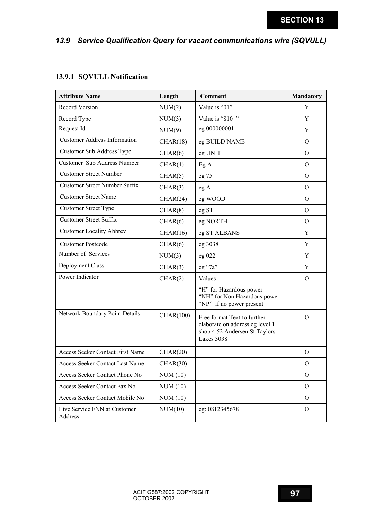## *13.9 Service Qualification Query for vacant communications wire (SQVULL)*

| <b>Attribute Name</b>                   | Length    | <b>Comment</b>                                                                                                | Mandatory      |
|-----------------------------------------|-----------|---------------------------------------------------------------------------------------------------------------|----------------|
| Record Version                          | NUM(2)    | Value is "01"                                                                                                 | Y              |
| Record Type                             | NUM(3)    | Value is "810"                                                                                                | Y              |
| Request Id                              | NUM(9)    | eg 000000001                                                                                                  | Y              |
| <b>Customer Address Information</b>     | CHAR(18)  | eg BUILD NAME                                                                                                 | $\overline{O}$ |
| <b>Customer Sub Address Type</b>        | CHAR(6)   | eg UNIT                                                                                                       | $\overline{O}$ |
| Customer Sub Address Number             | CHAR(4)   | EgA                                                                                                           | $\Omega$       |
| <b>Customer Street Number</b>           | CHAR(5)   | eg 75                                                                                                         | $\Omega$       |
| <b>Customer Street Number Suffix</b>    | CHAR(3)   | eg A                                                                                                          | $\overline{O}$ |
| <b>Customer Street Name</b>             | CHAR(24)  | eg WOOD                                                                                                       | $\overline{O}$ |
| <b>Customer Street Type</b>             | CHAR(8)   | eg ST                                                                                                         | $\overline{O}$ |
| <b>Customer Street Suffix</b>           | CHAR(6)   | eg NORTH                                                                                                      | $\overline{O}$ |
| <b>Customer Locality Abbrev</b>         | CHAR(16)  | eg ST ALBANS                                                                                                  | Y              |
| <b>Customer Postcode</b>                | CHAR(6)   | eg 3038                                                                                                       | Y              |
| Number of Services                      | NUM(3)    | eg 022                                                                                                        | Y              |
| Deployment Class                        | CHAR(3)   | eg "7a"                                                                                                       | Y              |
| Power Indicator                         | CHAR(2)   | Values :-                                                                                                     | $\overline{O}$ |
|                                         |           | "H" for Hazardous power<br>"NH" for Non Hazardous power<br>"NP" if no power present                           |                |
| Network Boundary Point Details          | CHAR(100) | Free format Text to further<br>elaborate on address eg level 1<br>shop 4 52 Andersen St Taylors<br>Lakes 3038 | $\overline{O}$ |
| <b>Access Seeker Contact First Name</b> | CHAR(20)  |                                                                                                               | $\Omega$       |
| Access Seeker Contact Last Name         | CHAR(30)  |                                                                                                               | $\Omega$       |
| Access Seeker Contact Phone No          | NUM(10)   |                                                                                                               | $\mathbf{O}$   |
| Access Seeker Contact Fax No            | NUM(10)   |                                                                                                               | $\mathcal{O}$  |
| Access Seeker Contact Mobile No         | NUM(10)   |                                                                                                               | $\Omega$       |
| Live Service FNN at Customer<br>Address | NUM(10)   | eg: 0812345678                                                                                                | O              |

## **13.9.1 SQVULL Notification**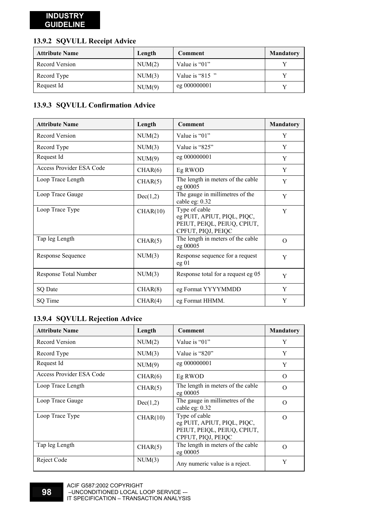#### **13.9.2 SQVULL Receipt Advice**

| <b>Attribute Name</b> | Length | Comment           | <b>Mandatory</b> |
|-----------------------|--------|-------------------|------------------|
| Record Version        | NUM(2) | Value is " $01$ " |                  |
| Record Type           | NUM(3) | Value is "815"    |                  |
| Request Id            | NUM(9) | eg 000000001      |                  |

#### **13.9.3 SQVULL Confirmation Advice**

| <b>Attribute Name</b>    | Length   | <b>Comment</b>                                                                                    | <b>Mandatory</b> |
|--------------------------|----------|---------------------------------------------------------------------------------------------------|------------------|
| <b>Record Version</b>    | NUM(2)   | Value is "01"                                                                                     | Y                |
| Record Type              | NUM(3)   | Value is "825"                                                                                    | Y                |
| Request Id               | NUM(9)   | eg 000000001                                                                                      | Y                |
| Access Provider ESA Code | CHAR(6)  | Eg RWOD                                                                                           | Y                |
| Loop Trace Length        | CHAR(5)  | The length in meters of the cable<br>eg 00005                                                     | Y                |
| Loop Trace Gauge         | Dec(1,2) | The gauge in millimetres of the<br>cable eg: 0.32                                                 | Y                |
| Loop Trace Type          | CHAR(10) | Type of cable<br>eg PUIT, APIUT, PIQL, PIQC,<br>PEIUT, PEIQL, PEIUQ, CPIUT,<br>CPFUT, PIQJ, PEIQC | Y                |
| Tap leg Length           | CHAR(5)  | The length in meters of the cable<br>eg 00005                                                     | $\Omega$         |
| Response Sequence        | NUM(3)   | Response sequence for a request<br>$eg\ 01$                                                       | Y                |
| Response Total Number    | NUM(3)   | Response total for a request eg 05                                                                | Y                |
| SQ Date                  | CHAR(8)  | eg Format YYYYMMDD                                                                                | Y                |
| SQ Time                  | CHAR(4)  | eg Format HHMM.                                                                                   | Y                |

## **13.9.4 SQVULL Rejection Advice**

| <b>Attribute Name</b>    | Length   | Comment                                                                                           | <b>Mandatory</b> |
|--------------------------|----------|---------------------------------------------------------------------------------------------------|------------------|
| Record Version           | NUM(2)   | Value is "01"                                                                                     | Y                |
| Record Type              | NUM(3)   | Value is "820"                                                                                    | Y                |
| Request Id               | NUM(9)   | eg 000000001                                                                                      | Y                |
| Access Provider ESA Code | CHAR(6)  | Eg RWOD                                                                                           | $\Omega$         |
| Loop Trace Length        | CHAR(5)  | The length in meters of the cable<br>eg 00005                                                     | O                |
| Loop Trace Gauge         | Dec(1,2) | The gauge in millimetres of the<br>cable eg: 0.32                                                 | ∩                |
| Loop Trace Type          | CHAR(10) | Type of cable<br>eg PUIT, APIUT, PIQL, PIQC,<br>PEIUT, PEIQL, PEIUQ, CPIUT,<br>CPFUT, PIQJ, PEIQC | ∩                |
| Tap leg Length           | CHAR(5)  | The length in meters of the cable<br>eg 00005                                                     | ∩                |
| Reject Code              | NUM(3)   | Any numeric value is a reject.                                                                    | Y                |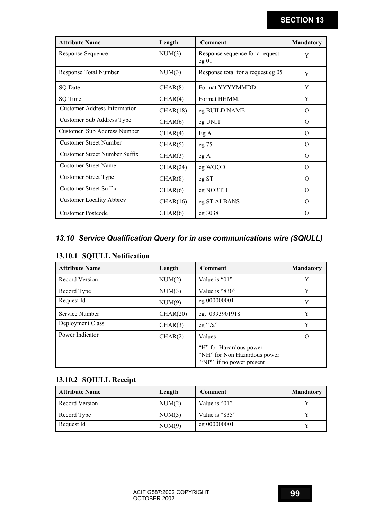## **SECTION 13**

| <b>Attribute Name</b>                | Length   | Comment                                     | <b>Mandatory</b> |
|--------------------------------------|----------|---------------------------------------------|------------------|
| Response Sequence                    | NUM(3)   | Response sequence for a request<br>$eg\ 01$ | Y                |
| Response Total Number                | NUM(3)   | Response total for a request eg 05          | Y                |
| SQ Date                              | CHAR(8)  | Format YYYYMMDD                             | Y                |
| SQ Time                              | CHAR(4)  | Format HHMM                                 | Y                |
| <b>Customer Address Information</b>  | CHAR(18) | eg BUILD NAME                               | $\Omega$         |
| Customer Sub Address Type            | CHAR(6)  | eg UNIT                                     | $\Omega$         |
| Customer Sub Address Number          | CHAR(4)  | EgA                                         | $\Omega$         |
| <b>Customer Street Number</b>        | CHAR(5)  | $eg\ 75$                                    | $\Omega$         |
| <b>Customer Street Number Suffix</b> | CHAR(3)  | eg A                                        | O                |
| <b>Customer Street Name</b>          | CHAR(24) | eg WOOD                                     | $\Omega$         |
| <b>Customer Street Type</b>          | CHAR(8)  | eg ST                                       | $\Omega$         |
| <b>Customer Street Suffix</b>        | CHAR(6)  | eg NORTH                                    | $\Omega$         |
| <b>Customer Locality Abbrev</b>      | CHAR(16) | eg ST ALBANS                                | $\Omega$         |
| <b>Customer Postcode</b>             | CHAR(6)  | eg 3038                                     | $\Omega$         |

## *13.10 Service Qualification Query for in use communications wire (SQIULL)*

| <b>Attribute Name</b> | Length   | <b>Comment</b>                                                                      | <b>Mandatory</b> |
|-----------------------|----------|-------------------------------------------------------------------------------------|------------------|
| Record Version        | NUM(2)   | Value is " $01$ "                                                                   | Y                |
| Record Type           | NUM(3)   | Value is "830"                                                                      | Y                |
| Request Id            | NUM(9)   | eg 000000001                                                                        | Y                |
| Service Number        | CHAR(20) | eg. 0393901918                                                                      | Y                |
| Deployment Class      | CHAR(3)  | eg "7a"                                                                             | Y                |
| Power Indicator       | CHAR(2)  | Values :-                                                                           |                  |
|                       |          | "H" for Hazardous power<br>"NH" for Non Hazardous power<br>"NP" if no power present |                  |

#### **13.10.1 SQIULL Notification**

## **13.10.2 SQIULL Receipt**

| <b>Attribute Name</b> | Length | Comment           | <b>Mandatory</b> |
|-----------------------|--------|-------------------|------------------|
| Record Version        | NUM(2) | Value is " $01$ " |                  |
| Record Type           | NUM(3) | Value is "835"    |                  |
| Request Id            | NUM(9) | eg 000000001      |                  |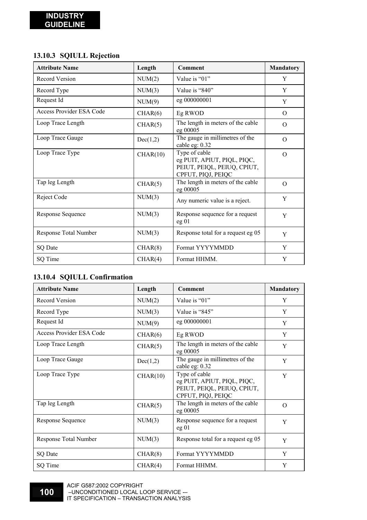## **13.10.3 SQIULL Rejection**

| <b>Attribute Name</b>    | Length   | Comment                                                                                           | <b>Mandatory</b> |
|--------------------------|----------|---------------------------------------------------------------------------------------------------|------------------|
| <b>Record Version</b>    | NUM(2)   | Value is "01"                                                                                     | Y                |
| Record Type              | NUM(3)   | Value is "840"                                                                                    | Y                |
| Request Id               | NUM(9)   | eg 000000001                                                                                      | Y                |
| Access Provider ESA Code | CHAR(6)  | Eg RWOD                                                                                           | $\Omega$         |
| Loop Trace Length        | CHAR(5)  | The length in meters of the cable<br>eg 00005                                                     | $\Omega$         |
| Loop Trace Gauge         | Dec(1,2) | The gauge in millimetres of the<br>cable eg: 0.32                                                 | $\Omega$         |
| Loop Trace Type          | CHAR(10) | Type of cable<br>eg PUIT, APIUT, PIQL, PIQC,<br>PEIUT, PEIQL, PEIUQ, CPIUT,<br>CPFUT, PIQJ, PEIQC | $\Omega$         |
| Tap leg Length           | CHAR(5)  | The length in meters of the cable<br>eg 00005                                                     | $\Omega$         |
| Reject Code              | NUM(3)   | Any numeric value is a reject.                                                                    | Y                |
| Response Sequence        | NUM(3)   | Response sequence for a request<br>$eg\ 01$                                                       | Y                |
| Response Total Number    | NUM(3)   | Response total for a request eg 05                                                                | Y                |
| SQ Date                  | CHAR(8)  | Format YYYYMMDD                                                                                   | Y                |
| SQ Time                  | CHAR(4)  | Format HHMM.                                                                                      | Y                |

## **13.10.4 SQIULL Confirmation**

| <b>Attribute Name</b>    | Length   | <b>Comment</b>                                                                                    | <b>Mandatory</b> |
|--------------------------|----------|---------------------------------------------------------------------------------------------------|------------------|
| Record Version           | NUM(2)   | Value is "01"                                                                                     | Y                |
| Record Type              | NUM(3)   | Value is "845"                                                                                    | Y                |
| Request Id               | NUM(9)   | eg 000000001                                                                                      | Y                |
| Access Provider ESA Code | CHAR(6)  | Eg RWOD                                                                                           | Y                |
| Loop Trace Length        | CHAR(5)  | The length in meters of the cable<br>eg 00005                                                     | Y                |
| Loop Trace Gauge         | Dec(1,2) | The gauge in millimetres of the<br>cable eg: 0.32                                                 | Y                |
| Loop Trace Type          | CHAR(10) | Type of cable<br>eg PUIT, APIUT, PIQL, PIQC,<br>PEIUT, PEIQL, PEIUQ, CPIUT,<br>CPFUT, PIQJ, PEIQC | Y                |
| Tap leg Length           | CHAR(5)  | The length in meters of the cable<br>eg 00005                                                     | $\Omega$         |
| Response Sequence        | NUM(3)   | Response sequence for a request<br>$eg\ 01$                                                       | Y                |
| Response Total Number    | NUM(3)   | Response total for a request eg 05                                                                | Y                |
| <b>SQ</b> Date           | CHAR(8)  | Format YYYYMMDD                                                                                   | Y                |
| SQ Time                  | CHAR(4)  | Format HHMM.                                                                                      | Y                |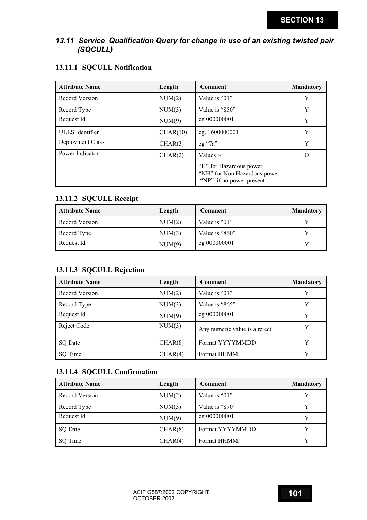## *13.11 Service Qualification Query for change in use of an existing twisted pair (SQCULL)*

## **13.11.1 SQCULL Notification**

| <b>Attribute Name</b>  | Length   | Comment                                                                             | <b>Mandatory</b> |
|------------------------|----------|-------------------------------------------------------------------------------------|------------------|
| Record Version         | NUM(2)   | Value is "01"                                                                       | Y                |
| Record Type            | NUM(3)   | Value is "850"                                                                      | Y                |
| Request Id             | NUM(9)   | eg 000000001                                                                        | Y                |
| <b>ULLS</b> Identifier | CHAR(10) | eg. 1600000001                                                                      | Y                |
| Deployment Class       | CHAR(3)  | eg "7a"                                                                             | Y                |
| Power Indicator        | CHAR(2)  | Values :-                                                                           | $\Omega$         |
|                        |          | "H" for Hazardous power<br>"NH" for Non Hazardous power<br>"NP" if no power present |                  |

## **13.11.2 SQCULL Receipt**

| <b>Attribute Name</b> | Length | Comment           | <b>Mandatory</b> |
|-----------------------|--------|-------------------|------------------|
| Record Version        | NUM(2) | Value is " $01$ " |                  |
| Record Type           | NUM(3) | Value is "860"    |                  |
| Request Id            | NUM(9) | eg 000000001      |                  |

## **13.11.3 SQCULL Rejection**

| <b>Attribute Name</b> | Length  | <b>Comment</b>                 | <b>Mandatory</b> |
|-----------------------|---------|--------------------------------|------------------|
| Record Version        | NUM(2)  | Value is " $01$ "              | Y                |
| Record Type           | NUM(3)  | Value is "865"                 | Y                |
| Request Id            | NUM(9)  | eg 000000001                   | Y                |
| Reject Code           | NUM(3)  | Any numeric value is a reject. | Y                |
| SO Date               | CHAR(8) | Format YYYYMMDD                | Y                |
| SQ Time               | CHAR(4) | Format HHMM.                   | Y                |

## **13.11.4 SQCULL Confirmation**

| <b>Attribute Name</b> | Length  | Comment           | <b>Mandatory</b> |
|-----------------------|---------|-------------------|------------------|
| Record Version        | NUM(2)  | Value is " $01$ " | Y                |
| Record Type           | NUM(3)  | Value is "870"    | v                |
| Request Id            | NUM(9)  | eg 000000001      |                  |
| SQ Date               | CHAR(8) | Format YYYYMMDD   |                  |
| SQ Time               | CHAR(4) | Format HHMM.      |                  |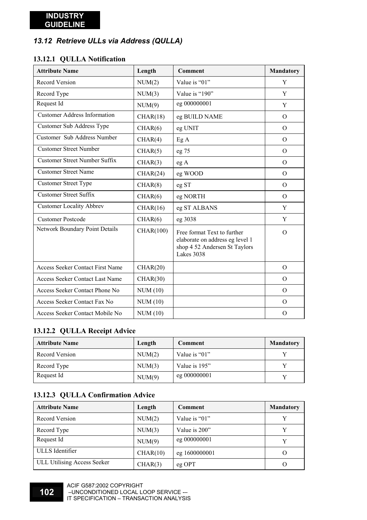## *13.12 Retrieve ULLs via Address (QULLA)*

## **13.12.1 QULLA Notification**

| <b>Attribute Name</b>                   | Length    | <b>Comment</b>                                                                                                | <b>Mandatory</b> |
|-----------------------------------------|-----------|---------------------------------------------------------------------------------------------------------------|------------------|
| <b>Record Version</b>                   | NUM(2)    | Value is "01"                                                                                                 | Y                |
| Record Type                             | NUM(3)    | Value is "190"                                                                                                | Y                |
| Request Id                              | NUM(9)    | eg 000000001                                                                                                  | Y                |
| <b>Customer Address Information</b>     | CHAR(18)  | eg BUILD NAME                                                                                                 | $\Omega$         |
| <b>Customer Sub Address Type</b>        | CHAR(6)   | eg UNIT                                                                                                       | $\overline{O}$   |
| Customer Sub Address Number             | CHAR(4)   | Eg A                                                                                                          | $\overline{O}$   |
| <b>Customer Street Number</b>           | CHAR(5)   | $eg\ 75$                                                                                                      | $\Omega$         |
| <b>Customer Street Number Suffix</b>    | CHAR(3)   | eg A                                                                                                          | $\Omega$         |
| <b>Customer Street Name</b>             | CHAR(24)  | eg WOOD                                                                                                       | $\overline{O}$   |
| <b>Customer Street Type</b>             | CHAR(8)   | eg ST                                                                                                         | $\Omega$         |
| <b>Customer Street Suffix</b>           | CHAR(6)   | eg NORTH                                                                                                      | $\Omega$         |
| <b>Customer Locality Abbrev</b>         | CHAR(16)  | eg ST ALBANS                                                                                                  | Y                |
| <b>Customer Postcode</b>                | CHAR(6)   | eg 3038                                                                                                       | Y                |
| Network Boundary Point Details          | CHAR(100) | Free format Text to further<br>elaborate on address eg level 1<br>shop 4 52 Andersen St Taylors<br>Lakes 3038 | $\Omega$         |
| <b>Access Seeker Contact First Name</b> | CHAR(20)  |                                                                                                               | $\overline{O}$   |
| Access Seeker Contact Last Name         | CHAR(30)  |                                                                                                               | $\Omega$         |
| Access Seeker Contact Phone No          | NUM(10)   |                                                                                                               | $\Omega$         |
| Access Seeker Contact Fax No            | NUM(10)   |                                                                                                               | $\Omega$         |
| Access Seeker Contact Mobile No         | NUM(10)   |                                                                                                               | $\Omega$         |

## **13.12.2 QULLA Receipt Advice**

| <b>Attribute Name</b> | Length | Comment           | <b>Mandatory</b> |
|-----------------------|--------|-------------------|------------------|
| Record Version        | NUM(2) | Value is " $01$ " |                  |
| Record Type           | NUM(3) | Value is 195"     |                  |
| Request Id            | NUM(9) | eg 000000001      |                  |

## **13.12.3 QULLA Confirmation Advice**

| <b>Attribute Name</b>       | Length   | <b>Comment</b> | <b>Mandatory</b> |
|-----------------------------|----------|----------------|------------------|
| Record Version              | NUM(2)   | Value is "01"  |                  |
| Record Type                 | NUM(3)   | Value is 200"  |                  |
| Request Id                  | NUM(9)   | eg 000000001   |                  |
| <b>ULLS</b> Identifier      | CHAR(10) | eg 1600000001  |                  |
| ULL Utilising Access Seeker | CHAR(3)  | eg OPT         |                  |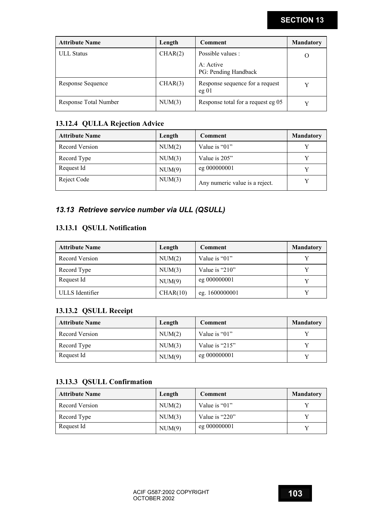| <b>Attribute Name</b> | Length  | <b>Comment</b>                              | <b>Mandatory</b> |
|-----------------------|---------|---------------------------------------------|------------------|
| <b>ULL Status</b>     | CHAR(2) | Possible values :                           | $\Omega$         |
|                       |         | A: Active<br>PG: Pending Handback           |                  |
| Response Sequence     | CHAR(3) | Response sequence for a request<br>$eg\ 01$ | v                |
| Response Total Number | NUM(3)  | Response total for a request eg 05          |                  |

## **13.12.4 QULLA Rejection Advice**

| <b>Attribute Name</b> | Length | Comment                        | <b>Mandatory</b> |
|-----------------------|--------|--------------------------------|------------------|
| Record Version        | NUM(2) | Value is "01"                  | v                |
| Record Type           | NUM(3) | Value is 205"                  | v                |
| Request Id            | NUM(9) | eg 000000001                   | v                |
| Reject Code           | NUM(3) | Any numeric value is a reject. | v                |

## *13.13 Retrieve service number via ULL (QSULL)*

## **13.13.1 QSULL Notification**

| <b>Attribute Name</b> | Length   | Comment            | <b>Mandatory</b> |
|-----------------------|----------|--------------------|------------------|
| Record Version        | NUM(2)   | Value is " $01$ "  |                  |
| Record Type           | NUM(3)   | Value is " $210$ " | v                |
| Request Id            | NUM(9)   | eg 000000001       |                  |
| ULLS Identifier       | CHAR(10) | eg. 1600000001     | v                |

## **13.13.2 QSULL Receipt**

| <b>Attribute Name</b> | Length | <b>Comment</b>     | <b>Mandatory</b> |
|-----------------------|--------|--------------------|------------------|
| Record Version        | NUM(2) | Value is " $01$ "  |                  |
| Record Type           | NUM(3) | Value is " $215$ " |                  |
| Request Id            | NUM(9) | eg 000000001       |                  |

## **13.13.3 QSULL Confirmation**

| <b>Attribute Name</b> | Length | <b>Comment</b>    | <b>Mandatory</b> |
|-----------------------|--------|-------------------|------------------|
| Record Version        | NUM(2) | Value is " $01$ " |                  |
| Record Type           | NUM(3) | Value is "220"    |                  |
| Request Id            | NUM(9) | eg 000000001      |                  |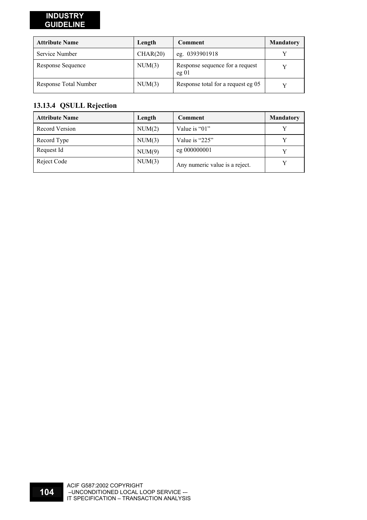## **INDUSTRY GUIDELINE**

| <b>Attribute Name</b> | Length   | Comment                                     | <b>Mandatory</b> |
|-----------------------|----------|---------------------------------------------|------------------|
| Service Number        | CHAR(20) | eg. 0393901918                              |                  |
| Response Sequence     | NUM(3)   | Response sequence for a request<br>$eg\ 01$ |                  |
| Response Total Number | NUM(3)   | Response total for a request eg 05          |                  |

## **13.13.4 QSULL Rejection**

| <b>Attribute Name</b> | Length | Comment                        | <b>Mandatory</b> |
|-----------------------|--------|--------------------------------|------------------|
| Record Version        | NUM(2) | Value is "01"                  |                  |
| Record Type           | NUM(3) | Value is "225"                 |                  |
| Request Id            | NUM(9) | eg 000000001                   |                  |
| Reject Code           | NUM(3) | Any numeric value is a reject. |                  |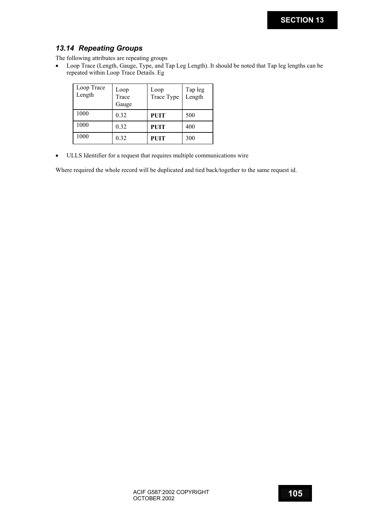## *13.14 Repeating Groups*

The following attributes are repeating groups

• Loop Trace (Length, Gauge, Type, and Tap Leg Length). It should be noted that Tap leg lengths can be repeated within Loop Trace Details. Eg

| Loop Trace<br>Length | Loop<br>Trace<br>Gauge | Loop<br>Trace Type | Tap leg<br>Length |
|----------------------|------------------------|--------------------|-------------------|
| 1000                 | 0.32                   | <b>PUIT</b>        | 500               |
| 1000                 | 0.32                   | <b>PUIT</b>        | 400               |
| 1000                 | 0.32                   | <b>PUIT</b>        | 300               |

• ULLS Identifier for a request that requires multiple communications wire

Where required the whole record will be duplicated and tied back/together to the same request id.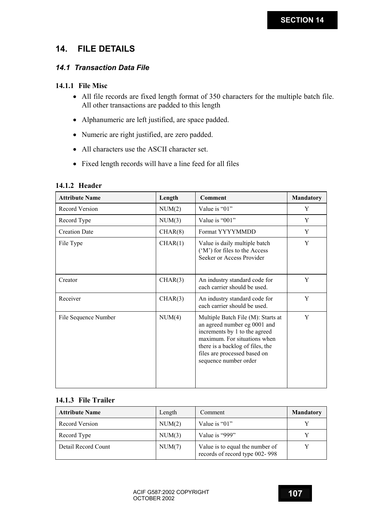## **14. FILE DETAILS**

## *14.1 Transaction Data File*

## **14.1.1 File Misc**

- All file records are fixed length format of 350 characters for the multiple batch file. All other transactions are padded to this length
- Alphanumeric are left justified, are space padded.
- Numeric are right justified, are zero padded.
- All characters use the ASCII character set.
- Fixed length records will have a line feed for all files

| <b>Attribute Name</b> | Length  | <b>Comment</b>                                                                                                                                                                                                                   | <b>Mandatory</b> |
|-----------------------|---------|----------------------------------------------------------------------------------------------------------------------------------------------------------------------------------------------------------------------------------|------------------|
| Record Version        | NUM(2)  | Value is "01"                                                                                                                                                                                                                    | Y                |
| Record Type           | NUM(3)  | Value is "001"                                                                                                                                                                                                                   | Y                |
| <b>Creation Date</b>  | CHAR(8) | Format YYYYMMDD                                                                                                                                                                                                                  | Y                |
| File Type             | CHAR(1) | Value is daily multiple batch<br>('M') for files to the Access<br>Seeker or Access Provider                                                                                                                                      | Y                |
| Creator               | CHAR(3) | An industry standard code for<br>each carrier should be used.                                                                                                                                                                    | Y                |
| Receiver              | CHAR(3) | An industry standard code for<br>each carrier should be used.                                                                                                                                                                    | Y                |
| File Sequence Number  | NUM(4)  | Multiple Batch File (M): Starts at<br>an agreed number eg 0001 and<br>increments by 1 to the agreed<br>maximum. For situations when<br>there is a backlog of files, the<br>files are processed based on<br>sequence number order | Y                |

### **14.1.2 Header**

### **14.1.3 File Trailer**

| <b>Attribute Name</b> | Length | Comment                                                           | <b>Mandatory</b> |
|-----------------------|--------|-------------------------------------------------------------------|------------------|
| Record Version        | NUM(2) | Value is " $01$ "                                                 |                  |
| Record Type           | NUM(3) | Value is "999"                                                    |                  |
| Detail Record Count   | NUM(7) | Value is to equal the number of<br>records of record type 002-998 |                  |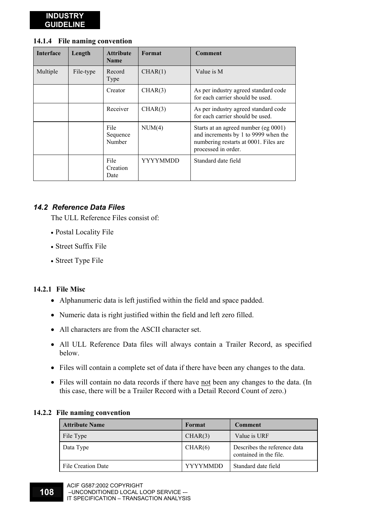#### **INDUSTRY GUIDELINE**

### **14.1.4 File naming convention**

| <b>Interface</b> | Length    | <b>Attribute</b><br><b>Name</b> | Format   | <b>Comment</b>                                                                                                                               |
|------------------|-----------|---------------------------------|----------|----------------------------------------------------------------------------------------------------------------------------------------------|
| Multiple         | File-type | Record<br>Type                  | CHAR(1)  | Value is M                                                                                                                                   |
|                  |           | Creator                         | CHAR(3)  | As per industry agreed standard code<br>for each carrier should be used.                                                                     |
|                  |           | Receiver                        | CHAR(3)  | As per industry agreed standard code<br>for each carrier should be used.                                                                     |
|                  |           | File<br>Sequence<br>Number      | NUM(4)   | Starts at an agreed number (eg 0001)<br>and increments by 1 to 9999 when the<br>numbering restarts at 0001. Files are<br>processed in order. |
|                  |           | File<br>Creation<br>Date        | YYYYMMDD | Standard date field                                                                                                                          |

## *14.2 Reference Data Files*

The ULL Reference Files consist of:

- Postal Locality File
- Street Suffix File
- Street Type File

## **14.2.1 File Misc**

- Alphanumeric data is left justified within the field and space padded.
- Numeric data is right justified within the field and left zero filled.
- All characters are from the ASCII character set.
- All ULL Reference Data files will always contain a Trailer Record, as specified below.
- Files will contain a complete set of data if there have been any changes to the data.
- Files will contain no data records if there have not been any changes to the data. (In this case, there will be a Trailer Record with a Detail Record Count of zero.)

### **14.2.2 File naming convention**

| <b>Attribute Name</b> | Format          | Comment                                                |
|-----------------------|-----------------|--------------------------------------------------------|
| File Type             | CHAR(3)         | Value is URF                                           |
| Data Type             | CHAR(6)         | Describes the reference data<br>contained in the file. |
| File Creation Date    | <b>YYYYMMDD</b> | Standard date field                                    |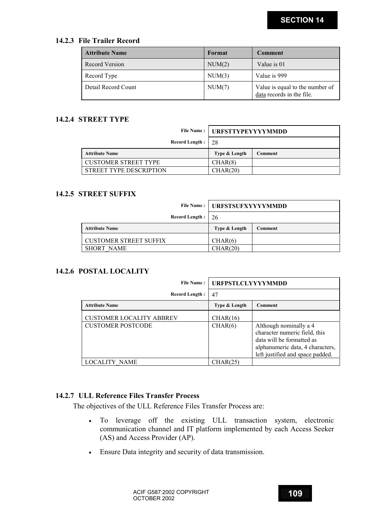## **14.2.3 File Trailer Record**

| <b>Attribute Name</b> | Format | Comment                                                      |
|-----------------------|--------|--------------------------------------------------------------|
| Record Version        | NUM(2) | Value is 01                                                  |
| Record Type           | NUM(3) | Value is 999                                                 |
| Detail Record Count   | NUM(7) | Value is equal to the number of<br>data records in the file. |

## **14.2.4 STREET TYPE**

|                             | File Name:   URFSTTYPEYYYYMMDD |         |
|-----------------------------|--------------------------------|---------|
| Record Length:              | -28                            |         |
| <b>Attribute Name</b>       | Type & Length                  | Comment |
| <b>CUSTOMER STREET TYPE</b> | CHAR(8)                        |         |
| STREET TYPE DESCRIPTION     | CHAR(20)                       |         |

## **14.2.5 STREET SUFFIX**

|                               | File Name:   URFSTSUFXYYYYMMDD |         |
|-------------------------------|--------------------------------|---------|
| Record Length:                | 26                             |         |
| <b>Attribute Name</b>         | Type & Length                  | Comment |
| <b>CUSTOMER STREET SUFFIX</b> | CHAR(6)                        |         |
| <b>SHORT NAME</b>             | CHAR(20)                       |         |

## **14.2.6 POSTAL LOCALITY**

| File Name:                      | <b>URFPSTLCLYYYYMMDD</b> |                                                                                                                                                              |
|---------------------------------|--------------------------|--------------------------------------------------------------------------------------------------------------------------------------------------------------|
| <b>Record Length:</b>           | 47                       |                                                                                                                                                              |
| <b>Attribute Name</b>           | Type & Length            | <b>Comment</b>                                                                                                                                               |
| <b>CUSTOMER LOCALITY ABBREV</b> | CHAR(16)                 |                                                                                                                                                              |
| <b>CUSTOMER POSTCODE</b>        | CHAR(6)                  | Although nominally a 4<br>character numeric field, this<br>data will be formatted as<br>alphanumeric data, 4 characters,<br>left justified and space padded. |
| LOCALITY NAME                   | CHAR(25)                 |                                                                                                                                                              |

## **14.2.7 ULL Reference Files Transfer Process**

The objectives of the ULL Reference Files Transfer Process are:

- To leverage off the existing ULL transaction system, electronic communication channel and IT platform implemented by each Access Seeker (AS) and Access Provider (AP).
- Ensure Data integrity and security of data transmission.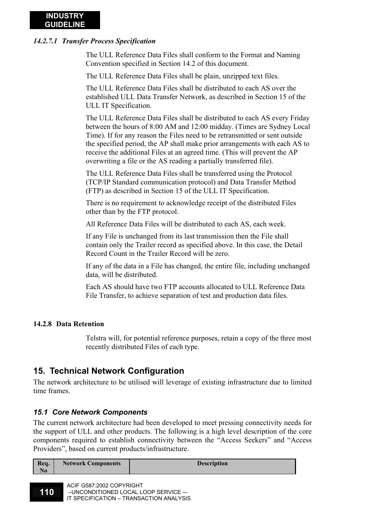## *14.2.7.1 Transfer Process Specification*

The ULL Reference Data Files shall conform to the Format and Naming Convention specified in Section 14.2 of this document.

The ULL Reference Data Files shall be plain, unzipped text files.

The ULL Reference Data Files shall be distributed to each AS over the established ULL Data Transfer Network, as described in Section 15 of the ULL IT Specification.

The ULL Reference Data Files shall be distributed to each AS every Friday between the hours of 8:00 AM and 12:00 midday. (Times are Sydney Local Time). If for any reason the Files need to be retransmitted or sent outside the specified period, the AP shall make prior arrangements with each AS to receive the additional Files at an agreed time. (This will prevent the AP overwriting a file or the AS reading a partially transferred file).

The ULL Reference Data Files shall be transferred using the Protocol (TCP/IP Standard communication protocol) and Data Transfer Method (FTP) as described in Section 15 of the ULL IT Specification.

There is no requirement to acknowledge receipt of the distributed Files other than by the FTP protocol.

All Reference Data Files will be distributed to each AS, each week.

If any File is unchanged from its last transmission then the File shall contain only the Trailer record as specified above. In this case, the Detail Record Count in the Trailer Record will be zero.

If any of the data in a File has changed, the entire file, including unchanged data, will be distributed.

Each AS should have two FTP accounts allocated to ULL Reference Data File Transfer, to achieve separation of test and production data files.

## **14.2.8 Data Retention**

Telstra will, for potential reference purposes, retain a copy of the three most recently distributed Files of each type.

## **15. Technical Network Configuration**

The network architecture to be utilised will leverage of existing infrastructure due to limited time frames.

## *15.1 Core Network Components*

The current network architecture had been developed to meet pressing connectivity needs for the support of ULL and other products. The following is a high level description of the core components required to establish connectivity between the "Access Seekers" and "Access Providers", based on current products/infrastructure.

| Req.     | <b>Network Components</b> | <b>Description</b> |
|----------|---------------------------|--------------------|
| $\bf No$ |                           |                    |

**110**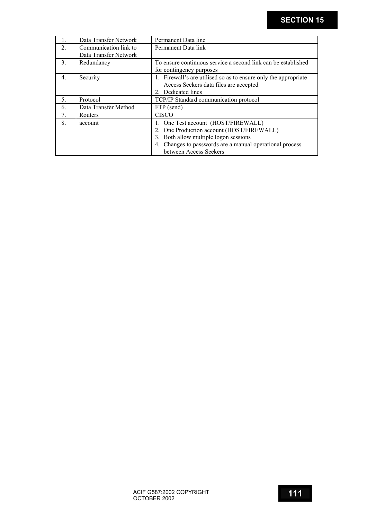## **SECTION 15**

| $\mathbf{1}$ . | Data Transfer Network | Permanent Data line                                             |
|----------------|-----------------------|-----------------------------------------------------------------|
| $\overline{2}$ | Communication link to | Permanent Data link                                             |
|                | Data Transfer Network |                                                                 |
| 3.             | Redundancy            | To ensure continuous service a second link can be established   |
|                |                       | for contingency purposes                                        |
| 4.             | Security              | 1. Firewall's are utilised so as to ensure only the appropriate |
|                |                       | Access Seekers data files are accepted                          |
|                |                       | 2. Dedicated lines                                              |
| 5.             | Protocol              | TCP/IP Standard communication protocol                          |
| 6.             | Data Transfer Method  | FTP (send)                                                      |
| 7.             | Routers               | <b>CISCO</b>                                                    |
| 8.             | account               | 1. One Test account (HOST/FIREWALL)                             |
|                |                       | One Production account (HOST/FIREWALL)                          |
|                |                       | Both allow multiple logon sessions<br>3.                        |
|                |                       | Changes to passwords are a manual operational process<br>4.     |
|                |                       | between Access Seekers                                          |

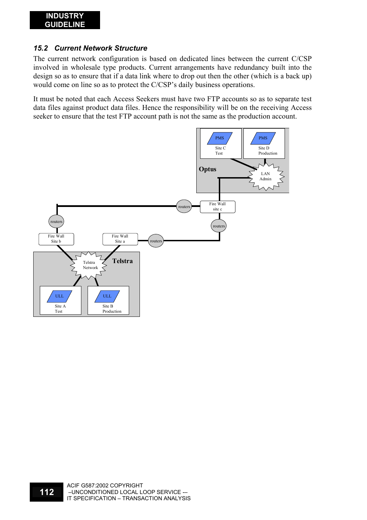### *15.2 Current Network Structure*

The current network configuration is based on dedicated lines between the current C/CSP involved in wholesale type products. Current arrangements have redundancy built into the design so as to ensure that if a data link where to drop out then the other (which is a back up) would come on line so as to protect the C/CSP's daily business operations.

It must be noted that each Access Seekers must have two FTP accounts so as to separate test data files against product data files. Hence the responsibility will be on the receiving Access seeker to ensure that the test FTP account path is not the same as the production account.

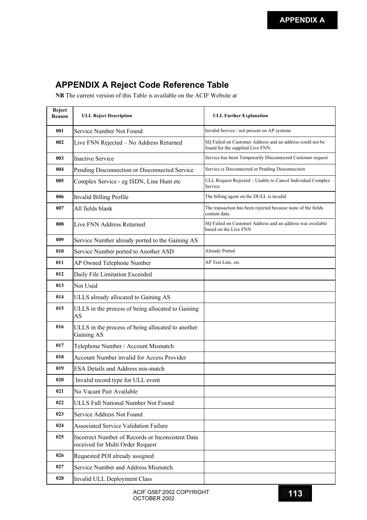## **APPENDIX A Reject Code Reference Table**

**NB** The current version of this Table is available on the ACIF Website at

| Reject<br>Reason | <b>ULL Reject Description</b>                                                        | <b>ULL Further Explanation</b>                                                                |
|------------------|--------------------------------------------------------------------------------------|-----------------------------------------------------------------------------------------------|
| 001              | Service Number Not Found                                                             | Invalid Service / not present on AP systems                                                   |
| 002              | Live FNN Rejected - No Address Returned                                              | SQ Failed on Customer Address and an address could not be<br>found for the supplied Live FNN. |
| 003              | <b>Inactive Service</b>                                                              | Service has been Temporarily Disconnected Customer request                                    |
| 004              | Pending Disconnection or Disconnected Service                                        | Service is Disconnected or Pending Disconnection                                              |
| 005              | Complex Service - eg ISDN, Line Hunt etc                                             | ULL Request Rejected - Unable to Cancel Individual Complex<br>Service                         |
| 006              | Invalid Billing Profile                                                              | The billing agent on the DULL is invalid                                                      |
| 007              | All fields blank                                                                     | The transaction has been rejected because none of the fields<br>contain data.                 |
| 008              | Live FNN Address Returned                                                            | SQ Failed on Customer Address and an address was available<br>based on the Live FNN           |
| 009              | Service Number already ported to the Gaining AS                                      |                                                                                               |
| 010              | Service Number ported to Another ASD                                                 | Already Ported                                                                                |
| 011              | AP Owned Telephone Number                                                            | AP Test Line, etc                                                                             |
| 012              | Daily File Limitation Exceeded                                                       |                                                                                               |
| 013              | Not Used                                                                             |                                                                                               |
| 014              | ULLS already allocated to Gaining AS                                                 |                                                                                               |
| 015              | ULLS in the process of being allocated to Gaining<br><b>AS</b>                       |                                                                                               |
| 016              | ULLS in the process of being allocated to another<br>Gaining AS                      |                                                                                               |
| 017              | Telephone Number / Account Mismatch                                                  |                                                                                               |
| 018              | Account Number invalid for Access Provider                                           |                                                                                               |
| 019              | ESA Details and Address mis-match                                                    |                                                                                               |
| 020              | Invalid record type for ULL event                                                    |                                                                                               |
| 021              | No Vacant Pair Available                                                             |                                                                                               |
| 022              | ULLS Full National Number Not Found                                                  |                                                                                               |
| 023              | Service Address Not Found                                                            |                                                                                               |
| 024              | <b>Associated Service Validation Failure</b>                                         |                                                                                               |
| 025              | Incorrect Number of Records or Inconsistent Data<br>received for Multi Order Request |                                                                                               |
| 026              | Requested POI already assigned                                                       |                                                                                               |
| 027              | Service Number and Address Mismatch                                                  |                                                                                               |
| 028              | Invalid ULL Deployment Class                                                         |                                                                                               |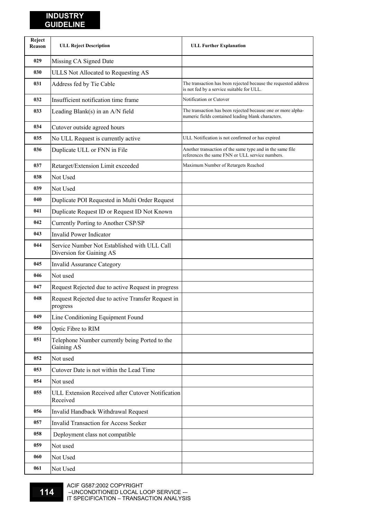## **INDUSTRY GUIDELINE**

| Reject<br>Reason | <b>ULL Reject Description</b>                                            | <b>ULL Further Explanation</b>                                                                                     |
|------------------|--------------------------------------------------------------------------|--------------------------------------------------------------------------------------------------------------------|
| 029              | Missing CA Signed Date                                                   |                                                                                                                    |
| 030              | ULLS Not Allocated to Requesting AS                                      |                                                                                                                    |
| 031              | Address fed by Tie Cable                                                 | The transaction has been rejected because the requested address<br>is not fed by a service suitable for ULL.       |
| 032              | Insufficient notification time frame                                     | Notification or Cutover                                                                                            |
| 033              | Leading Blank(s) in an $A/N$ field                                       | The transaction has been rejected because one or more alpha-<br>numeric fields contained leading blank characters. |
| 034              | Cutover outside agreed hours                                             |                                                                                                                    |
| 035              | No ULL Request is currently active                                       | ULL Notification is not confirmed or has expired                                                                   |
| 036              | Duplicate ULL or FNN in File                                             | Another transaction of the same type and in the same file<br>references the same FNN or ULL service numbers.       |
| 037              | Retarget/Extension Limit exceeded                                        | Maximum Number of Retargets Reached                                                                                |
| 038              | Not Used                                                                 |                                                                                                                    |
| 039              | Not Used                                                                 |                                                                                                                    |
| 040              | Duplicate POI Requested in Multi Order Request                           |                                                                                                                    |
| 041              | Duplicate Request ID or Request ID Not Known                             |                                                                                                                    |
| 042              | Currently Porting to Another CSP/SP                                      |                                                                                                                    |
| 043              | <b>Invalid Power Indicator</b>                                           |                                                                                                                    |
| 044              | Service Number Not Established with ULL Call<br>Diversion for Gaining AS |                                                                                                                    |
| 045              | <b>Invalid Assurance Category</b>                                        |                                                                                                                    |
| 046              | Not used                                                                 |                                                                                                                    |
| 047              | Request Rejected due to active Request in progress                       |                                                                                                                    |
| 048              | Request Rejected due to active Transfer Request in<br>progress           |                                                                                                                    |
| 049              | Line Conditioning Equipment Found                                        |                                                                                                                    |
| 050              | Optic Fibre to RIM                                                       |                                                                                                                    |
| 051              | Telephone Number currently being Ported to the<br>Gaining AS             |                                                                                                                    |
| 052              | Not used                                                                 |                                                                                                                    |
| 053              | Cutover Date is not within the Lead Time                                 |                                                                                                                    |
| 054              | Not used                                                                 |                                                                                                                    |
| 055              | ULL Extension Received after Cutover Notification<br>Received            |                                                                                                                    |
| 056              | Invalid Handback Withdrawal Request                                      |                                                                                                                    |
| 057              | <b>Invalid Transaction for Access Seeker</b>                             |                                                                                                                    |
| 058              | Deployment class not compatible                                          |                                                                                                                    |
| 059              | Not used                                                                 |                                                                                                                    |
| 060              | Not Used                                                                 |                                                                                                                    |
| 061              | Not Used                                                                 |                                                                                                                    |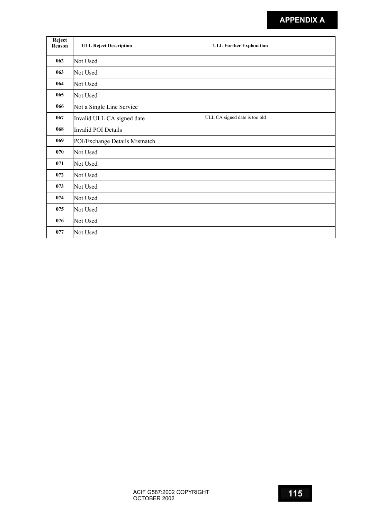| Reject<br>Reason | <b>ULL Reject Description</b> | <b>ULL Further Explanation</b> |
|------------------|-------------------------------|--------------------------------|
| 062              | Not Used                      |                                |
| 063              | Not Used                      |                                |
| 064              | Not Used                      |                                |
| 065              | Not Used                      |                                |
| 066              | Not a Single Line Service     |                                |
| 067              | Invalid ULL CA signed date    | ULL CA signed date is too old  |
| 068              | Invalid POI Details           |                                |
| 069              | POI/Exchange Details Mismatch |                                |
| 070              | Not Used                      |                                |
| 071              | Not Used                      |                                |
| 072              | Not Used                      |                                |
| 073              | Not Used                      |                                |
| 074              | Not Used                      |                                |
| 075              | Not Used                      |                                |
| 076              | Not Used                      |                                |
| 077              | Not Used                      |                                |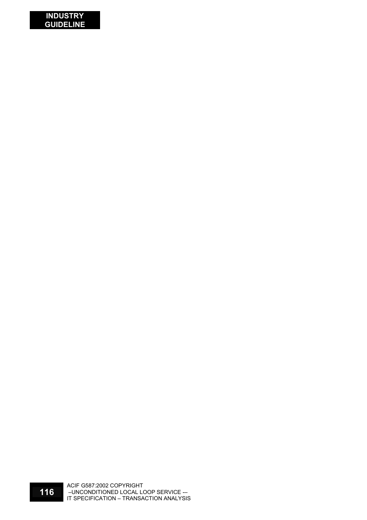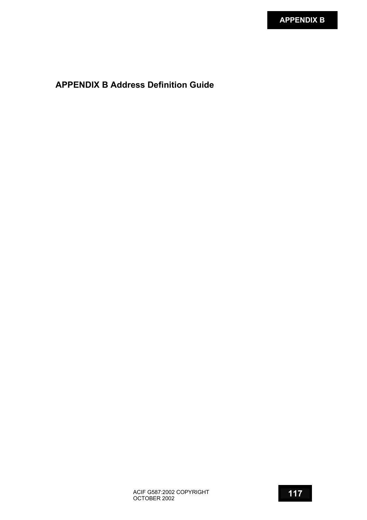**APPENDIX B Address Definition Guide**

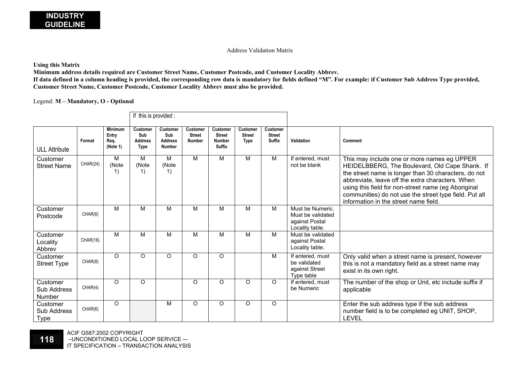Address Validation Matrix

**Using this Matrix**

**Minimum address details required are Customer Street Name, Customer Postcode, and Customer Locality Abbrev. If data defined in a column heading is provided, the corresponding row data is mandatory for fields defined "M". For example: if Customer Sub Address Type provided, Customer Street Name, Customer Postcode, Customer Locality Abbrev must also be provided.**

Legend: **M – Mandatory, O - Optional**

|                                        |          |                                      | If this is provided :                                   |                                                           |                                                   |                                                                    |                                                 |                                                   |                                                                            |                                                                                                                                                                                                                                                                                                                                                                     |
|----------------------------------------|----------|--------------------------------------|---------------------------------------------------------|-----------------------------------------------------------|---------------------------------------------------|--------------------------------------------------------------------|-------------------------------------------------|---------------------------------------------------|----------------------------------------------------------------------------|---------------------------------------------------------------------------------------------------------------------------------------------------------------------------------------------------------------------------------------------------------------------------------------------------------------------------------------------------------------------|
| <b>ULL Attribute</b>                   | Format   | Minimum<br>Entry<br>Req.<br>(Note 1) | <b>Customer</b><br>Sub<br><b>Address</b><br><b>Type</b> | <b>Customer</b><br>Sub<br><b>Address</b><br><b>Number</b> | <b>Customer</b><br><b>Street</b><br><b>Number</b> | <b>Customer</b><br><b>Street</b><br><b>Number</b><br><b>Suffix</b> | <b>Customer</b><br><b>Street</b><br><b>Type</b> | <b>Customer</b><br><b>Street</b><br><b>Suffix</b> | Validation                                                                 | Comment                                                                                                                                                                                                                                                                                                                                                             |
| Customer<br><b>Street Name</b>         | CHAR(24) | M<br>(Note<br>1)                     | M<br>(Note<br>1)                                        | м<br>(Note<br>1)                                          | M                                                 | M                                                                  | M                                               | М                                                 | If entered, must<br>not be blank                                           | This may include one or more names eg UPPER<br>HEIDELBBERG, The Boulevard, Old Cape Shank. If<br>the street name is longer than 30 characters, do not<br>abbreviate, leave off the extra characters. When<br>using this field for non-street name (eg Aboriginal<br>communities) do not use the street type field. Put all<br>information in the street name field. |
| Customer<br>Postcode                   | CHAR(6)  | M                                    | M                                                       | M                                                         | M                                                 | M                                                                  | M                                               | M                                                 | Must be Numeric.<br>Must be validated<br>against Postal<br>Locality table. |                                                                                                                                                                                                                                                                                                                                                                     |
| Customer<br>Locality<br>Abbrev         | CHAR(16) | M                                    | M                                                       | м                                                         | M                                                 | M                                                                  | M                                               | M                                                 | Must be validated<br>against Postal<br>Locality table.                     |                                                                                                                                                                                                                                                                                                                                                                     |
| Customer<br>Street Type                | CHAR(8)  | $\Omega$                             | $\circ$                                                 | $\Omega$                                                  | $\Omega$                                          | $\Omega$                                                           |                                                 | M                                                 | If entered, must<br>be validated<br>against Street<br>Type table           | Only valid when a street name is present, however<br>this is not a mandatory field as a street name may<br>exist in its own right.                                                                                                                                                                                                                                  |
| Customer<br>Sub Address<br>Number      | CHAR(4)  | $\Omega$                             | $\Omega$                                                |                                                           | $\circ$                                           | $\circ$                                                            | $\Omega$                                        | O                                                 | If entered, must<br>be Numeric                                             | The number of the shop or Unit, etc include suffix if<br>applicable                                                                                                                                                                                                                                                                                                 |
| Customer<br>Sub Address<br><b>Type</b> | CHAR(6)  | $\Omega$                             |                                                         | M                                                         | $\Omega$                                          | $\circ$                                                            | $\circ$                                         | $\Omega$                                          |                                                                            | Enter the sub address type if the sub address<br>number field is to be completed eg UNIT, SHOP,<br><b>LEVEL</b>                                                                                                                                                                                                                                                     |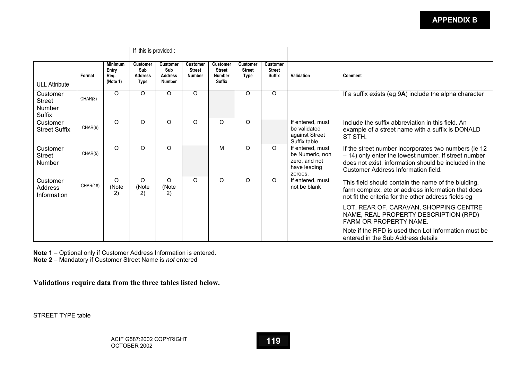|                                               |          |                                             | If this is provided :                                   |                                                           |                                                   |                                                                    |                                                 |                                                   |                                                                                 |                                                                                                                                                                                                              |
|-----------------------------------------------|----------|---------------------------------------------|---------------------------------------------------------|-----------------------------------------------------------|---------------------------------------------------|--------------------------------------------------------------------|-------------------------------------------------|---------------------------------------------------|---------------------------------------------------------------------------------|--------------------------------------------------------------------------------------------------------------------------------------------------------------------------------------------------------------|
| <b>ULL Attribute</b>                          | Format   | <b>Minimum</b><br>Entry<br>Req.<br>(Note 1) | <b>Customer</b><br>Sub<br><b>Address</b><br><b>Type</b> | <b>Customer</b><br>Sub<br><b>Address</b><br><b>Number</b> | <b>Customer</b><br><b>Street</b><br><b>Number</b> | <b>Customer</b><br><b>Street</b><br><b>Number</b><br><b>Suffix</b> | <b>Customer</b><br><b>Street</b><br><b>Type</b> | <b>Customer</b><br><b>Street</b><br><b>Suffix</b> | Validation                                                                      | <b>Comment</b>                                                                                                                                                                                               |
| Customer<br><b>Street</b><br>Number<br>Suffix | CHAR(3)  | $\Omega$                                    | $\Omega$                                                | $\circ$                                                   | $\circ$                                           |                                                                    | $\Omega$                                        | O                                                 |                                                                                 | If a suffix exists (eg 9A) include the alpha character                                                                                                                                                       |
| Customer<br><b>Street Suffix</b>              | CHAR(6)  | $\Omega$                                    | $\Omega$                                                | $\Omega$                                                  | $\circ$                                           | $\Omega$                                                           | $\Omega$                                        |                                                   | If entered, must<br>be validated<br>against Street<br>Suffix table              | Include the suffix abbreviation in this field. An<br>example of a street name with a suffix is DONALD<br>ST STH.                                                                                             |
| Customer<br><b>Street</b><br>Number           | CHAR(5)  | $\Omega$                                    | $\Omega$                                                | $\circ$                                                   |                                                   | M                                                                  | $\Omega$                                        | $\circ$                                           | If entered, must<br>be Numeric, non<br>zero, and not<br>have leading<br>zeroes. | If the street number incorporates two numbers (ie 12<br>- 14) only enter the lowest number. If street number<br>does not exist, information should be included in the<br>Customer Address Information field. |
| Customer<br>Address<br>Information            | CHAR(18) | $\circ$<br>(Note<br>2)                      | $\Omega$<br>(Note<br>2)                                 | $\circ$<br>(Note<br>2)                                    | $\Omega$                                          | $\Omega$                                                           | $\Omega$                                        | $\circ$                                           | If entered, must<br>not be blank                                                | This field should contain the name of the biulding,<br>farm complex, etc or address information that does<br>not fit the criteria for the other address fields eg                                            |
|                                               |          |                                             |                                                         |                                                           |                                                   |                                                                    |                                                 |                                                   |                                                                                 | LOT, REAR OF, CARAVAN, SHOPPING CENTRE<br>NAME, REAL PROPERTY DESCRIPTION (RPD)<br>FARM OR PROPERTY NAME.                                                                                                    |
|                                               |          |                                             |                                                         |                                                           |                                                   |                                                                    |                                                 |                                                   |                                                                                 | Note if the RPD is used then Lot Information must be<br>entered in the Sub Address details                                                                                                                   |

**Note 1** – Optional only if Customer Address Information is entered.

**Note 2** – Mandatory if Customer Street Name is *not* entered

**Validations require data from the three tables listed below.**

STREET TYPE table

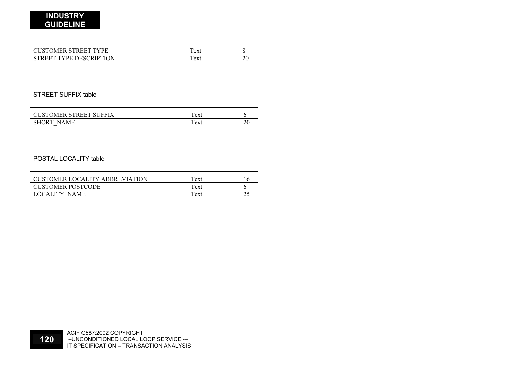### **INDUSTRY GUIDELINE**

| ET TYPE<br><b>OMER STREET</b> | $\sim$<br>ext       |    |
|-------------------------------|---------------------|----|
| TREET TYPE DESCRIPTION        | $\mathbf{r}$<br>ext | ∠∪ |

#### STREET SUFFIX table

| STREET<br><b>DMER</b><br><b>ST</b><br><b>IFFIX</b> | $\overline{\phantom{a}}$<br>$\Delta V'$<br>$1 \nu \Lambda L$ |    |
|----------------------------------------------------|--------------------------------------------------------------|----|
| <b>SHORT</b><br>MF<br>NΔ                           | m<br>$\Delta V'$<br>1 U.A.L                                  | 20 |

#### POSTAL LOCALITY table

| <b>CUSTOMER LOCALITY ABBREVIATION</b> | Text |                  |
|---------------------------------------|------|------------------|
| CUSTOMER POSTCODE                     | Text | h                |
| <b>COCALITY</b><br><b>NAME</b>        | Text | $\bigcap$<br>ر گ |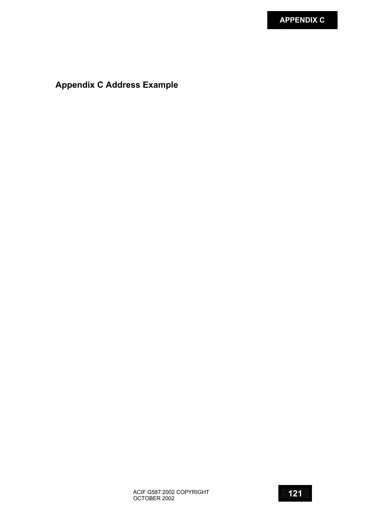**Appendix C Address Example**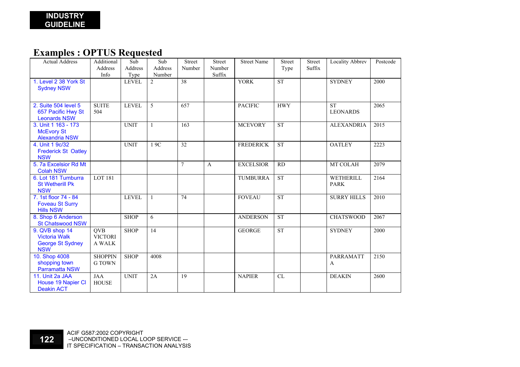## **Examples : OPTUS Requested**

| <b>Actual Address</b>                                                           | Additional<br>Address<br>Info          | Sub<br>Address<br>Type | $\overline{\text{Sub}}$<br>Address<br>Number | <b>Street</b><br>Number | Street<br>Number<br>Suffix | <b>Street Name</b> | Street<br>Type         | Street<br>Suffix | Locality Abbrev                 | Postcode |
|---------------------------------------------------------------------------------|----------------------------------------|------------------------|----------------------------------------------|-------------------------|----------------------------|--------------------|------------------------|------------------|---------------------------------|----------|
| 1. Level 2 38 York St<br><b>Sydney NSW</b>                                      |                                        | <b>LEVEL</b>           | $\overline{2}$                               | 38                      |                            | <b>YORK</b>        | <b>ST</b>              |                  | <b>SYDNEY</b>                   | 2000     |
| 2. Suite 504 level 5<br>657 Pacific Hwy St<br><b>Leonards NSW</b>               | <b>SUITE</b><br>504                    | <b>LEVEL</b>           | 5                                            | 657                     |                            | <b>PACIFIC</b>     | <b>HWY</b>             |                  | <b>ST</b><br><b>LEONARDS</b>    | 2065     |
| 3. Unit 1 163 - 173<br><b>McEvory St</b><br><b>Alexandria NSW</b>               |                                        | <b>UNIT</b>            | $\overline{1}$                               | 163                     |                            | <b>MCEVORY</b>     | <b>ST</b>              |                  | <b>ALEXANDRIA</b>               | 2015     |
| 4. Unit 1 9c/32<br><b>Frederick St Oatley</b><br><b>NSW</b>                     |                                        | <b>UNIT</b>            | 1 9C                                         | 32                      |                            | <b>FREDERICK</b>   | <b>ST</b>              |                  | <b>OATLEY</b>                   | 2223     |
| 5. 7a Excelsior Rd Mt<br><b>Colah NSW</b>                                       |                                        |                        |                                              | $\tau$                  | $\mathbf{A}$               | <b>EXCELSIOR</b>   | RD                     |                  | MT COLAH                        | 2079     |
| 6. Lot 181 Tumburra<br><b>St Wetherill Pk</b><br><b>NSW</b>                     | <b>LOT 181</b>                         |                        |                                              |                         |                            | <b>TUMBURRA</b>    | $\overline{\text{ST}}$ |                  | <b>WETHERILL</b><br><b>PARK</b> | 2164     |
| 7. 1st floor 74 - 84<br><b>Foveau St Surry</b><br><b>Hills NSW</b>              |                                        | <b>LEVEL</b>           | $\overline{1}$                               | 74                      |                            | <b>FOVEAU</b>      | $\overline{\text{ST}}$ |                  | <b>SURRY HILLS</b>              | 2010     |
| 8. Shop 6 Anderson<br><b>St Chatswood NSW</b>                                   |                                        | <b>SHOP</b>            | 6                                            |                         |                            | <b>ANDERSON</b>    | $\overline{\text{ST}}$ |                  | <b>CHATSWOOD</b>                | 2067     |
| 9. QVB shop 14<br><b>Victoria Walk</b><br><b>George St Sydney</b><br><b>NSW</b> | <b>QVB</b><br><b>VICTORI</b><br>A WALK | <b>SHOP</b>            | 14                                           |                         |                            | <b>GEORGE</b>      | <b>ST</b>              |                  | <b>SYDNEY</b>                   | 2000     |
| 10. Shop 4008<br>shopping town<br><b>Parramatta NSW</b>                         | <b>SHOPPIN</b><br><b>GTOWN</b>         | <b>SHOP</b>            | 4008                                         |                         |                            |                    |                        |                  | <b>PARRAMATT</b><br>A           | 2150     |
| 11. Unit 2a JAA<br>House 19 Napier Cl<br><b>Deakin ACT</b>                      | <b>JAA</b><br><b>HOUSE</b>             | <b>UNIT</b>            | 2A                                           | 19                      |                            | <b>NAPIER</b>      | CL                     |                  | <b>DEAKIN</b>                   | 2600     |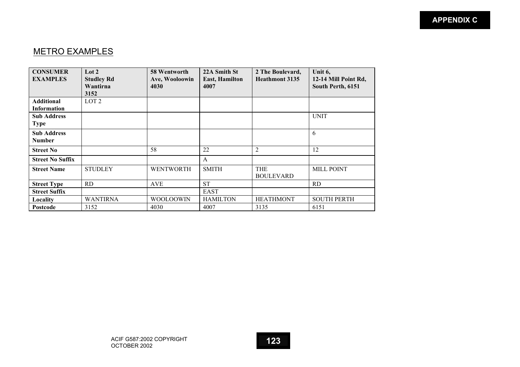## METRO EXAMPLES

| <b>CONSUMER</b><br><b>EXAMPLES</b>      | $\text{Lot} 2$<br><b>Studley Rd</b><br>Wantirna<br>3152 | 58 Wentworth<br>Ave, Wooloowin<br>4030 | 22A Smith St<br><b>East, Hamilton</b><br>4007 | 2 The Boulevard,<br>Heathmont 3135 | Unit 6,<br>12-14 Mill Point Rd,<br>South Perth, 6151 |
|-----------------------------------------|---------------------------------------------------------|----------------------------------------|-----------------------------------------------|------------------------------------|------------------------------------------------------|
| <b>Additional</b><br><b>Information</b> | LOT <sub>2</sub>                                        |                                        |                                               |                                    |                                                      |
| <b>Sub Address</b><br><b>Type</b>       |                                                         |                                        |                                               |                                    | <b>UNIT</b>                                          |
| <b>Sub Address</b><br><b>Number</b>     |                                                         |                                        |                                               |                                    | 6                                                    |
| <b>Street No</b>                        |                                                         | 58                                     | 22                                            | $\overline{2}$                     | 12                                                   |
| <b>Street No Suffix</b>                 |                                                         |                                        | $\mathbf{A}$                                  |                                    |                                                      |
| <b>Street Name</b>                      | <b>STUDLEY</b>                                          | <b>WENTWORTH</b>                       | <b>SMITH</b>                                  | <b>THE</b><br><b>BOULEVARD</b>     | MILL POINT                                           |
| <b>Street Type</b>                      | <b>RD</b>                                               | <b>AVE</b>                             | <b>ST</b>                                     |                                    | <b>RD</b>                                            |
| <b>Street Suffix</b>                    |                                                         |                                        | <b>EAST</b>                                   |                                    |                                                      |
| Locality                                | <b>WANTIRNA</b>                                         | <b>WOOLOOWIN</b>                       | <b>HAMILTON</b>                               | <b>HEATHMONT</b>                   | <b>SOUTH PERTH</b>                                   |
| <b>Postcode</b>                         | 3152                                                    | 4030                                   | 4007                                          | 3135                               | 6151                                                 |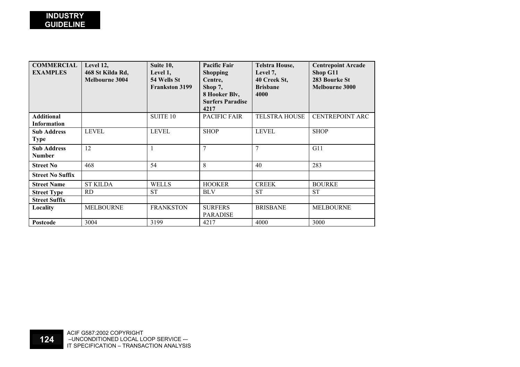| <b>COMMERCIAL</b><br><b>EXAMPLES</b>    | Level 12,<br>468 St Kilda Rd,<br><b>Melbourne 3004</b> | Suite 10,<br>Level 1,<br>54 Wells St<br><b>Frankston 3199</b> | <b>Pacific Fair</b><br><b>Shopping</b><br>Centre,<br>Shop 7,<br>8 Hooker Blv,<br><b>Surfers Paradise</b><br>4217 | Telstra House,<br>Level 7,<br>40 Creek St,<br><b>Brishane</b><br>4000 | <b>Centrepoint Arcade</b><br>Shop G11<br>283 Bourke St<br><b>Melbourne 3000</b> |
|-----------------------------------------|--------------------------------------------------------|---------------------------------------------------------------|------------------------------------------------------------------------------------------------------------------|-----------------------------------------------------------------------|---------------------------------------------------------------------------------|
| <b>Additional</b><br><b>Information</b> |                                                        | <b>SUITE 10</b>                                               | <b>PACIFIC FAIR</b>                                                                                              | <b>TELSTRA HOUSE</b>                                                  | <b>CENTREPOINT ARC</b>                                                          |
| <b>Sub Address</b><br><b>Type</b>       | <b>LEVEL</b>                                           | <b>LEVEL</b>                                                  | <b>SHOP</b>                                                                                                      | <b>LEVEL</b>                                                          | <b>SHOP</b>                                                                     |
| <b>Sub Address</b><br><b>Number</b>     | 12                                                     |                                                               | $\overline{7}$                                                                                                   | $\overline{7}$                                                        | G11                                                                             |
| <b>Street No</b>                        | 468                                                    | 54                                                            | 8                                                                                                                | 40                                                                    | 283                                                                             |
| <b>Street No Suffix</b>                 |                                                        |                                                               |                                                                                                                  |                                                                       |                                                                                 |
| <b>Street Name</b>                      | <b>ST KILDA</b>                                        | <b>WELLS</b>                                                  | <b>HOOKER</b>                                                                                                    | <b>CREEK</b>                                                          | <b>BOURKE</b>                                                                   |
| <b>Street Type</b>                      | <b>RD</b>                                              | <b>ST</b>                                                     | <b>BLV</b>                                                                                                       | <b>ST</b>                                                             | <b>ST</b>                                                                       |
| <b>Street Suffix</b>                    |                                                        |                                                               |                                                                                                                  |                                                                       |                                                                                 |
| Locality                                | <b>MELBOURNE</b>                                       | <b>FRANKSTON</b>                                              | <b>SURFERS</b><br>PARADISE                                                                                       | <b>BRISBANE</b>                                                       | <b>MELBOURNE</b>                                                                |
| Postcode                                | 3004                                                   | 3199                                                          | 4217                                                                                                             | 4000                                                                  | 3000                                                                            |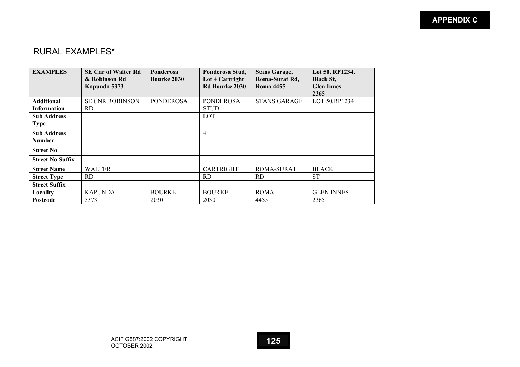## RURAL EXAMPLES\*

| <b>EXAMPLES</b>                     | <b>SE Cnr of Walter Rd</b><br>& Robinson Rd<br>Kapunda 5373 | Ponderosa<br><b>Bourke 2030</b> | Ponderosa Stud,<br>Lot 4 Cartright<br>Rd Bourke 2030 | <b>Stans Garage,</b><br>Roma-Surat Rd,<br><b>Roma 4455</b> | Lot 50, RP1234,<br><b>Black St,</b><br><b>Glen Innes</b><br>2365 |
|-------------------------------------|-------------------------------------------------------------|---------------------------------|------------------------------------------------------|------------------------------------------------------------|------------------------------------------------------------------|
| <b>Additional</b>                   | <b>SE CNR ROBINSON</b>                                      | <b>PONDEROSA</b>                | <b>PONDEROSA</b>                                     | <b>STANS GARAGE</b>                                        | LOT 50, RP1234                                                   |
| Information                         | RD.                                                         |                                 | <b>STUD</b>                                          |                                                            |                                                                  |
| <b>Sub Address</b>                  |                                                             |                                 | <b>LOT</b>                                           |                                                            |                                                                  |
| <b>Type</b>                         |                                                             |                                 |                                                      |                                                            |                                                                  |
| <b>Sub Address</b><br><b>Number</b> |                                                             |                                 | 4                                                    |                                                            |                                                                  |
| <b>Street No</b>                    |                                                             |                                 |                                                      |                                                            |                                                                  |
| <b>Street No Suffix</b>             |                                                             |                                 |                                                      |                                                            |                                                                  |
| <b>Street Name</b>                  | <b>WALTER</b>                                               |                                 | <b>CARTRIGHT</b>                                     | <b>ROMA-SURAT</b>                                          | <b>BLACK</b>                                                     |
| <b>Street Type</b>                  | RD.                                                         |                                 | RD                                                   | RD.                                                        | <b>ST</b>                                                        |
| <b>Street Suffix</b>                |                                                             |                                 |                                                      |                                                            |                                                                  |
| Locality                            | <b>KAPUNDA</b>                                              | <b>BOURKE</b>                   | <b>BOURKE</b>                                        | <b>ROMA</b>                                                | <b>GLEN INNES</b>                                                |
| <b>Postcode</b>                     | 5373                                                        | 2030                            | 2030                                                 | 4455                                                       | 2365                                                             |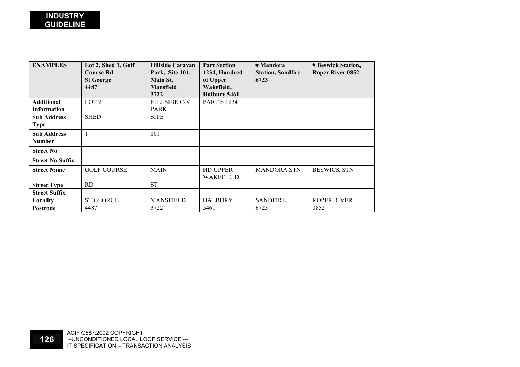| <b>EXAMPLES</b>                     | Lot 2, Shed 1, Golf<br><b>Course Rd</b><br><b>St George</b><br>4487 | <b>Hillside Caravan</b><br>Park, Site 101,<br>Main St,<br><b>Mansfield</b><br>3722 | <b>Part Section</b><br>1234, Hundred<br>of Upper<br>Wakefield,<br>Halbury 5461 | # Mandora<br><b>Station, Sandfire</b><br>6723 | # Beswick Station,<br><b>Roper River 0852</b> |
|-------------------------------------|---------------------------------------------------------------------|------------------------------------------------------------------------------------|--------------------------------------------------------------------------------|-----------------------------------------------|-----------------------------------------------|
| <b>Additional</b><br>Information    | LOT <sub>2</sub>                                                    | <b>HILLSIDE C/V</b><br><b>PARK</b>                                                 | <b>PART S 1234</b>                                                             |                                               |                                               |
| <b>Sub Address</b><br><b>Type</b>   | <b>SHED</b>                                                         | <b>SITE</b>                                                                        |                                                                                |                                               |                                               |
| <b>Sub Address</b><br><b>Number</b> |                                                                     | 101                                                                                |                                                                                |                                               |                                               |
| <b>Street No</b>                    |                                                                     |                                                                                    |                                                                                |                                               |                                               |
| <b>Street No Suffix</b>             |                                                                     |                                                                                    |                                                                                |                                               |                                               |
| <b>Street Name</b>                  | <b>GOLF COURSE</b>                                                  | <b>MAIN</b>                                                                        | <b>HD UPPER</b><br><b>WAKEFIELD</b>                                            | <b>MANDORA STN</b>                            | <b>BESWICK STN</b>                            |
| <b>Street Type</b>                  | <b>RD</b>                                                           | <b>ST</b>                                                                          |                                                                                |                                               |                                               |
| <b>Street Suffix</b>                |                                                                     |                                                                                    |                                                                                |                                               |                                               |
| Locality                            | <b>ST GEORGE</b>                                                    | <b>MANSFIELD</b>                                                                   | <b>HALBURY</b>                                                                 | <b>SANDFIRE</b>                               | <b>ROPER RIVER</b>                            |
| Postcode                            | 4487                                                                | 3722                                                                               | 5461                                                                           | 6723                                          | 0852                                          |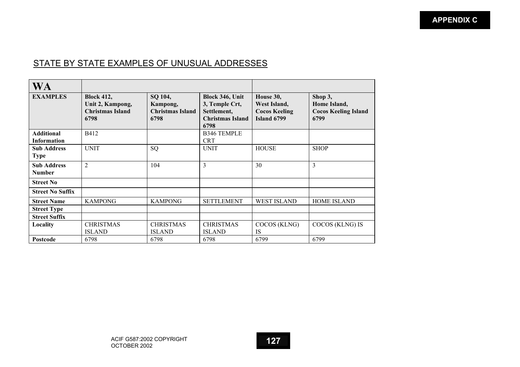## STATE BY STATE EXAMPLES OF UNUSUAL ADDRESSES

| <b>WA</b>                               |                                                                          |                                                        |                                                                                     |                                                                  |                                                                |
|-----------------------------------------|--------------------------------------------------------------------------|--------------------------------------------------------|-------------------------------------------------------------------------------------|------------------------------------------------------------------|----------------------------------------------------------------|
| <b>EXAMPLES</b>                         | <b>Block 412,</b><br>Unit 2, Kampong,<br><b>Christmas Island</b><br>6798 | SQ 104,<br>Kampong,<br><b>Christmas Island</b><br>6798 | Block 346, Unit<br>3, Temple Crt,<br>Settlement,<br><b>Christmas Island</b><br>6798 | House 30,<br>West Island,<br><b>Cocos Keeling</b><br>Island 6799 | Shop 3,<br>Home Island,<br><b>Cocos Keeling Island</b><br>6799 |
| <b>Additional</b><br><b>Information</b> | B412                                                                     |                                                        | <b>B346 TEMPLE</b><br><b>CRT</b>                                                    |                                                                  |                                                                |
| <b>Sub Address</b><br><b>Type</b>       | <b>UNIT</b>                                                              | SQ                                                     | <b>UNIT</b>                                                                         | <b>HOUSE</b>                                                     | <b>SHOP</b>                                                    |
| <b>Sub Address</b><br><b>Number</b>     | $\overline{2}$                                                           | 104                                                    | 3                                                                                   | 30                                                               | 3                                                              |
| <b>Street No</b>                        |                                                                          |                                                        |                                                                                     |                                                                  |                                                                |
| <b>Street No Suffix</b>                 |                                                                          |                                                        |                                                                                     |                                                                  |                                                                |
| <b>Street Name</b>                      | <b>KAMPONG</b>                                                           | <b>KAMPONG</b>                                         | <b>SETTLEMENT</b>                                                                   | <b>WEST ISLAND</b>                                               | <b>HOME ISLAND</b>                                             |
| <b>Street Type</b>                      |                                                                          |                                                        |                                                                                     |                                                                  |                                                                |
| <b>Street Suffix</b>                    |                                                                          |                                                        |                                                                                     |                                                                  |                                                                |
| Locality                                | <b>CHRISTMAS</b><br><b>ISLAND</b>                                        | <b>CHRISTMAS</b><br><b>ISLAND</b>                      | <b>CHRISTMAS</b><br><b>ISLAND</b>                                                   | COCOS (KLNG)<br><b>IS</b>                                        | COCOS (KLNG) IS                                                |
| Postcode                                | 6798                                                                     | 6798                                                   | 6798                                                                                | 6799                                                             | 6799                                                           |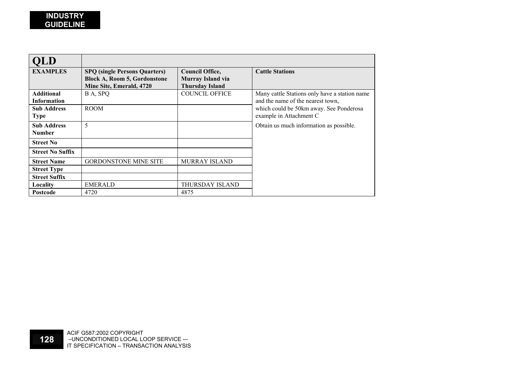| OLD                                 |                                                                                                         |                                                                       |                                                                                    |
|-------------------------------------|---------------------------------------------------------------------------------------------------------|-----------------------------------------------------------------------|------------------------------------------------------------------------------------|
| <b>EXAMPLES</b>                     | <b>SPQ</b> (single Persons Quarters)<br><b>Block A, Room 5, Gordonstone</b><br>Mine Site, Emerald, 4720 | <b>Council Office,</b><br>Murray Island via<br><b>Thursday Island</b> | <b>Cattle Stations</b>                                                             |
| <b>Additional</b><br>Information    | B A, SPQ                                                                                                | <b>COUNCIL OFFICE</b>                                                 | Many cattle Stations only have a station name<br>and the name of the nearest town, |
| <b>Sub Address</b><br><b>Type</b>   | <b>ROOM</b>                                                                                             |                                                                       | which could be 50km away. See Ponderosa<br>example in Attachment C                 |
| <b>Sub Address</b><br><b>Number</b> | 5                                                                                                       |                                                                       | Obtain us much information as possible.                                            |
| <b>Street No</b>                    |                                                                                                         |                                                                       |                                                                                    |
| <b>Street No Suffix</b>             |                                                                                                         |                                                                       |                                                                                    |
| <b>Street Name</b>                  | <b>GORDONSTONE MINE SITE</b>                                                                            | MURRAY ISLAND                                                         |                                                                                    |
| <b>Street Type</b>                  |                                                                                                         |                                                                       |                                                                                    |
| <b>Street Suffix</b>                |                                                                                                         |                                                                       |                                                                                    |
| Locality                            | <b>EMERALD</b>                                                                                          | THURSDAY ISLAND                                                       |                                                                                    |
| <b>Postcode</b>                     | 4720                                                                                                    | 4875                                                                  |                                                                                    |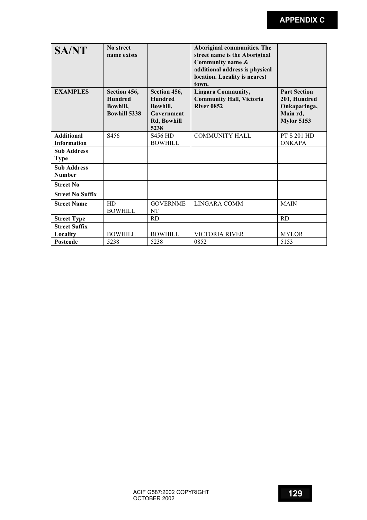## **APPENDIX C**

| <b>SA/NT</b>                            | No street<br>name exists                                          |                                                                                        | Aboriginal communities. The<br>street name is the Aboriginal<br>Community name &<br>additional address is physical<br>location. Locality is nearest<br>town. |                                                                                      |
|-----------------------------------------|-------------------------------------------------------------------|----------------------------------------------------------------------------------------|--------------------------------------------------------------------------------------------------------------------------------------------------------------|--------------------------------------------------------------------------------------|
| <b>EXAMPLES</b>                         | Section 456,<br><b>Hundred</b><br>Bowhill,<br><b>Bowhill 5238</b> | Section 456,<br><b>Hundred</b><br>Bowhill,<br>Government<br><b>Rd, Bowhill</b><br>5238 | <b>Lingara Community,</b><br><b>Community Hall, Victoria</b><br><b>River 0852</b>                                                                            | <b>Part Section</b><br>201, Hundred<br>Onkaparinga,<br>Main rd,<br><b>Mylor 5153</b> |
| <b>Additional</b><br><b>Information</b> | S <sub>456</sub>                                                  | <b>S456 HD</b><br><b>BOWHILL</b>                                                       | <b>COMMUNITY HALL</b>                                                                                                                                        | <b>PT S 201 HD</b><br><b>ONKAPA</b>                                                  |
| <b>Sub Address</b><br><b>Type</b>       |                                                                   |                                                                                        |                                                                                                                                                              |                                                                                      |
| <b>Sub Address</b><br><b>Number</b>     |                                                                   |                                                                                        |                                                                                                                                                              |                                                                                      |
| <b>Street No</b>                        |                                                                   |                                                                                        |                                                                                                                                                              |                                                                                      |
| <b>Street No Suffix</b>                 |                                                                   |                                                                                        |                                                                                                                                                              |                                                                                      |
| <b>Street Name</b>                      | HD<br><b>BOWHILL</b>                                              | <b>GOVERNME</b><br><b>NT</b>                                                           | LINGARA COMM                                                                                                                                                 | <b>MAIN</b>                                                                          |
| <b>Street Type</b>                      |                                                                   | <b>RD</b>                                                                              |                                                                                                                                                              | <b>RD</b>                                                                            |
| <b>Street Suffix</b>                    |                                                                   |                                                                                        |                                                                                                                                                              |                                                                                      |
| Locality                                | <b>BOWHILL</b>                                                    | <b>BOWHILL</b>                                                                         | <b>VICTORIA RIVER</b>                                                                                                                                        | <b>MYLOR</b>                                                                         |
| Postcode                                | 5238                                                              | 5238                                                                                   | 0852                                                                                                                                                         | 5153                                                                                 |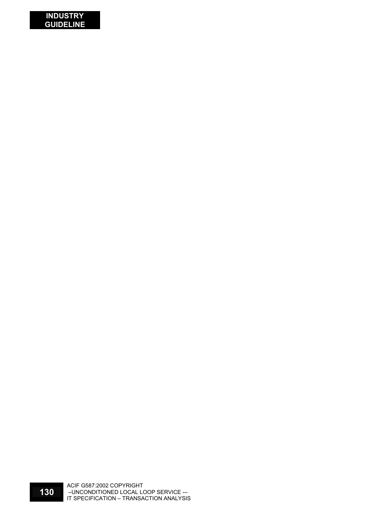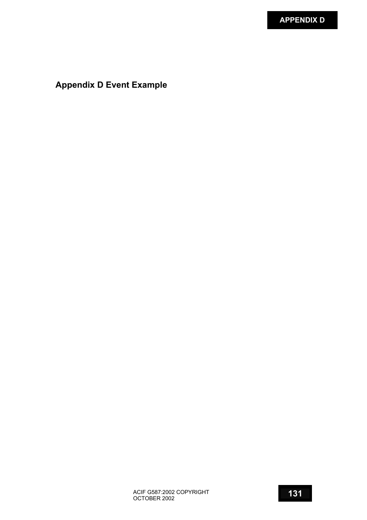**Appendix D Event Example**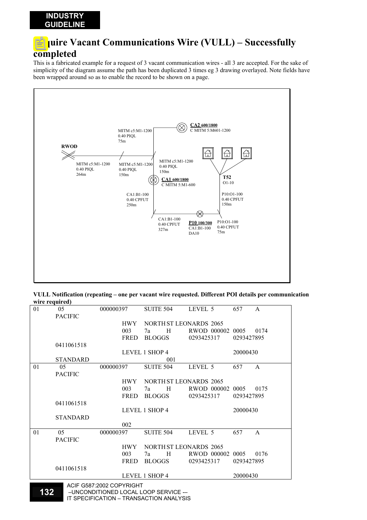## **Acquire Vacant Communications Wire (VULL) – Successfully completed**

This is a fabricated example for a request of 3 vacant communication wires - all 3 are accepted. For the sake of simplicity of the diagram assume the path has been duplicated 3 times eg 3 drawing overlayed. Note fields have been wrapped around so as to enable the record to be shown on a page.



**VULL Notification (repeating – one per vacant wire requested. Different POI details per communication wire required)**

| wire requireu)<br>01<br>05 | 000000397                | <b>SUITE 504</b> | LEVEL 5                       | 657<br>$\mathsf{A}$ |
|----------------------------|--------------------------|------------------|-------------------------------|---------------------|
| <b>PACIFIC</b>             |                          |                  |                               |                     |
|                            | <b>HWY</b>               |                  | NORTH ST LEONARDS 2065        |                     |
|                            | 003                      | H<br>7a          | RWOD 000002 0005              | 0174                |
|                            | <b>FRED</b>              | <b>BLOGGS</b>    | 0293425317                    | 0293427895          |
| 0411061518                 |                          |                  |                               |                     |
|                            |                          | LEVEL 1 SHOP 4   |                               | 20000430            |
| <b>STANDARD</b>            |                          | 001              |                               |                     |
| 01<br>05                   | 000000397                | <b>SUITE 504</b> | LEVEL 5                       | 657<br>$\mathsf{A}$ |
| <b>PACIFIC</b>             |                          |                  |                               |                     |
|                            | <b>HWY</b>               |                  | <b>NORTH ST LEONARDS 2065</b> |                     |
|                            | 003                      | H<br>7a          | RWOD 000002                   | 0175<br>0005        |
|                            | <b>FRED</b>              | <b>BLOGGS</b>    | 0293425317                    | 0293427895          |
| 0411061518                 |                          |                  |                               |                     |
|                            |                          | LEVEL 1 SHOP 4   |                               | 20000430            |
| <b>STANDARD</b>            |                          |                  |                               |                     |
|                            | 002                      |                  |                               |                     |
| 01<br>0 <sub>5</sub>       | 000000397                | <b>SUITE 504</b> | LEVEL 5                       | 657<br>$\mathsf{A}$ |
| <b>PACIFIC</b>             |                          |                  |                               |                     |
|                            | <b>HWY</b>               |                  | NORTH ST LEONARDS 2065        |                     |
|                            | 003                      | H<br>7a          | RWOD 000002 0005              | 0176                |
|                            | <b>FRED</b>              | <b>BLOGGS</b>    | 0293425317                    | 0293427895          |
| 0411061518                 |                          |                  |                               |                     |
|                            |                          | LEVEL 1 SHOP 4   |                               | 20000430            |
|                            | ACIF G587:2002 COPYRIGHT |                  |                               |                     |

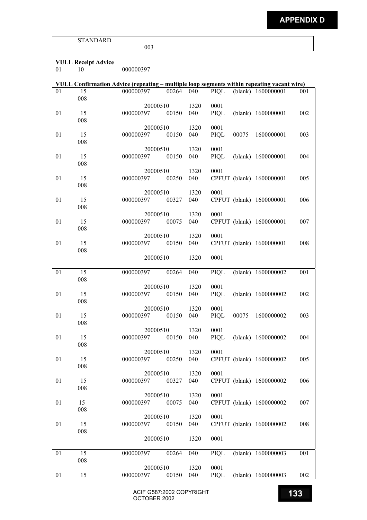STANDARD

003

## **VULL Receipt Advice**

01 10 000000397

|    |     | VULL Confirmation Advice (repeating – multiple loop segments within repeating vacant wire) |       |      |      |       |                          |     |
|----|-----|--------------------------------------------------------------------------------------------|-------|------|------|-------|--------------------------|-----|
| 01 | 15  | 000000397                                                                                  | 00264 | 040  | PIQL |       | (blank) 1600000001       | 001 |
|    | 008 |                                                                                            |       |      |      |       |                          |     |
|    |     | 20000510                                                                                   |       | 1320 | 0001 |       |                          |     |
| 01 | 15  | 000000397                                                                                  | 00150 | 040  | PIQL |       | (blank) 1600000001       | 002 |
|    | 008 |                                                                                            |       |      |      |       |                          |     |
|    |     | 20000510                                                                                   |       | 1320 | 0001 |       |                          |     |
| 01 | 15  | 000000397                                                                                  | 00150 | 040  | PIQL | 00075 | 1600000001               | 003 |
|    | 008 |                                                                                            |       |      |      |       |                          |     |
|    |     | 20000510                                                                                   |       | 1320 | 0001 |       |                          |     |
| 01 | 15  | 000000397                                                                                  | 00150 | 040  | PIQL |       | (blank) 1600000001       | 004 |
|    |     |                                                                                            |       |      |      |       |                          |     |
|    | 008 |                                                                                            |       |      |      |       |                          |     |
|    |     | 20000510                                                                                   |       | 1320 | 0001 |       |                          |     |
| 01 | 15  | 000000397                                                                                  | 00250 | 040  |      |       | CPFUT (blank) 1600000001 | 005 |
|    | 008 |                                                                                            |       |      |      |       |                          |     |
|    |     | 20000510                                                                                   |       | 1320 | 0001 |       |                          |     |
| 01 | 15  | 000000397                                                                                  | 00327 | 040  |      |       | CPFUT (blank) 1600000001 | 006 |
|    | 008 |                                                                                            |       |      |      |       |                          |     |
|    |     | 20000510                                                                                   |       | 1320 | 0001 |       |                          |     |
| 01 | 15  | 000000397                                                                                  | 00075 | 040  |      |       | CPFUT (blank) 1600000001 | 007 |
|    | 008 |                                                                                            |       |      |      |       |                          |     |
|    |     | 20000510                                                                                   |       | 1320 | 0001 |       |                          |     |
| 01 | 15  | 000000397                                                                                  | 00150 | 040  |      |       | CPFUT (blank) 1600000001 | 008 |
|    | 008 |                                                                                            |       |      |      |       |                          |     |
|    |     | 20000510                                                                                   |       | 1320 | 0001 |       |                          |     |
|    |     |                                                                                            |       |      |      |       |                          |     |
| 01 | 15  | 000000397                                                                                  | 00264 | 040  | PIQL |       | (blank) 1600000002       | 001 |
|    | 008 |                                                                                            |       |      |      |       |                          |     |
|    |     | 20000510                                                                                   |       | 1320 | 0001 |       |                          |     |
| 01 | 15  | 000000397                                                                                  | 00150 | 040  | PIQL |       | (blank) 1600000002       | 002 |
|    | 008 |                                                                                            |       |      |      |       |                          |     |
|    |     | 20000510                                                                                   |       | 1320 | 0001 |       |                          |     |
| 01 | 15  | 000000397                                                                                  | 00150 | 040  | PIQL | 00075 | 1600000002               | 003 |
|    |     |                                                                                            |       |      |      |       |                          |     |
|    | 008 |                                                                                            |       |      |      |       |                          |     |
|    |     | 20000510                                                                                   |       | 1320 | 0001 |       |                          |     |
| 01 | 15  | 000000397                                                                                  | 00150 | 040  | PIQL |       | (blank) 1600000002       | 004 |
|    | 008 |                                                                                            |       |      |      |       |                          |     |
|    |     | 20000510                                                                                   |       | 1320 | 0001 |       |                          |     |
| 01 | 15  | 000000397                                                                                  | 00250 | 040  |      |       | CPFUT (blank) 1600000002 | 005 |
|    | 008 |                                                                                            |       |      |      |       |                          |     |
|    |     | 20000510                                                                                   |       | 1320 | 0001 |       |                          |     |
| 01 | 15  | 000000397                                                                                  | 00327 | 040  |      |       | CPFUT (blank) 1600000002 | 006 |
|    | 008 |                                                                                            |       |      |      |       |                          |     |
|    |     | 20000510                                                                                   |       | 1320 | 0001 |       |                          |     |
| 01 | 15  | 000000397                                                                                  | 00075 | 040  |      |       | CPFUT (blank) 1600000002 | 007 |
|    | 008 |                                                                                            |       |      |      |       |                          |     |
|    |     | 20000510                                                                                   |       | 1320 | 0001 |       |                          |     |
| 01 | 15  | 000000397                                                                                  | 00150 | 040  |      |       | CPFUT (blank) 1600000002 | 008 |
|    | 008 |                                                                                            |       |      |      |       |                          |     |
|    |     |                                                                                            |       |      |      |       |                          |     |
|    |     | 20000510                                                                                   |       | 1320 | 0001 |       |                          |     |
| 01 | 15  | 000000397                                                                                  | 00264 | 040  | PIQL |       | (blank) 1600000003       | 001 |
|    | 008 |                                                                                            |       |      |      |       |                          |     |
|    |     | 20000510                                                                                   |       | 1320 | 0001 |       |                          |     |
|    |     |                                                                                            |       |      |      |       |                          |     |
| 01 | 15  | 000000397                                                                                  | 00150 | 040  | PIQL |       | (blank) 1600000003       | 002 |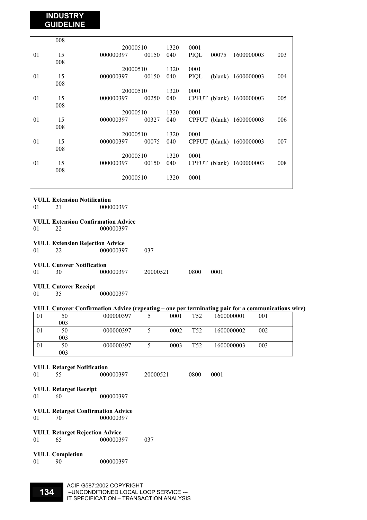## **INDUSTRY GUIDELINE**

|    | 008 |           |       |      |                          |                    |     |
|----|-----|-----------|-------|------|--------------------------|--------------------|-----|
|    |     | 20000510  |       | 1320 | 0001                     |                    |     |
| 01 | 15  | 000000397 | 00150 | 040  | PIQL<br>00075            | 1600000003         | 003 |
|    | 008 |           |       |      |                          |                    |     |
|    |     | 20000510  |       | 1320 | 0001                     |                    |     |
| 01 | 15  | 000000397 | 00150 | 040  | PIQL                     | (blank) 1600000003 | 004 |
|    | 008 |           |       |      |                          |                    |     |
|    |     | 20000510  |       | 1320 | 0001                     |                    |     |
| 01 | 15  | 000000397 | 00250 | 040  | CPFUT (blank) 1600000003 |                    | 005 |
|    | 008 |           |       |      |                          |                    |     |
|    |     | 20000510  |       | 1320 | 0001                     |                    |     |
| 01 | 15  | 000000397 | 00327 | 040  | CPFUT (blank) 1600000003 |                    | 006 |
|    | 008 |           |       |      |                          |                    |     |
|    |     | 20000510  |       | 1320 | 0001                     |                    |     |
| 01 | 15  | 000000397 | 00075 | 040  | CPFUT (blank) 1600000003 |                    | 007 |
|    | 008 |           |       |      |                          |                    |     |
|    |     | 20000510  |       | 1320 | 0001                     |                    |     |
| 01 | 15  | 000000397 | 00150 | 040  | CPFUT (blank) 1600000003 |                    | 008 |
|    | 008 |           |       |      |                          |                    |     |
|    |     | 20000510  |       | 1320 | 0001                     |                    |     |
|    |     |           |       |      |                          |                    |     |

#### **VULL Extension Notification**

| 01 | 21                                     | 000000397                                                                                         |          |      |                 |            |     |  |
|----|----------------------------------------|---------------------------------------------------------------------------------------------------|----------|------|-----------------|------------|-----|--|
| 01 | 22                                     | <b>VULL Extension Confirmation Advice</b><br>000000397                                            |          |      |                 |            |     |  |
| 01 | 22                                     | <b>VULL Extension Rejection Advice</b><br>000000397                                               | 037      |      |                 |            |     |  |
| 01 | <b>VULL Cutover Notification</b><br>30 | 000000397                                                                                         | 20000521 |      | 0800            | 0001       |     |  |
|    | <b>VULL Cutover Receipt</b>            |                                                                                                   |          |      |                 |            |     |  |
| 01 | 35                                     | 000000397                                                                                         |          |      |                 |            |     |  |
|    |                                        | VULL Cutover Confirmation Advice (repeating – one per terminating pair for a communications wire) |          |      |                 |            |     |  |
| 01 | 50<br>003                              | 000000397                                                                                         | 5        | 0001 | T <sub>52</sub> | 1600000001 | 001 |  |
| 01 | 50                                     | 000000397                                                                                         | 5        | 0002 | T52             | 1600000002 | 002 |  |
|    |                                        |                                                                                                   |          |      |                 |            |     |  |

| 01             | 50  | 000000397 | 0002 | じらつ | 1600000002 | 002 |  |
|----------------|-----|-----------|------|-----|------------|-----|--|
|                | 003 |           |      |     |            |     |  |
| 0 <sub>1</sub> | 50  | 000000397 | 0003 | T52 | 1600000003 | 003 |  |
|                | 003 |           |      |     |            |     |  |

#### **VULL Retarget Notification**

| 000000397<br>01 |  | 20000521 | 0800 | 0001 |
|-----------------|--|----------|------|------|
|-----------------|--|----------|------|------|

# **VULL Retarget Receipt**

000000397

## **VULL Retarget Confirmation Advice**

01 70 000000397

## **VULL Retarget Rejection Advice**

01 65 0000000397 037

## **VULL Completion**

01 90 000000397

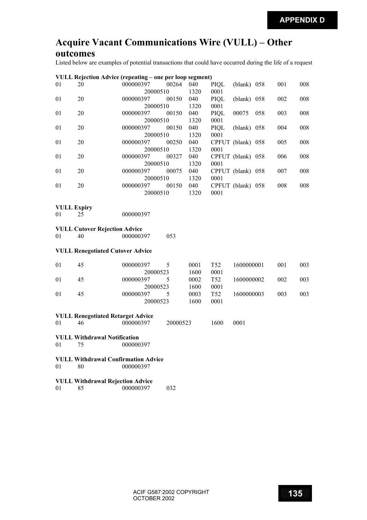## **Acquire Vacant Communications Wire (VULL) – Other**

## **outcomes**

Listed below are examples of potential transactions that could have occurred during the life of a request

| VULL Rejection Advice (repeating – one per loop segment) |    |           |       |      |             |                   |     |     |     |
|----------------------------------------------------------|----|-----------|-------|------|-------------|-------------------|-----|-----|-----|
| 01                                                       | 20 | 000000397 | 00264 | 040  | <b>PIQL</b> | $(blank)$ 058     |     | 001 | 008 |
|                                                          |    | 20000510  |       | 1320 | 0001        |                   |     |     |     |
| 01                                                       | 20 | 000000397 | 00150 | 040  | PIQL        | $(blank)$ 058     |     | 002 | 008 |
|                                                          |    | 20000510  |       | 1320 | 0001        |                   |     |     |     |
| 01                                                       | 20 | 000000397 | 00150 | 040  | <b>PIQL</b> | 00075             | 058 | 003 | 008 |
|                                                          |    | 20000510  |       | 1320 | 0001        |                   |     |     |     |
| 01                                                       | 20 | 000000397 | 00150 | 040  | <b>PIQL</b> | $(blank)$ 058     |     | 004 | 008 |
|                                                          |    | 20000510  |       | 1320 | 0001        |                   |     |     |     |
| 01                                                       | 20 | 000000397 | 00250 | 040  |             | CPFUT (blank) 058 |     | 005 | 008 |
|                                                          |    | 20000510  |       | 1320 | 0001        |                   |     |     |     |
| 01                                                       | 20 | 000000397 | 00327 | 040  |             | CPFUT (blank) 058 |     | 006 | 008 |
|                                                          |    | 20000510  |       | 1320 | 0001        |                   |     |     |     |
| 01                                                       | 20 | 000000397 | 00075 | 040  |             | CPFUT (blank) 058 |     | 007 | 008 |
|                                                          |    | 20000510  |       | 1320 | 0001        |                   |     |     |     |
| 01                                                       | 20 | 000000397 | 00150 | 040  |             | CPFUT (blank) 058 |     | 008 | 008 |
|                                                          |    | 20000510  |       | 1320 | 0001        |                   |     |     |     |

#### **VULL Expiry**

| 01 | 25 | 000000397 |
|----|----|-----------|
|    |    |           |

#### **VULL Cutover Rejection Advice**

01 40 000000397 053

#### **VULL Renegotiated Cutover Advice**

| 01 | 45 | 000000397 | 0001 | T52  | 1600000001 | 001 | 003 |
|----|----|-----------|------|------|------------|-----|-----|
|    |    | 20000523  | 1600 | 0001 |            |     |     |
| 01 | 45 | 000000397 | 0002 | T52  | 1600000002 | 002 | 003 |
|    |    | 20000523  | 1600 | 0001 |            |     |     |
| 01 | 45 | 000000397 | 0003 | T52  | 1600000003 | 003 | 003 |
|    |    | 20000523  | 1600 | 0001 |            |     |     |

#### **VULL Renegotiated Retarget Advice**

|  | 01 |  | 000000397 | 20000523 | 1600 | 0001 |
|--|----|--|-----------|----------|------|------|
|--|----|--|-----------|----------|------|------|

#### **VULL Withdrawal Notification**

01 75 000000397

#### **VULL Withdrawal Confirmation Advice**

01 80 000000397

#### **VULL Withdrawal Rejection Advice**

| 01 | 85 | 000000397 | 032 |
|----|----|-----------|-----|
|----|----|-----------|-----|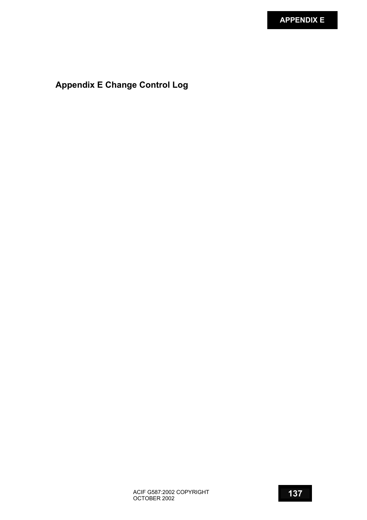**Appendix E Change Control Log**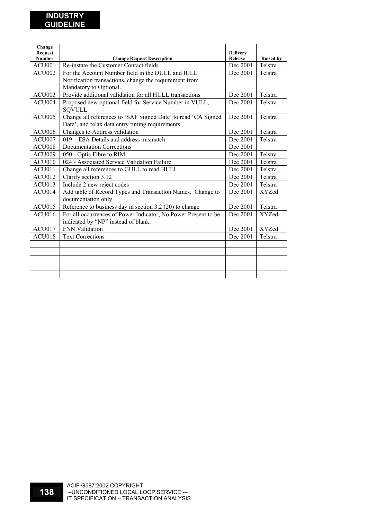| Change<br><b>Request</b> |                                                                | <b>Delivery</b> |                  |
|--------------------------|----------------------------------------------------------------|-----------------|------------------|
| <b>Number</b>            | <b>Change Request Description</b>                              | Release         | <b>Raised by</b> |
| <b>ACU001</b>            | Re-instate the Customer Contact fields                         | Dec 2001        | Telstra          |
| <b>ACU002</b>            | For the Account Number field in the DULL and IULL              | Dec 2001        | Telstra          |
|                          | Notification transactions, change the requirement from         |                 |                  |
|                          | Mandatory to Optional.                                         |                 |                  |
| ACU003                   | Provide additional validation for all HULL transactions        | Dec 2001        | Telstra          |
| ACU004                   | Proposed new optional field for Service Number in VULL,        | Dec 2001        | Telstra          |
|                          | SQVULL.                                                        |                 |                  |
| <b>ACU005</b>            | Change all references to 'SAF Signed Date' to read 'CA Signed  | Dec 2001        | Telstra          |
|                          | Date', and relax data entry timing requirements.               |                 |                  |
| ACU006                   | Changes to Address validation                                  | Dec 2001        | Telstra          |
| ACU007                   | 019 – ESA Details and address mismatch                         | Dec 2001        | Telstra          |
| ACU008                   | Documentation Corrections                                      | Dec 2001        |                  |
| ACU009                   | 050 - Optic Fibre to RIM                                       | Dec 2001        | Telstra          |
| ACU010                   | 024 - Associated Service Validation Failure                    | Dec 2001        | Telstra          |
| ACU011                   | Change all references to GULL to read HULL                     | Dec 2001        | Telstra          |
| ACU012                   | Clarify section 3.12                                           | Dec 2001        | Telstra          |
| ACU013                   | Include 2 new reject codes                                     | Dec 2001        | Telstra          |
| ACU014                   | Add table of Record Types and Transaction Names. Change to     | Dec 2001        | <b>XYZed</b>     |
|                          | documentation only                                             |                 |                  |
| ACU015                   | Reference to business day in section 3.2 (20) to change        | Dec 2001        | Telstra          |
| ACU016                   | For all occurrences of Power Indicator, No Power Present to be | Dec 2001        | <b>XYZed</b>     |
|                          | indicated by "NP" instead of blank.                            |                 |                  |
| ACU017                   | <b>FNN Validation</b>                                          | Dec 2001        | XYZed            |
| ACU018                   | <b>Text Corrections</b>                                        | Dec 2001        | Telstra          |
|                          |                                                                |                 |                  |
|                          |                                                                |                 |                  |
|                          |                                                                |                 |                  |
|                          |                                                                |                 |                  |
|                          |                                                                |                 |                  |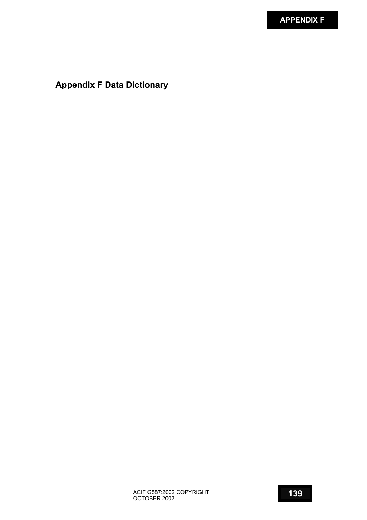**Appendix F Data Dictionary**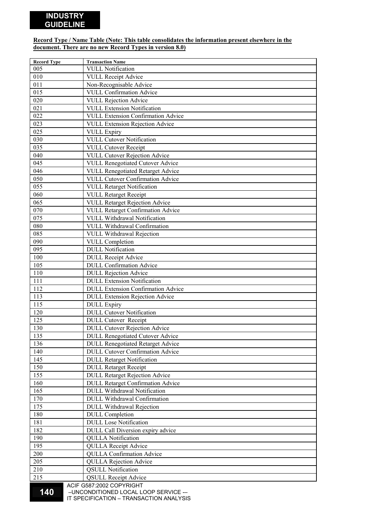#### **Record Type / Name Table (Note: This table consolidates the information present elsewhere in the document. There are no new Record Types in version 8.0)**

| <b>Record Type</b> | <b>Transaction Name</b>                            |  |  |  |
|--------------------|----------------------------------------------------|--|--|--|
| 005                | <b>VULL Notification</b>                           |  |  |  |
| 010                | <b>VULL Receipt Advice</b>                         |  |  |  |
| 011                | Non-Recognisable Advice                            |  |  |  |
| 015                | <b>VULL Confirmation Advice</b>                    |  |  |  |
| 020                | <b>VULL Rejection Advice</b>                       |  |  |  |
| 021                | <b>VULL Extension Notification</b>                 |  |  |  |
| 022                | <b>VULL Extension Confirmation Advice</b>          |  |  |  |
| 023                | <b>VULL Extension Rejection Advice</b>             |  |  |  |
| 025                | <b>VULL Expiry</b>                                 |  |  |  |
| 030                | <b>VULL Cutover Notification</b>                   |  |  |  |
| 035                | <b>VULL Cutover Receipt</b>                        |  |  |  |
| 040                | <b>VULL Cutover Rejection Advice</b>               |  |  |  |
| 045                | <b>VULL Renegotiated Cutover Advice</b>            |  |  |  |
| 046                | <b>VULL Renegotiated Retarget Advice</b>           |  |  |  |
| 050                | <b>VULL Cutover Confirmation Advice</b>            |  |  |  |
| 055                | <b>VULL Retarget Notification</b>                  |  |  |  |
| 060                | <b>VULL Retarget Receipt</b>                       |  |  |  |
| 065                | <b>VULL Retarget Rejection Advice</b>              |  |  |  |
| 070                | <b>VULL Retarget Confirmation Advice</b>           |  |  |  |
| 075                | <b>VULL Withdrawal Notification</b>                |  |  |  |
| 080                | VULL Withdrawal Confirmation                       |  |  |  |
| 085                | <b>VULL Withdrawal Rejection</b>                   |  |  |  |
| 090                |                                                    |  |  |  |
| 095                | <b>VULL</b> Completion<br><b>DULL</b> Notification |  |  |  |
|                    |                                                    |  |  |  |
| 100                | <b>DULL Receipt Advice</b>                         |  |  |  |
| 105                | <b>DULL Confirmation Advice</b>                    |  |  |  |
| 110                | <b>DULL Rejection Advice</b>                       |  |  |  |
| 111                | <b>DULL Extension Notification</b>                 |  |  |  |
| 112                | <b>DULL Extension Confirmation Advice</b>          |  |  |  |
| 113                | <b>DULL Extension Rejection Advice</b>             |  |  |  |
| 115                | <b>DULL</b> Expiry                                 |  |  |  |
| 120                | <b>DULL Cutover Notification</b>                   |  |  |  |
| 125                | <b>DULL</b> Cutover Receipt                        |  |  |  |
| 130                | <b>DULL Cutover Rejection Advice</b>               |  |  |  |
| 135                | <b>DULL Renegotiated Cutover Advice</b>            |  |  |  |
| 136                | <b>DULL Renegotiated Retarget Advice</b>           |  |  |  |
| 140                | <b>DULL Cutover Confirmation Advice</b>            |  |  |  |
| 145                | <b>DULL Retarget Notification</b>                  |  |  |  |
| 150                | <b>DULL Retarget Receipt</b>                       |  |  |  |
| 155                | <b>DULL Retarget Rejection Advice</b>              |  |  |  |
| 160                | <b>DULL Retarget Confirmation Advice</b>           |  |  |  |
| 165                | <b>DULL Withdrawal Notification</b>                |  |  |  |
| 170                | <b>DULL Withdrawal Confirmation</b>                |  |  |  |
| 175                | <b>DULL Withdrawal Rejection</b>                   |  |  |  |
| 180                | <b>DULL</b> Completion                             |  |  |  |
| 181                | <b>DULL</b> Lose Notification                      |  |  |  |
| 182                | DULL Call Diversion expiry advice                  |  |  |  |
| 190                | <b>QULLA</b> Notification                          |  |  |  |
| 195                | <b>QULLA Receipt Advice</b>                        |  |  |  |
| 200                | <b>QULLA Confirmation Advice</b>                   |  |  |  |
| 205                | <b>QULLA Rejection Advice</b>                      |  |  |  |
| 210                | <b>QSULL Notification</b>                          |  |  |  |
| 215                | <b>QSULL Receipt Advice</b>                        |  |  |  |
|                    | ACIF G587:2002 COPYRIGHT                           |  |  |  |
|                    |                                                    |  |  |  |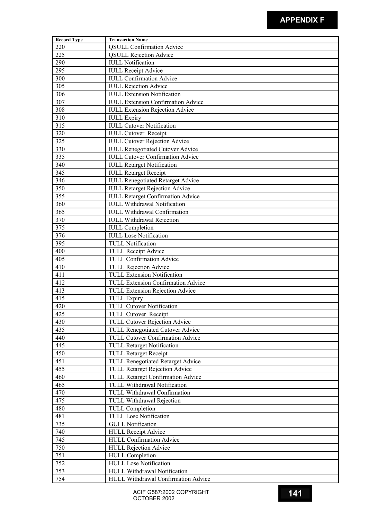| Record Type | <b>Transaction Name</b>                                 |
|-------------|---------------------------------------------------------|
| 220         | <b>QSULL Confirmation Advice</b>                        |
| 225         | <b>QSULL Rejection Advice</b>                           |
| 290         | <b>IULL Notification</b>                                |
| 295         | <b>IULL Receipt Advice</b>                              |
| 300         | <b>IULL Confirmation Advice</b>                         |
| 305         | <b>IULL Rejection Advice</b>                            |
| 306         | <b>IULL Extension Notification</b>                      |
| 307         | <b>IULL Extension Confirmation Advice</b>               |
| 308         | <b>IULL Extension Rejection Advice</b>                  |
| 310         | <b>IULL Expiry</b>                                      |
| 315         | <b>IULL Cutover Notification</b>                        |
| 320         | <b>IULL Cutover Receipt</b>                             |
| 325         | <b>IULL Cutover Rejection Advice</b>                    |
| 330         | <b>IULL Renegotiated Cutover Advice</b>                 |
| 335         | <b>IULL Cutover Confirmation Advice</b>                 |
| 340         | <b>IULL Retarget Notification</b>                       |
| 345         | <b>IULL Retarget Receipt</b>                            |
| 346         | <b>IULL Renegotiated Retarget Advice</b>                |
| 350         | <b>IULL Retarget Rejection Advice</b>                   |
| 355         | <b>IULL Retarget Confirmation Advice</b>                |
| 360         | <b>IULL Withdrawal Notification</b>                     |
| 365         | <b>IULL Withdrawal Confirmation</b>                     |
| 370         | <b>IULL Withdrawal Rejection</b>                        |
| 375<br>376  | <b>IULL Completion</b><br><b>IULL Lose Notification</b> |
| 395         | <b>TULL Notification</b>                                |
| 400         | <b>TULL Receipt Advice</b>                              |
| 405         | <b>TULL Confirmation Advice</b>                         |
| 410         | <b>TULL Rejection Advice</b>                            |
| 411         | <b>TULL Extension Notification</b>                      |
| 412         | <b>TULL Extension Confirmation Advice</b>               |
| 413         | <b>TULL Extension Rejection Advice</b>                  |
| 415         | <b>TULL Expiry</b>                                      |
| 420         | <b>TULL Cutover Notification</b>                        |
| 425         | <b>TULL Cutover Receipt</b>                             |
| 430         | <b>TULL Cutover Rejection Advice</b>                    |
| 435         | <b>TULL Renegotiated Cutover Advice</b>                 |
| 440         | <b>TULL Cutover Confirmation Advice</b>                 |
| 445         | TULL Retarget Notification                              |
| 450         | <b>TULL Retarget Receipt</b>                            |
| 451         | <b>TULL Renegotiated Retarget Advice</b>                |
| 455         | <b>TULL Retarget Rejection Advice</b>                   |
| 460         | <b>TULL Retarget Confirmation Advice</b>                |
| 465         | <b>TULL</b> Withdrawal Notification                     |
| 470         | TULL Withdrawal Confirmation                            |
| 475         | TULL Withdrawal Rejection                               |
| 480         | TULL Completion                                         |
| 481         | <b>TULL Lose Notification</b>                           |
| 735         | <b>GULL Notification</b>                                |
| 740         | <b>HULL Receipt Advice</b>                              |
| 745         | <b>HULL Confirmation Advice</b>                         |
| 750         | <b>HULL Rejection Advice</b>                            |
| 751         | <b>HULL Completion</b>                                  |
| 752         | <b>HULL Lose Notification</b>                           |
| 753         | HULL Withdrawal Notification                            |
| 754         | <b>HULL</b> Withdrawal Confirmation Advice              |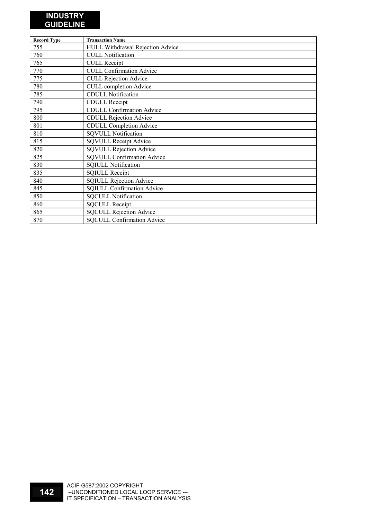| <b>Record Type</b> | <b>Transaction Name</b>                 |
|--------------------|-----------------------------------------|
| 755                | <b>HULL Withdrawal Rejection Advice</b> |
| 760                | <b>CULL Notification</b>                |
| 765                | <b>CULL Receipt</b>                     |
| 770                | <b>CULL Confirmation Advice</b>         |
| 775                | <b>CULL Rejection Advice</b>            |
| 780                | <b>CULL</b> completion Advice           |
| 785                | <b>CDULL Notification</b>               |
| 790                | <b>CDULL Receipt</b>                    |
| 795                | <b>CDULL Confirmation Advice</b>        |
| 800                | <b>CDULL Rejection Advice</b>           |
| 801                | <b>CDULL Completion Advice</b>          |
| 810                | <b>SQVULL Notification</b>              |
| 815                | <b>SQVULL Receipt Advice</b>            |
| 820                | <b>SQVULL Rejection Advice</b>          |
| 825                | <b>SQVULL Confirmation Advice</b>       |
| 830                | <b>SQIULL Notification</b>              |
| 835                | <b>SQIULL Receipt</b>                   |
| 840                | <b>SQIULL Rejection Advice</b>          |
| 845                | <b>SQIULL Confirmation Advice</b>       |
| 850                | <b>SQCULL Notification</b>              |
| 860                | <b>SQCULL Receipt</b>                   |
| 865                | <b>SQCULL Rejection Advice</b>          |
| 870                | <b>SQCULL Confirmation Advice</b>       |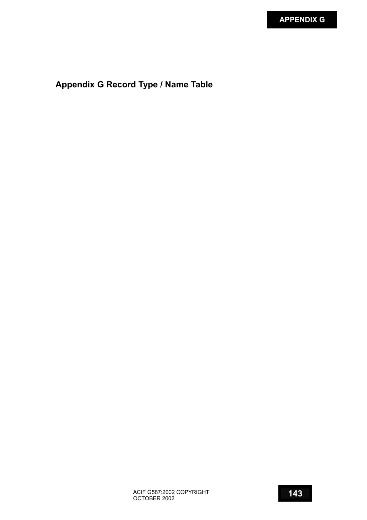**Appendix G Record Type / Name Table**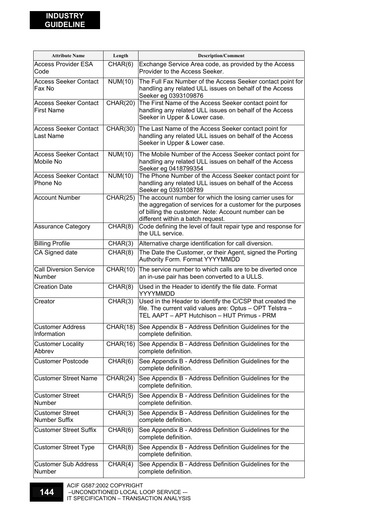| <b>Attribute Name</b>                             | Length          | <b>Description/Comment</b>                                                                                                                                                                                           |
|---------------------------------------------------|-----------------|----------------------------------------------------------------------------------------------------------------------------------------------------------------------------------------------------------------------|
| <b>Access Provider ESA</b><br>Code                | CHAR(6)         | Exchange Service Area code, as provided by the Access<br>Provider to the Access Seeker.                                                                                                                              |
| <b>Access Seeker Contact</b><br>Fax No            | NUM(10)         | The Full Fax Number of the Access Seeker contact point for<br>handling any related ULL issues on behalf of the Access<br>Seeker eg 0393109876                                                                        |
| <b>Access Seeker Contact</b><br><b>First Name</b> | <b>CHAR(20)</b> | The First Name of the Access Seeker contact point for<br>handling any related ULL issues on behalf of the Access<br>Seeker in Upper & Lower case.                                                                    |
| <b>Access Seeker Contact</b><br>Last Name         | CHAR(30)        | The Last Name of the Access Seeker contact point for<br>handling any related ULL issues on behalf of the Access<br>Seeker in Upper & Lower case.                                                                     |
| <b>Access Seeker Contact</b><br>Mobile No         | NUM(10)         | The Mobile Number of the Access Seeker contact point for<br>handling any related ULL issues on behalf of the Access<br>Seeker eg 0418799354                                                                          |
| <b>Access Seeker Contact</b><br>Phone No          | NUM(10)         | The Phone Number of the Access Seeker contact point for<br>handling any related ULL issues on behalf of the Access<br>Seeker eg 0393108789                                                                           |
| <b>Account Number</b>                             | <b>CHAR(25)</b> | The account number for which the losing carrier uses for<br>the aggregation of services for a customer for the purposes<br>of billing the customer. Note: Account number can be<br>different within a batch request. |
| Assurance Category                                | CHAR(8)         | Code defining the level of fault repair type and response for<br>the ULL service.                                                                                                                                    |
| <b>Billing Profile</b>                            | CHAR(3)         | Alternative charge identification for call diversion.                                                                                                                                                                |
| CA Signed date                                    | CHAR(8)         | The Date the Customer, or their Agent, signed the Porting<br>Authority Form. Format YYYYMMDD                                                                                                                         |
| <b>Call Diversion Service</b><br>Number           | <b>CHAR(10)</b> | The service number to which calls are to be diverted once<br>an in-use pair has been converted to a ULLS.                                                                                                            |
| <b>Creation Date</b>                              | CHAR(8)         | Used in the Header to identify the file date. Format<br>YYYYMMDD                                                                                                                                                     |
| Creator                                           | CHAR(3)         | Used in the Header to identify the C/CSP that created the<br>file. The current valid values are: Optus - OPT Telstra -<br>TEL AAPT - APT Hutchison - HUT Primus - PRM                                                |
| <b>Customer Address</b><br>Information            |                 | CHAR(18) See Appendix B - Address Definition Guidelines for the<br>complete definition.                                                                                                                              |
| <b>Customer Locality</b><br>Abbrev                | CHAR(16)        | See Appendix B - Address Definition Guidelines for the<br>complete definition.                                                                                                                                       |
| <b>Customer Postcode</b>                          | CHAR(6)         | See Appendix B - Address Definition Guidelines for the<br>complete definition.                                                                                                                                       |
| <b>Customer Street Name</b>                       | CHAR(24)        | See Appendix B - Address Definition Guidelines for the<br>complete definition.                                                                                                                                       |
| <b>Customer Street</b><br>Number                  | CHAR(5)         | See Appendix B - Address Definition Guidelines for the<br>complete definition.                                                                                                                                       |
| <b>Customer Street</b><br>Number Suffix           | CHAR(3)         | See Appendix B - Address Definition Guidelines for the<br>complete definition.                                                                                                                                       |
| <b>Customer Street Suffix</b>                     | CHAR(6)         | See Appendix B - Address Definition Guidelines for the<br>complete definition.                                                                                                                                       |
| <b>Customer Street Type</b>                       | CHAR(8)         | See Appendix B - Address Definition Guidelines for the<br>complete definition.                                                                                                                                       |
| <b>Customer Sub Address</b><br><b>Number</b>      | CHAR(4)         | See Appendix B - Address Definition Guidelines for the<br>complete definition.                                                                                                                                       |

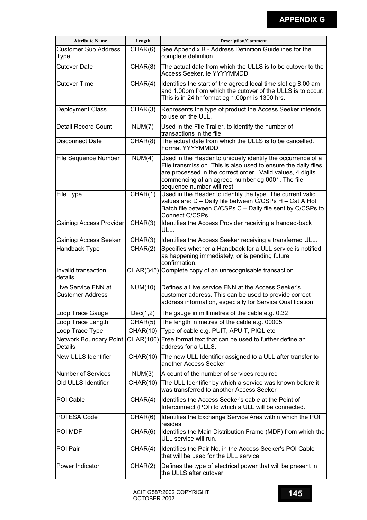| <b>Attribute Name</b>                          | Length          | <b>Description/Comment</b>                                                                                                                                                                                                                                                   |
|------------------------------------------------|-----------------|------------------------------------------------------------------------------------------------------------------------------------------------------------------------------------------------------------------------------------------------------------------------------|
| <b>Customer Sub Address</b>                    | CHAR(6)         | See Appendix B - Address Definition Guidelines for the                                                                                                                                                                                                                       |
| <b>Type</b>                                    |                 | complete definition.                                                                                                                                                                                                                                                         |
| <b>Cutover Date</b>                            | CHAR(8)         | The actual date from which the ULLS is to be cutover to the<br>Access Seeker. ie YYYYMMDD                                                                                                                                                                                    |
| <b>Cutover Time</b>                            | CHAR(4)         | Identifies the start of the agreed local time slot eg 8.00 am<br>and 1.00pm from which the cutover of the ULLS is to occur.<br>This is in 24 hr format eg 1.00pm is 1300 hrs.                                                                                                |
| Deployment Class                               | CHAR(3)         | Represents the type of product the Access Seeker intends<br>to use on the ULL.                                                                                                                                                                                               |
| Detail Record Count                            | NUM(7)          | Used in the File Trailer, to identify the number of<br>transactions in the file.                                                                                                                                                                                             |
| Disconnect Date                                | CHAR(8)         | The actual date from which the ULLS is to be cancelled.<br>Format YYYYMMDD                                                                                                                                                                                                   |
| <b>File Sequence Number</b>                    | NUM(4)          | Used in the Header to uniquely identify the occurrence of a<br>File transmission. This is also used to ensure the daily files<br>are processed in the correct order. Valid values, 4 digits<br>commencing at an agreed number eg 0001. The file<br>sequence number will rest |
| File Type                                      | CHAR(1)         | Used in the Header to identify the type. The current valid<br>values are: D - Daily file between C/CSPs H - Cat A Hot<br>Batch file between C/CSPs C - Daily file sent by C/CSPs to<br>Connect C/CSPs                                                                        |
| <b>Gaining Access Provider</b>                 | CHAR(3)         | Identifies the Access Provider receiving a handed-back<br>ULL.                                                                                                                                                                                                               |
| <b>Gaining Access Seeker</b>                   | CHAR(3)         | Identifies the Access Seeker receiving a transferred ULL.                                                                                                                                                                                                                    |
| Handback Type                                  | CHAR(2)         | Specifies whether a Handback for a ULL service is notified<br>as happening immediately, or is pending future<br>confirmation.                                                                                                                                                |
| Invalid transaction<br>details                 |                 | CHAR(345) Complete copy of an unrecognisable transaction.                                                                                                                                                                                                                    |
| Live Service FNN at<br><b>Customer Address</b> | NUM(10)         | Defines a Live service FNN at the Access Seeker's<br>customer address. This can be used to provide correct<br>address information, especially for Service Qualification.                                                                                                     |
| Loop Trace Gauge                               | Dec(1,2)        | The gauge in millimetres of the cable e.g. 0.32                                                                                                                                                                                                                              |
| Loop Trace Length                              | CHAR(5)         | The length in metres of the cable e.g. 00005                                                                                                                                                                                                                                 |
| Loop Trace Type                                | <b>CHAR(10)</b> | Type of cable e.g. PUIT, APUIT, PIQL etc.                                                                                                                                                                                                                                    |
| Network Boundary Point<br>Details              |                 | CHAR(100) Free format text that can be used to further define an<br>address for a ULLS.                                                                                                                                                                                      |
| New ULLS Identifier                            | <b>CHAR(10)</b> | The new ULL Identifier assigned to a ULL after transfer to<br>another Access Seeker                                                                                                                                                                                          |
| Number of Services                             | NUM(3)          | A count of the number of services required                                                                                                                                                                                                                                   |
| Old ULLS Identifier                            | <b>CHAR(10)</b> | The ULL Identifier by which a service was known before it<br>was transferred to another Access Seeker                                                                                                                                                                        |
| POI Cable                                      | CHAR(4)         | Identifies the Access Seeker's cable at the Point of<br>Interconnect (POI) to which a ULL will be connected.                                                                                                                                                                 |
| POI ESA Code                                   | CHAR(6)         | Identifies the Exchange Service Area within which the POI<br>resides.                                                                                                                                                                                                        |
| <b>POI MDF</b>                                 | CHAR(6)         | Identifies the Main Distribution Frame (MDF) from which the<br>ULL service will run.                                                                                                                                                                                         |
| <b>POI Pair</b>                                | CHAR(4)         | Identifies the Pair No. in the Access Seeker's POI Cable<br>that will be used for the ULL service.                                                                                                                                                                           |
| Power Indicator                                | CHAR(2)         | Defines the type of electrical power that will be present in<br>the ULLS after cutover.                                                                                                                                                                                      |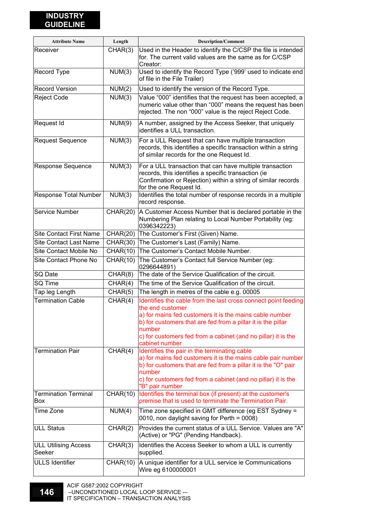| <b>Attribute Name</b>                 | Length          | <b>Description/Comment</b>                                                                                                                                                                                                                                                                                 |
|---------------------------------------|-----------------|------------------------------------------------------------------------------------------------------------------------------------------------------------------------------------------------------------------------------------------------------------------------------------------------------------|
| Receiver                              | CHAR(3)         | Used in the Header to identify the C/CSP the file is intended<br>for. The current valid values are the same as for C/CSP<br>Creator:                                                                                                                                                                       |
| Record Type                           | NUM(3)          | Used to identify the Record Type ('999' used to indicate end<br>of file in the File Trailer)                                                                                                                                                                                                               |
| <b>Record Version</b>                 | NUM(2)          | Used to identify the version of the Record Type.                                                                                                                                                                                                                                                           |
| <b>Reject Code</b>                    | NUM(3)          | Value "000" identifies that the request has been accepted, a<br>numeric value other than "000" means the request has been<br>rejected. The non "000" value is the reject Reject Code.                                                                                                                      |
| Request Id                            | NUM(9)          | A number, assigned by the Access Seeker, that uniquely<br>identifies a ULL transaction.                                                                                                                                                                                                                    |
| <b>Request Sequence</b>               | NUM(3)          | For a ULL Request that can have multiple transaction<br>records, this identifies a specific transaction within a string<br>of similar records for the one Request Id.                                                                                                                                      |
| <b>Response Sequence</b>              | NUM(3)          | For a ULL transaction that can have multiple transaction<br>records, this identifies a specific transaction (ie<br>Confirmation or Rejection) within a string of similar records<br>for the one Request Id.                                                                                                |
| <b>Response Total Number</b>          | NUM(3)          | Identifies the total number of response records in a multiple<br>record response.                                                                                                                                                                                                                          |
| Service Number                        | CHAR(20)        | A Customer Access Number that is declared portable in the<br>Numbering Plan relating to Local Number Portability (eg:<br>0396342223)                                                                                                                                                                       |
| <b>Site Contact First Name</b>        | <b>CHAR(20)</b> | The Customer's First (Given) Name.                                                                                                                                                                                                                                                                         |
| <b>Site Contact Last Name</b>         | <b>CHAR(30)</b> | The Customer's Last (Family) Name.                                                                                                                                                                                                                                                                         |
| Site Contact Mobile No                | <b>CHAR(10)</b> | The Customer's Contact Mobile Number.                                                                                                                                                                                                                                                                      |
| Site Contact Phone No                 | <b>CHAR(10)</b> | The Customer's Contact full Service Number (eg:<br>0296644891)                                                                                                                                                                                                                                             |
| <b>SQ Date</b>                        | CHAR(8)         | The date of the Service Qualification of the circuit.                                                                                                                                                                                                                                                      |
| <b>SQ Time</b>                        | CHAR(4)         | The time of the Service Qualification of the circuit.                                                                                                                                                                                                                                                      |
| Tap leg Length                        | CHAR(5)         | The length in metres of the cable e.g. 00005                                                                                                                                                                                                                                                               |
| <b>Termination Cable</b>              | CHAR(4)         | Identifies the cable from the last cross connect point feeding<br>the end customer<br>a) for mains fed customers it is the mains cable number<br>b) for customers that are fed from a pillar it is the pillar<br>number<br>c) for customers fed from a cabinet (and no pillar) it is the<br>cabinet number |
| <b>Termination Pair</b>               | CHAR(4)         | Identifies the pair in the terminating cable<br>a) for mains fed customers it is the mains cable pair number<br>b) for customers that are fed from a pillar it is the "O" pair<br>number<br>c) for customers fed from a cabinet (and no pillar) it is the<br>"B" pair number                               |
| <b>Termination Terminal</b><br>Box    | <b>CHAR(10)</b> | Identifies the terminal box (if present) at the customer's<br>premise that is used to terminate the Termination Pair.                                                                                                                                                                                      |
| Time Zone                             | NUM(4)          | Time zone specified in GMT difference (eg EST Sydney =<br>0010, non daylight saving for Perth = 0008)                                                                                                                                                                                                      |
| <b>ULL Status</b>                     | CHAR(2)         | Provides the current status of a ULL Service. Values are "A"<br>(Active) or "PG" (Pending Handback).                                                                                                                                                                                                       |
| <b>ULL Utilising Access</b><br>Seeker | CHAR(3)         | Identifies the Access Seeker to whom a ULL is currently<br>supplied.                                                                                                                                                                                                                                       |
| <b>ULLS Identifier</b>                | <b>CHAR(10)</b> | A unique identifier for a ULL service ie Communications<br>Wire eg 6100000001                                                                                                                                                                                                                              |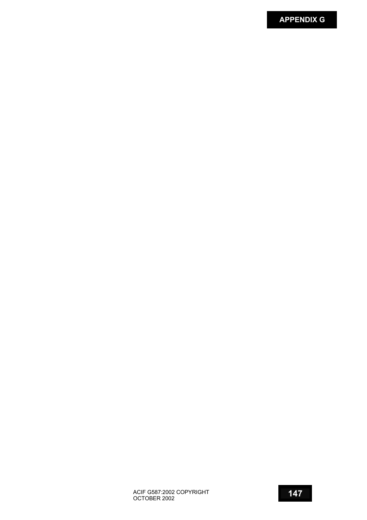ACIF G587:2002 COPYRIGHT OCTOBER 2002 **147**

**APPENDIX G**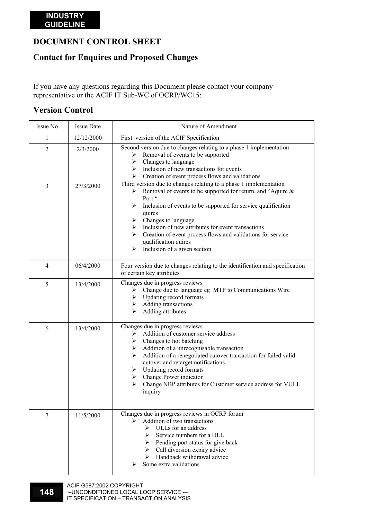# **DOCUMENT CONTROL SHEET**

## **Contact for Enquires and Proposed Changes**

If you have any questions regarding this Document please contact your company representative or the ACIF IT Sub-WC of OCRP/WC15:

## **Version Control**

| Issue No       | <b>Issue Date</b> | Nature of Amendment                                                                                                                                                                                                                                                                                                                                                                                                                                    |
|----------------|-------------------|--------------------------------------------------------------------------------------------------------------------------------------------------------------------------------------------------------------------------------------------------------------------------------------------------------------------------------------------------------------------------------------------------------------------------------------------------------|
| 1              | 12/12/2000        | First version of the ACIF Specification                                                                                                                                                                                                                                                                                                                                                                                                                |
| $\overline{2}$ | 2/3/2000          | Second version due to changes relating to a phase 1 implementation<br>Removal of events to be supported<br>≻<br>Changes to language<br>≻<br>Inclusion of new transactions for events<br>≻<br>$\triangleright$ Creation of event process flows and validations                                                                                                                                                                                          |
| 3              | 27/3/2000         | Third version due to changes relating to a phase 1 implementation<br>Removal of events to be supported for return, and "Aquire &<br>➤<br>Port"<br>Inclusion of events to be supported for service qualification<br>➤<br>quires<br>Changes to language<br>➤<br>Inclusion of new attributes for event transactions<br>➤<br>Creation of event process flows and validations for service<br>≻<br>qualification quires<br>Inclusion of a given section<br>➤ |
| $\overline{4}$ | 06/4/2000         | Four version due to changes relating to the identification and specification<br>of certain key attributes                                                                                                                                                                                                                                                                                                                                              |
| 5              | 13/4/2000         | Changes due in progress reviews<br>Change due to language eg MTP to Communications Wire<br>➤<br>Updating record formats<br>➤<br>Adding transactions<br>➤<br>Adding attributes                                                                                                                                                                                                                                                                          |
| 6              | 13/4/2000         | Changes due in progress reviews<br>Addition of customer service address<br>≻<br>Changes to hot batching<br>≻<br>Addition of a unrecognisable transaction<br>≻∶<br>Addition of a renegotiated cutover transaction for failed valid<br>➤<br>cutover and retarget notifications<br>Updating record formats<br>≻<br>Change Power indicator<br>≻<br>Change NBP attributes for Customer service address for VULL<br>inquiry                                  |
| 7              | 11/5/2000         | Changes due in progress reviews in OCRP forum<br>Addition of two transactions<br>➤<br>ULLs for an address<br>⋗<br>Service numbers for a ULL<br>⋗<br>Pending port status for give back<br>⋗<br>Call diversion expiry advice<br>➤<br>Handback withdrawal advice<br>➤<br>Some extra validations<br>⋗                                                                                                                                                      |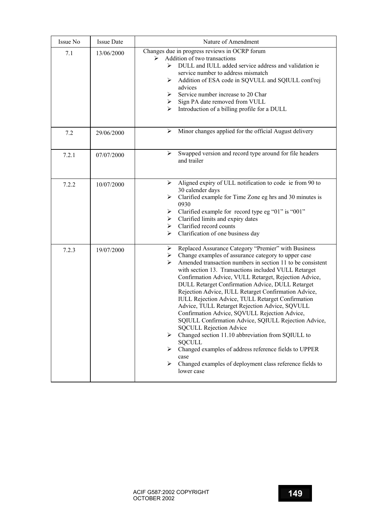| Issue No | <b>Issue Date</b> | Nature of Amendment                                                                                                                                                                                                                                                                                                                                                                                                                                                                                                                                                                                                                                                                                                                                                                                                                                                                                                        |
|----------|-------------------|----------------------------------------------------------------------------------------------------------------------------------------------------------------------------------------------------------------------------------------------------------------------------------------------------------------------------------------------------------------------------------------------------------------------------------------------------------------------------------------------------------------------------------------------------------------------------------------------------------------------------------------------------------------------------------------------------------------------------------------------------------------------------------------------------------------------------------------------------------------------------------------------------------------------------|
| 7.1      | 13/06/2000        | Changes due in progress reviews in OCRP forum<br>Addition of two transactions<br>≻<br>DULL and IULL added service address and validation ie<br>≻<br>service number to address mismatch<br>Addition of ESA code in SQVULL and SQIULL conf/rej<br>➤<br>advices<br>Service number increase to 20 Char<br>➤<br>Sign PA date removed from VULL<br>≻<br>Introduction of a billing profile for a DULL<br>➤                                                                                                                                                                                                                                                                                                                                                                                                                                                                                                                        |
| 7.2      | 29/06/2000        | Minor changes applied for the official August delivery<br>➤                                                                                                                                                                                                                                                                                                                                                                                                                                                                                                                                                                                                                                                                                                                                                                                                                                                                |
| 7.2.1    | 07/07/2000        | Swapped version and record type around for file headers<br>≻<br>and trailer                                                                                                                                                                                                                                                                                                                                                                                                                                                                                                                                                                                                                                                                                                                                                                                                                                                |
| 7.2.2    | 10/07/2000        | Aligned expiry of ULL notification to code ie from 90 to<br>➤<br>30 calender days<br>Clarified example for Time Zone eg hrs and 30 minutes is<br>➤<br>0930<br>Clarified example for record type eg "01" is "001"<br>➤<br>Clarified limits and expiry dates<br>≻<br>Clarified record counts<br>➤<br>Clarification of one business day<br>➤                                                                                                                                                                                                                                                                                                                                                                                                                                                                                                                                                                                  |
| 7.2.3    | 19/07/2000        | Replaced Assurance Category "Premier" with Business<br>≻<br>Change examples of assurance category to upper case<br>$\blacktriangleright$<br>Amended transaction numbers in section 11 to be consistent<br>≻<br>with section 13. Transactions included VULL Retarget<br>Confirmation Advice, VULL Retarget, Rejection Advice,<br>DULL Retarget Confirmation Advice, DULL Retarget<br>Rejection Advice, IULL Retarget Confirmation Advice,<br>IULL Rejection Advice, TULL Retarget Confirmation<br>Advice, TULL Retarget Rejection Advice, SQVULL<br>Confirmation Advice, SQVULL Rejection Advice,<br>SQIULL Confirmation Advice, SQIULL Rejection Advice,<br><b>SQCULL Rejection Advice</b><br>Changed section 11.10 abbreviation from SQIULL to<br>➤<br><b>SQCULL</b><br>Changed examples of address reference fields to UPPER<br>➤<br>case<br>Changed examples of deployment class reference fields to<br>➤<br>lower case |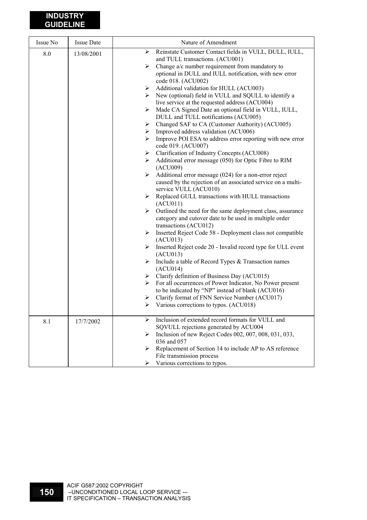| Issue No | <b>Issue Date</b> | Nature of Amendment                                                                                                                                                                                                                                                                                                                                                                                                                                                                                                                                                                                                                                                                                                                                                                                                                                                                                                                                                                                                                                                                                                                                                                                                                                                                                                                                                                                                                                                                                                                                                                                                                                                                                                                                          |
|----------|-------------------|--------------------------------------------------------------------------------------------------------------------------------------------------------------------------------------------------------------------------------------------------------------------------------------------------------------------------------------------------------------------------------------------------------------------------------------------------------------------------------------------------------------------------------------------------------------------------------------------------------------------------------------------------------------------------------------------------------------------------------------------------------------------------------------------------------------------------------------------------------------------------------------------------------------------------------------------------------------------------------------------------------------------------------------------------------------------------------------------------------------------------------------------------------------------------------------------------------------------------------------------------------------------------------------------------------------------------------------------------------------------------------------------------------------------------------------------------------------------------------------------------------------------------------------------------------------------------------------------------------------------------------------------------------------------------------------------------------------------------------------------------------------|
| 8.0      | 13/08/2001        | Reinstate Customer Contact fields in VULL, DULL, IULL,<br>≻<br>and TULL transactions. (ACU001)<br>Change a/c number requirement from mandatory to<br>➤<br>optional in DULL and IULL notification, with new error<br>code 018. (ACU002)<br>Additional validation for HULL (ACU003)<br>➤<br>New (optional) field in VULL and SQULL to identify a<br>≻<br>live service at the requested address (ACU004)<br>Made CA Signed Date an optional field in VULL, IULL,<br>➤<br>DULL and TULL notifications (ACU005)<br>Changed SAF to CA (Customer Authority) (ACU005)<br>➤<br>Improved address validation (ACU006)<br>≻<br>$\triangleright$<br>Improve POI ESA to address error reporting with new error<br>code 019. (ACU007)<br>Clarification of Industry Concepts (ACU008)<br>➤<br>Additional error message (050) for Optic Fibre to RIM<br>≻<br>(ACU009)<br>Additional error message (024) for a non-error reject<br>➤<br>caused by the rejection of an associated service on a multi-<br>service VULL (ACU010)<br>Replaced GULL transactions with HULL transactions<br>≻<br>(ACU011)<br>Outlined the need for the same deployment class, assurance<br>≻<br>category and cutover date to be used in multiple order<br>transactions (ACU012)<br>Inserted Reject Code 58 - Deployment class not compatible<br>➤<br>(ACU013)<br>Inserted Reject code 20 - Invalid record type for ULL event<br>➤<br>(ACU013)<br>Include a table of Record Types & Transaction names<br>➤<br>(ACU014)<br>Clarify definition of Business Day (ACU015)<br>≻<br>For all occurrences of Power Indicator, No Power present<br>≻<br>to be indicated by "NP" instead of blank (ACU016)<br>Clarify format of FNN Service Number (ACU017)<br>➤<br>Various corrections to typos. (ACU018)<br>➤ |
| 8.1      | 17/7/2002         | Inclusion of extended record formats for VULL and<br>⋗<br>SQVULL rejections generated by ACU004<br>Inclusion of new Reject Codes 002, 007, 008, 031, 033,<br>➤<br>036 and 057<br>Replacement of Section 14 to include AP to AS reference<br>⋗<br>File transmission process<br>Various corrections to typos.<br>➤                                                                                                                                                                                                                                                                                                                                                                                                                                                                                                                                                                                                                                                                                                                                                                                                                                                                                                                                                                                                                                                                                                                                                                                                                                                                                                                                                                                                                                             |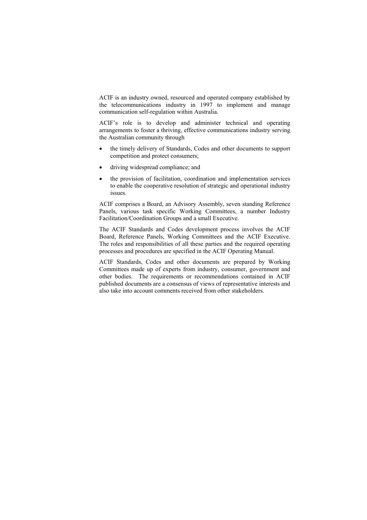ACIF is an industry owned, resourced and operated company established by the telecommunications industry in 1997 to implement and manage communication self-regulation within Australia.

ACIF's role is to develop and administer technical and operating arrangements to foster a thriving, effective communications industry serving the Australian community through

- the timely delivery of Standards, Codes and other documents to support competition and protect consumers;
- driving widespread compliance; and
- the provision of facilitation, coordination and implementation services to enable the cooperative resolution of strategic and operational industry issues.

ACIF comprises a Board, an Advisory Assembly, seven standing Reference Panels, various task specific Working Committees, a number Industry Facilitation/Coordination Groups and a small Executive.

The ACIF Standards and Codes development process involves the ACIF Board, Reference Panels, Working Committees and the ACIF Executive. The roles and responsibilities of all these parties and the required operating processes and procedures are specified in the ACIF Operating Manual.

ACIF Standards, Codes and other documents are prepared by Working Committees made up of experts from industry, consumer, government and other bodies. The requirements or recommendations contained in ACIF published documents are a consensus of views of representative interests and also take into account comments received from other stakeholders.